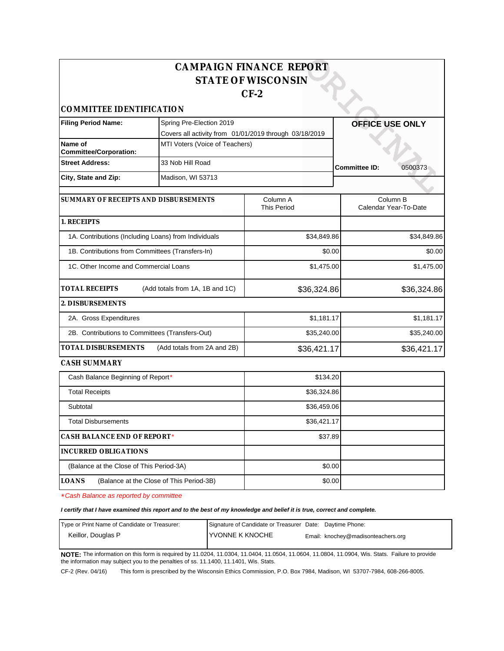|                                                  |                                                        | <b>CAMPAIGN FINANCE REPORT</b> |                                   |
|--------------------------------------------------|--------------------------------------------------------|--------------------------------|-----------------------------------|
|                                                  |                                                        | <b>STATE OF WISCONSIN</b>      |                                   |
|                                                  |                                                        | $CF-2$                         |                                   |
| COMMITTEE IDENTIFICATION                         |                                                        |                                |                                   |
| <b>Filing Period Name:</b>                       | Spring Pre-Election 2019                               |                                | <b>OFFICE USE ONLY</b>            |
|                                                  | Covers all activity from 01/01/2019 through 03/18/2019 |                                |                                   |
| Name of<br><b>Committee/Corporation:</b>         | MTI Voters (Voice of Teachers)                         |                                |                                   |
| <b>Street Address:</b>                           | 33 Nob Hill Road                                       |                                | Committee ID:<br>0500373          |
| City, State and Zip:                             | Madison, WI 53713                                      |                                |                                   |
| SUMMARY OF RECEIPTS AND DISBURSEMENTS            |                                                        | Column A<br><b>This Period</b> | Column B<br>Calendar Year-To-Date |
| 1. RECEIPTS                                      |                                                        |                                |                                   |
|                                                  | 1A. Contributions (Including Loans) from Individuals   | \$34,849.86                    | \$34,849.86                       |
| 1B. Contributions from Committees (Transfers-In) |                                                        | \$0.00                         | \$0.00                            |
| 1C. Other Income and Commercial Loans            |                                                        | \$1,475.00                     | \$1,475.00                        |
| <b>TOTAL RECEIPTS</b>                            | (Add totals from 1A, 1B and 1C)                        | \$36,324.86                    | \$36,324.86                       |
| 2. DISBURSEMENTS                                 |                                                        |                                |                                   |
| 2A. Gross Expenditures                           |                                                        | \$1,181.17                     | \$1,181.17                        |
| 2B. Contributions to Committees (Transfers-Out)  |                                                        | \$35,240.00                    | \$35,240.00                       |
| TOTAL DISBURSEMENTS                              | (Add totals from 2A and 2B)                            | \$36,421.17                    | \$36,421.17                       |
| CASH SUMMARY                                     |                                                        |                                |                                   |
| Cash Balance Beginning of Report*                |                                                        | \$134.20                       |                                   |
| <b>Total Receipts</b>                            |                                                        | \$36,324.86                    |                                   |
| Subtotal                                         |                                                        | \$36,459.06                    |                                   |
| <b>Total Disbursements</b>                       |                                                        | \$36,421.17                    |                                   |
| CASH BALANCE END OF REPORT*                      |                                                        | \$37.89                        |                                   |
| INCURRED OBLIGATIONS                             |                                                        |                                |                                   |
| (Balance at the Close of This Period-3A)         |                                                        | \$0.00                         |                                   |
| LOANS                                            | (Balance at the Close of This Period-3B)               | \$0.00                         |                                   |

\*Cash Balance as reported by committee

**I certify that I have examined this report and to the best of my knowledge and belief it is true, correct and complete.**

| Type or Print Name of Candidate or Treasurer: | Signature of Candidate or Treasurer Date: Daytime Phone: |                                    |
|-----------------------------------------------|----------------------------------------------------------|------------------------------------|
| Keillor, Douglas P                            | <b>IYVONNE K KNOCHE</b>                                  | Email: knochey@madisonteachers.org |
|                                               |                                                          |                                    |

**NOTE:** The information on this form is required by 11.0204, 11.0304, 11.0404, 11.0504, 11.0604, 11.0804, 11.0904, Wis. Stats. Failure to provide the information may subject you to the penalties of ss. 11.1400, 11.1401, Wis. Stats.

CF-2 (Rev. 04/16) This form is prescribed by the Wisconsin Ethics Commission, P.O. Box 7984, Madison, WI 53707-7984, 608-266-8005.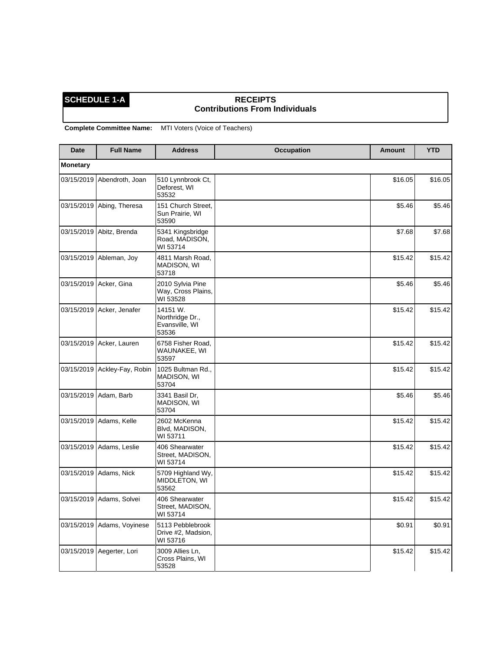## **SCHEDULE 1-A** RECEIPTS **Contributions From Individuals**

**Complete Committee Name:** MTI Voters (Voice of Teachers)

| <b>Date</b>     | <b>Full Name</b>          | <b>Address</b>                                         | <b>Occupation</b> | <b>Amount</b> | <b>YTD</b> |
|-----------------|---------------------------|--------------------------------------------------------|-------------------|---------------|------------|
| <b>Monetary</b> |                           |                                                        |                   |               |            |
| 03/15/2019      | Abendroth, Joan           | 510 Lynnbrook Ct,<br>Deforest, WI<br>53532             |                   | \$16.05       | \$16.05    |
|                 | 03/15/2019 Abing, Theresa | 151 Church Street,<br>Sun Prairie, WI<br>53590         |                   | \$5.46        | \$5.46     |
| 03/15/2019      | Abitz, Brenda             | 5341 Kingsbridge<br>Road, MADISON,<br>WI 53714         |                   | \$7.68        | \$7.68     |
| 03/15/2019      | Ableman, Joy              | 4811 Marsh Road,<br><b>MADISON, WI</b><br>53718        |                   | \$15.42       | \$15.42    |
|                 | 03/15/2019   Acker, Gina  | 2010 Sylvia Pine<br>Way, Cross Plains,<br>WI 53528     |                   | \$5.46        | \$5.46     |
|                 | 03/15/2019 Acker, Jenafer | 14151 W.<br>Northridge Dr.,<br>Evansville, WI<br>53536 |                   | \$15.42       | \$15.42    |
|                 | 03/15/2019 Acker, Lauren  | 6758 Fisher Road,<br>WAUNAKEE, WI<br>53597             |                   | \$15.42       | \$15.42    |
| 03/15/2019      | Ackley-Fay, Robin         | 1025 Bultman Rd.,<br>MADISON, WI<br>53704              |                   | \$15.42       | \$15.42    |
| 03/15/2019      | Adam, Barb                | 3341 Basil Dr.<br>MADISON, WI<br>53704                 |                   | \$5.46        | \$5.46     |
|                 | 03/15/2019   Adams, Kelle | 2602 McKenna<br>Blvd, MADISON,<br>WI 53711             |                   | \$15.42       | \$15.42    |
| 03/15/2019      | Adams, Leslie             | 406 Shearwater<br>Street, MADISON,<br>WI 53714         |                   | \$15.42       | \$15.42    |
| 03/15/2019      | Adams, Nick               | 5709 Highland Wy,<br>MIDDLETON, WI<br>53562            |                   | \$15.42       | \$15.42    |
| 03/15/2019      | Adams, Solvei             | 406 Shearwater<br>Street, MADISON,<br>WI 53714         |                   | \$15.42       | \$15.42    |
| 03/15/2019      | Adams, Voyinese           | 5113 Pebblebrook<br>Drive #2, Madsion,<br>WI 53716     |                   | \$0.91        | \$0.91     |
| 03/15/2019      | Aegerter, Lori            | 3009 Allies Ln.<br>Cross Plains, WI<br>53528           |                   | \$15.42       | \$15.42    |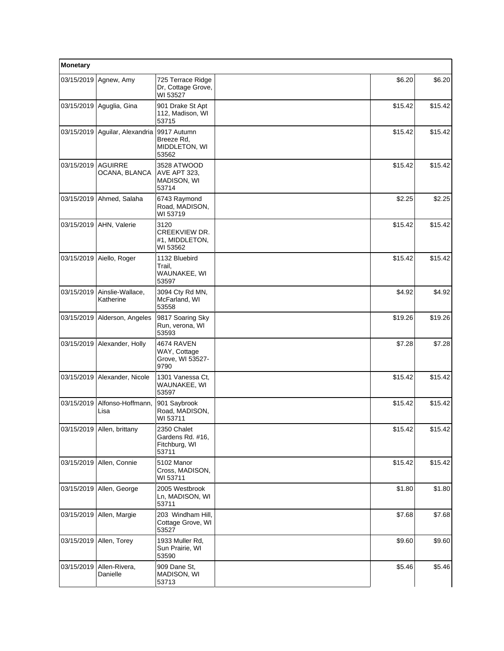| Monetary   |                                 |                                                            |         |         |
|------------|---------------------------------|------------------------------------------------------------|---------|---------|
| 03/15/2019 | Agnew, Amy                      | 725 Terrace Ridge<br>Dr, Cottage Grove,<br>WI 53527        | \$6.20  | \$6.20  |
|            | 03/15/2019 Aguglia, Gina        | 901 Drake St Apt<br>112, Madison, WI<br>53715              | \$15.42 | \$15.42 |
|            | 03/15/2019 Aguilar, Alexandria  | 9917 Autumn<br>Breeze Rd.<br>MIDDLETON, WI<br>53562        | \$15.42 | \$15.42 |
| 03/15/2019 | <b>AGUIRRE</b><br>OCANA, BLANCA | 3528 ATWOOD<br><b>AVE APT 323.</b><br>MADISON, WI<br>53714 | \$15.42 | \$15.42 |
| 03/15/2019 | Ahmed, Salaha                   | 6743 Raymond<br>Road, MADISON,<br>WI 53719                 | \$2.25  | \$2.25  |
|            | 03/15/2019 AHN, Valerie         | 3120<br>CREEKVIEW DR.<br>#1, MIDDLETON,<br>WI 53562        | \$15.42 | \$15.42 |
| 03/15/2019 | Aiello, Roger                   | 1132 Bluebird<br>Trail,<br>WAUNAKEE, WI<br>53597           | \$15.42 | \$15.42 |
| 03/15/2019 | Ainslie-Wallace,<br>Katherine   | 3094 Cty Rd MN,<br>McFarland, WI<br>53558                  | \$4.92  | \$4.92  |
|            | 03/15/2019 Alderson, Angeles    | 9817 Soaring Sky<br>Run, verona, WI<br>53593               | \$19.26 | \$19.26 |
| 03/15/2019 | Alexander, Holly                | 4674 RAVEN<br>WAY, Cottage<br>Grove, WI 53527-<br>9790     | \$7.28  | \$7.28  |
|            | 03/15/2019   Alexander, Nicole  | 1301 Vanessa Ct.<br>WAUNAKEE, WI<br>53597                  | \$15.42 | \$15.42 |
| 03/15/2019 | Alfonso-Hoffmann,<br>Lisa       | 901 Saybrook<br>Road, MADISON,<br>WI 53711                 | \$15.42 | \$15.42 |
|            | 03/15/2019   Allen, brittany    | 2350 Chalet<br>Gardens Rd. #16,<br>Fitchburg, WI<br>53711  | \$15.42 | \$15.42 |
| 03/15/2019 | Allen, Connie                   | 5102 Manor<br>Cross, MADISON,<br>WI 53711                  | \$15.42 | \$15.42 |
| 03/15/2019 | Allen, George                   | 2005 Westbrook<br>Ln, MADISON, WI<br>53711                 | \$1.80  | \$1.80  |
| 03/15/2019 | Allen, Margie                   | 203 Windham Hill,<br>Cottage Grove, WI<br>53527            | \$7.68  | \$7.68  |
|            | 03/15/2019 Allen, Torey         | 1933 Muller Rd,<br>Sun Prairie, WI<br>53590                | \$9.60  | \$9.60  |
| 03/15/2019 | Allen-Rivera,<br>Danielle       | 909 Dane St,<br>MADISON, WI<br>53713                       | \$5.46  | \$5.46  |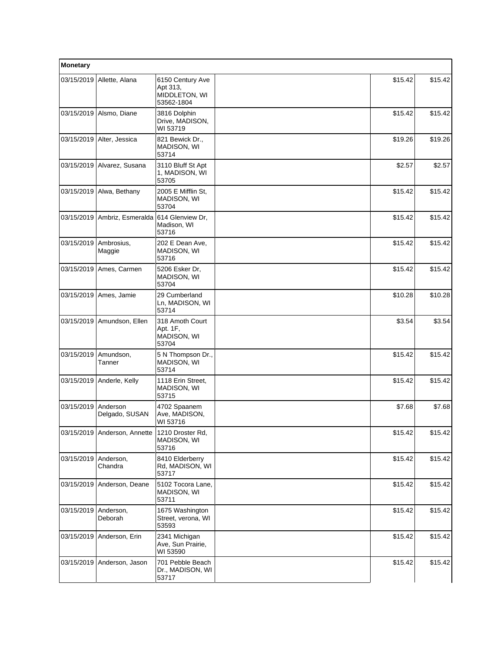| Monetary   |                              |                                                             |         |         |
|------------|------------------------------|-------------------------------------------------------------|---------|---------|
| 03/15/2019 | Allette, Alana               | 6150 Century Ave<br>Apt 313,<br>MIDDLETON, WI<br>53562-1804 | \$15.42 | \$15.42 |
| 03/15/2019 | Alsmo, Diane                 | 3816 Dolphin<br>Drive, MADISON,<br>WI 53719                 | \$15.42 | \$15.42 |
| 03/15/2019 | Alter, Jessica               | 821 Bewick Dr.,<br><b>MADISON, WI</b><br>53714              | \$19.26 | \$19.26 |
| 03/15/2019 | Alvarez, Susana              | 3110 Bluff St Apt<br>1, MADISON, WI<br>53705                | \$2.57  | \$2.57  |
| 03/15/2019 | Alwa, Bethany                | 2005 E Mifflin St,<br>MADISON, WI<br>53704                  | \$15.42 | \$15.42 |
| 03/15/2019 | Ambriz, Esmeralda            | 614 Glenview Dr.<br>Madison, WI<br>53716                    | \$15.42 | \$15.42 |
| 03/15/2019 | Ambrosius,<br>Maggie         | 202 E Dean Ave,<br>MADISON, WI<br>53716                     | \$15.42 | \$15.42 |
| 03/15/2019 | Ames, Carmen                 | 5206 Esker Dr.<br>MADISON, WI<br>53704                      | \$15.42 | \$15.42 |
| 03/15/2019 | Ames, Jamie                  | 29 Cumberland<br>Ln, MADISON, WI<br>53714                   | \$10.28 | \$10.28 |
| 03/15/2019 | Amundson, Ellen              | 318 Amoth Court<br>Apt. 1F,<br>MADISON, WI<br>53704         | \$3.54  | \$3.54  |
| 03/15/2019 | Amundson,<br>Tanner          | 5 N Thompson Dr.,<br>MADISON, WI<br>53714                   | \$15.42 | \$15.42 |
| 03/15/2019 | Anderle, Kelly               | 1118 Erin Street,<br>MADISON, WI<br>53715                   | \$15.42 | \$15.42 |
| 03/15/2019 | Anderson<br>Delgado, SUSAN   | 4702 Spaanem<br>Ave, MADISON,<br>WI 53716                   | \$7.68  | \$7.68  |
|            | 03/15/2019 Anderson, Annette | 1210 Droster Rd,<br>MADISON, WI<br>53716                    | \$15.42 | \$15.42 |
| 03/15/2019 | Anderson,<br>Chandra         | 8410 Elderberry<br>Rd, MADISON, WI<br>53717                 | \$15.42 | \$15.42 |
| 03/15/2019 | Anderson, Deane              | 5102 Tocora Lane,<br>MADISON, WI<br>53711                   | \$15.42 | \$15.42 |
| 03/15/2019 | Anderson,<br>Deborah         | 1675 Washington<br>Street, verona, WI<br>53593              | \$15.42 | \$15.42 |
| 03/15/2019 | Anderson, Erin               | 2341 Michigan<br>Ave, Sun Prairie,<br>WI 53590              | \$15.42 | \$15.42 |
| 03/15/2019 | Anderson, Jason              | 701 Pebble Beach<br>Dr., MADISON, WI<br>53717               | \$15.42 | \$15.42 |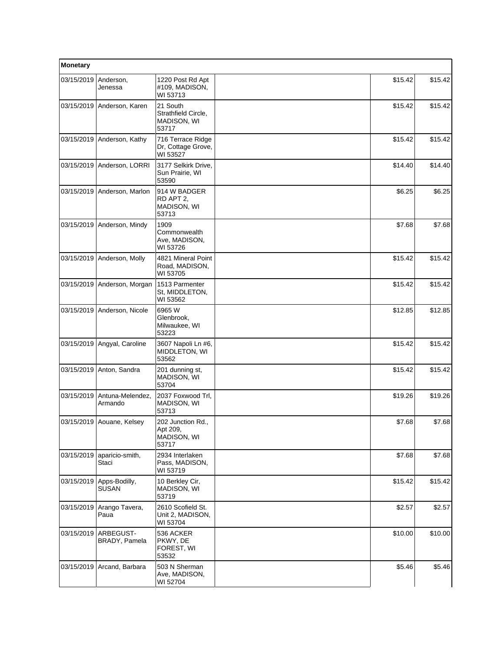| Monetary   |                               |                                                              |         |         |
|------------|-------------------------------|--------------------------------------------------------------|---------|---------|
| 03/15/2019 | Anderson,<br>Jenessa          | 1220 Post Rd Apt<br>#109, MADISON,<br>WI 53713               | \$15.42 | \$15.42 |
| 03/15/2019 | Anderson, Karen               | 21 South<br>Strathfield Circle,<br>MADISON, WI<br>53717      | \$15.42 | \$15.42 |
| 03/15/2019 | Anderson, Kathy               | 716 Terrace Ridge<br>Dr, Cottage Grove,<br>WI 53527          | \$15.42 | \$15.42 |
|            | 03/15/2019 Anderson, LORRI    | 3177 Selkirk Drive,<br>Sun Prairie, WI<br>53590              | \$14.40 | \$14.40 |
|            | 03/15/2019 Anderson, Marlon   | 914 W BADGER<br>RD APT 2.<br>MADISON, WI<br>53713            | \$6.25  | \$6.25  |
| 03/15/2019 | Anderson, Mindy               | 1909<br>Commonwealth<br>Ave, MADISON,<br>WI 53726            | \$7.68  | \$7.68  |
|            | 03/15/2019 Anderson, Molly    | 4821 Mineral Point<br>Road, MADISON,<br>WI 53705             | \$15.42 | \$15.42 |
|            | 03/15/2019 Anderson, Morgan   | 1513 Parmenter<br>St, MIDDLETON,<br>WI 53562                 | \$15.42 | \$15.42 |
| 03/15/2019 | Anderson, Nicole              | 6965 W<br>Glenbrook,<br>Milwaukee, WI<br>53223               | \$12.85 | \$12.85 |
|            | 03/15/2019 Angyal, Caroline   | 3607 Napoli Ln #6,<br>MIDDLETON, WI<br>53562                 | \$15.42 | \$15.42 |
|            | 03/15/2019 Anton, Sandra      | 201 dunning st,<br>MADISON, WI<br>53704                      | \$15.42 | \$15.42 |
| 03/15/2019 | Antuna-Melendez,<br>Armando   | 2037 Foxwood Trl.<br>MADISON, WI<br>53713                    | \$19.26 | \$19.26 |
|            | 03/15/2019 Aouane, Kelsey     | 202 Junction Rd.,<br>Apt 209,<br><b>MADISON, WI</b><br>53717 | \$7.68  | \$7.68  |
| 03/15/2019 | aparicio-smith,<br>Staci      | 2934 Interlaken<br>Pass, MADISON,<br>WI 53719                | \$7.68  | \$7.68  |
| 03/15/2019 | Apps-Bodilly,<br><b>SUSAN</b> | 10 Berkley Cir,<br><b>MADISON, WI</b><br>53719               | \$15.42 | \$15.42 |
| 03/15/2019 | Arango Tavera,<br>Paua        | 2610 Scofield St.<br>Unit 2, MADISON,<br>WI 53704            | \$2.57  | \$2.57  |
| 03/15/2019 | ARBEGUST-<br>BRADY, Pamela    | 536 ACKER<br>PKWY, DE<br>FOREST, WI<br>53532                 | \$10.00 | \$10.00 |
| 03/15/2019 | Arcand, Barbara               | 503 N Sherman<br>Ave, MADISON,<br>WI 52704                   | \$5.46  | \$5.46  |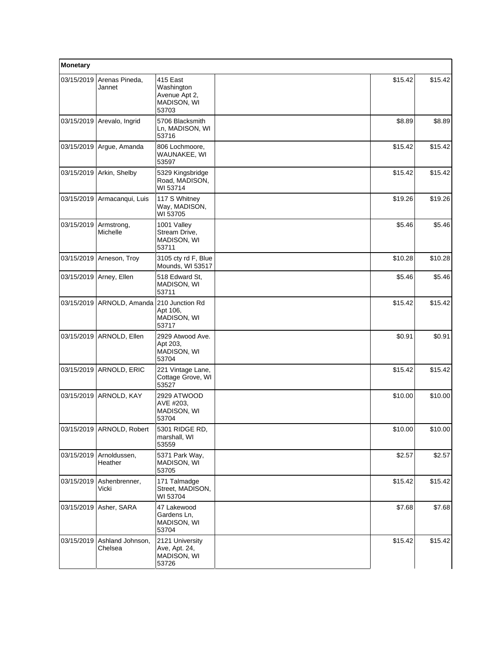| Monetary   |                             |                                                                 |         |         |
|------------|-----------------------------|-----------------------------------------------------------------|---------|---------|
| 03/15/2019 | Arenas Pineda,<br>Jannet    | 415 East<br>Washington<br>Avenue Apt 2,<br>MADISON, WI<br>53703 | \$15.42 | \$15.42 |
| 03/15/2019 | Arevalo, Ingrid             | 5706 Blacksmith<br>Ln, MADISON, WI<br>53716                     | \$8.89  | \$8.89  |
| 03/15/2019 | Argue, Amanda               | 806 Lochmoore,<br>WAUNAKEE, WI<br>53597                         | \$15.42 | \$15.42 |
| 03/15/2019 | Arkin, Shelby               | 5329 Kingsbridge<br>Road, MADISON,<br>WI 53714                  | \$15.42 | \$15.42 |
| 03/15/2019 | Armacanqui, Luis            | 117 S Whitney<br>Way, MADISON,<br>WI 53705                      | \$19.26 | \$19.26 |
| 03/15/2019 | Armstrong,<br>Michelle      | 1001 Valley<br>Stream Drive.<br>MADISON, WI<br>53711            | \$5.46  | \$5.46  |
| 03/15/2019 | Arneson, Troy               | 3105 cty rd F, Blue<br>Mounds, WI 53517                         | \$10.28 | \$10.28 |
| 03/15/2019 | Arney, Ellen                | 518 Edward St,<br>MADISON, WI<br>53711                          | \$5.46  | \$5.46  |
| 03/15/2019 | ARNOLD, Amanda              | 210 Junction Rd<br>Apt 106,<br>MADISON, WI<br>53717             | \$15.42 | \$15.42 |
| 03/15/2019 | ARNOLD, Ellen               | 2929 Atwood Ave.<br>Apt 203,<br>MADISON, WI<br>53704            | \$0.91  | \$0.91  |
| 03/15/2019 | ARNOLD, ERIC                | 221 Vintage Lane,<br>Cottage Grove, WI<br>53527                 | \$15.42 | \$15.42 |
| 03/15/2019 | ARNOLD, KAY                 | 2929 ATWOOD<br>AVE #203,<br>MADISON, WI<br>53704                | \$10.00 | \$10.00 |
|            | 03/15/2019   ARNOLD, Robert | 5301 RIDGE RD,<br>marshall, WI<br>53559                         | \$10.00 | \$10.00 |
| 03/15/2019 | Arnoldussen,<br>Heather     | 5371 Park Way,<br>MADISON, WI<br>53705                          | \$2.57  | \$2.57  |
| 03/15/2019 | Ashenbrenner,<br>Vicki      | 171 Talmadge<br>Street, MADISON,<br>WI 53704                    | \$15.42 | \$15.42 |
| 03/15/2019 | Asher, SARA                 | 47 Lakewood<br>Gardens Ln,<br>MADISON, WI<br>53704              | \$7.68  | \$7.68  |
| 03/15/2019 | Ashland Johnson,<br>Chelsea | 2121 University<br>Ave, Apt. 24,<br>MADISON, WI<br>53726        | \$15.42 | \$15.42 |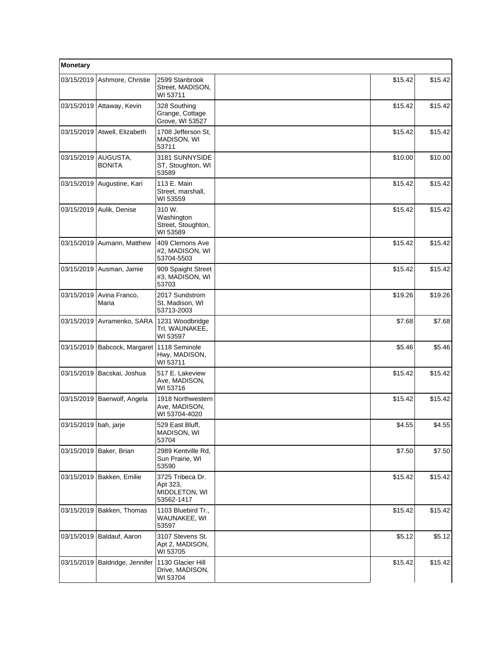| Monetary              |                                            |                                                             |         |         |
|-----------------------|--------------------------------------------|-------------------------------------------------------------|---------|---------|
| 03/15/2019            | Ashmore, Christie                          | 2599 Stanbrook<br>Street, MADISON,<br>WI 53711              | \$15.42 | \$15.42 |
| 03/15/2019            | Attaway, Kevin                             | 328 Southing<br>Grange, Cottage<br>Grove, WI 53527          | \$15.42 | \$15.42 |
|                       | 03/15/2019 Atwell, Elizabeth               | 1708 Jefferson St,<br><b>MADISON, WI</b><br>53711           | \$15.42 | \$15.42 |
| 03/15/2019            | AUGUSTA,<br><b>BONITA</b>                  | 3181 SUNNYSIDE<br>ST, Stoughton, WI<br>53589                | \$10.00 | \$10.00 |
| 03/15/2019            | Augustine, Kari                            | 113 E. Main<br>Street, marshall,<br>WI 53559                | \$15.42 | \$15.42 |
|                       | 03/15/2019 Aulik, Denise                   | 310 W.<br>Washington<br>Street, Stoughton,<br>WI 53589      | \$15.42 | \$15.42 |
| 03/15/2019            | Aumann, Matthew                            | 409 Clemons Ave<br>#2, MADISON, WI<br>53704-5503            | \$15.42 | \$15.42 |
|                       | 03/15/2019 Ausman, Jamie                   | 909 Spaight Street<br>#3, MADISON, WI<br>53703              | \$15.42 | \$15.42 |
| 03/15/2019            | Avina Franco,<br>Maria                     | 2017 Sundstrom<br>St, Madison, WI<br>53713-2003             | \$19.26 | \$19.26 |
| 03/15/2019            | Avramenko, SARA                            | 1231 Woodbridge<br>Trl, WAUNAKEE,<br>WI 53597               | \$7.68  | \$7.68  |
|                       | 03/15/2019 Babcock, Margaret 1118 Seminole | Hwy, MADISON,<br>WI 53711                                   | \$5.46  | \$5.46  |
| 03/15/2019            | Bacskai, Joshua                            | 517 E. Lakeview<br>Ave, MADISON,<br>WI 53716                | \$15.42 | \$15.42 |
| 03/15/2019            | Baerwolf, Angela                           | 1918 Northwestern<br>Ave, MADISON,<br>WI 53704-4020         | \$15.42 | \$15.42 |
| 03/15/2019 bah, jarje |                                            | 529 East Bluff,<br>MADISON, WI<br>53704                     | \$4.55  | \$4.55  |
|                       | 03/15/2019   Baker, Brian                  | 2989 Kentville Rd,<br>Sun Prairie, WI<br>53590              | \$7.50  | \$7.50  |
|                       | 03/15/2019 Bakken, Emilie                  | 3725 Tribeca Dr.<br>Apt 323,<br>MIDDLETON, WI<br>53562-1417 | \$15.42 | \$15.42 |
|                       | 03/15/2019   Bakken, Thomas                | 1103 Bluebird Tr.,<br>WAUNAKEE, WI<br>53597                 | \$15.42 | \$15.42 |
| 03/15/2019            | Baldauf, Aaron                             | 3107 Stevens St.<br>Apt 2, MADISON,<br>WI 53705             | \$5.12  | \$5.12  |
| 03/15/2019            | Baldridge, Jennifer                        | 1130 Glacier Hill<br>Drive, MADISON,<br>WI 53704            | \$15.42 | \$15.42 |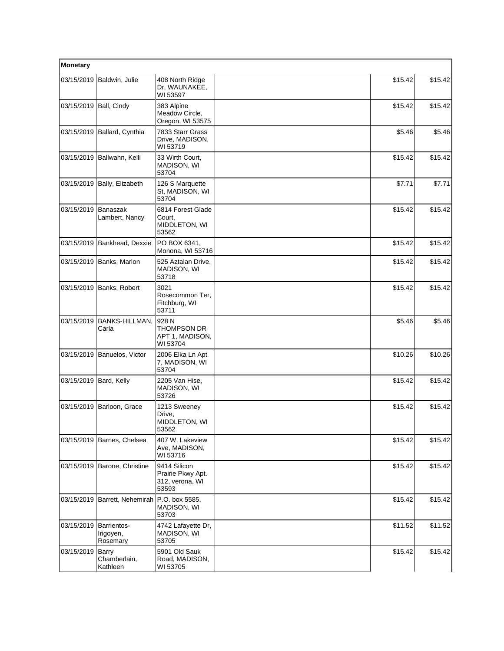| Monetary               |                                   |                                                               |         |         |
|------------------------|-----------------------------------|---------------------------------------------------------------|---------|---------|
| 03/15/2019             | Baldwin, Julie                    | 408 North Ridge<br>Dr, WAUNAKEE,<br>WI 53597                  | \$15.42 | \$15.42 |
| 03/15/2019 Ball, Cindy |                                   | 383 Alpine<br>Meadow Circle,<br>Oregon, WI 53575              | \$15.42 | \$15.42 |
|                        | 03/15/2019 Ballard, Cynthia       | 7833 Starr Grass<br>Drive, MADISON,<br>WI 53719               | \$5.46  | \$5.46  |
| 03/15/2019             | Ballwahn, Kelli                   | 33 Wirth Court,<br>MADISON, WI<br>53704                       | \$15.42 | \$15.42 |
|                        | 03/15/2019 Bally, Elizabeth       | 126 S Marquette<br>St, MADISON, WI<br>53704                   | \$7.71  | \$7.71  |
| 03/15/2019             | <b>Banaszak</b><br>Lambert, Nancy | 6814 Forest Glade<br>Court,<br>MIDDLETON, WI<br>53562         | \$15.42 | \$15.42 |
| 03/15/2019             | Bankhead, Dexxie                  | PO BOX 6341,<br>Monona, WI 53716                              | \$15.42 | \$15.42 |
| 03/15/2019             | Banks, Marlon                     | 525 Aztalan Drive,<br>MADISON, WI<br>53718                    | \$15.42 | \$15.42 |
| 03/15/2019             | Banks, Robert                     | 3021<br>Rosecommon Ter,<br>Fitchburg, WI<br>53711             | \$15.42 | \$15.42 |
| 03/15/2019             | <b>BANKS-HILLMAN,</b><br>Carla    | 928 N<br>THOMPSON DR<br>APT 1, MADISON,<br>WI 53704           | \$5.46  | \$5.46  |
| 03/15/2019             | Banuelos, Victor                  | 2006 Elka Ln Apt<br>7, MADISON, WI<br>53704                   | \$10.26 | \$10.26 |
| 03/15/2019 Bard, Kelly |                                   | 2205 Van Hise,<br>MADISON, WI<br>53726                        | \$15.42 | \$15.42 |
| 03/15/2019             | Barloon, Grace                    | 1213 Sweeney<br>Drive.<br>MIDDLETON, WI<br>53562              | \$15.42 | \$15.42 |
|                        | 03/15/2019 Barnes, Chelsea        | 407 W. Lakeview<br>Ave, MADISON,<br>WI 53716                  | \$15.42 | \$15.42 |
|                        | 03/15/2019 Barone, Christine      | 9414 Silicon<br>Prairie Pkwy Apt.<br>312, verona, WI<br>53593 | \$15.42 | \$15.42 |
| 03/15/2019             | Barrett, Nehemirah                | P.O. box 5585,<br><b>MADISON, WI</b><br>53703                 | \$15.42 | \$15.42 |
| 03/15/2019 Barrientos- | Irigoyen,<br>Rosemary             | 4742 Lafayette Dr,<br>MADISON, WI<br>53705                    | \$11.52 | \$11.52 |
| 03/15/2019             | Barry<br>Chamberlain,<br>Kathleen | 5901 Old Sauk<br>Road, MADISON,<br>WI 53705                   | \$15.42 | \$15.42 |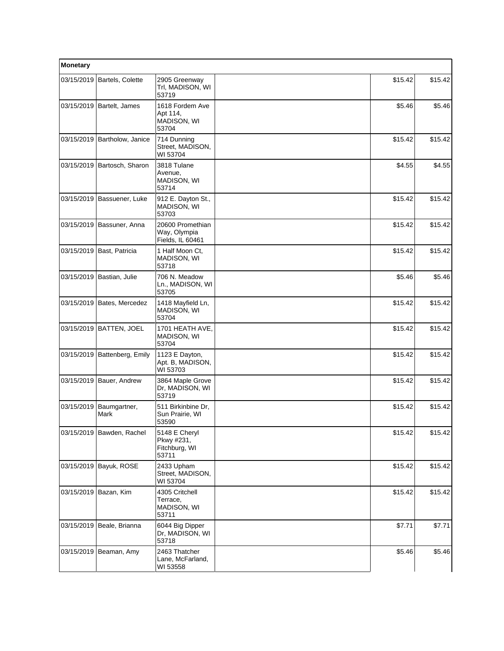| Monetary   |                           |                                                       |         |         |
|------------|---------------------------|-------------------------------------------------------|---------|---------|
| 03/15/2019 | Bartels, Colette          | 2905 Greenway<br>Trl, MADISON, WI<br>53719            | \$15.42 | \$15.42 |
| 03/15/2019 | Bartelt, James            | 1618 Fordem Ave<br>Apt 114,<br>MADISON, WI<br>53704   | \$5.46  | \$5.46  |
| 03/15/2019 | Bartholow, Janice         | 714 Dunning<br>Street, MADISON,<br>WI 53704           | \$15.42 | \$15.42 |
| 03/15/2019 | Bartosch, Sharon          | 3818 Tulane<br>Avenue,<br>MADISON, WI<br>53714        | \$4.55  | \$4.55  |
| 03/15/2019 | Bassuener, Luke           | 912 E. Dayton St.,<br>MADISON, WI<br>53703            | \$15.42 | \$15.42 |
| 03/15/2019 | Bassuner, Anna            | 20600 Promethian<br>Way, Olympia<br>Fields, IL 60461  | \$15.42 | \$15.42 |
| 03/15/2019 | Bast, Patricia            | 1 Half Moon Ct.<br>MADISON, WI<br>53718               | \$15.42 | \$15.42 |
| 03/15/2019 | Bastian, Julie            | 706 N. Meadow<br>Ln., MADISON, WI<br>53705            | \$5.46  | \$5.46  |
| 03/15/2019 | Bates, Mercedez           | 1418 Mayfield Ln,<br>MADISON, WI<br>53704             | \$15.42 | \$15.42 |
| 03/15/2019 | <b>BATTEN, JOEL</b>       | 1701 HEATH AVE,<br>MADISON, WI<br>53704               | \$15.42 | \$15.42 |
| 03/15/2019 | Battenberg, Emily         | 1123 E Dayton,<br>Apt. B, MADISON,<br>WI 53703        | \$15.42 | \$15.42 |
| 03/15/2019 | Bauer, Andrew             | 3864 Maple Grove<br>Dr, MADISON, WI<br>53719          | \$15.42 | \$15.42 |
| 03/15/2019 | Baumgartner,<br>Mark      | 511 Birkinbine Dr,<br>Sun Prairie, WI<br>53590        | \$15.42 | \$15.42 |
|            | 03/15/2019 Bawden, Rachel | 5148 E Cheryl<br>Pkwy #231,<br>Fitchburg, WI<br>53711 | \$15.42 | \$15.42 |
| 03/15/2019 | Bayuk, ROSE               | 2433 Upham<br>Street, MADISON,<br>WI 53704            | \$15.42 | \$15.42 |
|            | 03/15/2019 Bazan, Kim     | 4305 Critchell<br>Terrace,<br>MADISON, WI<br>53711    | \$15.42 | \$15.42 |
| 03/15/2019 | Beale, Brianna            | 6044 Big Dipper<br>Dr, MADISON, WI<br>53718           | \$7.71  | \$7.71  |
| 03/15/2019 | Beaman, Amy               | 2463 Thatcher<br>Lane, McFarland,<br>WI 53558         | \$5.46  | \$5.46  |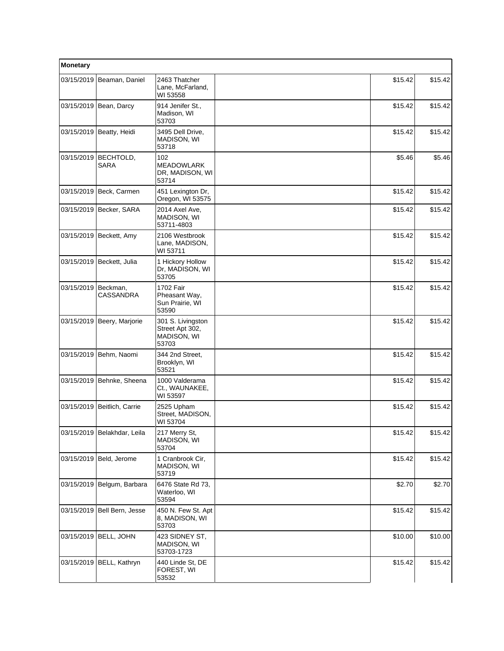| Monetary   |                             |                                                              |         |         |
|------------|-----------------------------|--------------------------------------------------------------|---------|---------|
|            | 03/15/2019 Beaman, Daniel   | 2463 Thatcher<br>Lane, McFarland,<br>WI 53558                | \$15.42 | \$15.42 |
|            | 03/15/2019 Bean, Darcy      | 914 Jenifer St.,<br>Madison, WI<br>53703                     | \$15.42 | \$15.42 |
|            | 03/15/2019 Beatty, Heidi    | 3495 Dell Drive,<br>MADISON, WI<br>53718                     | \$15.42 | \$15.42 |
| 03/15/2019 | BECHTOLD,<br><b>SARA</b>    | 102<br><b>MEADOWLARK</b><br>DR, MADISON, WI<br>53714         | \$5.46  | \$5.46  |
|            | 03/15/2019 Beck, Carmen     | 451 Lexington Dr,<br>Oregon, WI 53575                        | \$15.42 | \$15.42 |
|            | 03/15/2019 Becker, SARA     | 2014 Axel Ave,<br>MADISON, WI<br>53711-4803                  | \$15.42 | \$15.42 |
|            | 03/15/2019 Beckett, Amy     | 2106 Westbrook<br>Lane, MADISON,<br>WI 53711                 | \$15.42 | \$15.42 |
| 03/15/2019 | Beckett, Julia              | 1 Hickory Hollow<br>Dr, MADISON, WI<br>53705                 | \$15.42 | \$15.42 |
| 03/15/2019 | Beckman.<br>CASSANDRA       | 1702 Fair<br>Pheasant Way,<br>Sun Prairie, WI<br>53590       | \$15.42 | \$15.42 |
| 03/15/2019 | Beery, Marjorie             | 301 S. Livingston<br>Street Apt 302,<br>MADISON, WI<br>53703 | \$15.42 | \$15.42 |
| 03/15/2019 | Behm, Naomi                 | 344 2nd Street,<br>Brooklyn, WI<br>53521                     | \$15.42 | \$15.42 |
|            | 03/15/2019 Behnke, Sheena   | 1000 Valderama<br>Ct., WAUNAKEE,<br>WI 53597                 | \$15.42 | \$15.42 |
|            | 03/15/2019 Beitlich, Carrie | 2525 Upham<br>Street, MADISON,<br>WI 53704                   | \$15.42 | \$15.42 |
|            | 03/15/2019 Belakhdar, Leila | 217 Merry St,<br>MADISON, WI<br>53704                        | \$15.42 | \$15.42 |
| 03/15/2019 | Beld, Jerome                | 1 Cranbrook Cir,<br>MADISON, WI<br>53719                     | \$15.42 | \$15.42 |
| 03/15/2019 | Belgum, Barbara             | 6476 State Rd 73,<br>Waterloo, WI<br>53594                   | \$2.70  | \$2.70  |
|            | 03/15/2019 Bell Bern, Jesse | 450 N. Few St. Apt<br>8, MADISON, WI<br>53703                | \$15.42 | \$15.42 |
|            | 03/15/2019 BELL, JOHN       | 423 SIDNEY ST,<br>MADISON, WI<br>53703-1723                  | \$10.00 | \$10.00 |
| 03/15/2019 | BELL, Kathryn               | 440 Linde St, DE<br>FOREST, WI<br>53532                      | \$15.42 | \$15.42 |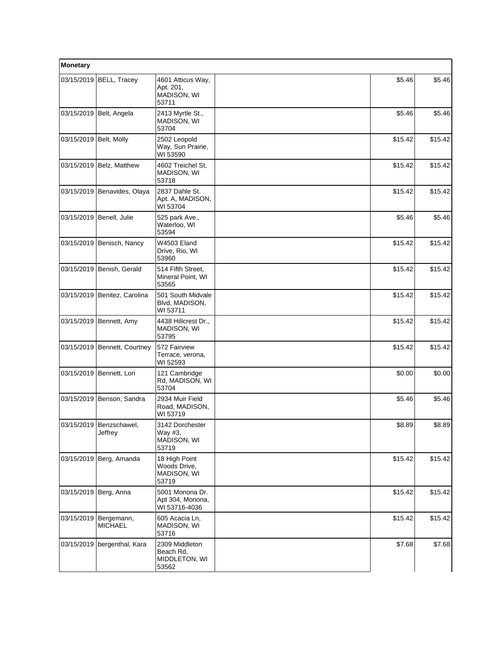| Monetary   |                                    |                                                        |         |         |
|------------|------------------------------------|--------------------------------------------------------|---------|---------|
| 03/15/2019 | BELL, Tracey                       | 4601 Atticus Way,<br>Apt. 201,<br>MADISON, WI<br>53711 | \$5.46  | \$5.46  |
| 03/15/2019 | Belt, Angela                       | 2413 Myrtle St.,<br>MADISON, WI<br>53704               | \$5.46  | \$5.46  |
| 03/15/2019 | Belt, Molly                        | 2502 Leopold<br>Way, Sun Prairie,<br>WI 53590          | \$15.42 | \$15.42 |
| 03/15/2019 | Belz, Matthew                      | 4602 Treichel St,<br>MADISON, WI<br>53718              | \$15.42 | \$15.42 |
| 03/15/2019 | Benavides, Olaya                   | 2837 Dahle St.<br>Apt. A, MADISON,<br>WI 53704         | \$15.42 | \$15.42 |
| 03/15/2019 | Benell, Julie                      | 525 park Ave.,<br>Waterloo, WI<br>53594                | \$5.46  | \$5.46  |
| 03/15/2019 | Benisch, Nancy                     | W4503 Eland<br>Drive, Rio, WI<br>53960                 | \$15.42 | \$15.42 |
|            | 03/15/2019 Benish, Gerald          | 514 Fifth Street,<br>Mineral Point, WI<br>53565        | \$15.42 | \$15.42 |
| 03/15/2019 | Benitez, Carolina                  | 501 South Midvale<br>Blvd, MADISON,<br>WI 53711        | \$15.42 | \$15.42 |
| 03/15/2019 | Bennett, Amy                       | 4438 Hillcrest Dr.,<br>MADISON, WI<br>53795            | \$15.42 | \$15.42 |
| 03/15/2019 | Bennett, Courtney                  | 572 Fairview<br>Terrace, verona,<br>WI 52593           | \$15.42 | \$15.42 |
| 03/15/2019 | Bennett, Lori                      | 121 Cambridge<br>Rd, MADISON, WI<br>53704              | \$0.00  | \$0.00  |
| 03/15/2019 | Benson, Sandra                     | 2934 Muir Field<br>Road, MADISON,<br>WI 53719          | \$5.46  | \$5.46  |
|            | 03/15/2019 Benzschawel,<br>Jeffrey | 3142 Dorchester<br>Way #3,<br>MADISON, WI<br>53719     | \$8.89  | \$8.89  |
| 03/15/2019 | Berg, Amanda                       | 18 High Point<br>Woods Drive,<br>MADISON, WI<br>53719  | \$15.42 | \$15.42 |
|            | 03/15/2019 Berg, Anna              | 5001 Monona Dr.<br>Apt 304, Monona,<br>WI 53716-4036   | \$15.42 | \$15.42 |
| 03/15/2019 | Bergemann,<br><b>MICHAEL</b>       | 605 Acacia Ln.<br>MADISON, WI<br>53716                 | \$15.42 | \$15.42 |
| 03/15/2019 | bergenthal, Kara                   | 2309 Middleton<br>Beach Rd,<br>MIDDLETON, WI<br>53562  | \$7.68  | \$7.68  |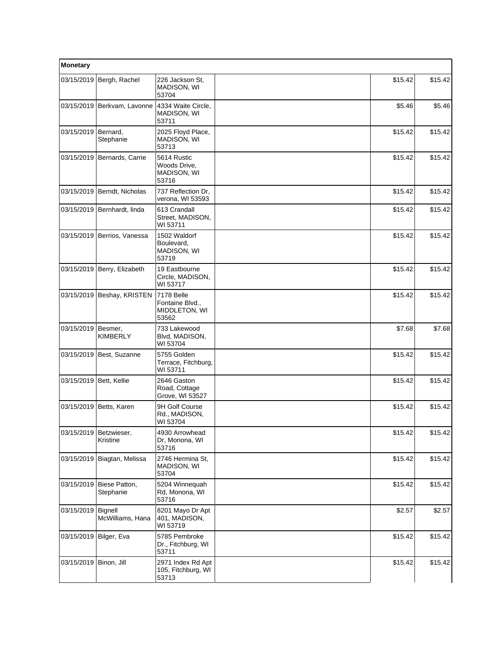| Monetary                |                                      |                                                         |         |         |
|-------------------------|--------------------------------------|---------------------------------------------------------|---------|---------|
|                         | 03/15/2019 Bergh, Rachel             | 226 Jackson St,<br>MADISON, WI<br>53704                 | \$15.42 | \$15.42 |
|                         | 03/15/2019 Berkvam, Lavonne          | 4334 Waite Circle,<br>MADISON, WI<br>53711              | \$5.46  | \$5.46  |
| 03/15/2019   Bernard,   | Stephanie                            | 2025 Floyd Place,<br>MADISON, WI<br>53713               | \$15.42 | \$15.42 |
| 03/15/2019              | Bernards, Carrie                     | 5614 Rustic<br>Woods Drive,<br>MADISON, WI<br>53716     | \$15.42 | \$15.42 |
|                         | 03/15/2019 Berndt, Nicholas          | 737 Reflection Dr.<br>verona, WI 53593                  | \$15.42 | \$15.42 |
|                         | 03/15/2019 Bernhardt, linda          | 613 Crandall<br>Street, MADISON,<br>WI 53711            | \$15.42 | \$15.42 |
|                         | 03/15/2019 Berrios, Vanessa          | 1502 Waldorf<br>Boulevard,<br>MADISON, WI<br>53719      | \$15.42 | \$15.42 |
|                         | 03/15/2019 Berry, Elizabeth          | 19 Eastbourne<br>Circle, MADISON,<br>WI 53717           | \$15.42 | \$15.42 |
|                         | 03/15/2019 Beshay, KRISTEN           | 7178 Belle<br>Fontaine Blvd.,<br>MIDDLETON, WI<br>53562 | \$15.42 | \$15.42 |
| 03/15/2019   Besmer,    | <b>KIMBERLY</b>                      | 733 Lakewood<br>Blvd, MADISON,<br>WI 53704              | \$7.68  | \$7.68  |
| 03/15/2019              | Best, Suzanne                        | 5755 Golden<br>Terrace, Fitchburg,<br>WI 53711          | \$15.42 | \$15.42 |
| 03/15/2019 Bett, Kellie |                                      | 2646 Gaston<br>Road, Cottage<br>Grove, WI 53527         | \$15.42 | \$15.42 |
|                         | 03/15/2019   Betts, Karen            | 9H Golf Course<br>Rd., MADISON,<br>WI 53704             | \$15.42 | \$15.42 |
|                         | 03/15/2019   Betzwieser,<br>Kristine | 4930 Arrowhead<br>Dr, Monona, WI<br>53716               | \$15.42 | \$15.42 |
| 03/15/2019              | Biagtan, Melissa                     | 2746 Hermina St,<br>MADISON, WI<br>53704                | \$15.42 | \$15.42 |
| 03/15/2019              | Biese Patton,<br>Stephanie           | 5204 Winnequah<br>Rd, Monona, WI<br>53716               | \$15.42 | \$15.42 |
| 03/15/2019              | Bignell<br>McWilliams, Hana          | 8201 Mayo Dr Apt<br>401, MADISON,<br>WI 53719           | \$2.57  | \$2.57  |
| 03/15/2019              | Bilger, Eva                          | 5785 Pembroke<br>Dr., Fitchburg, WI<br>53711            | \$15.42 | \$15.42 |
| 03/15/2019              | Binon, Jill                          | 2971 Index Rd Apt<br>105, Fitchburg, WI<br>53713        | \$15.42 | \$15.42 |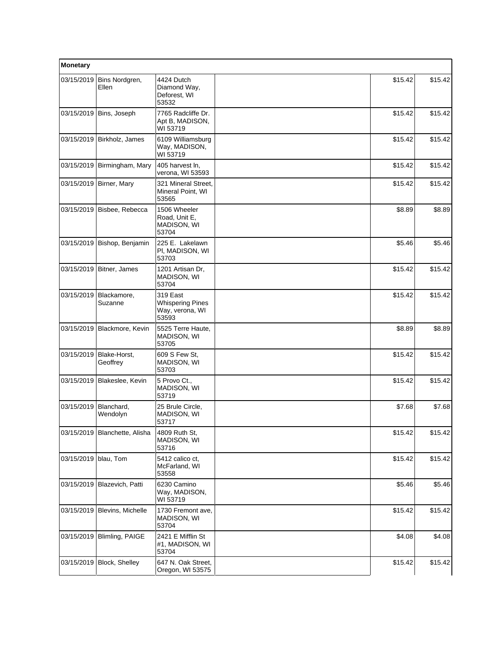| Monetary   |                               |                                                                 |         |         |
|------------|-------------------------------|-----------------------------------------------------------------|---------|---------|
| 03/15/2019 | Bins Nordgren,<br>Ellen       | 4424 Dutch<br>Diamond Way,<br>Deforest, WI<br>53532             | \$15.42 | \$15.42 |
| 03/15/2019 | Bins, Joseph                  | 7765 Radcliffe Dr.<br>Apt B, MADISON,<br>WI 53719               | \$15.42 | \$15.42 |
| 03/15/2019 | Birkholz, James               | 6109 Williamsburg<br>Way, MADISON,<br>WI 53719                  | \$15.42 | \$15.42 |
| 03/15/2019 | Birmingham, Mary              | 405 harvest In,<br>verona, WI 53593                             | \$15.42 | \$15.42 |
| 03/15/2019 | Birner, Mary                  | 321 Mineral Street,<br>Mineral Point, WI<br>53565               | \$15.42 | \$15.42 |
| 03/15/2019 | Bisbee, Rebecca               | 1506 Wheeler<br>Road, Unit E.<br>MADISON, WI<br>53704           | \$8.89  | \$8.89  |
| 03/15/2019 | Bishop, Benjamin              | 225 E. Lakelawn<br>PI, MADISON, WI<br>53703                     | \$5.46  | \$5.46  |
|            | 03/15/2019   Bitner, James    | 1201 Artisan Dr.<br>MADISON, WI<br>53704                        | \$15.42 | \$15.42 |
| 03/15/2019 | Blackamore,<br>Suzanne        | 319 East<br><b>Whispering Pines</b><br>Way, verona, WI<br>53593 | \$15.42 | \$15.42 |
|            | 03/15/2019 Blackmore, Kevin   | 5525 Terre Haute,<br>MADISON, WI<br>53705                       | \$8.89  | \$8.89  |
| 03/15/2019 | Blake-Horst,<br>Geoffrey      | 609 S Few St.<br>MADISON, WI<br>53703                           | \$15.42 | \$15.42 |
| 03/15/2019 | Blakeslee, Kevin              | 5 Provo Ct.,<br>MADISON, WI<br>53719                            | \$15.42 | \$15.42 |
| 03/15/2019 | Blanchard,<br>Wendolyn        | 25 Brule Circle,<br>MADISON, WI<br>53717                        | \$7.68  | \$7.68  |
|            | 03/15/2019 Blanchette, Alisha | 4809 Ruth St,<br>MADISON, WI<br>53716                           | \$15.42 | \$15.42 |
| 03/15/2019 | blau, Tom                     | 5412 calico ct,<br>McFarland, WI<br>53558                       | \$15.42 | \$15.42 |
| 03/15/2019 | Blazevich, Patti              | 6230 Camino<br>Way, MADISON,<br>WI 53719                        | \$5.46  | \$5.46  |
| 03/15/2019 | Blevins, Michelle             | 1730 Fremont ave,<br>MADISON, WI<br>53704                       | \$15.42 | \$15.42 |
| 03/15/2019 | Blimling, PAIGE               | 2421 E Mifflin St<br>#1, MADISON, WI<br>53704                   | \$4.08  | \$4.08  |
| 03/15/2019 | Block, Shelley                | 647 N. Oak Street,<br>Oregon, WI 53575                          | \$15.42 | \$15.42 |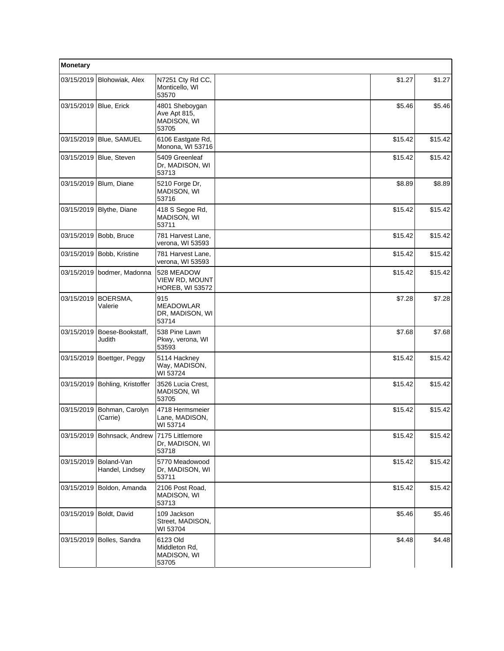| Monetary   |                               |                                                               |         |         |
|------------|-------------------------------|---------------------------------------------------------------|---------|---------|
| 03/15/2019 | Blohowiak, Alex               | N7251 Cty Rd CC,<br>Monticello, WI<br>53570                   | \$1.27  | \$1.27  |
| 03/15/2019 | Blue, Erick                   | 4801 Sheboygan<br>Ave Apt 815,<br>MADISON, WI<br>53705        | \$5.46  | \$5.46  |
| 03/15/2019 | Blue, SAMUEL                  | 6106 Eastgate Rd,<br>Monona, WI 53716                         | \$15.42 | \$15.42 |
| 03/15/2019 | Blue, Steven                  | 5409 Greenleaf<br>Dr, MADISON, WI<br>53713                    | \$15.42 | \$15.42 |
| 03/15/2019 | Blum, Diane                   | 5210 Forge Dr,<br>MADISON, WI<br>53716                        | \$8.89  | \$8.89  |
|            | 03/15/2019   Blythe, Diane    | 418 S Segoe Rd,<br>MADISON, WI<br>53711                       | \$15.42 | \$15.42 |
| 03/15/2019 | Bobb, Bruce                   | 781 Harvest Lane,<br>verona, WI 53593                         | \$15.42 | \$15.42 |
| 03/15/2019 | Bobb, Kristine                | 781 Harvest Lane,<br>verona, WI 53593                         | \$15.42 | \$15.42 |
| 03/15/2019 | bodmer, Madonna               | 528 MEADOW<br><b>VIEW RD, MOUNT</b><br><b>HOREB, WI 53572</b> | \$15.42 | \$15.42 |
| 03/15/2019 | BOERSMA,<br>Valerie           | 915<br><b>MEADOWLAR</b><br>DR, MADISON, WI<br>53714           | \$7.28  | \$7.28  |
| 03/15/2019 | Boese-Bookstaff,<br>Judith    | 538 Pine Lawn<br>Pkwy, verona, WI<br>53593                    | \$7.68  | \$7.68  |
|            | 03/15/2019 Boettger, Peggy    | 5114 Hackney<br>Way, MADISON,<br>WI 53724                     | \$15.42 | \$15.42 |
| 03/15/2019 | Bohling, Kristoffer           | 3526 Lucia Crest,<br>MADISON, WI<br>53705                     | \$15.42 | \$15.42 |
| 03/15/2019 | Bohman, Carolyn<br>(Carrie)   | 4718 Hermsmeier<br>Lane, MADISON,<br>WI 53714                 | \$15.42 | \$15.42 |
| 03/15/2019 | Bohnsack, Andrew              | 7175 Littlemore<br>Dr, MADISON, WI<br>53718                   | \$15.42 | \$15.42 |
| 03/15/2019 | Boland-Van<br>Handel, Lindsey | 5770 Meadowood<br>Dr, MADISON, WI<br>53711                    | \$15.42 | \$15.42 |
| 03/15/2019 | Boldon, Amanda                | 2106 Post Road,<br>MADISON, WI<br>53713                       | \$15.42 | \$15.42 |
| 03/15/2019 | Boldt, David                  | 109 Jackson<br>Street, MADISON,<br>WI 53704                   | \$5.46  | \$5.46  |
|            | 03/15/2019 Bolles, Sandra     | 6123 Old<br>Middleton Rd,<br>MADISON, WI<br>53705             | \$4.48  | \$4.48  |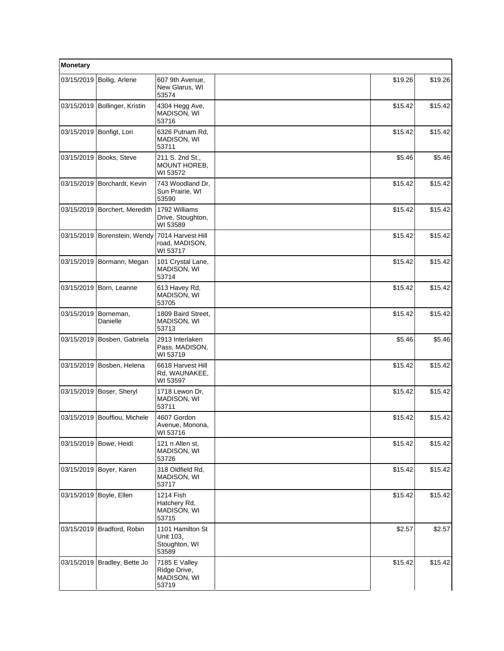| Monetary   |                               |                                                         |         |         |
|------------|-------------------------------|---------------------------------------------------------|---------|---------|
| 03/15/2019 | Bollig, Arlene                | 607 9th Avenue,<br>New Glarus, WI<br>53574              | \$19.26 | \$19.26 |
|            | 03/15/2019 Bollinger, Kristin | 4304 Hegg Ave,<br>MADISON, WI<br>53716                  | \$15.42 | \$15.42 |
|            | 03/15/2019 Bonfigt, Lori      | 6326 Putnam Rd,<br>MADISON, WI<br>53711                 | \$15.42 | \$15.42 |
| 03/15/2019 | Books, Steve                  | 211 S. 2nd St.,<br>MOUNT HOREB,<br>WI 53572             | \$5.46  | \$5.46  |
|            | 03/15/2019 Borchardt, Kevin   | 743 Woodland Dr,<br>Sun Prairie, WI<br>53590            | \$15.42 | \$15.42 |
|            | 03/15/2019 Borchert, Meredith | 1792 Williams<br>Drive, Stoughton,<br>WI 53589          | \$15.42 | \$15.42 |
|            | 03/15/2019 Borenstein, Wendy  | 7014 Harvest Hill<br>road, MADISON,<br>WI 53717         | \$15.42 | \$15.42 |
|            | 03/15/2019   Bormann, Megan   | 101 Crystal Lane,<br>MADISON, WI<br>53714               | \$15.42 | \$15.42 |
|            | 03/15/2019   Born, Leanne     | 613 Havey Rd,<br>MADISON, WI<br>53705                   | \$15.42 | \$15.42 |
| 03/15/2019 | Borneman,<br>Danielle         | 1809 Baird Street,<br>MADISON, WI<br>53713              | \$15.42 | \$15.42 |
|            | 03/15/2019 Bosben, Gabriela   | 2913 Interlaken<br>Pass, MADISON,<br>WI 53719           | \$5.46  | \$5.46  |
| 03/15/2019 | Bosben, Helena                | 6618 Harvest Hill<br>Rd, WAUNAKEE,<br>WI 53597          | \$15.42 | \$15.42 |
|            | 03/15/2019 Boser, Sheryl      | 1718 Lewon Dr,<br>MADISON, WI<br>53711                  | \$15.42 | \$15.42 |
|            | 03/15/2019 Bouffiou, Michele  | 4607 Gordon<br>Avenue, Monona,<br>WI 53716              | \$15.42 | \$15.42 |
|            | 03/15/2019 Bowe, Heidi        | 121 n Allen st,<br>MADISON, WI<br>53726                 | \$15.42 | \$15.42 |
| 03/15/2019 | Boyer, Karen                  | 318 Oldfield Rd,<br>MADISON, WI<br>53717                | \$15.42 | \$15.42 |
|            | 03/15/2019 Boyle, Ellen       | 1214 Fish<br>Hatchery Rd,<br>MADISON, WI<br>53715       | \$15.42 | \$15.42 |
|            | 03/15/2019 Bradford, Robin    | 1101 Hamilton St<br>Unit 103,<br>Stoughton, WI<br>53589 | \$2.57  | \$2.57  |
| 03/15/2019 | Bradley, Bette Jo             | 7185 E Valley<br>Ridge Drive,<br>MADISON, WI<br>53719   | \$15.42 | \$15.42 |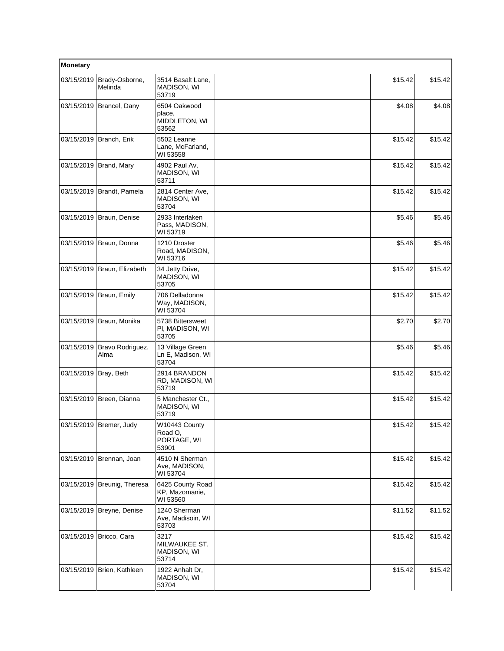| Monetary              |                             |                                                  |         |         |
|-----------------------|-----------------------------|--------------------------------------------------|---------|---------|
| 03/15/2019            | Brady-Osborne,<br>Melinda   | 3514 Basalt Lane,<br>MADISON, WI<br>53719        | \$15.42 | \$15.42 |
|                       | 03/15/2019   Brancel, Dany  | 6504 Oakwood<br>place,<br>MIDDLETON, WI<br>53562 | \$4.08  | \$4.08  |
|                       | 03/15/2019 Branch, Erik     | 5502 Leanne<br>Lane, McFarland,<br>WI 53558      | \$15.42 | \$15.42 |
|                       | 03/15/2019 Brand, Mary      | 4902 Paul Av,<br>MADISON, WI<br>53711            | \$15.42 | \$15.42 |
|                       | 03/15/2019 Brandt, Pamela   | 2814 Center Ave,<br>MADISON, WI<br>53704         | \$15.42 | \$15.42 |
|                       | 03/15/2019   Braun, Denise  | 2933 Interlaken<br>Pass, MADISON,<br>WI 53719    | \$5.46  | \$5.46  |
|                       | 03/15/2019 Braun, Donna     | 1210 Droster<br>Road, MADISON,<br>WI 53716       | \$5.46  | \$5.46  |
|                       | 03/15/2019 Braun, Elizabeth | 34 Jetty Drive,<br>MADISON, WI<br>53705          | \$15.42 | \$15.42 |
|                       | 03/15/2019 Braun, Emily     | 706 Delladonna<br>Way, MADISON,<br>WI 53704      | \$15.42 | \$15.42 |
|                       | 03/15/2019 Braun, Monika    | 5738 Bittersweet<br>PI, MADISON, WI<br>53705     | \$2.70  | \$2.70  |
| 03/15/2019            | Bravo Rodriguez,<br>Alma    | 13 Village Green<br>Ln E, Madison, WI<br>53704   | \$5.46  | \$5.46  |
| 03/15/2019 Bray, Beth |                             | 2914 BRANDON<br>RD, MADISON, WI<br>53719         | \$15.42 | \$15.42 |
|                       | 03/15/2019   Breen, Dianna  | 5 Manchester Ct.,<br>MADISON, WI<br>53719        | \$15.42 | \$15.42 |
|                       | 03/15/2019 Bremer, Judy     | W10443 County<br>Road O,<br>PORTAGE, WI<br>53901 | \$15.42 | \$15.42 |
| 03/15/2019            | Brennan, Joan               | 4510 N Sherman<br>Ave, MADISON,<br>WI 53704      | \$15.42 | \$15.42 |
|                       | 03/15/2019 Breunig, Theresa | 6425 County Road<br>KP, Mazomanie,<br>WI 53560   | \$15.42 | \$15.42 |
|                       | 03/15/2019 Breyne, Denise   | 1240 Sherman<br>Ave, Madisoin, WI<br>53703       | \$11.52 | \$11.52 |
| 03/15/2019            | Bricco, Cara                | 3217<br>MILWAUKEE ST,<br>MADISON, WI<br>53714    | \$15.42 | \$15.42 |
|                       | 03/15/2019 Brien, Kathleen  | 1922 Anhalt Dr,<br>MADISON, WI<br>53704          | \$15.42 | \$15.42 |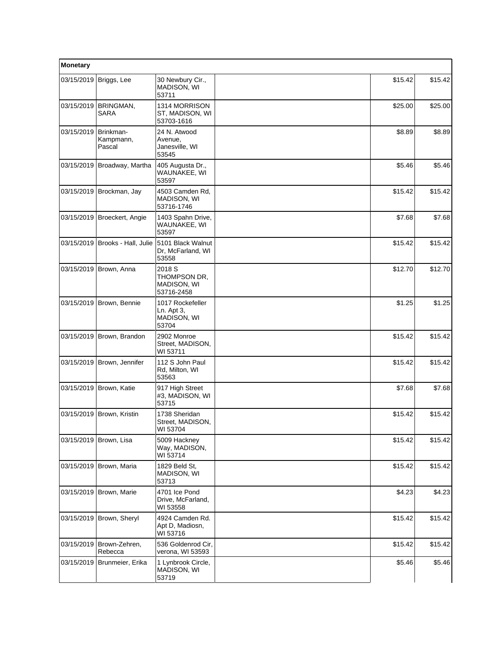| Monetary   |                                   |                                                                |         |         |
|------------|-----------------------------------|----------------------------------------------------------------|---------|---------|
| 03/15/2019 | Briggs, Lee                       | 30 Newbury Cir.,<br>MADISON, WI<br>53711                       | \$15.42 | \$15.42 |
| 03/15/2019 | <b>BRINGMAN,</b><br>SARA          | 1314 MORRISON<br>ST, MADISON, WI<br>53703-1616                 | \$25.00 | \$25.00 |
| 03/15/2019 | Brinkman-<br>Kampmann,<br>Pascal  | 24 N. Atwood<br>Avenue,<br>Janesville, WI<br>53545             | \$8.89  | \$8.89  |
| 03/15/2019 | Broadway, Martha                  | 405 Augusta Dr.,<br>WAUNAKEE, WI<br>53597                      | \$5.46  | \$5.46  |
|            | 03/15/2019 Brockman, Jay          | 4503 Camden Rd,<br>MADISON, WI<br>53716-1746                   | \$15.42 | \$15.42 |
|            | 03/15/2019 Broeckert, Angie       | 1403 Spahn Drive,<br>WAUNAKEE, WI<br>53597                     | \$7.68  | \$7.68  |
|            | 03/15/2019   Brooks - Hall, Julie | 5101 Black Walnut<br>Dr, McFarland, WI<br>53558                | \$15.42 | \$15.42 |
|            | 03/15/2019 Brown, Anna            | 2018 <sub>S</sub><br>THOMPSON DR,<br>MADISON, WI<br>53716-2458 | \$12.70 | \$12.70 |
| 03/15/2019 | Brown, Bennie                     | 1017 Rockefeller<br>Ln. Apt 3,<br>MADISON, WI<br>53704         | \$1.25  | \$1.25  |
|            | 03/15/2019 Brown, Brandon         | 2902 Monroe<br>Street, MADISON,<br>WI 53711                    | \$15.42 | \$15.42 |
|            | 03/15/2019 Brown, Jennifer        | 112 S John Paul<br>Rd, Milton, WI<br>53563                     | \$15.42 | \$15.42 |
|            | 03/15/2019 Brown, Katie           | 917 High Street<br>#3, MADISON, WI<br>53715                    | \$7.68  | \$7.68  |
| 03/15/2019 | Brown, Kristin                    | 1738 Sheridan<br>Street, MADISON,<br>WI 53704                  | \$15.42 | \$15.42 |
|            | 03/15/2019 Brown, Lisa            | 5009 Hackney<br>Way, MADISON,<br>WI 53714                      | \$15.42 | \$15.42 |
|            | 03/15/2019 Brown, Maria           | 1829 Beld St,<br>MADISON, WI<br>53713                          | \$15.42 | \$15.42 |
|            | 03/15/2019 Brown, Marie           | 4701 Ice Pond<br>Drive, McFarland,<br>WI 53558                 | \$4.23  | \$4.23  |
| 03/15/2019 | Brown, Sheryl                     | 4924 Camden Rd.<br>Apt D, Madiosn,<br>WI 53716                 | \$15.42 | \$15.42 |
| 03/15/2019 | Brown-Zehren,<br>Rebecca          | 536 Goldenrod Cir.<br>verona, WI 53593                         | \$15.42 | \$15.42 |
| 03/15/2019 | Brunmeier, Erika                  | 1 Lynbrook Circle,<br>MADISON, WI<br>53719                     | \$5.46  | \$5.46  |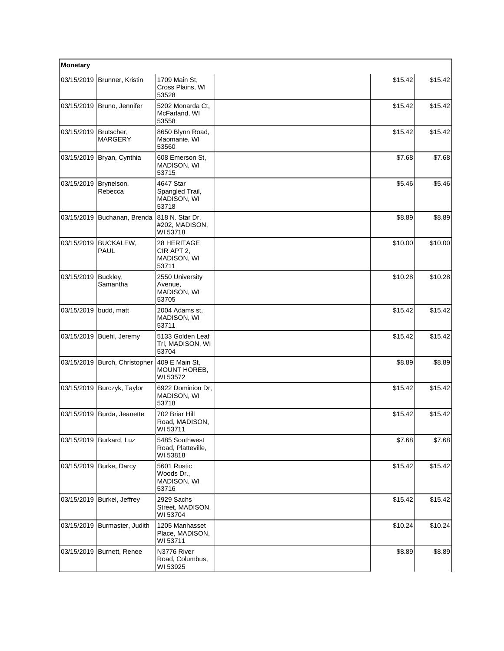| Monetary                |                                |                                                      |         |         |
|-------------------------|--------------------------------|------------------------------------------------------|---------|---------|
|                         | 03/15/2019 Brunner, Kristin    | 1709 Main St.<br>Cross Plains, WI<br>53528           | \$15.42 | \$15.42 |
|                         | 03/15/2019 Bruno, Jennifer     | 5202 Monarda Ct.<br>McFarland, WI<br>53558           | \$15.42 | \$15.42 |
| 03/15/2019   Brutscher, | <b>MARGERY</b>                 | 8650 Blynn Road,<br>Maomanie, WI<br>53560            | \$15.42 | \$15.42 |
| 03/15/2019              | Bryan, Cynthia                 | 608 Emerson St.<br>MADISON, WI<br>53715              | \$7.68  | \$7.68  |
| 03/15/2019              | Brynelson,<br>Rebecca          | 4647 Star<br>Spangled Trail,<br>MADISON, WI<br>53718 | \$5.46  | \$5.46  |
|                         | 03/15/2019 Buchanan, Brenda    | 818 N. Star Dr.<br>#202, MADISON,<br>WI 53718        | \$8.89  | \$8.89  |
| 03/15/2019              | <b>BUCKALEW,</b><br>PAUL       | 28 HERITAGE<br>CIR APT 2,<br>MADISON, WI<br>53711    | \$10.00 | \$10.00 |
| 03/15/2019              | Buckley,<br>Samantha           | 2550 University<br>Avenue,<br>MADISON, WI<br>53705   | \$10.28 | \$10.28 |
| 03/15/2019              | budd, matt                     | 2004 Adams st,<br>MADISON, WI<br>53711               | \$15.42 | \$15.42 |
|                         | 03/15/2019 Buehl, Jeremy       | 5133 Golden Leaf<br>Trl, MADISON, WI<br>53704        | \$15.42 | \$15.42 |
|                         | 03/15/2019 Burch, Christopher  | 409 E Main St.<br>MOUNT HOREB,<br>WI 53572           | \$8.89  | \$8.89  |
|                         | 03/15/2019 Burczyk, Taylor     | 6922 Dominion Dr,<br>MADISON, WI<br>53718            | \$15.42 | \$15.42 |
| 03/15/2019              | Burda, Jeanette                | 702 Briar Hill<br>Road, MADISON,<br>WI 53711         | \$15.42 | \$15.42 |
|                         | 03/15/2019 Burkard, Luz        | 5485 Southwest<br>Road, Platteville,<br>WI 53818     | \$7.68  | \$7.68  |
|                         | 03/15/2019 Burke, Darcy        | 5601 Rustic<br>Woods Dr.,<br>MADISON, WI<br>53716    | \$15.42 | \$15.42 |
|                         | 03/15/2019 Burkel, Jeffrey     | 2929 Sachs<br>Street, MADISON,<br>WI 53704           | \$15.42 | \$15.42 |
|                         | 03/15/2019   Burmaster, Judith | 1205 Manhasset<br>Place, MADISON,<br>WI 53711        | \$10.24 | \$10.24 |
| 03/15/2019              | Burnett, Renee                 | N3776 River<br>Road, Columbus,<br>WI 53925           | \$8.89  | \$8.89  |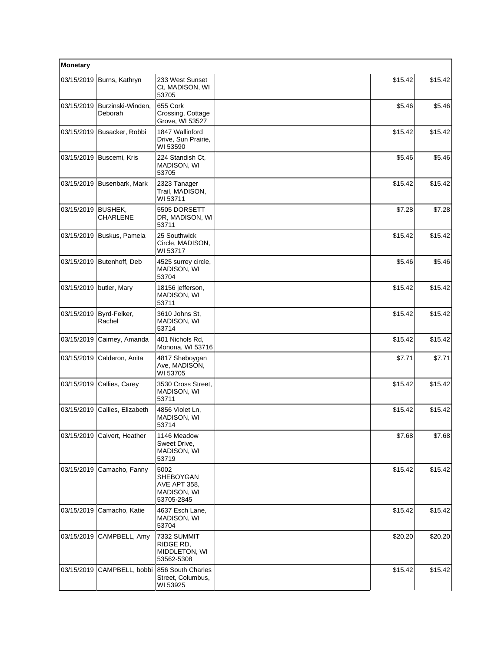| Monetary   |                              |                                                                       |         |         |
|------------|------------------------------|-----------------------------------------------------------------------|---------|---------|
|            | 03/15/2019   Burns, Kathryn  | 233 West Sunset<br>Ct, MADISON, WI<br>53705                           | \$15.42 | \$15.42 |
| 03/15/2019 | Burzinski-Winden,<br>Deborah | 655 Cork<br>Crossing, Cottage<br>Grove, WI 53527                      | \$5.46  | \$5.46  |
|            | 03/15/2019 Busacker, Robbi   | 1847 Wallinford<br>Drive, Sun Prairie,<br>WI 53590                    | \$15.42 | \$15.42 |
| 03/15/2019 | Buscemi, Kris                | 224 Standish Ct,<br>MADISON, WI<br>53705                              | \$5.46  | \$5.46  |
|            | 03/15/2019 Busenbark, Mark   | 2323 Tanager<br>Trail, MADISON,<br>WI 53711                           | \$15.42 | \$15.42 |
| 03/15/2019 | BUSHEK,<br><b>CHARLENE</b>   | 5505 DORSETT<br>DR, MADISON, WI<br>53711                              | \$7.28  | \$7.28  |
|            | 03/15/2019 Buskus, Pamela    | 25 Southwick<br>Circle, MADISON,<br>WI 53717                          | \$15.42 | \$15.42 |
| 03/15/2019 | Butenhoff, Deb               | 4525 surrey circle,<br>MADISON, WI<br>53704                           | \$5.46  | \$5.46  |
|            | 03/15/2019 butler, Mary      | 18156 jefferson,<br><b>MADISON, WI</b><br>53711                       | \$15.42 | \$15.42 |
| 03/15/2019 | Byrd-Felker,<br>Rachel       | 3610 Johns St.<br>MADISON, WI<br>53714                                | \$15.42 | \$15.42 |
| 03/15/2019 | Cairney, Amanda              | 401 Nichols Rd,<br>Monona, WI 53716                                   | \$15.42 | \$15.42 |
| 03/15/2019 | Calderon, Anita              | 4817 Sheboygan<br>Ave, MADISON,<br>WI 53705                           | \$7.71  | \$7.71  |
| 03/15/2019 | Callies, Carey               | 3530 Cross Street,<br>MADISON, WI<br>53711                            | \$15.42 | \$15.42 |
| 03/15/2019 | Callies, Elizabeth           | 4856 Violet Ln,<br>MADISON, WI<br>53714                               | \$15.42 | \$15.42 |
| 03/15/2019 | Calvert, Heather             | 1146 Meadow<br>Sweet Drive,<br>MADISON, WI<br>53719                   | \$7.68  | \$7.68  |
| 03/15/2019 | Camacho, Fanny               | 5002<br>SHEBOYGAN<br><b>AVE APT 358,</b><br>MADISON, WI<br>53705-2845 | \$15.42 | \$15.42 |
| 03/15/2019 | Camacho, Katie               | 4637 Esch Lane,<br><b>MADISON, WI</b><br>53704                        | \$15.42 | \$15.42 |
| 03/15/2019 | CAMPBELL, Amy                | 7332 SUMMIT<br>RIDGE RD,<br>MIDDLETON, WI<br>53562-5308               | \$20.20 | \$20.20 |
| 03/15/2019 | CAMPBELL, bobbi              | 856 South Charles<br>Street, Columbus,<br>WI 53925                    | \$15.42 | \$15.42 |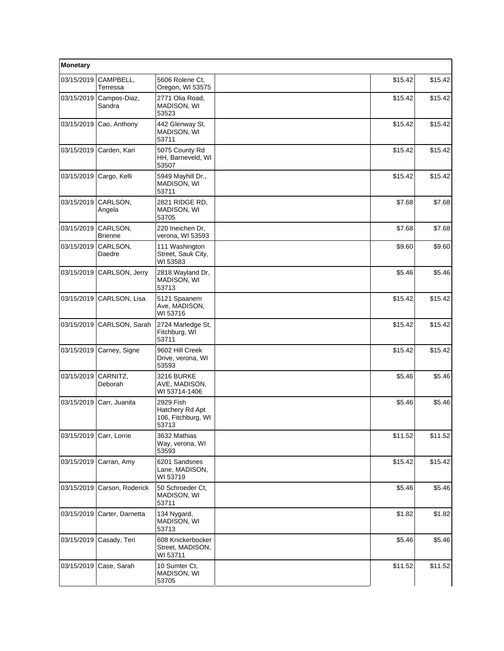| Monetary   |                            |                                                             |         |         |
|------------|----------------------------|-------------------------------------------------------------|---------|---------|
| 03/15/2019 | CAMPBELL,<br>Terressa      | 5606 Rolene Ct.<br>Oregon, WI 53575                         | \$15.42 | \$15.42 |
| 03/15/2019 | Campos-Diaz,<br>Sandra     | 2771 Olia Road,<br>MADISON, WI<br>53523                     | \$15.42 | \$15.42 |
| 03/15/2019 | Cao, Anthony               | 442 Glenway St,<br>MADISON, WI<br>53711                     | \$15.42 | \$15.42 |
| 03/15/2019 | Carden, Kari               | 5075 County Rd<br>HH, Barneveld, WI<br>53507                | \$15.42 | \$15.42 |
| 03/15/2019 | Cargo, Kelli               | 5949 Mayhill Dr.,<br>MADISON, WI<br>53711                   | \$15.42 | \$15.42 |
| 03/15/2019 | CARLSON,<br>Angela         | 2821 RIDGE RD,<br>MADISON, WI<br>53705                      | \$7.68  | \$7.68  |
| 03/15/2019 | CARLSON,<br><b>Brienne</b> | 220 Ineichen Dr,<br>verona, WI 53593                        | \$7.68  | \$7.68  |
| 03/15/2019 | CARLSON,<br>Daedre         | 111 Washington<br>Street, Sauk City,<br>WI 53583            | \$9.60  | \$9.60  |
| 03/15/2019 | CARLSON, Jerry             | 2818 Wayland Dr.<br>MADISON, WI<br>53713                    | \$5.46  | \$5.46  |
| 03/15/2019 | CARLSON, Lisa              | 5121 Spaanem<br>Ave, MADISON,<br>WI 53716                   | \$15.42 | \$15.42 |
| 03/15/2019 | CARLSON, Sarah             | 2724 Marledge St,<br>Fitchburg, WI<br>53711                 | \$15.42 | \$15.42 |
| 03/15/2019 | Carney, Signe              | 9602 Hill Creek<br>Drive, verona, WI<br>53593               | \$15.42 | \$15.42 |
| 03/15/2019 | CARNITZ,<br>Deborah        | <b>3216 BURKE</b><br>AVE, MADISON,<br>WI 53714-1406         | \$5.46  | \$5.46  |
| 03/15/2019 | Carr, Juanita              | 2929 Fish<br>Hatchery Rd Apt<br>106, Fitchburg, WI<br>53713 | \$5.46  | \$5.46  |
| 03/15/2019 | Carr, Lorrie               | 3632 Mathias<br>Way, verona, WI<br>53593                    | \$11.52 | \$11.52 |
| 03/15/2019 | Carran, Amy                | 6201 Sandsnes<br>Lane, MADISON,<br>WI 53719                 | \$15.42 | \$15.42 |
| 03/15/2019 | Carson, Roderick           | 50 Schroeder Ct,<br>MADISON, WI<br>53711                    | \$5.46  | \$5.46  |
| 03/15/2019 | Carter, Darnetta           | 134 Nygard,<br>MADISON, WI<br>53713                         | \$1.82  | \$1.82  |
| 03/15/2019 | Casady, Teri               | 608 Knickerbocker<br>Street, MADISON,<br>WI 53711           | \$5.46  | \$5.46  |
| 03/15/2019 | Case, Sarah                | 10 Sumter Ct,<br>MADISON, WI<br>53705                       | \$11.52 | \$11.52 |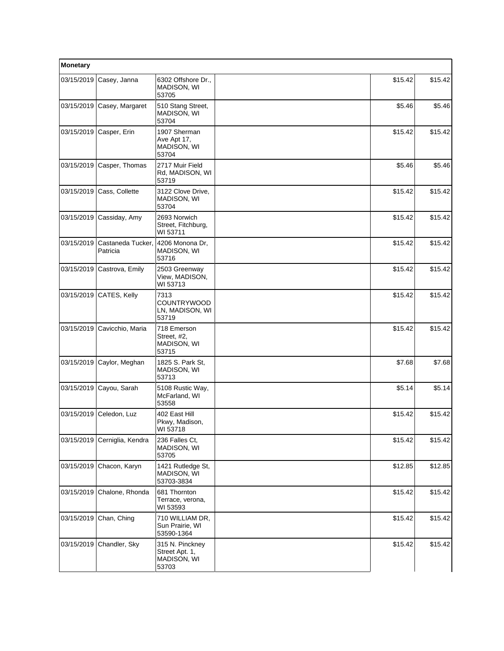| <b>Monetary</b> |                               |                                                           |         |         |
|-----------------|-------------------------------|-----------------------------------------------------------|---------|---------|
| 03/15/2019      | Casey, Janna                  | 6302 Offshore Dr.,<br>MADISON, WI<br>53705                | \$15.42 | \$15.42 |
| 03/15/2019      | Casey, Margaret               | 510 Stang Street,<br>MADISON, WI<br>53704                 | \$5.46  | \$5.46  |
| 03/15/2019      | Casper, Erin                  | 1907 Sherman<br>Ave Apt 17,<br>MADISON, WI<br>53704       | \$15.42 | \$15.42 |
| 03/15/2019      | Casper, Thomas                | 2717 Muir Field<br>Rd, MADISON, WI<br>53719               | \$5.46  | \$5.46  |
| 03/15/2019      | Cass, Collette                | 3122 Clove Drive,<br>MADISON, WI<br>53704                 | \$15.42 | \$15.42 |
| 03/15/2019      | Cassiday, Amy                 | 2693 Norwich<br>Street, Fitchburg,<br>WI 53711            | \$15.42 | \$15.42 |
| 03/15/2019      | Castaneda Tucker,<br>Patricia | 4206 Monona Dr.<br>MADISON, WI<br>53716                   | \$15.42 | \$15.42 |
| 03/15/2019      | Castrova, Emily               | 2503 Greenway<br>View, MADISON,<br>WI 53713               | \$15.42 | \$15.42 |
| 03/15/2019      | CATES, Kelly                  | 7313<br><b>COUNTRYWOOD</b><br>LN, MADISON, WI<br>53719    | \$15.42 | \$15.42 |
| 03/15/2019      | Cavicchio, Maria              | 718 Emerson<br>Street, #2,<br>MADISON, WI<br>53715        | \$15.42 | \$15.42 |
| 03/15/2019      | Caylor, Meghan                | 1825 S. Park St,<br>MADISON, WI<br>53713                  | \$7.68  | \$7.68  |
| 03/15/2019      | Cayou, Sarah                  | 5108 Rustic Way,<br>McFarland, WI<br>53558                | \$5.14  | \$5.14  |
| 03/15/2019      | Celedon, Luz                  | 402 East Hill<br>Pkwy, Madison,<br>WI 53718               | \$15.42 | \$15.42 |
| 03/15/2019      | Cerniglia, Kendra             | 236 Falles Ct,<br>MADISON, WI<br>53705                    | \$15.42 | \$15.42 |
| 03/15/2019      | Chacon, Karyn                 | 1421 Rutledge St,<br>MADISON, WI<br>53703-3834            | \$12.85 | \$12.85 |
| 03/15/2019      | Chalone, Rhonda               | 681 Thornton<br>Terrace, verona,<br>WI 53593              | \$15.42 | \$15.42 |
| 03/15/2019      | Chan, Ching                   | 710 WILLIAM DR,<br>Sun Prairie, WI<br>53590-1364          | \$15.42 | \$15.42 |
| 03/15/2019      | Chandler, Sky                 | 315 N. Pinckney<br>Street Apt. 1,<br>MADISON, WI<br>53703 | \$15.42 | \$15.42 |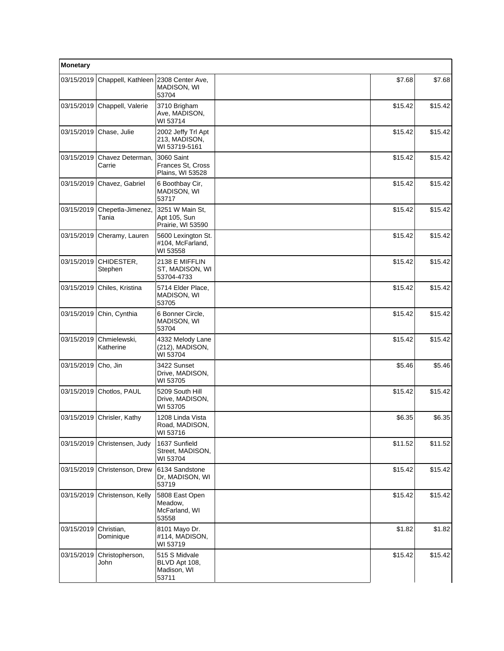| Monetary   |                            |                                                        |         |         |
|------------|----------------------------|--------------------------------------------------------|---------|---------|
| 03/15/2019 | Chappell, Kathleen         | 2308 Center Ave,<br>MADISON, WI<br>53704               | \$7.68  | \$7.68  |
| 03/15/2019 | Chappell, Valerie          | 3710 Brigham<br>Ave, MADISON,<br>WI 53714              | \$15.42 | \$15.42 |
| 03/15/2019 | Chase, Julie               | 2002 Jeffy Trl Apt<br>213. MADISON.<br>WI 53719-5161   | \$15.42 | \$15.42 |
| 03/15/2019 | Chavez Determan.<br>Carrie | 3060 Saint<br>Frances St, Cross<br>Plains, WI 53528    | \$15.42 | \$15.42 |
| 03/15/2019 | Chavez, Gabriel            | 6 Boothbay Cir,<br>MADISON, WI<br>53717                | \$15.42 | \$15.42 |
| 03/15/2019 | Chepetla-Jimenez,<br>Tania | 3251 W Main St.<br>Apt 105, Sun<br>Prairie, WI 53590   | \$15.42 | \$15.42 |
| 03/15/2019 | Cheramy, Lauren            | 5600 Lexington St.<br>#104, McFarland,<br>WI 53558     | \$15.42 | \$15.42 |
| 03/15/2019 | CHIDESTER,<br>Stephen      | 2138 E MIFFLIN<br>ST, MADISON, WI<br>53704-4733        | \$15.42 | \$15.42 |
| 03/15/2019 | Chiles, Kristina           | 5714 Elder Place,<br>MADISON, WI<br>53705              | \$15.42 | \$15.42 |
| 03/15/2019 | Chin, Cynthia              | 6 Bonner Circle,<br>MADISON, WI<br>53704               | \$15.42 | \$15.42 |
| 03/15/2019 | Chmielewski,<br>Katherine  | 4332 Melody Lane<br>(212), MADISON,<br>WI 53704        | \$15.42 | \$15.42 |
| 03/15/2019 | Cho, Jin                   | 3422 Sunset<br>Drive, MADISON,<br>WI 53705             | \$5.46  | \$5.46  |
| 03/15/2019 | Chotlos, PAUL              | 5209 South Hill<br>Drive, MADISON,<br>WI 53705         | \$15.42 | \$15.42 |
| 03/15/2019 | Chrisler, Kathy            | 1208 Linda Vista<br>Road, MADISON,<br>WI 53716         | \$6.35  | \$6.35  |
| 03/15/2019 | Christensen, Judy          | 1637 Sunfield<br>Street, MADISON,<br>WI 53704          | \$11.52 | \$11.52 |
| 03/15/2019 | Christenson, Drew          | 6134 Sandstone<br>Dr, MADISON, WI<br>53719             | \$15.42 | \$15.42 |
| 03/15/2019 | Christenson, Kelly         | 5808 East Open<br>Meadow,<br>McFarland, WI<br>53558    | \$15.42 | \$15.42 |
| 03/15/2019 | Christian,<br>Dominique    | 8101 Mayo Dr.<br>#114, MADISON,<br>WI 53719            | \$1.82  | \$1.82  |
| 03/15/2019 | Christopherson,<br>John    | 515 S Midvale<br>BLVD Apt 108,<br>Madison, WI<br>53711 | \$15.42 | \$15.42 |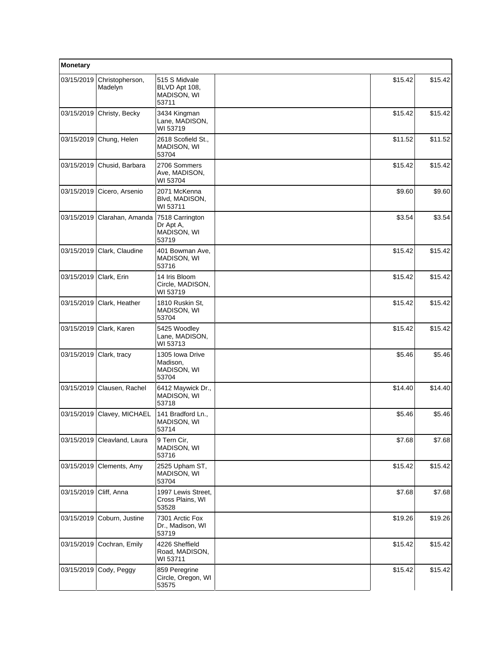| Monetary   |                            |                                                             |         |         |
|------------|----------------------------|-------------------------------------------------------------|---------|---------|
| 03/15/2019 | Christopherson,<br>Madelyn | 515 S Midvale<br>BLVD Apt 108,<br>MADISON, WI<br>53711      | \$15.42 | \$15.42 |
| 03/15/2019 | Christy, Becky             | 3434 Kingman<br>Lane, MADISON,<br>WI 53719                  | \$15.42 | \$15.42 |
| 03/15/2019 | Chung, Helen               | 2618 Scofield St.,<br>MADISON, WI<br>53704                  | \$11.52 | \$11.52 |
| 03/15/2019 | Chusid, Barbara            | 2706 Sommers<br>Ave, MADISON,<br>WI 53704                   | \$15.42 | \$15.42 |
| 03/15/2019 | Cicero, Arsenio            | 2071 McKenna<br>Blvd, MADISON,<br>WI 53711                  | \$9.60  | \$9.60  |
| 03/15/2019 | Clarahan, Amanda           | 7518 Carrington<br>Dr Apt A,<br><b>MADISON, WI</b><br>53719 | \$3.54  | \$3.54  |
| 03/15/2019 | Clark, Claudine            | 401 Bowman Ave,<br>MADISON, WI<br>53716                     | \$15.42 | \$15.42 |
| 03/15/2019 | Clark, Erin                | 14 Iris Bloom<br>Circle, MADISON,<br>WI 53719               | \$15.42 | \$15.42 |
| 03/15/2019 | Clark, Heather             | 1810 Ruskin St,<br>MADISON, WI<br>53704                     | \$15.42 | \$15.42 |
| 03/15/2019 | Clark, Karen               | 5425 Woodley<br>Lane, MADISON,<br>WI 53713                  | \$15.42 | \$15.42 |
| 03/15/2019 | Clark, tracy               | 1305 Iowa Drive<br>Madison,<br>MADISON, WI<br>53704         | \$5.46  | \$5.46  |
| 03/15/2019 | Clausen, Rachel            | 6412 Maywick Dr.,<br>MADISON, WI<br>53718                   | \$14.40 | \$14.40 |
| 03/15/2019 | Clavey, MICHAEL            | 141 Bradford Ln.,<br>MADISON, WI<br>53714                   | \$5.46  | \$5.46  |
| 03/15/2019 | Cleavland, Laura           | 9 Tern Cir,<br>MADISON, WI<br>53716                         | \$7.68  | \$7.68  |
| 03/15/2019 | Clements, Amy              | 2525 Upham ST,<br>MADISON, WI<br>53704                      | \$15.42 | \$15.42 |
| 03/15/2019 | Cliff, Anna                | 1997 Lewis Street,<br>Cross Plains, WI<br>53528             | \$7.68  | \$7.68  |
| 03/15/2019 | Coburn, Justine            | 7301 Arctic Fox<br>Dr., Madison, WI<br>53719                | \$19.26 | \$19.26 |
| 03/15/2019 | Cochran, Emily             | 4226 Sheffield<br>Road, MADISON,<br>WI 53711                | \$15.42 | \$15.42 |
| 03/15/2019 | Cody, Peggy                | 859 Peregrine<br>Circle, Oregon, WI<br>53575                | \$15.42 | \$15.42 |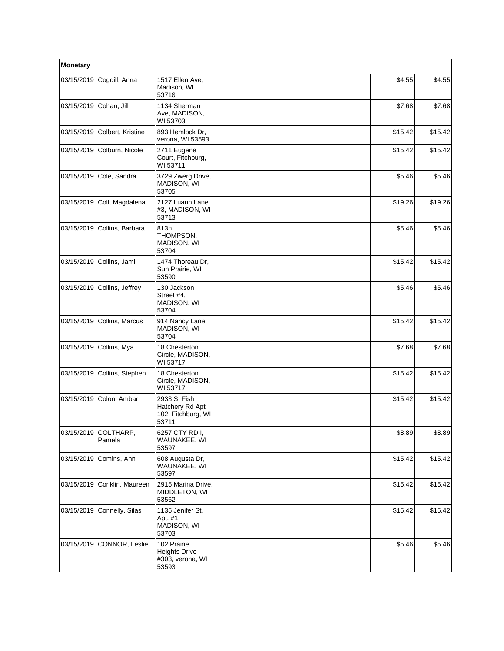| Monetary   |                     |                                                                  |         |         |
|------------|---------------------|------------------------------------------------------------------|---------|---------|
| 03/15/2019 | Cogdill, Anna       | 1517 Ellen Ave,<br>Madison, WI<br>53716                          | \$4.55  | \$4.55  |
| 03/15/2019 | Cohan, Jill         | 1134 Sherman<br>Ave, MADISON,<br>WI 53703                        | \$7.68  | \$7.68  |
| 03/15/2019 | Colbert, Kristine   | 893 Hemlock Dr,<br>verona, WI 53593                              | \$15.42 | \$15.42 |
| 03/15/2019 | Colburn, Nicole     | 2711 Eugene<br>Court, Fitchburg,<br>WI 53711                     | \$15.42 | \$15.42 |
| 03/15/2019 | Cole, Sandra        | 3729 Zwerg Drive,<br>MADISON, WI<br>53705                        | \$5.46  | \$5.46  |
| 03/15/2019 | Coll, Magdalena     | 2127 Luann Lane<br>#3, MADISON, WI<br>53713                      | \$19.26 | \$19.26 |
| 03/15/2019 | Collins, Barbara    | 813n<br>THOMPSON,<br>MADISON, WI<br>53704                        | \$5.46  | \$5.46  |
| 03/15/2019 | Collins, Jami       | 1474 Thoreau Dr,<br>Sun Prairie, WI<br>53590                     | \$15.42 | \$15.42 |
| 03/15/2019 | Collins, Jeffrey    | 130 Jackson<br>Street #4,<br>MADISON, WI<br>53704                | \$5.46  | \$5.46  |
| 03/15/2019 | Collins, Marcus     | 914 Nancy Lane,<br>MADISON, WI<br>53704                          | \$15.42 | \$15.42 |
| 03/15/2019 | Collins, Mya        | 18 Chesterton<br>Circle, MADISON,<br>WI 53717                    | \$7.68  | \$7.68  |
| 03/15/2019 | Collins, Stephen    | 18 Chesterton<br>Circle, MADISON,<br>WI 53717                    | \$15.42 | \$15.42 |
| 03/15/2019 | Colon, Ambar        | 2933 S. Fish<br>Hatchery Rd Apt<br>102, Fitchburg, WI<br>53711   | \$15.42 | \$15.42 |
| 03/15/2019 | COLTHARP,<br>Pamela | 6257 CTY RD I.<br>WAUNAKEE, WI<br>53597                          | \$8.89  | \$8.89  |
| 03/15/2019 | Comins, Ann         | 608 Augusta Dr,<br>WAUNAKEE, WI<br>53597                         | \$15.42 | \$15.42 |
| 03/15/2019 | Conklin, Maureen    | 2915 Marina Drive,<br>MIDDLETON, WI<br>53562                     | \$15.42 | \$15.42 |
| 03/15/2019 | Connelly, Silas     | 1135 Jenifer St.<br>Apt. #1,<br>MADISON, WI<br>53703             | \$15.42 | \$15.42 |
| 03/15/2019 | CONNOR, Leslie      | 102 Prairie<br><b>Heights Drive</b><br>#303, verona, WI<br>53593 | \$5.46  | \$5.46  |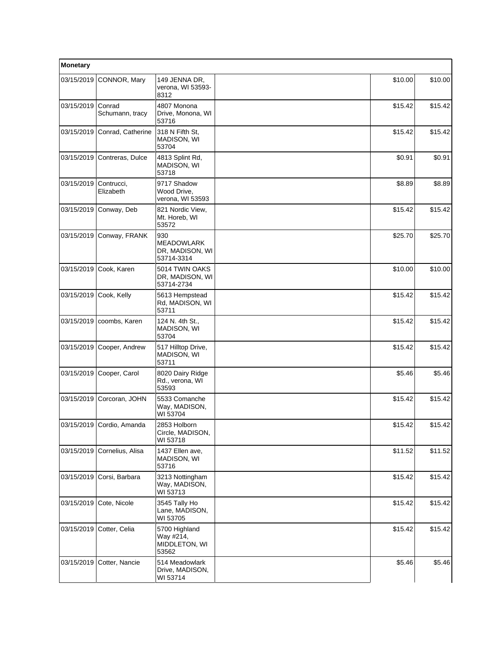| Monetary   |                           |                                                           |         |         |
|------------|---------------------------|-----------------------------------------------------------|---------|---------|
| 03/15/2019 | CONNOR, Mary              | 149 JENNA DR,<br>verona, WI 53593-<br>8312                | \$10.00 | \$10.00 |
| 03/15/2019 | Conrad<br>Schumann, tracy | 4807 Monona<br>Drive, Monona, WI<br>53716                 | \$15.42 | \$15.42 |
| 03/15/2019 | Conrad, Catherine         | 318 N Fifth St,<br>MADISON, WI<br>53704                   | \$15.42 | \$15.42 |
| 03/15/2019 | Contreras, Dulce          | 4813 Splint Rd,<br>MADISON, WI<br>53718                   | \$0.91  | \$0.91  |
| 03/15/2019 | Contrucci,<br>Elizabeth   | 9717 Shadow<br>Wood Drive,<br>verona, WI 53593            | \$8.89  | \$8.89  |
|            | 03/15/2019 Conway, Deb    | 821 Nordic View,<br>Mt. Horeb, WI<br>53572                | \$15.42 | \$15.42 |
| 03/15/2019 | Conway, FRANK             | 930<br><b>MEADOWLARK</b><br>DR, MADISON, WI<br>53714-3314 | \$25.70 | \$25.70 |
|            | 03/15/2019 Cook, Karen    | 5014 TWIN OAKS<br>DR, MADISON, WI<br>53714-2734           | \$10.00 | \$10.00 |
| 03/15/2019 | Cook, Kelly               | 5613 Hempstead<br>Rd, MADISON, WI<br>53711                | \$15.42 | \$15.42 |
| 03/15/2019 | coombs, Karen             | 124 N. 4th St.,<br>MADISON, WI<br>53704                   | \$15.42 | \$15.42 |
| 03/15/2019 | Cooper, Andrew            | 517 Hilltop Drive,<br>MADISON, WI<br>53711                | \$15.42 | \$15.42 |
| 03/15/2019 | Cooper, Carol             | 8020 Dairy Ridge<br>Rd., verona, WI<br>53593              | \$5.46  | \$5.46  |
| 03/15/2019 | Corcoran, JOHN            | 5533 Comanche<br>Way, MADISON,<br>WI 53704                | \$15.42 | \$15.42 |
|            | 03/15/2019 Cordio, Amanda | 2853 Holborn<br>Circle, MADISON,<br>WI 53718              | \$15.42 | \$15.42 |
| 03/15/2019 | Cornelius, Alisa          | 1437 Ellen ave,<br><b>MADISON, WI</b><br>53716            | \$11.52 | \$11.52 |
| 03/15/2019 | Corsi, Barbara            | 3213 Nottingham<br>Way, MADISON,<br>WI 53713              | \$15.42 | \$15.42 |
| 03/15/2019 | Cote, Nicole              | 3545 Tally Ho<br>Lane, MADISON,<br>WI 53705               | \$15.42 | \$15.42 |
| 03/15/2019 | Cotter, Celia             | 5700 Highland<br>Way #214,<br>MIDDLETON, WI<br>53562      | \$15.42 | \$15.42 |
| 03/15/2019 | Cotter, Nancie            | 514 Meadowlark<br>Drive, MADISON,<br>WI 53714             | \$5.46  | \$5.46  |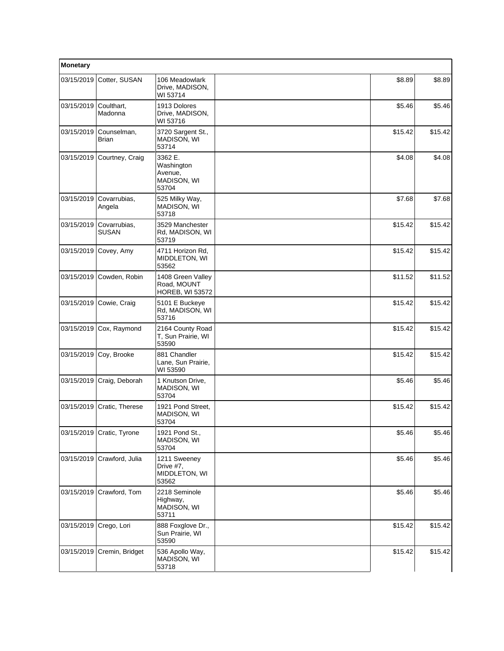| Monetary   |                              |                                                            |         |         |
|------------|------------------------------|------------------------------------------------------------|---------|---------|
| 03/15/2019 | Cotter, SUSAN                | 106 Meadowlark<br>Drive, MADISON,<br>WI 53714              | \$8.89  | \$8.89  |
| 03/15/2019 | Coulthart,<br>Madonna        | 1913 Dolores<br>Drive, MADISON,<br>WI 53716                | \$5.46  | \$5.46  |
| 03/15/2019 | Counselman,<br><b>Brian</b>  | 3720 Sargent St.,<br>MADISON, WI<br>53714                  | \$15.42 | \$15.42 |
| 03/15/2019 | Courtney, Craig              | 3362 E.<br>Washington<br>Avenue,<br>MADISON, WI<br>53704   | \$4.08  | \$4.08  |
| 03/15/2019 | Covarrubias,<br>Angela       | 525 Milky Way,<br>MADISON, WI<br>53718                     | \$7.68  | \$7.68  |
| 03/15/2019 | Covarrubias,<br><b>SUSAN</b> | 3529 Manchester<br>Rd, MADISON, WI<br>53719                | \$15.42 | \$15.42 |
| 03/15/2019 | Covey, Amy                   | 4711 Horizon Rd.<br>MIDDLETON, WI<br>53562                 | \$15.42 | \$15.42 |
| 03/15/2019 | Cowden, Robin                | 1408 Green Valley<br>Road, MOUNT<br><b>HOREB, WI 53572</b> | \$11.52 | \$11.52 |
| 03/15/2019 | Cowie, Craig                 | 5101 E Buckeye<br>Rd, MADISON, WI<br>53716                 | \$15.42 | \$15.42 |
|            | 03/15/2019 Cox, Raymond      | 2164 County Road<br>T, Sun Prairie, WI<br>53590            | \$15.42 | \$15.42 |
| 03/15/2019 | Coy, Brooke                  | 881 Chandler<br>Lane, Sun Prairie,<br>WI 53590             | \$15.42 | \$15.42 |
| 03/15/2019 | Craig, Deborah               | 1 Knutson Drive,<br>MADISON, WI<br>53704                   | \$5.46  | \$5.46  |
|            | 03/15/2019 Cratic, Therese   | 1921 Pond Street,<br>MADISON, WI<br>53704                  | \$15.42 | \$15.42 |
|            | 03/15/2019 Cratic, Tyrone    | 1921 Pond St.,<br>MADISON, WI<br>53704                     | \$5.46  | \$5.46  |
| 03/15/2019 | Crawford, Julia              | 1211 Sweeney<br>Drive #7,<br>MIDDLETON, WI<br>53562        | \$5.46  | \$5.46  |
| 03/15/2019 | Crawford, Tom                | 2218 Seminole<br>Highway,<br>MADISON, WI<br>53711          | \$5.46  | \$5.46  |
| 03/15/2019 | Crego, Lori                  | 888 Foxglove Dr.,<br>Sun Prairie, WI<br>53590              | \$15.42 | \$15.42 |
| 03/15/2019 | Cremin, Bridget              | 536 Apollo Way,<br>MADISON, WI<br>53718                    | \$15.42 | \$15.42 |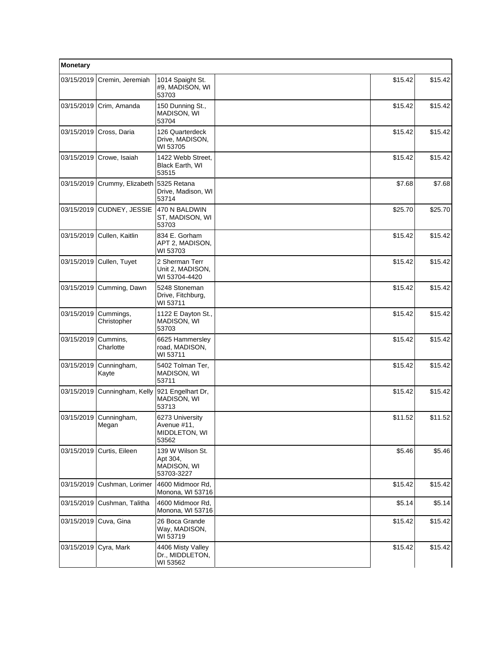| Monetary   |                          |                                                           |         |         |
|------------|--------------------------|-----------------------------------------------------------|---------|---------|
| 03/15/2019 | Cremin, Jeremiah         | 1014 Spaight St.<br>#9, MADISON, WI<br>53703              | \$15.42 | \$15.42 |
| 03/15/2019 | Crim, Amanda             | 150 Dunning St.,<br>MADISON, WI<br>53704                  | \$15.42 | \$15.42 |
| 03/15/2019 | Cross, Daria             | 126 Quarterdeck<br>Drive, MADISON,<br>WI 53705            | \$15.42 | \$15.42 |
| 03/15/2019 | Crowe, Isaiah            | 1422 Webb Street,<br>Black Earth, WI<br>53515             | \$15.42 | \$15.42 |
| 03/15/2019 | Crummy, Elizabeth        | 5325 Retana<br>Drive, Madison, WI<br>53714                | \$7.68  | \$7.68  |
| 03/15/2019 | CUDNEY, JESSIE           | 470 N BALDWIN<br>ST, MADISON, WI<br>53703                 | \$25.70 | \$25.70 |
| 03/15/2019 | Cullen, Kaitlin          | 834 E. Gorham<br>APT 2, MADISON,<br>WI 53703              | \$15.42 | \$15.42 |
| 03/15/2019 | Cullen, Tuyet            | 2 Sherman Terr<br>Unit 2, MADISON,<br>WI 53704-4420       | \$15.42 | \$15.42 |
| 03/15/2019 | Cumming, Dawn            | 5248 Stoneman<br>Drive, Fitchburg,<br>WI 53711            | \$15.42 | \$15.42 |
| 03/15/2019 | Cummings,<br>Christopher | 1122 E Dayton St.,<br>MADISON, WI<br>53703                | \$15.42 | \$15.42 |
| 03/15/2019 | Cummins,<br>Charlotte    | 6625 Hammersley<br>road, MADISON,<br>WI 53711             | \$15.42 | \$15.42 |
| 03/15/2019 | Cunningham,<br>Kayte     | 5402 Tolman Ter,<br>MADISON, WI<br>53711                  | \$15.42 | \$15.42 |
| 03/15/2019 | Cunningham, Kelly        | 921 Engelhart Dr,<br>MADISON, WI<br>53713                 | \$15.42 | \$15.42 |
| 03/15/2019 | Cunningham,<br>Megan     | 6273 University<br>Avenue #11,<br>MIDDLETON, WI<br>53562  | \$11.52 | \$11.52 |
| 03/15/2019 | Curtis, Eileen           | 139 W Wilson St.<br>Apt 304,<br>MADISON, WI<br>53703-3227 | \$5.46  | \$5.46  |
| 03/15/2019 | Cushman, Lorimer         | 4600 Midmoor Rd,<br>Monona, WI 53716                      | \$15.42 | \$15.42 |
| 03/15/2019 | Cushman, Talitha         | 4600 Midmoor Rd,<br>Monona, WI 53716                      | \$5.14  | \$5.14  |
| 03/15/2019 | Cuva, Gina               | 26 Boca Grande<br>Way, MADISON,<br>WI 53719               | \$15.42 | \$15.42 |
| 03/15/2019 | Cyra, Mark               | 4406 Misty Valley<br>Dr., MIDDLETON,<br>WI 53562          | \$15.42 | \$15.42 |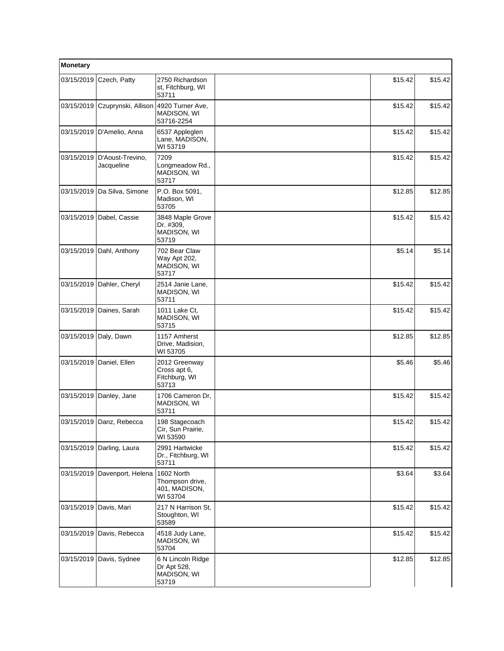| Monetary   |                                |                                                            |         |         |
|------------|--------------------------------|------------------------------------------------------------|---------|---------|
| 03/15/2019 | Czech, Patty                   | 2750 Richardson<br>st, Fitchburg, WI<br>53711              | \$15.42 | \$15.42 |
| 03/15/2019 | Czuprynski, Allison            | 4920 Turner Ave,<br>MADISON, WI<br>53716-2254              | \$15.42 | \$15.42 |
|            | 03/15/2019   D'Amelio, Anna    | 6537 Appleglen<br>Lane, MADISON,<br>WI 53719               | \$15.42 | \$15.42 |
| 03/15/2019 | D'Aoust-Trevino,<br>Jacqueline | 7209<br>Longmeadow Rd.,<br>MADISON, WI<br>53717            | \$15.42 | \$15.42 |
|            | 03/15/2019 Da Silva, Simone    | P.O. Box 5091,<br>Madison, WI<br>53705                     | \$12.85 | \$12.85 |
| 03/15/2019 | Dabel, Cassie                  | 3848 Maple Grove<br>Dr. #309,<br>MADISON, WI<br>53719      | \$15.42 | \$15.42 |
| 03/15/2019 | Dahl, Anthony                  | 702 Bear Claw<br>Way Apt 202,<br>MADISON, WI<br>53717      | \$5.14  | \$5.14  |
| 03/15/2019 | Dahler, Cheryl                 | 2514 Janie Lane,<br>MADISON, WI<br>53711                   | \$15.42 | \$15.42 |
|            | 03/15/2019 Daines, Sarah       | 1011 Lake Ct,<br>MADISON, WI<br>53715                      | \$15.42 | \$15.42 |
| 03/15/2019 | Daly, Dawn                     | 1157 Amherst<br>Drive, Madision,<br>WI 53705               | \$12.85 | \$12.85 |
| 03/15/2019 | Daniel, Ellen                  | 2012 Greenway<br>Cross apt 6,<br>Fitchburg, WI<br>53713    | \$5.46  | \$5.46  |
|            | 03/15/2019 Danley, Jane        | 1706 Cameron Dr,<br>MADISON, WI<br>53711                   | \$15.42 | \$15.42 |
|            | 03/15/2019 Danz, Rebecca       | 198 Stagecoach<br>Cir, Sun Prairie,<br>WI 53590            | \$15.42 | \$15.42 |
|            | 03/15/2019 Darling, Laura      | 2991 Hartwicke<br>Dr., Fitchburg, WI<br>53711              | \$15.42 | \$15.42 |
| 03/15/2019 | Davenport, Helena              | 1602 North<br>Thompson drive,<br>401, MADISON,<br>WI 53704 | \$3.64  | \$3.64  |
| 03/15/2019 | Davis, Mari                    | 217 N Harrison St,<br>Stoughton, WI<br>53589               | \$15.42 | \$15.42 |
| 03/15/2019 | Davis, Rebecca                 | 4518 Judy Lane,<br>MADISON, WI<br>53704                    | \$15.42 | \$15.42 |
|            | 03/15/2019 Davis, Sydnee       | 6 N Lincoln Ridge<br>Dr Apt 528,<br>MADISON, WI<br>53719   | \$12.85 | \$12.85 |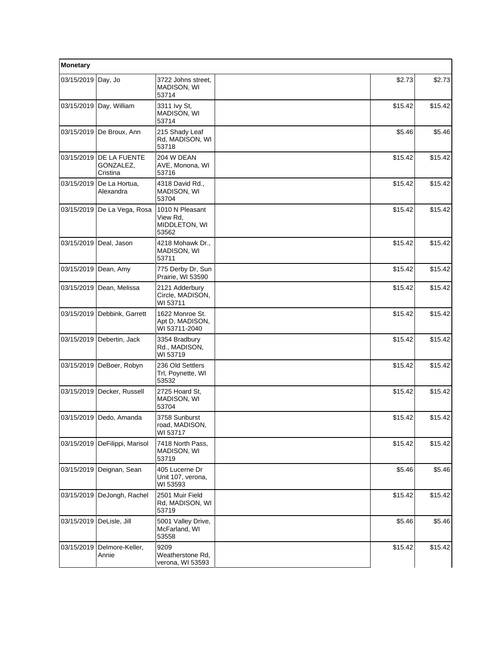| Monetary                 |                                       |                                                       |         |         |
|--------------------------|---------------------------------------|-------------------------------------------------------|---------|---------|
| 03/15/2019 Day, Jo       |                                       | 3722 Johns street,<br>MADISON, WI<br>53714            | \$2.73  | \$2.73  |
|                          | 03/15/2019 Day, William               | 3311 Ivy St,<br>MADISON, WI<br>53714                  | \$15.42 | \$15.42 |
|                          | 03/15/2019   De Broux, Ann            | 215 Shady Leaf<br>Rd, MADISON, WI<br>53718            | \$5.46  | \$5.46  |
| 03/15/2019               | DE LA FUENTE<br>GONZALEZ,<br>Cristina | 204 W DEAN<br>AVE, Monona, WI<br>53716                | \$15.42 | \$15.42 |
| 03/15/2019               | De La Hortua,<br>Alexandra            | 4318 David Rd.,<br>MADISON, WI<br>53704               | \$15.42 | \$15.42 |
|                          | 03/15/2019 De La Vega, Rosa           | 1010 N Pleasant<br>View Rd,<br>MIDDLETON, WI<br>53562 | \$15.42 | \$15.42 |
|                          | 03/15/2019 Deal, Jason                | 4218 Mohawk Dr.,<br>MADISON, WI<br>53711              | \$15.42 | \$15.42 |
| 03/15/2019 Dean, Amy     |                                       | 775 Derby Dr, Sun<br>Prairie, WI 53590                | \$15.42 | \$15.42 |
|                          | 03/15/2019 Dean, Melissa              | 2121 Adderbury<br>Circle, MADISON,<br>WI 53711        | \$15.42 | \$15.42 |
|                          | 03/15/2019 Debbink, Garrett           | 1622 Monroe St.<br>Apt D, MADISON,<br>WI 53711-2040   | \$15.42 | \$15.42 |
|                          | 03/15/2019 Debertin, Jack             | 3354 Bradbury<br>Rd., MADISON,<br>WI 53719            | \$15.42 | \$15.42 |
| 03/15/2019               | DeBoer, Robyn                         | 236 Old Settlers<br>Trl, Poynette, WI<br>53532        | \$15.42 | \$15.42 |
|                          | 03/15/2019 Decker, Russell            | 2725 Hoard St.<br>MADISON, WI<br>53704                | \$15.42 | \$15.42 |
|                          | 03/15/2019 Dedo, Amanda               | 3758 Sunburst<br>road, MADISON,<br>WI 53717           | \$15.42 | \$15.42 |
| 03/15/2019               | DeFilippi, Marisol                    | 7418 North Pass,<br>MADISON, WI<br>53719              | \$15.42 | \$15.42 |
| 03/15/2019               | Deignan, Sean                         | 405 Lucerne Dr<br>Unit 107, verona,<br>WI 53593       | \$5.46  | \$5.46  |
| 03/15/2019               | DeJongh, Rachel                       | 2501 Muir Field<br>Rd, MADISON, WI<br>53719           | \$15.42 | \$15.42 |
| 03/15/2019 DeLisle, Jill |                                       | 5001 Valley Drive,<br>McFarland, WI<br>53558          | \$5.46  | \$5.46  |
| 03/15/2019               | Delmore-Keller,<br>Annie              | 9209<br>Weatherstone Rd,<br>verona, WI 53593          | \$15.42 | \$15.42 |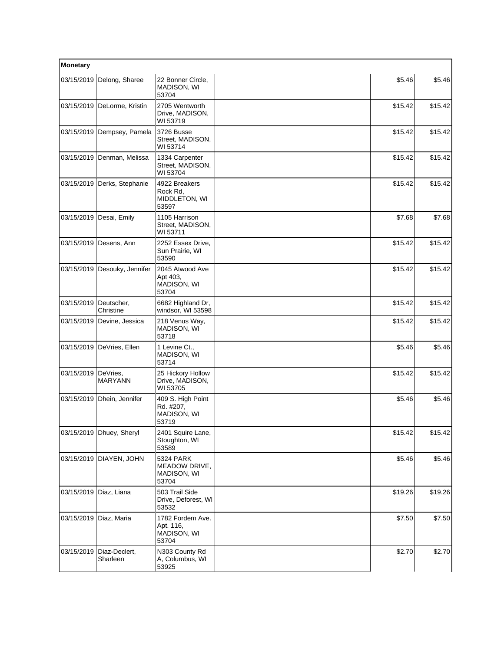| Monetary   |                                |                                                        |         |         |
|------------|--------------------------------|--------------------------------------------------------|---------|---------|
| 03/15/2019 | Delong, Sharee                 | 22 Bonner Circle,<br>MADISON, WI<br>53704              | \$5.46  | \$5.46  |
|            | 03/15/2019   DeLorme, Kristin  | 2705 Wentworth<br>Drive, MADISON,<br>WI 53719          | \$15.42 | \$15.42 |
|            | 03/15/2019   Dempsey, Pamela   | 3726 Busse<br>Street, MADISON,<br>WI 53714             | \$15.42 | \$15.42 |
| 03/15/2019 | Denman, Melissa                | 1334 Carpenter<br>Street, MADISON,<br>WI 53704         | \$15.42 | \$15.42 |
| 03/15/2019 | Derks, Stephanie               | 4922 Breakers<br>Rock Rd,<br>MIDDLETON, WI<br>53597    | \$15.42 | \$15.42 |
| 03/15/2019 | Desai, Emily                   | 1105 Harrison<br>Street, MADISON,<br>WI 53711          | \$7.68  | \$7.68  |
| 03/15/2019 | Desens, Ann                    | 2252 Essex Drive,<br>Sun Prairie, WI<br>53590          | \$15.42 | \$15.42 |
|            | 03/15/2019   Desouky, Jennifer | 2045 Atwood Ave<br>Apt 403,<br>MADISON, WI<br>53704    | \$15.42 | \$15.42 |
| 03/15/2019 | Deutscher,<br>Christine        | 6682 Highland Dr,<br>windsor, WI 53598                 | \$15.42 | \$15.42 |
| 03/15/2019 | Devine, Jessica                | 218 Venus Way,<br>MADISON, WI<br>53718                 | \$15.42 | \$15.42 |
| 03/15/2019 | DeVries, Ellen                 | 1 Levine Ct.,<br>MADISON, WI<br>53714                  | \$5.46  | \$5.46  |
| 03/15/2019 | DeVries,<br><b>MARYANN</b>     | 25 Hickory Hollow<br>Drive, MADISON,<br>WI 53705       | \$15.42 | \$15.42 |
| 03/15/2019 | Dhein, Jennifer                | 409 S. High Point<br>Rd. #207,<br>MADISON, WI<br>53719 | \$5.46  | \$5.46  |
|            | 03/15/2019 Dhuey, Sheryl       | 2401 Squire Lane,<br>Stoughton, WI<br>53589            | \$15.42 | \$15.42 |
| 03/15/2019 | DIAYEN, JOHN                   | 5324 PARK<br>MEADOW DRIVE,<br>MADISON, WI<br>53704     | \$5.46  | \$5.46  |
| 03/15/2019 | Diaz, Liana                    | 503 Trail Side<br>Drive, Deforest, WI<br>53532         | \$19.26 | \$19.26 |
| 03/15/2019 | Diaz, Maria                    | 1782 Fordem Ave.<br>Apt. 116,<br>MADISON, WI<br>53704  | \$7.50  | \$7.50  |
| 03/15/2019 | Diaz-Declert,<br>Sharleen      | N303 County Rd<br>A, Columbus, WI<br>53925             | \$2.70  | \$2.70  |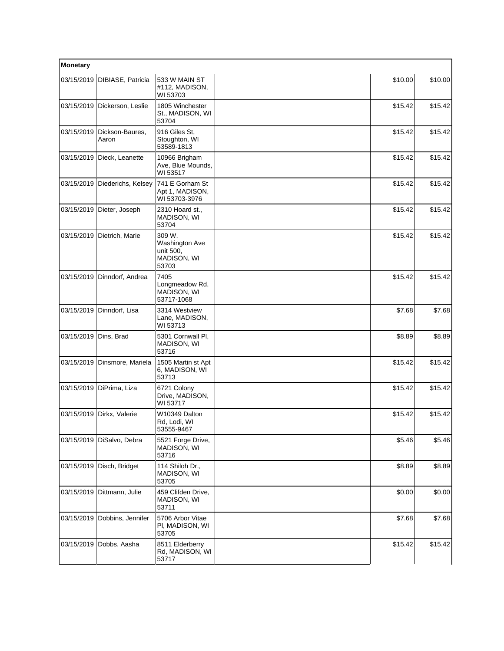| Monetary                |                                |                                                               |         |         |
|-------------------------|--------------------------------|---------------------------------------------------------------|---------|---------|
| 03/15/2019              | DIBIASE, Patricia              | 533 W MAIN ST<br>#112, MADISON,<br>WI 53703                   | \$10.00 | \$10.00 |
|                         | 03/15/2019   Dickerson, Leslie | 1805 Winchester<br>St., MADISON, WI<br>53704                  | \$15.42 | \$15.42 |
| 03/15/2019              | Dickson-Baures,<br>Aaron       | 916 Giles St,<br>Stoughton, WI<br>53589-1813                  | \$15.42 | \$15.42 |
| 03/15/2019              | Dieck, Leanette                | 10966 Brigham<br>Ave, Blue Mounds,<br>WI 53517                | \$15.42 | \$15.42 |
|                         | 03/15/2019 Diederichs, Kelsey  | 741 E Gorham St<br>Apt 1, MADISON,<br>WI 53703-3976           | \$15.42 | \$15.42 |
|                         | 03/15/2019 Dieter, Joseph      | 2310 Hoard st.,<br>MADISON, WI<br>53704                       | \$15.42 | \$15.42 |
| 03/15/2019              | Dietrich, Marie                | 309 W.<br>Washington Ave<br>unit 500,<br>MADISON, WI<br>53703 | \$15.42 | \$15.42 |
| 03/15/2019              | Dinndorf, Andrea               | 7405<br>Longmeadow Rd,<br>MADISON, WI<br>53717-1068           | \$15.42 | \$15.42 |
| 03/15/2019              | Dinndorf, Lisa                 | 3314 Westview<br>Lane, MADISON,<br>WI 53713                   | \$7.68  | \$7.68  |
| 03/15/2019   Dins, Brad |                                | 5301 Cornwall PI,<br>MADISON, WI<br>53716                     | \$8.89  | \$8.89  |
| 03/15/2019              | Dinsmore, Mariela              | 1505 Martin st Apt<br>6, MADISON, WI<br>53713                 | \$15.42 | \$15.42 |
|                         | 03/15/2019 DiPrima, Liza       | 6721 Colony<br>Drive, MADISON,<br>WI 53717                    | \$15.42 | \$15.42 |
| 03/15/2019              | Dirkx, Valerie                 | W10349 Dalton<br>Rd, Lodi, WI<br>53555-9467                   | \$15.42 | \$15.42 |
|                         | 03/15/2019 DiSalvo, Debra      | 5521 Forge Drive,<br>MADISON, WI<br>53716                     | \$5.46  | \$5.46  |
|                         | 03/15/2019 Disch, Bridget      | 114 Shiloh Dr.,<br>MADISON, WI<br>53705                       | \$8.89  | \$8.89  |
|                         | 03/15/2019   Dittmann, Julie   | 459 Clifden Drive,<br>MADISON, WI<br>53711                    | \$0.00  | \$0.00  |
| 03/15/2019              | Dobbins, Jennifer              | 5706 Arbor Vitae<br>PI, MADISON, WI<br>53705                  | \$7.68  | \$7.68  |
| 03/15/2019              | Dobbs, Aasha                   | 8511 Elderberry<br>Rd, MADISON, WI<br>53717                   | \$15.42 | \$15.42 |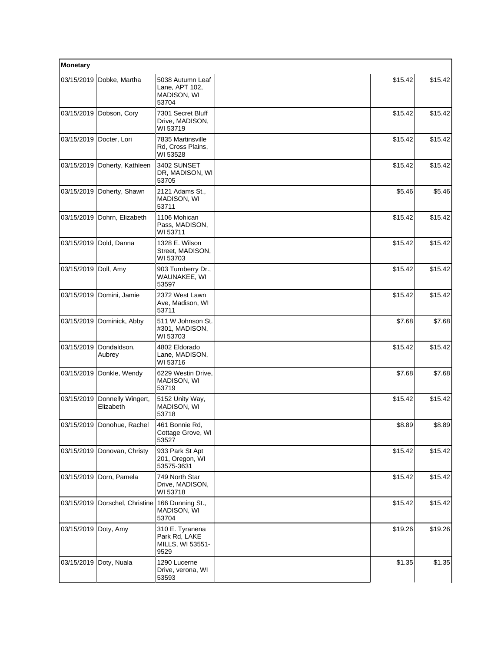| Monetary             |                                |                                                              |         |         |
|----------------------|--------------------------------|--------------------------------------------------------------|---------|---------|
| 03/15/2019           | Dobke, Martha                  | 5038 Autumn Leaf<br>Lane, APT 102,<br>MADISON, WI<br>53704   | \$15.42 | \$15.42 |
| 03/15/2019           | Dobson, Cory                   | 7301 Secret Bluff<br>Drive, MADISON,<br>WI 53719             | \$15.42 | \$15.42 |
| 03/15/2019           | Docter, Lori                   | 7835 Martinsville<br>Rd, Cross Plains,<br>WI 53528           | \$15.42 | \$15.42 |
| 03/15/2019           | Doherty, Kathleen              | 3402 SUNSET<br>DR, MADISON, WI<br>53705                      | \$15.42 | \$15.42 |
| 03/15/2019           | Doherty, Shawn                 | 2121 Adams St.,<br>MADISON, WI<br>53711                      | \$5.46  | \$5.46  |
| 03/15/2019           | Dohrn, Elizabeth               | 1106 Mohican<br>Pass, MADISON,<br>WI 53711                   | \$15.42 | \$15.42 |
| 03/15/2019           | Dold, Danna                    | 1328 E. Wilson<br>Street, MADISON,<br>WI 53703               | \$15.42 | \$15.42 |
| 03/15/2019 Doll, Amy |                                | 903 Turnberry Dr.,<br>WAUNAKEE, WI<br>53597                  | \$15.42 | \$15.42 |
| 03/15/2019           | Domini, Jamie                  | 2372 West Lawn<br>Ave, Madison, WI<br>53711                  | \$15.42 | \$15.42 |
| 03/15/2019           | Dominick, Abby                 | 511 W Johnson St.<br>#301, MADISON,<br>WI 53703              | \$7.68  | \$7.68  |
| 03/15/2019           | Dondaldson,<br>Aubrey          | 4802 Eldorado<br>Lane, MADISON,<br>WI 53716                  | \$15.42 | \$15.42 |
| 03/15/2019           | Donkle, Wendy                  | 6229 Westin Drive,<br>MADISON, WI<br>53719                   | \$7.68  | \$7.68  |
| 03/15/2019           | Donnelly Wingert,<br>Elizabeth | 5152 Unity Way,<br>MADISON, WI<br>53718                      | \$15.42 | \$15.42 |
|                      | 03/15/2019 Donohue, Rachel     | 461 Bonnie Rd.<br>Cottage Grove, WI<br>53527                 | \$8.89  | \$8.89  |
| 03/15/2019           | Donovan, Christy               | 933 Park St Apt<br>201, Oregon, WI<br>53575-3631             | \$15.42 | \$15.42 |
| 03/15/2019           | Dorn, Pamela                   | 749 North Star<br>Drive, MADISON,<br>WI 53718                | \$15.42 | \$15.42 |
| 03/15/2019           | Dorschel, Christine            | 166 Dunning St.,<br>MADISON, WI<br>53704                     | \$15.42 | \$15.42 |
| 03/15/2019           | Doty, Amy                      | 310 E. Tyranena<br>Park Rd, LAKE<br>MILLS, WI 53551-<br>9529 | \$19.26 | \$19.26 |
| 03/15/2019           | Doty, Nuala                    | 1290 Lucerne<br>Drive, verona, WI<br>53593                   | \$1.35  | \$1.35  |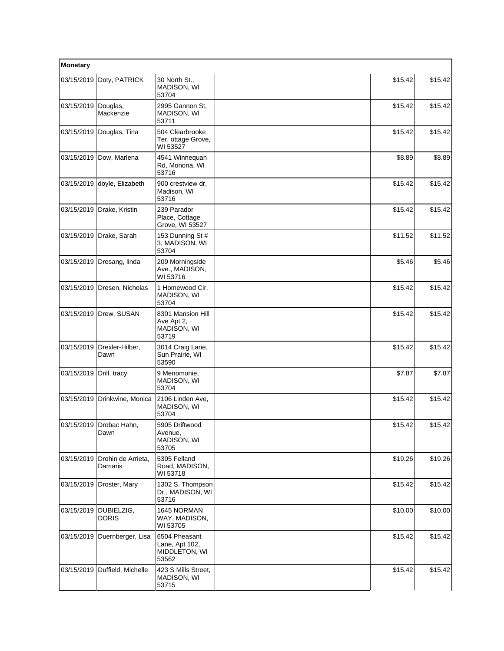| Monetary   |                                       |                                                           |         |         |
|------------|---------------------------------------|-----------------------------------------------------------|---------|---------|
| 03/15/2019 | Doty, PATRICK                         | 30 North St.,<br>MADISON, WI<br>53704                     | \$15.42 | \$15.42 |
| 03/15/2019 | Douglas,<br>Mackenzie                 | 2995 Gannon St,<br>MADISON, WI<br>53711                   | \$15.42 | \$15.42 |
|            | 03/15/2019 Douglas, Tina              | 504 Clearbrooke<br>Ter, ottage Grove,<br>WI 53527         | \$15.42 | \$15.42 |
| 03/15/2019 | Dow, Marlena                          | 4541 Winnequah<br>Rd, Monona, WI<br>53716                 | \$8.89  | \$8.89  |
| 03/15/2019 | doyle, Elizabeth                      | 900 crestview dr,<br>Madison, WI<br>53716                 | \$15.42 | \$15.42 |
|            | 03/15/2019   Drake, Kristin           | 239 Parador<br>Place, Cottage<br>Grove, WI 53527          | \$15.42 | \$15.42 |
| 03/15/2019 | Drake, Sarah                          | 153 Dunning St #<br>3, MADISON, WI<br>53704               | \$11.52 | \$11.52 |
| 03/15/2019 | Dresang, linda                        | 209 Morningside<br>Ave., MADISON,<br>WI 53716             | \$5.46  | \$5.46  |
|            | 03/15/2019   Dresen, Nicholas         | 1 Homewood Cir,<br>MADISON, WI<br>53704                   | \$15.42 | \$15.42 |
| 03/15/2019 | Drew, SUSAN                           | 8301 Mansion Hill<br>Ave Apt 2,<br>MADISON, WI<br>53719   | \$15.42 | \$15.42 |
| 03/15/2019 | Drexler-Hilber,<br>Dawn               | 3014 Craig Lane,<br>Sun Prairie, WI<br>53590              | \$15.42 | \$15.42 |
| 03/15/2019 | Drill, tracy                          | 9 Menomonie,<br>MADISON, WI<br>53704                      | \$7.87  | \$7.87  |
| 03/15/2019 | Drinkwine, Monica                     | 2106 Linden Ave,<br>MADISON, WI<br>53704                  | \$15.42 | \$15.42 |
|            | 103/15/2019   Drobac Hahn.<br>Dawn    | 5905 Driftwood<br>Avenue,<br>MADISON, WI<br>53705         | \$15.42 | \$15.42 |
| 03/15/2019 | Drohin de Arrieta.<br>Damaris         | 5305 Felland<br>Road, MADISON,<br>WI 53718                | \$19.26 | \$19.26 |
| 03/15/2019 | Droster, Mary                         | 1302 S. Thompson<br>Dr., MADISON, WI<br>53716             | \$15.42 | \$15.42 |
|            | 03/15/2019 DUBIELZIG,<br><b>DORIS</b> | 1645 NORMAN<br>WAY, MADISON,<br>WI 53705                  | \$10.00 | \$10.00 |
| 03/15/2019 | Duernberger, Lisa                     | 6504 Pheasant<br>Lane, Apt 102,<br>MIDDLETON, WI<br>53562 | \$15.42 | \$15.42 |
| 03/15/2019 | Duffield, Michelle                    | 423 S Mills Street,<br>MADISON, WI<br>53715               | \$15.42 | \$15.42 |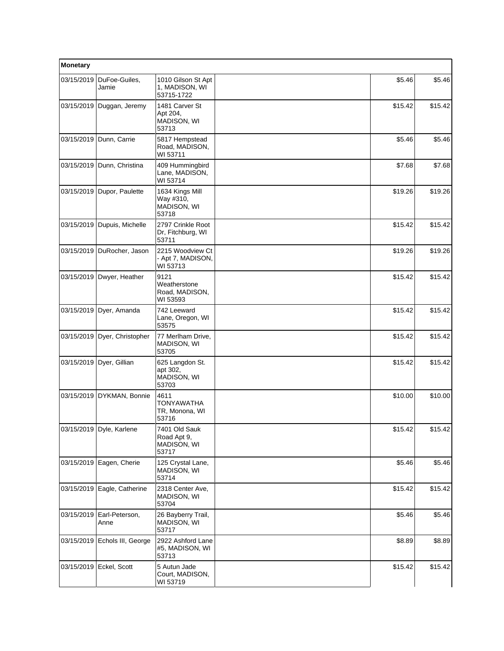| Monetary   |                               |                                                      |         |         |
|------------|-------------------------------|------------------------------------------------------|---------|---------|
| 03/15/2019 | DuFoe-Guiles,<br>Jamie        | 1010 Gilson St Apt<br>1, MADISON, WI<br>53715-1722   | \$5.46  | \$5.46  |
| 03/15/2019 | Duggan, Jeremy                | 1481 Carver St<br>Apt 204,<br>MADISON, WI<br>53713   | \$15.42 | \$15.42 |
| 03/15/2019 | Dunn, Carrie                  | 5817 Hempstead<br>Road, MADISON,<br>WI 53711         | \$5.46  | \$5.46  |
| 03/15/2019 | Dunn, Christina               | 409 Hummingbird<br>Lane, MADISON,<br>WI 53714        | \$7.68  | \$7.68  |
| 03/15/2019 | Dupor, Paulette               | 1634 Kings Mill<br>Way #310,<br>MADISON, WI<br>53718 | \$19.26 | \$19.26 |
| 03/15/2019 | Dupuis, Michelle              | 2797 Crinkle Root<br>Dr, Fitchburg, WI<br>53711      | \$15.42 | \$15.42 |
| 03/15/2019 | DuRocher, Jason               | 2215 Woodview Ct<br>- Apt 7, MADISON,<br>WI 53713    | \$19.26 | \$19.26 |
| 03/15/2019 | Dwyer, Heather                | 9121<br>Weatherstone<br>Road, MADISON,<br>WI 53593   | \$15.42 | \$15.42 |
| 03/15/2019 | Dyer, Amanda                  | 742 Leeward<br>Lane, Oregon, WI<br>53575             | \$15.42 | \$15.42 |
| 03/15/2019 | Dyer, Christopher             | 77 Merlham Drive,<br>MADISON, WI<br>53705            | \$15.42 | \$15.42 |
| 03/15/2019 | Dyer, Gillian                 | 625 Langdon St.<br>apt 302,<br>MADISON, WI<br>53703  | \$15.42 | \$15.42 |
| 03/15/2019 | DYKMAN, Bonnie                | 4611<br><b>TONYAWATHA</b><br>TR, Monona, WI<br>53716 | \$10.00 | \$10.00 |
|            | 03/15/2019   Dyle, Karlene    | 7401 Old Sauk<br>Road Apt 9,<br>MADISON, WI<br>53717 | \$15.42 | \$15.42 |
| 03/15/2019 | Eagen, Cherie                 | 125 Crystal Lane,<br>MADISON, WI<br>53714            | \$5.46  | \$5.46  |
| 03/15/2019 | Eagle, Catherine              | 2318 Center Ave,<br>MADISON, WI<br>53704             | \$15.42 | \$15.42 |
| 03/15/2019 | Earl-Peterson,<br>Anne        | 26 Bayberry Trail,<br><b>MADISON, WI</b><br>53717    | \$5.46  | \$5.46  |
|            | 03/15/2019 Echols III, George | 2922 Ashford Lane<br>#5, MADISON, WI<br>53713        | \$8.89  | \$8.89  |
| 03/15/2019 | Eckel, Scott                  | 5 Autun Jade<br>Court, MADISON,<br>WI 53719          | \$15.42 | \$15.42 |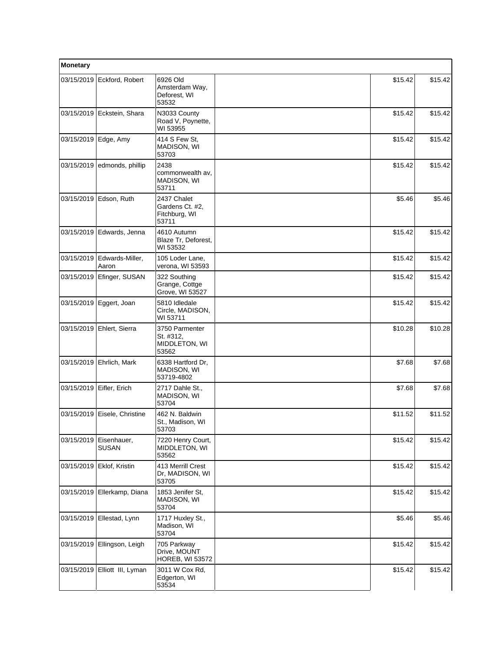| Monetary   |                               |                                                          |         |         |
|------------|-------------------------------|----------------------------------------------------------|---------|---------|
| 03/15/2019 | Eckford, Robert               | 6926 Old<br>Amsterdam Way,<br>Deforest, WI<br>53532      | \$15.42 | \$15.42 |
| 03/15/2019 | Eckstein, Shara               | N3033 County<br>Road V, Poynette,<br>WI 53955            | \$15.42 | \$15.42 |
| 03/15/2019 | Edge, Amy                     | 414 S Few St.<br>MADISON, WI<br>53703                    | \$15.42 | \$15.42 |
| 03/15/2019 | edmonds, phillip              | 2438<br>commonwealth av,<br>MADISON, WI<br>53711         | \$15.42 | \$15.42 |
| 03/15/2019 | Edson, Ruth                   | 2437 Chalet<br>Gardens Ct. #2,<br>Fitchburg, WI<br>53711 | \$5.46  | \$5.46  |
| 03/15/2019 | Edwards, Jenna                | 4610 Autumn<br>Blaze Tr, Deforest,<br>WI 53532           | \$15.42 | \$15.42 |
| 03/15/2019 | Edwards-Miller,<br>Aaron      | 105 Loder Lane,<br>verona, WI 53593                      | \$15.42 | \$15.42 |
| 03/15/2019 | Efinger, SUSAN                | 322 Southing<br>Grange, Cottge<br>Grove, WI 53527        | \$15.42 | \$15.42 |
| 03/15/2019 | Eggert, Joan                  | 5810 Idledale<br>Circle, MADISON,<br>WI 53711            | \$15.42 | \$15.42 |
|            | 03/15/2019 Ehlert, Sierra     | 3750 Parmenter<br>St. #312,<br>MIDDLETON, WI<br>53562    | \$10.28 | \$10.28 |
| 03/15/2019 | Ehrlich, Mark                 | 6338 Hartford Dr,<br>MADISON, WI<br>53719-4802           | \$7.68  | \$7.68  |
|            | 03/15/2019 Eifler, Erich      | 2717 Dahle St.,<br><b>MADISON, WI</b><br>53704           | \$7.68  | \$7.68  |
| 03/15/2019 | Eisele, Christine             | 462 N. Baldwin<br>St., Madison, WI<br>53703              | \$11.52 | \$11.52 |
| 03/15/2019 | Eisenhauer,<br><b>SUSAN</b>   | 7220 Henry Court,<br>MIDDLETON, WI<br>53562              | \$15.42 | \$15.42 |
| 03/15/2019 | Eklof, Kristin                | 413 Merrill Crest<br>Dr, MADISON, WI<br>53705            | \$15.42 | \$15.42 |
| 03/15/2019 | Ellerkamp, Diana              | 1853 Jenifer St,<br>MADISON, WI<br>53704                 | \$15.42 | \$15.42 |
| 03/15/2019 | Ellestad, Lynn                | 1717 Huxley St.,<br>Madison, WI<br>53704                 | \$5.46  | \$5.46  |
| 03/15/2019 | Ellingson, Leigh              | 705 Parkway<br>Drive, MOUNT<br><b>HOREB, WI 53572</b>    | \$15.42 | \$15.42 |
|            | 03/15/2019 Elliott III, Lyman | 3011 W Cox Rd,<br>Edgerton, WI<br>53534                  | \$15.42 | \$15.42 |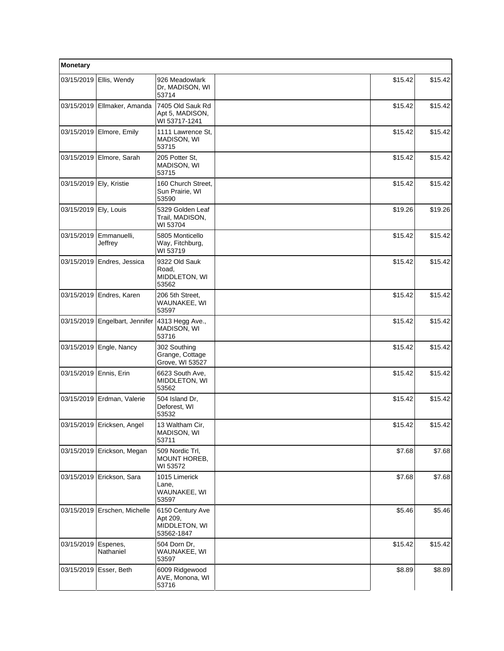| Monetary                |                            |                                                             |  |         |         |
|-------------------------|----------------------------|-------------------------------------------------------------|--|---------|---------|
| 03/15/2019              | Ellis, Wendy               | 926 Meadowlark<br>Dr, MADISON, WI<br>53714                  |  | \$15.42 | \$15.42 |
| 03/15/2019              | Ellmaker, Amanda           | 7405 Old Sauk Rd<br>Apt 5, MADISON,<br>WI 53717-1241        |  | \$15.42 | \$15.42 |
|                         | 03/15/2019   Elmore, Emily | 1111 Lawrence St.<br>MADISON, WI<br>53715                   |  | \$15.42 | \$15.42 |
| 03/15/2019              | Elmore, Sarah              | 205 Potter St.<br>MADISON, WI<br>53715                      |  | \$15.42 | \$15.42 |
| 03/15/2019 Ely, Kristie |                            | 160 Church Street,<br>Sun Prairie, WI<br>53590              |  | \$15.42 | \$15.42 |
| 03/15/2019 Ely, Louis   |                            | 5329 Golden Leaf<br>Trail, MADISON,<br>WI 53704             |  | \$19.26 | \$19.26 |
| 03/15/2019              | Emmanuelli,<br>Jeffrey     | 5805 Monticello<br>Way, Fitchburg,<br>WI 53719              |  | \$15.42 | \$15.42 |
| 03/15/2019              | Endres, Jessica            | 9322 Old Sauk<br>Road,<br>MIDDLETON, WI<br>53562            |  | \$15.42 | \$15.42 |
|                         | 03/15/2019 Endres, Karen   | 206 5th Street.<br>WAUNAKEE, WI<br>53597                    |  | \$15.42 | \$15.42 |
| 03/15/2019              | Engelbart, Jennifer        | 4313 Hegg Ave.,<br>MADISON, WI<br>53716                     |  | \$15.42 | \$15.42 |
|                         | 03/15/2019 Engle, Nancy    | 302 Southing<br>Grange, Cottage<br>Grove, WI 53527          |  | \$15.42 | \$15.42 |
| 03/15/2019 Ennis, Erin  |                            | 6623 South Ave,<br>MIDDLETON, WI<br>53562                   |  | \$15.42 | \$15.42 |
|                         | 03/15/2019 Erdman, Valerie | 504 Island Dr.<br>Deforest, WI<br>53532                     |  | \$15.42 | \$15.42 |
|                         | 03/15/2019 Ericksen, Angel | 13 Waltham Cir,<br>MADISON, WI<br>53711                     |  | \$15.42 | \$15.42 |
| 03/15/2019              | Erickson, Megan            | 509 Nordic Trl,<br>MOUNT HOREB,<br>WI 53572                 |  | \$7.68  | \$7.68  |
|                         | 03/15/2019 Erickson, Sara  | 1015 Limerick<br>Lane,<br>WAUNAKEE, WI<br>53597             |  | \$7.68  | \$7.68  |
| 03/15/2019              | Erschen, Michelle          | 6150 Century Ave<br>Apt 209,<br>MIDDLETON, WI<br>53562-1847 |  | \$5.46  | \$5.46  |
| 03/15/2019              | Espenes,<br>Nathaniel      | 504 Dorn Dr,<br>WAUNAKEE, WI<br>53597                       |  | \$15.42 | \$15.42 |
|                         | 03/15/2019 Esser, Beth     | 6009 Ridgewood<br>AVE, Monona, WI<br>53716                  |  | \$8.89  | \$8.89  |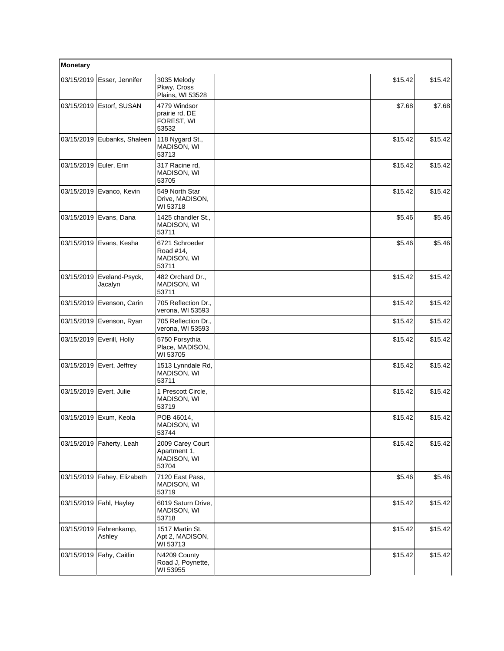| Monetary                 |                             |                                                          |         |         |
|--------------------------|-----------------------------|----------------------------------------------------------|---------|---------|
| 03/15/2019               | Esser, Jennifer             | 3035 Melody<br>Pkwy, Cross<br>Plains, WI 53528           | \$15.42 | \$15.42 |
| 03/15/2019               | Estorf, SUSAN               | 4779 Windsor<br>prairie rd, DE<br>FOREST, WI<br>53532    | \$7.68  | \$7.68  |
| 03/15/2019               | Eubanks, Shaleen            | 118 Nygard St.,<br>MADISON, WI<br>53713                  | \$15.42 | \$15.42 |
| 03/15/2019   Euler, Erin |                             | 317 Racine rd.<br><b>MADISON, WI</b><br>53705            | \$15.42 | \$15.42 |
|                          | 03/15/2019 Evanco, Kevin    | 549 North Star<br>Drive, MADISON,<br>WI 53718            | \$15.42 | \$15.42 |
|                          | 03/15/2019   Evans, Dana    | 1425 chandler St.,<br>MADISON, WI<br>53711               | \$5.46  | \$5.46  |
| 03/15/2019               | Evans, Kesha                | 6721 Schroeder<br>Road #14,<br>MADISON, WI<br>53711      | \$5.46  | \$5.46  |
| 03/15/2019               | Eveland-Psyck,<br>Jacalyn   | 482 Orchard Dr.,<br>MADISON, WI<br>53711                 | \$15.42 | \$15.42 |
| 03/15/2019               | Evenson, Carin              | 705 Reflection Dr.,<br>verona, WI 53593                  | \$15.42 | \$15.42 |
|                          | 03/15/2019 Evenson, Ryan    | 705 Reflection Dr.,<br>verona, WI 53593                  | \$15.42 | \$15.42 |
| 03/15/2019               | Everill, Holly              | 5750 Forsythia<br>Place, MADISON,<br>WI 53705            | \$15.42 | \$15.42 |
|                          | 03/15/2019   Evert, Jeffrey | 1513 Lynndale Rd,<br>MADISON, WI<br>53711                | \$15.42 | \$15.42 |
| 03/15/2019 Evert, Julie  |                             | 1 Prescott Circle,<br>MADISON, WI<br>53719               | \$15.42 | \$15.42 |
|                          | 03/15/2019 Exum, Keola      | POB 46014,<br>MADISON, WI<br>53744                       | \$15.42 | \$15.42 |
|                          | 03/15/2019 Faherty, Leah    | 2009 Carey Court<br>Apartment 1,<br>MADISON, WI<br>53704 | \$15.42 | \$15.42 |
|                          | 03/15/2019 Fahey, Elizabeth | 7120 East Pass,<br>MADISON, WI<br>53719                  | \$5.46  | \$5.46  |
| 03/15/2019               | Fahl, Hayley                | 6019 Saturn Drive,<br>MADISON, WI<br>53718               | \$15.42 | \$15.42 |
| 03/15/2019               | Fahrenkamp,<br>Ashley       | 1517 Martin St.<br>Apt 2, MADISON,<br>WI 53713           | \$15.42 | \$15.42 |
| 03/15/2019               | Fahy, Caitlin               | N4209 County<br>Road J, Poynette,<br>WI 53955            | \$15.42 | \$15.42 |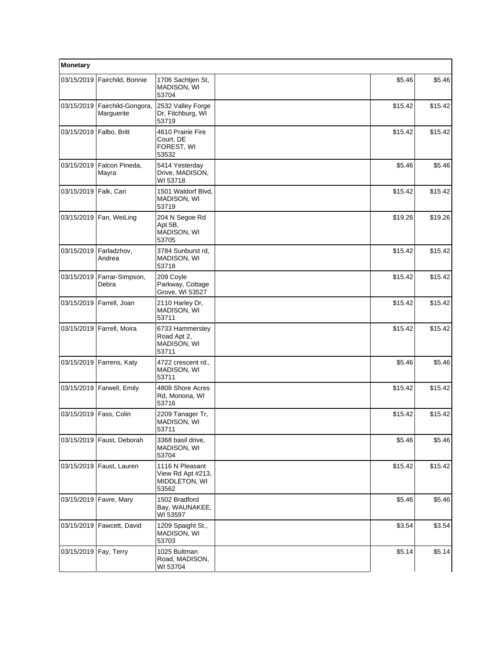| <b>Monetary</b> |                                  |                                                                |         |         |
|-----------------|----------------------------------|----------------------------------------------------------------|---------|---------|
| 03/15/2019      | Fairchild, Bonnie                | 1706 Sachtjen St,<br>MADISON, WI<br>53704                      | \$5.46  | \$5.46  |
| 03/15/2019      | Fairchild-Gongora,<br>Marguerite | 2532 Valley Forge<br>Dr, Fitchburg, WI<br>53719                | \$15.42 | \$15.42 |
| 03/15/2019      | Falbo, Britt                     | 4610 Prairie Fire<br>Court. DE<br>FOREST, WI<br>53532          | \$15.42 | \$15.42 |
| 03/15/2019      | Falcon Pineda,<br>Mayra          | 5414 Yesterday<br>Drive, MADISON,<br>WI 53718                  | \$5.46  | \$5.46  |
| 03/15/2019      | Falk, Cari                       | 1501 Waldorf Blvd,<br>MADISON, WI<br>53719                     | \$15.42 | \$15.42 |
|                 | 03/15/2019   Fan, WeiLing        | 204 N Segoe Rd<br>Apt 5B,<br>MADISON, WI<br>53705              | \$19.26 | \$19.26 |
| 03/15/2019      | Farladzhov,<br>Andrea            | 3784 Sunburst rd,<br>MADISON, WI<br>53718                      | \$15.42 | \$15.42 |
| 03/15/2019      | Farrar-Simpson,<br>Debra         | 209 Coyle<br>Parkway, Cottage<br>Grove, WI 53527               | \$15.42 | \$15.42 |
|                 | 03/15/2019   Farrell, Joan       | 2110 Harley Dr,<br>MADISON, WI<br>53711                        | \$15.42 | \$15.42 |
| 03/15/2019      | Farrell, Moira                   | 6733 Hammersley<br>Road Apt 2,<br>MADISON, WI<br>53711         | \$15.42 | \$15.42 |
|                 | 03/15/2019   Farrens, Katy       | 4722 crescent rd.,<br>MADISON, WI<br>53711                     | \$5.46  | \$5.46  |
|                 | 03/15/2019   Farwell, Emily      | 4808 Shore Acres<br>Rd, Monona, WI<br>53716                    | \$15.42 | \$15.42 |
| 03/15/2019      | Fass, Colin                      | 2209 Tanager Tr,<br>MADISON, WI<br>53711                       | \$15.42 | \$15.42 |
|                 | 03/15/2019 Faust, Deborah        | 3368 basil drive,<br>MADISON, WI<br>53704                      | \$5.46  | \$5.46  |
|                 | 03/15/2019 Faust, Lauren         | 1116 N Pleasant<br>View Rd Apt #213,<br>MIDDLETON, WI<br>53562 | \$15.42 | \$15.42 |
|                 | 03/15/2019   Favre, Mary         | 1502 Bradford<br>Bay, WAUNAKEE,<br>WI 53597                    | \$5.46  | \$5.46  |
| 03/15/2019      | Fawcett, David                   | 1209 Spaight St.,<br>MADISON, WI<br>53703                      | \$3.54  | \$3.54  |
| 03/15/2019      | Fay, Terry                       | 1025 Bultman<br>Road, MADISON,<br>WI 53704                     | \$5.14  | \$5.14  |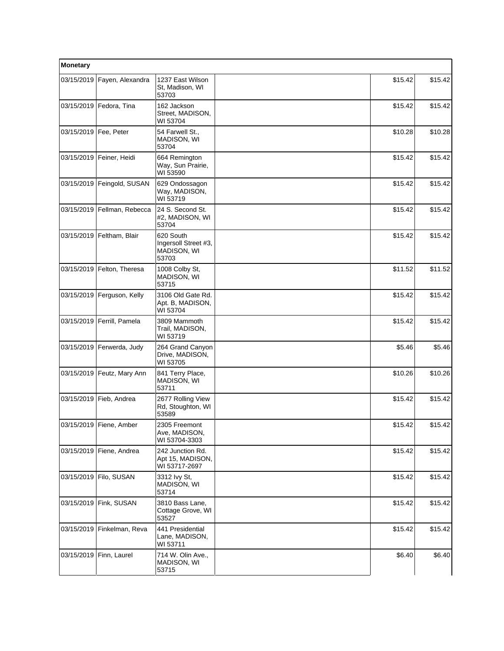| Monetary                |                              |                                                           |         |          |
|-------------------------|------------------------------|-----------------------------------------------------------|---------|----------|
| 03/15/2019              | Fayen, Alexandra             | 1237 East Wilson<br>St. Madison, WI<br>53703              | \$15.42 | \$15.42  |
|                         | 03/15/2019   Fedora, Tina    | 162 Jackson<br>Street, MADISON,<br>WI 53704               | \$15.42 | \$15.42  |
| 03/15/2019   Fee, Peter |                              | 54 Farwell St.,<br><b>MADISON, WI</b><br>53704            | \$10.28 | \$10.28  |
| 03/15/2019              | Feiner, Heidi                | 664 Remington<br>Way, Sun Prairie,<br>WI 53590            | \$15.42 | \$15.42  |
|                         | 03/15/2019 Feingold, SUSAN   | 629 Ondossagon<br>Way, MADISON,<br>WI 53719               | \$15.42 | \$15.42  |
|                         | 03/15/2019 Fellman, Rebecca  | 24 S. Second St.<br>#2, MADISON, WI<br>53704              | \$15.42 | \$15.42  |
| 03/15/2019              | Feltham, Blair               | 620 South<br>Ingersoll Street #3,<br>MADISON, WI<br>53703 | \$15.42 | \$15.42  |
|                         | 03/15/2019 Felton, Theresa   | 1008 Colby St.<br>MADISON, WI<br>53715                    | \$11.52 | \$11.52  |
| 03/15/2019              | Ferguson, Kelly              | 3106 Old Gate Rd.<br>Apt. B, MADISON,<br>WI 53704         | \$15.42 | \$15.42  |
|                         | 03/15/2019 Ferrill, Pamela   | 3809 Mammoth<br>Trail, MADISON,<br>WI 53719               | \$15.42 | \$15.42  |
|                         | 03/15/2019 Ferwerda, Judy    | 264 Grand Canyon<br>Drive, MADISON,<br>WI 53705           | \$5.46  | \$5.46   |
|                         | 03/15/2019   Feutz, Mary Ann | 841 Terry Place,<br>MADISON, WI<br>53711                  | \$10.26 | \$10.26  |
| 03/15/2019              | Fieb, Andrea                 | 2677 Rolling View<br>Rd, Stoughton, WI<br>53589           | \$15.42 | \$15.42  |
|                         | 03/15/2019 Fiene, Amber      | 2305 Freemont<br>Ave, MADISON,<br>WI 53704-3303           | \$15.42 | \$15.42] |
|                         | 03/15/2019   Fiene, Andrea   | 242 Junction Rd.<br>Apt 15, MADISON,<br>WI 53717-2697     | \$15.42 | \$15.42  |
| 03/15/2019              | Filo, SUSAN                  | 3312 Ivy St.<br>MADISON, WI<br>53714                      | \$15.42 | \$15.42  |
| 03/15/2019              | Fink, SUSAN                  | 3810 Bass Lane,<br>Cottage Grove, WI<br>53527             | \$15.42 | \$15.42  |
| 03/15/2019              | Finkelman, Reva              | 441 Presidential<br>Lane, MADISON,<br>WI 53711            | \$15.42 | \$15.42  |
|                         | 03/15/2019   Finn, Laurel    | 714 W. Olin Ave.,<br>MADISON, WI<br>53715                 | \$6.40  | \$6.40   |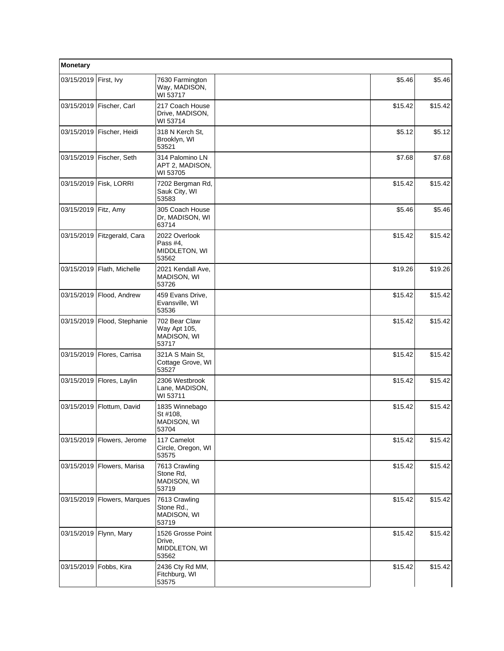| Monetary               |                               |                                                       |         |         |  |
|------------------------|-------------------------------|-------------------------------------------------------|---------|---------|--|
| 03/15/2019             | First, Ivy                    | 7630 Farmington<br>Way, MADISON,<br>WI 53717          | \$5.46  | \$5.46  |  |
|                        | 03/15/2019   Fischer, Carl    | 217 Coach House<br>Drive, MADISON,<br>WI 53714        | \$15.42 | \$15.42 |  |
|                        | 03/15/2019   Fischer, Heidi   | 318 N Kerch St,<br>Brooklyn, WI<br>53521              | \$5.12  | \$5.12  |  |
| 03/15/2019             | Fischer, Seth                 | 314 Palomino LN<br>APT 2, MADISON,<br>WI 53705        | \$7.68  | \$7.68  |  |
| 03/15/2019             | Fisk, LORRI                   | 7202 Bergman Rd,<br>Sauk City, WI<br>53583            | \$15.42 | \$15.42 |  |
| 03/15/2019   Fitz, Amy |                               | 305 Coach House<br>Dr, MADISON, WI<br>63714           | \$5.46  | \$5.46  |  |
| 03/15/2019             | Fitzgerald, Cara              | 2022 Overlook<br>Pass #4,<br>MIDDLETON, WI<br>53562   | \$15.42 | \$15.42 |  |
|                        | 03/15/2019   Flath, Michelle  | 2021 Kendall Ave,<br>MADISON, WI<br>53726             | \$19.26 | \$19.26 |  |
| 03/15/2019             | Flood, Andrew                 | 459 Evans Drive,<br>Evansville, WI<br>53536           | \$15.42 | \$15.42 |  |
|                        | 03/15/2019   Flood, Stephanie | 702 Bear Claw<br>Way Apt 105,<br>MADISON, WI<br>53717 | \$15.42 | \$15.42 |  |
| 03/15/2019             | Flores, Carrisa               | 321A S Main St,<br>Cottage Grove, WI<br>53527         | \$15.42 | \$15.42 |  |
|                        | 03/15/2019   Flores, Laylin   | 2306 Westbrook<br>Lane, MADISON,<br>WI 53711          | \$15.42 | \$15.42 |  |
|                        | 03/15/2019   Flottum, David   | 1835 Winnebago<br>St #108,<br>MADISON, WI<br>53704    | \$15.42 | \$15.42 |  |
|                        | 03/15/2019   Flowers, Jerome  | 117 Camelot<br>Circle, Oregon, WI<br>53575            | \$15.42 | \$15.42 |  |
|                        | 03/15/2019   Flowers, Marisa  | 7613 Crawling<br>Stone Rd,<br>MADISON, WI<br>53719    | \$15.42 | \$15.42 |  |
|                        | 03/15/2019   Flowers, Marques | 7613 Crawling<br>Stone Rd.,<br>MADISON, WI<br>53719   | \$15.42 | \$15.42 |  |
| 03/15/2019             | Flynn, Mary                   | 1526 Grosse Point<br>Drive,<br>MIDDLETON, WI<br>53562 | \$15.42 | \$15.42 |  |
| 03/15/2019             | Fobbs, Kira                   | 2436 Cty Rd MM,<br>Fitchburg, WI<br>53575             | \$15.42 | \$15.42 |  |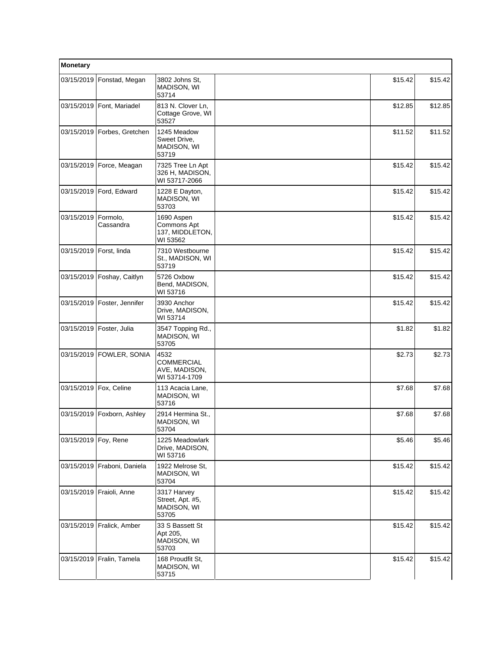| Monetary               |                               |                                                             |         |         |
|------------------------|-------------------------------|-------------------------------------------------------------|---------|---------|
| 03/15/2019             | Fonstad, Megan                | 3802 Johns St.<br>MADISON, WI<br>53714                      | \$15.42 | \$15.42 |
|                        | 03/15/2019 Font, Mariadel     | 813 N. Clover Ln,<br>Cottage Grove, WI<br>53527             | \$12.85 | \$12.85 |
|                        | 03/15/2019   Forbes, Gretchen | 1245 Meadow<br>Sweet Drive,<br>MADISON, WI<br>53719         | \$11.52 | \$11.52 |
|                        | 03/15/2019   Force, Meagan    | 7325 Tree Ln Apt<br>326 H, MADISON,<br>WI 53717-2066        | \$15.42 | \$15.42 |
|                        | 03/15/2019 Ford, Edward       | 1228 E Dayton,<br>MADISON, WI<br>53703                      | \$15.42 | \$15.42 |
| 03/15/2019             | Formolo,<br>Cassandra         | 1690 Aspen<br>Commons Apt<br>137, MIDDLETON,<br>WI 53562    | \$15.42 | \$15.42 |
| 03/15/2019             | Forst, linda                  | 7310 Westbourne<br>St., MADISON, WI<br>53719                | \$15.42 | \$15.42 |
| 03/15/2019             | Foshay, Caitlyn               | 5726 Oxbow<br>Bend, MADISON,<br>WI 53716                    | \$15.42 | \$15.42 |
|                        | 03/15/2019   Foster, Jennifer | 3930 Anchor<br>Drive, MADISON,<br>WI 53714                  | \$15.42 | \$15.42 |
| 03/15/2019             | Foster, Julia                 | 3547 Topping Rd.,<br>MADISON, WI<br>53705                   | \$1.82  | \$1.82  |
| 03/15/2019             | FOWLER, SONIA                 | 4532<br><b>COMMERCIAL</b><br>AVE, MADISON,<br>WI 53714-1709 | \$2.73  | \$2.73  |
| 03/15/2019             | Fox, Celine                   | 113 Acacia Lane,<br>MADISON, WI<br>53716                    | \$7.68  | \$7.68  |
| 03/15/2019             | Foxborn, Ashley               | 2914 Hermina St.,<br>MADISON, WI<br>53704                   | \$7.68  | \$7.68  |
| 03/15/2019   Foy, Rene |                               | 1225 Meadowlark<br>Drive, MADISON,<br>WI 53716              | \$5.46  | \$5.46  |
|                        | 03/15/2019 Fraboni, Daniela   | 1922 Melrose St.<br>MADISON, WI<br>53704                    | \$15.42 | \$15.42 |
|                        | 03/15/2019 Fraioli, Anne      | 3317 Harvey<br>Street, Apt. #5,<br>MADISON, WI<br>53705     | \$15.42 | \$15.42 |
| 03/15/2019             | Fralick, Amber                | 33 S Bassett St<br>Apt 205,<br>MADISON, WI<br>53703         | \$15.42 | \$15.42 |
|                        | 03/15/2019 Fralin, Tamela     | 168 Proudfit St,<br>MADISON, WI<br>53715                    | \$15.42 | \$15.42 |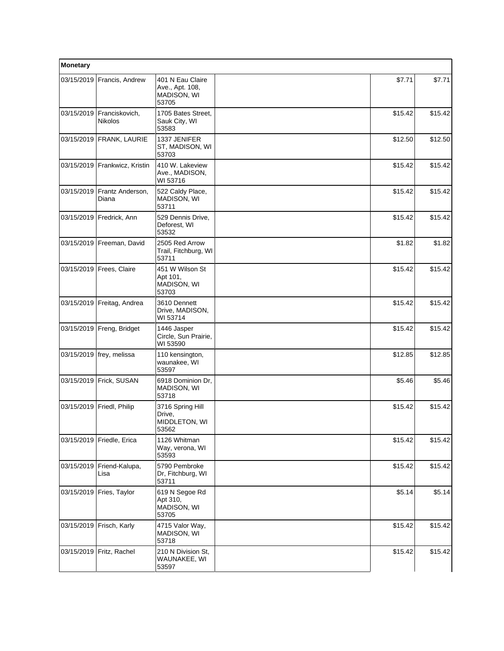| Monetary |                                               |                                                             |         |         |
|----------|-----------------------------------------------|-------------------------------------------------------------|---------|---------|
|          | 03/15/2019 Francis, Andrew                    | 401 N Eau Claire<br>Ave., Apt. 108,<br>MADISON, WI<br>53705 | \$7.71  | \$7.71  |
|          | 03/15/2019   Franciskovich,<br><b>Nikolos</b> | 1705 Bates Street,<br>Sauk City, WI<br>53583                | \$15.42 | \$15.42 |
|          | 03/15/2019 FRANK, LAURIE                      | 1337 JENIFER<br>ST, MADISON, WI<br>53703                    | \$12.50 | \$12.50 |
|          | 03/15/2019 Frankwicz, Kristin                 | 410 W. Lakeview<br>Ave., MADISON,<br>WI 53716               | \$15.42 | \$15.42 |
|          | 03/15/2019 Frantz Anderson,<br>Diana          | 522 Caldy Place,<br>MADISON, WI<br>53711                    | \$15.42 | \$15.42 |
|          | 03/15/2019   Fredrick, Ann                    | 529 Dennis Drive,<br>Deforest, WI<br>53532                  | \$15.42 | \$15.42 |
|          | 03/15/2019   Freeman, David                   | 2505 Red Arrow<br>Trail, Fitchburg, WI<br>53711             | \$1.82  | \$1.82  |
|          | 03/15/2019   Frees, Claire                    | 451 W Wilson St<br>Apt 101,<br>MADISON, WI<br>53703         | \$15.42 | \$15.42 |
|          | 03/15/2019 Freitag, Andrea                    | 3610 Dennett<br>Drive, MADISON,<br>WI 53714                 | \$15.42 | \$15.42 |
|          | 03/15/2019   Freng, Bridget                   | 1446 Jasper<br>Circle, Sun Prairie,<br>WI 53590             | \$15.42 | \$15.42 |
|          | 03/15/2019   frey, melissa                    | 110 kensington,<br>waunakee, WI<br>53597                    | \$12.85 | \$12.85 |
|          | 03/15/2019   Frick, SUSAN                     | 6918 Dominion Dr,<br>MADISON, WI<br>53718                   | \$5.46  | \$5.46  |
|          | 03/15/2019 Friedl, Philip                     | 3716 Spring Hill<br>Drive,<br>MIDDLETON, WI<br>53562        | \$15.42 | \$15.42 |
|          | 03/15/2019   Friedle, Erica                   | 1126 Whitman<br>Way, verona, WI<br>53593                    | \$15.42 | \$15.42 |
|          | 03/15/2019   Friend-Kalupa,<br>Lisa           | 5790 Pembroke<br>Dr, Fitchburg, WI<br>53711                 | \$15.42 | \$15.42 |
|          | 03/15/2019   Fries, Taylor                    | 619 N Segoe Rd<br>Apt 310,<br>MADISON, WI<br>53705          | \$5.14  | \$5.14  |
|          | 03/15/2019 Frisch, Karly                      | 4715 Valor Way,<br>MADISON, WI<br>53718                     | \$15.42 | \$15.42 |
|          | 03/15/2019 Fritz, Rachel                      | 210 N Division St,<br>WAUNAKEE, WI<br>53597                 | \$15.42 | \$15.42 |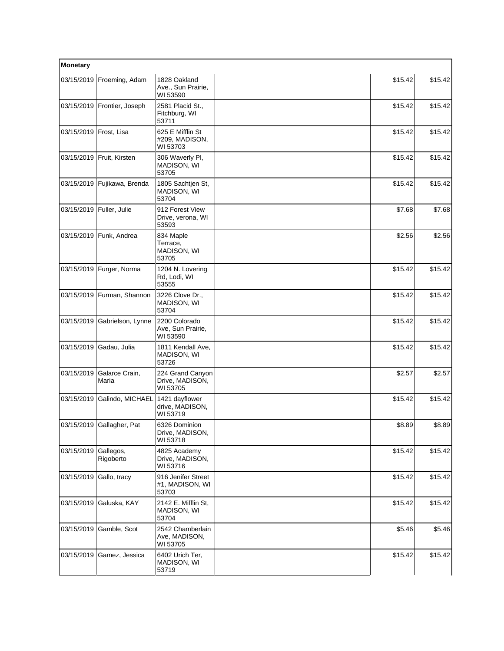| Monetary                   |                              |                                                 |         |         |
|----------------------------|------------------------------|-------------------------------------------------|---------|---------|
|                            | 03/15/2019 Froeming, Adam    | 1828 Oakland<br>Ave., Sun Prairie,<br>WI 53590  | \$15.42 | \$15.42 |
|                            | 03/15/2019 Frontier, Joseph  | 2581 Placid St.,<br>Fitchburg, WI<br>53711      | \$15.42 | \$15.42 |
| 03/15/2019   Frost, Lisa   |                              | 625 E Mifflin St<br>#209, MADISON,<br>WI 53703  | \$15.42 | \$15.42 |
| 03/15/2019                 | Fruit, Kirsten               | 306 Waverly PI,<br>MADISON, WI<br>53705         | \$15.42 | \$15.42 |
| 03/15/2019                 | Fujikawa, Brenda             | 1805 Sachtjen St,<br>MADISON, WI<br>53704       | \$15.42 | \$15.42 |
| 03/15/2019   Fuller, Julie |                              | 912 Forest View<br>Drive, verona, WI<br>53593   | \$7.68  | \$7.68  |
| 03/15/2019                 | Funk, Andrea                 | 834 Maple<br>Terrace,<br>MADISON, WI<br>53705   | \$2.56  | \$2.56  |
|                            | 03/15/2019   Furger, Norma   | 1204 N. Lovering<br>Rd, Lodi, WI<br>53555       | \$15.42 | \$15.42 |
|                            | 03/15/2019   Furman, Shannon | 3226 Clove Dr.,<br>MADISON, WI<br>53704         | \$15.42 | \$15.42 |
| 03/15/2019                 | Gabrielson, Lynne            | 2200 Colorado<br>Ave, Sun Prairie,<br>WI 53590  | \$15.42 | \$15.42 |
| 03/15/2019                 | Gadau, Julia                 | 1811 Kendall Ave,<br>MADISON, WI<br>53726       | \$15.42 | \$15.42 |
| 03/15/2019                 | Galarce Crain,<br>Maria      | 224 Grand Canyon<br>Drive, MADISON,<br>WI 53705 | \$2.57  | \$2.57  |
| 03/15/2019                 | Galindo, MICHAEL             | 1421 dayflower<br>drive, MADISON,<br>WI 53719   | \$15.42 | \$15.42 |
|                            | 03/15/2019 Gallagher, Pat    | 6326 Dominion<br>Drive, MADISON,<br>WI 53718    | \$8.89  | \$8.89  |
| 03/15/2019                 | Gallegos,<br>Rigoberto       | 4825 Academy<br>Drive, MADISON,<br>WI 53716     | \$15.42 | \$15.42 |
| 03/15/2019                 | Gallo, tracy                 | 916 Jenifer Street<br>#1, MADISON, WI<br>53703  | \$15.42 | \$15.42 |
| 03/15/2019                 | Galuska, KAY                 | 2142 E. Mifflin St,<br>MADISON, WI<br>53704     | \$15.42 | \$15.42 |
| 03/15/2019                 | Gamble, Scot                 | 2542 Chamberlain<br>Ave, MADISON,<br>WI 53705   | \$5.46  | \$5.46  |
| 03/15/2019                 | Gamez, Jessica               | 6402 Urich Ter,<br>MADISON, WI<br>53719         | \$15.42 | \$15.42 |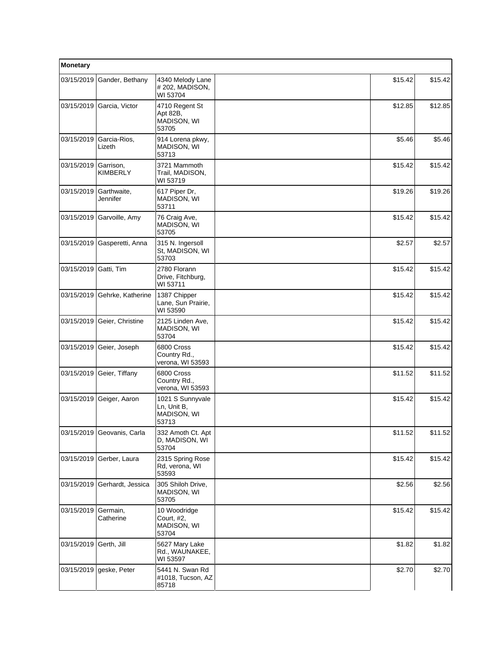| Monetary              |                              |                                                         |         |         |
|-----------------------|------------------------------|---------------------------------------------------------|---------|---------|
| 03/15/2019            | Gander, Bethany              | 4340 Melody Lane<br>#202, MADISON,<br>WI 53704          | \$15.42 | \$15.42 |
| 03/15/2019            | Garcia, Victor               | 4710 Regent St<br>Apt 82B,<br>MADISON, WI<br>53705      | \$12.85 | \$12.85 |
| 03/15/2019            | Garcia-Rios,<br>Lizeth       | 914 Lorena pkwy,<br><b>MADISON, WI</b><br>53713         | \$5.46  | \$5.46  |
| 03/15/2019            | Garrison,<br><b>KIMBERLY</b> | 3721 Mammoth<br>Trail, MADISON,<br>WI 53719             | \$15.42 | \$15.42 |
| 03/15/2019            | Garthwaite,<br>Jennifer      | 617 Piper Dr,<br>MADISON, WI<br>53711                   | \$19.26 | \$19.26 |
| 03/15/2019            | Garvoille, Amy               | 76 Craig Ave,<br><b>MADISON, WI</b><br>53705            | \$15.42 | \$15.42 |
| 03/15/2019            | Gasperetti, Anna             | 315 N. Ingersoll<br>St. MADISON, WI<br>53703            | \$2.57  | \$2.57  |
| 03/15/2019 Gatti, Tim |                              | 2780 Florann<br>Drive, Fitchburg,<br>WI 53711           | \$15.42 | \$15.42 |
| 03/15/2019            | Gehrke, Katherine            | 1387 Chipper<br>Lane, Sun Prairie,<br>WI 53590          | \$15.42 | \$15.42 |
| 03/15/2019            | Geier, Christine             | 2125 Linden Ave,<br>MADISON, WI<br>53704                | \$15.42 | \$15.42 |
| 03/15/2019            | Geier, Joseph                | 6800 Cross<br>Country Rd.,<br>verona, WI 53593          | \$15.42 | \$15.42 |
| 03/15/2019            | Geier, Tiffany               | 6800 Cross<br>Country Rd.,<br>verona, WI 53593          | \$11.52 | \$11.52 |
| 03/15/2019            | Geiger, Aaron                | 1021 S Sunnyvale<br>Ln, Unit B,<br>MADISON, WI<br>53713 | \$15.42 | \$15.42 |
|                       | 03/15/2019 Geovanis, Carla   | 332 Amoth Ct. Apt<br>D, MADISON, WI<br>53704            | \$11.52 | \$11.52 |
| 03/15/2019            | Gerber, Laura                | 2315 Spring Rose<br>Rd, verona, WI<br>53593             | \$15.42 | \$15.42 |
| 03/15/2019            | Gerhardt, Jessica            | 305 Shiloh Drive,<br>MADISON, WI<br>53705               | \$2.56  | \$2.56  |
| 03/15/2019            | Germain,<br>Catherine        | 10 Woodridge<br>Court, #2,<br>MADISON, WI<br>53704      | \$15.42 | \$15.42 |
| 03/15/2019            | Gerth, Jill                  | 5627 Mary Lake<br>Rd., WAUNAKEE,<br>WI 53597            | \$1.82  | \$1.82  |
| 03/15/2019            | geske, Peter                 | 5441 N. Swan Rd<br>#1018, Tucson, AZ<br>85718           | \$2.70  | \$2.70  |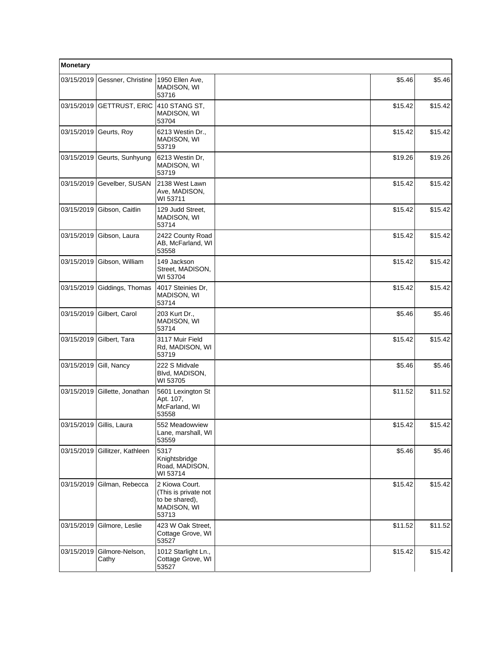| Monetary   |                          |                                                                                  |         |         |
|------------|--------------------------|----------------------------------------------------------------------------------|---------|---------|
| 03/15/2019 | Gessner, Christine       | 1950 Ellen Ave,<br>MADISON, WI<br>53716                                          | \$5.46  | \$5.46  |
| 03/15/2019 | <b>GETTRUST, ERIC</b>    | 410 STANG ST,<br>MADISON, WI<br>53704                                            | \$15.42 | \$15.42 |
|            | 03/15/2019 Geurts, Roy   | 6213 Westin Dr.,<br>MADISON, WI<br>53719                                         | \$15.42 | \$15.42 |
| 03/15/2019 | Geurts, Sunhyung         | 6213 Westin Dr,<br>MADISON, WI<br>53719                                          | \$19.26 | \$19.26 |
| 03/15/2019 | Gevelber, SUSAN          | 2138 West Lawn<br>Ave, MADISON,<br>WI 53711                                      | \$15.42 | \$15.42 |
| 03/15/2019 | Gibson, Caitlin          | 129 Judd Street,<br>MADISON, WI<br>53714                                         | \$15.42 | \$15.42 |
| 03/15/2019 | Gibson, Laura            | 2422 County Road<br>AB, McFarland, WI<br>53558                                   | \$15.42 | \$15.42 |
| 03/15/2019 | Gibson, William          | 149 Jackson<br>Street, MADISON,<br>WI 53704                                      | \$15.42 | \$15.42 |
| 03/15/2019 | Giddings, Thomas         | 4017 Steinies Dr,<br>MADISON, WI<br>53714                                        | \$15.42 | \$15.42 |
| 03/15/2019 | Gilbert, Carol           | 203 Kurt Dr.,<br>MADISON, WI<br>53714                                            | \$5.46  | \$5.46  |
| 03/15/2019 | Gilbert, Tara            | 3117 Muir Field<br>Rd, MADISON, WI<br>53719                                      | \$15.42 | \$15.42 |
| 03/15/2019 | Gill, Nancy              | 222 S Midvale<br>Blvd, MADISON,<br>WI 53705                                      | \$5.46  | \$5.46  |
| 03/15/2019 | Gillette, Jonathan       | 5601 Lexington St<br>Apt. 107,<br>McFarland, WI<br>53558                         | \$11.52 | \$11.52 |
|            | 03/15/2019 Gillis, Laura | 552 Meadowview<br>Lane, marshall, WI<br>53559                                    | \$15.42 | \$15.42 |
| 03/15/2019 | Gillitzer, Kathleen      | 5317<br>Knightsbridge<br>Road, MADISON,<br>WI 53714                              | \$5.46  | \$5.46  |
| 03/15/2019 | Gilman, Rebecca          | 2 Kiowa Court.<br>(This is private not<br>to be shared),<br>MADISON, WI<br>53713 | \$15.42 | \$15.42 |
| 03/15/2019 | Gilmore, Leslie          | 423 W Oak Street.<br>Cottage Grove, WI<br>53527                                  | \$11.52 | \$11.52 |
| 03/15/2019 | Gilmore-Nelson,<br>Cathy | 1012 Starlight Ln.,<br>Cottage Grove, WI<br>53527                                | \$15.42 | \$15.42 |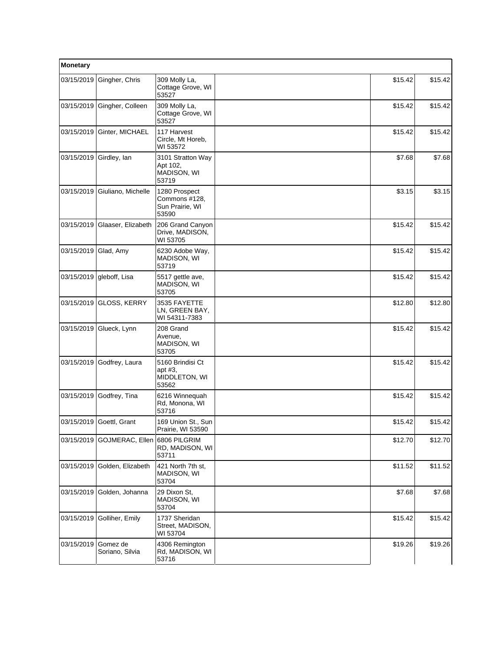| Monetary   |                             |                                                            |         |         |
|------------|-----------------------------|------------------------------------------------------------|---------|---------|
| 03/15/2019 | Gingher, Chris              | 309 Molly La,<br>Cottage Grove, WI<br>53527                | \$15.42 | \$15.42 |
| 03/15/2019 | Gingher, Colleen            | 309 Molly La,<br>Cottage Grove, WI<br>53527                | \$15.42 | \$15.42 |
| 03/15/2019 | Ginter, MICHAEL             | 117 Harvest<br>Circle, Mt Horeb,<br>WI 53572               | \$15.42 | \$15.42 |
| 03/15/2019 | Girdley, lan                | 3101 Stratton Way<br>Apt 102,<br>MADISON, WI<br>53719      | \$7.68  | \$7.68  |
| 03/15/2019 | Giuliano, Michelle          | 1280 Prospect<br>Commons #128,<br>Sun Prairie, WI<br>53590 | \$3.15  | \$3.15  |
| 03/15/2019 | Glaaser, Elizabeth          | 206 Grand Canyon<br>Drive, MADISON,<br>WI 53705            | \$15.42 | \$15.42 |
| 03/15/2019 | Glad, Amy                   | 6230 Adobe Way,<br>MADISON, WI<br>53719                    | \$15.42 | \$15.42 |
| 03/15/2019 | gleboff, Lisa               | 5517 gettle ave,<br>MADISON, WI<br>53705                   | \$15.42 | \$15.42 |
| 03/15/2019 | <b>GLOSS, KERRY</b>         | 3535 FAYETTE<br>LN, GREEN BAY,<br>WI 54311-7383            | \$12.80 | \$12.80 |
| 03/15/2019 | Glueck, Lynn                | 208 Grand<br>Avenue,<br>MADISON, WI<br>53705               | \$15.42 | \$15.42 |
| 03/15/2019 | Godfrey, Laura              | 5160 Brindisi Ct<br>apt #3,<br>MIDDLETON, WI<br>53562      | \$15.42 | \$15.42 |
| 03/15/2019 | Godfrey, Tina               | 6216 Winnequah<br>Rd, Monona, WI<br>53716                  | \$15.42 | \$15.42 |
|            | 03/15/2019 Goettl, Grant    | 169 Union St., Sun<br>Prairie, WI 53590                    | \$15.42 | \$15.42 |
| 03/15/2019 | GOJMERAC, Ellen             | 6806 PILGRIM<br>RD, MADISON, WI<br>53711                   | \$12.70 | \$12.70 |
| 03/15/2019 | Golden, Elizabeth           | 421 North 7th st,<br>MADISON, WI<br>53704                  | \$11.52 | \$11.52 |
| 03/15/2019 | Golden, Johanna             | 29 Dixon St,<br>MADISON, WI<br>53704                       | \$7.68  | \$7.68  |
| 03/15/2019 | Golliher, Emily             | 1737 Sheridan<br>Street, MADISON,<br>WI 53704              | \$15.42 | \$15.42 |
| 03/15/2019 | Gomez de<br>Soriano, Silvia | 4306 Remington<br>Rd, MADISON, WI<br>53716                 | \$19.26 | \$19.26 |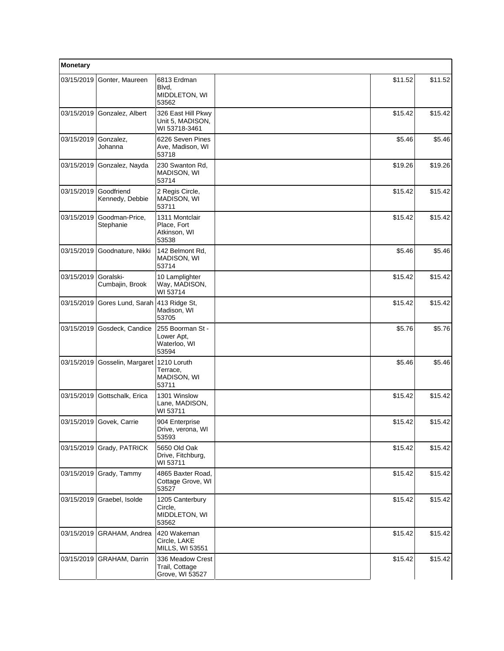| Monetary   |                               |                                                         |         |         |
|------------|-------------------------------|---------------------------------------------------------|---------|---------|
| 03/15/2019 | Gonter, Maureen               | 6813 Erdman<br>Blvd,<br>MIDDLETON, WI<br>53562          | \$11.52 | \$11.52 |
| 03/15/2019 | Gonzalez, Albert              | 326 East Hill Pkwy<br>Unit 5, MADISON,<br>WI 53718-3461 | \$15.42 | \$15.42 |
| 03/15/2019 | Gonzalez.<br>Johanna          | 6226 Seven Pines<br>Ave, Madison, WI<br>53718           | \$5.46  | \$5.46  |
| 03/15/2019 | Gonzalez, Nayda               | 230 Swanton Rd,<br>MADISON, WI<br>53714                 | \$19.26 | \$19.26 |
| 03/15/2019 | Goodfriend<br>Kennedy, Debbie | 2 Regis Circle,<br>MADISON, WI<br>53711                 | \$15.42 | \$15.42 |
| 03/15/2019 | Goodman-Price,<br>Stephanie   | 1311 Montclair<br>Place, Fort<br>Atkinson, WI<br>53538  | \$15.42 | \$15.42 |
| 03/15/2019 | Goodnature, Nikki             | 142 Belmont Rd,<br>MADISON, WI<br>53714                 | \$5.46  | \$5.46  |
| 03/15/2019 | Goralski-<br>Cumbajin, Brook  | 10 Lamplighter<br>Way, MADISON,<br>WI 53714             | \$15.42 | \$15.42 |
| 03/15/2019 | Gores Lund, Sarah             | 413 Ridge St,<br>Madison, WI<br>53705                   | \$15.42 | \$15.42 |
| 03/15/2019 | Gosdeck, Candice              | 255 Boorman St -<br>Lower Apt,<br>Waterloo, WI<br>53594 | \$5.76  | \$5.76  |
| 03/15/2019 | Gosselin, Margaret            | 1210 Loruth<br>Terrace,<br>MADISON, WI<br>53711         | \$5.46  | \$5.46  |
| 03/15/2019 | Gottschalk, Erica             | 1301 Winslow<br>Lane, MADISON,<br>WI 53711              | \$15.42 | \$15.42 |
|            | 03/15/2019 Govek, Carrie      | 904 Enterprise<br>Drive, verona, WI<br>53593            | \$15.42 | \$15.42 |
| 03/15/2019 | Grady, PATRICK                | 5650 Old Oak<br>Drive, Fitchburg,<br>WI 53711           | \$15.42 | \$15.42 |
| 03/15/2019 | Grady, Tammy                  | 4865 Baxter Road,<br>Cottage Grove, WI<br>53527         | \$15.42 | \$15.42 |
| 03/15/2019 | Graebel, Isolde               | 1205 Canterbury<br>Circle,<br>MIDDLETON, WI<br>53562    | \$15.42 | \$15.42 |
| 03/15/2019 | GRAHAM, Andrea                | 420 Wakeman<br>Circle, LAKE<br>MILLS, WI 53551          | \$15.42 | \$15.42 |
| 03/15/2019 | GRAHAM, Darrin                | 336 Meadow Crest<br>Trail, Cottage<br>Grove, WI 53527   | \$15.42 | \$15.42 |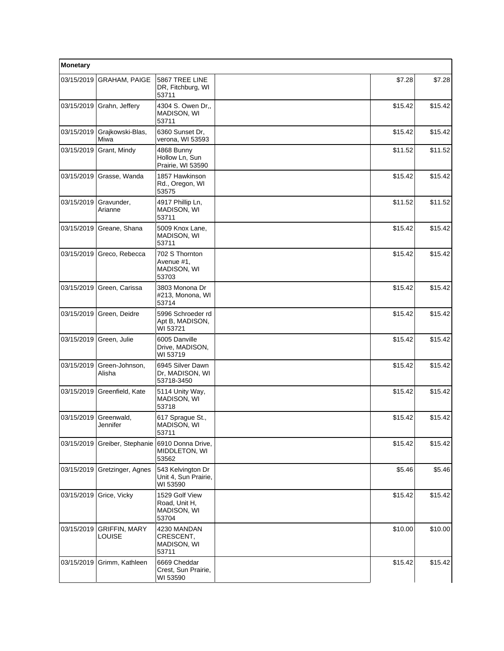| Monetary   |                                       |                                                         |         |         |
|------------|---------------------------------------|---------------------------------------------------------|---------|---------|
| 03/15/2019 | <b>GRAHAM, PAIGE</b>                  | 5867 TREE LINE<br>DR, Fitchburg, WI<br>53711            | \$7.28  | \$7.28  |
| 03/15/2019 | Grahn, Jeffery                        | 4304 S. Owen Dr.,<br>MADISON, WI<br>53711               | \$15.42 | \$15.42 |
| 03/15/2019 | Grajkowski-Blas,<br>Miwa              | 6360 Sunset Dr,<br>verona, WI 53593                     | \$15.42 | \$15.42 |
| 03/15/2019 | Grant, Mindy                          | 4868 Bunny<br>Hollow Ln. Sun<br>Prairie, WI 53590       | \$11.52 | \$11.52 |
| 03/15/2019 | Grasse, Wanda                         | 1857 Hawkinson<br>Rd., Oregon, WI<br>53575              | \$15.42 | \$15.42 |
| 03/15/2019 | Gravunder,<br>Arianne                 | 4917 Phillip Ln,<br>MADISON, WI<br>53711                | \$11.52 | \$11.52 |
| 03/15/2019 | Greane, Shana                         | 5009 Knox Lane,<br>MADISON, WI<br>53711                 | \$15.42 | \$15.42 |
| 03/15/2019 | Greco, Rebecca                        | 702 S Thornton<br>Avenue #1,<br>MADISON, WI<br>53703    | \$15.42 | \$15.42 |
| 03/15/2019 | Green, Carissa                        | 3803 Monona Dr<br>#213, Monona, WI<br>53714             | \$15.42 | \$15.42 |
| 03/15/2019 | Green, Deidre                         | 5996 Schroeder rd<br>Apt B, MADISON,<br>WI 53721        | \$15.42 | \$15.42 |
| 03/15/2019 | Green, Julie                          | 6005 Danville<br>Drive, MADISON,<br>WI 53719            | \$15.42 | \$15.42 |
| 03/15/2019 | Green-Johnson,<br>Alisha              | 6945 Silver Dawn<br>Dr, MADISON, WI<br>53718-3450       | \$15.42 | \$15.42 |
| 03/15/2019 | Greenfield, Kate                      | 5114 Unity Way,<br>MADISON, WI<br>53718                 | \$15.42 | \$15.42 |
| 03/15/2019 | Greenwald,<br>Jennifer                | 617 Sprague St.,<br>MADISON, WI<br>53711                | \$15.42 | \$15.42 |
| 03/15/2019 | Greiber, Stephanie                    | 6910 Donna Drive,<br>MIDDLETON, WI<br>53562             | \$15.42 | \$15.42 |
| 03/15/2019 | Gretzinger, Agnes                     | 543 Kelvington Dr<br>Unit 4, Sun Prairie,<br>WI 53590   | \$5.46  | \$5.46  |
| 03/15/2019 | Grice, Vicky                          | 1529 Golf View<br>Road, Unit H.<br>MADISON, WI<br>53704 | \$15.42 | \$15.42 |
| 03/15/2019 | <b>GRIFFIN, MARY</b><br><b>LOUISE</b> | 4230 MANDAN<br>CRESCENT,<br>MADISON, WI<br>53711        | \$10.00 | \$10.00 |
| 03/15/2019 | Grimm, Kathleen                       | 6669 Cheddar<br>Crest, Sun Prairie,<br>WI 53590         | \$15.42 | \$15.42 |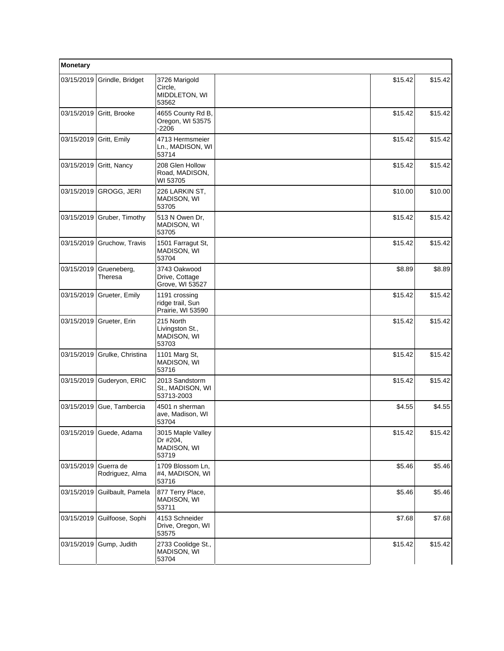| Monetary   |                              |                                                        |         |         |
|------------|------------------------------|--------------------------------------------------------|---------|---------|
| 03/15/2019 | Grindle, Bridget             | 3726 Marigold<br>Circle,<br>MIDDLETON, WI<br>53562     | \$15.42 | \$15.42 |
| 03/15/2019 | Gritt, Brooke                | 4655 County Rd B,<br>Oregon, WI 53575<br>$-2206$       | \$15.42 | \$15.42 |
| 03/15/2019 | Gritt, Emily                 | 4713 Hermsmeier<br>Ln., MADISON, WI<br>53714           | \$15.42 | \$15.42 |
|            | 03/15/2019 Gritt, Nancy      | 208 Glen Hollow<br>Road, MADISON,<br>WI 53705          | \$15.42 | \$15.42 |
| 03/15/2019 | GROGG, JERI                  | 226 LARKIN ST,<br>MADISON, WI<br>53705                 | \$10.00 | \$10.00 |
|            | 03/15/2019 Gruber, Timothy   | 513 N Owen Dr,<br>MADISON, WI<br>53705                 | \$15.42 | \$15.42 |
| 03/15/2019 | Gruchow, Travis              | 1501 Farragut St,<br>MADISON, WI<br>53704              | \$15.42 | \$15.42 |
| 03/15/2019 | Grueneberg,<br>Theresa       | 3743 Oakwood<br>Drive, Cottage<br>Grove, WI 53527      | \$8.89  | \$8.89  |
| 03/15/2019 | Grueter, Emily               | 1191 crossing<br>ridge trail, Sun<br>Prairie, WI 53590 | \$15.42 | \$15.42 |
| 03/15/2019 | Grueter, Erin                | 215 North<br>Livingston St.,<br>MADISON, WI<br>53703   | \$15.42 | \$15.42 |
| 03/15/2019 | Grulke, Christina            | 1101 Marg St,<br>MADISON, WI<br>53716                  | \$15.42 | \$15.42 |
| 03/15/2019 | Guderyon, ERIC               | 2013 Sandstorm<br>St., MADISON, WI<br>53713-2003       | \$15.42 | \$15.42 |
|            | 03/15/2019 Gue, Tambercia    | 4501 n sherman<br>ave, Madison, WI<br>53704            | \$4.55  | \$4.55  |
|            | 03/15/2019 Guede, Adama      | 3015 Maple Valley<br>Dr #204,<br>MADISON, WI<br>53719  | \$15.42 | \$15.42 |
| 03/15/2019 | Guerra de<br>Rodriguez, Alma | 1709 Blossom Ln,<br>#4, MADISON, WI<br>53716           | \$5.46  | \$5.46  |
| 03/15/2019 | Guilbault, Pamela            | 877 Terry Place,<br>MADISON, WI<br>53711               | \$5.46  | \$5.46  |
| 03/15/2019 | Guilfoose, Sophi             | 4153 Schneider<br>Drive, Oregon, WI<br>53575           | \$7.68  | \$7.68  |
| 03/15/2019 | Gump, Judith                 | 2733 Coolidge St.,<br>MADISON, WI<br>53704             | \$15.42 | \$15.42 |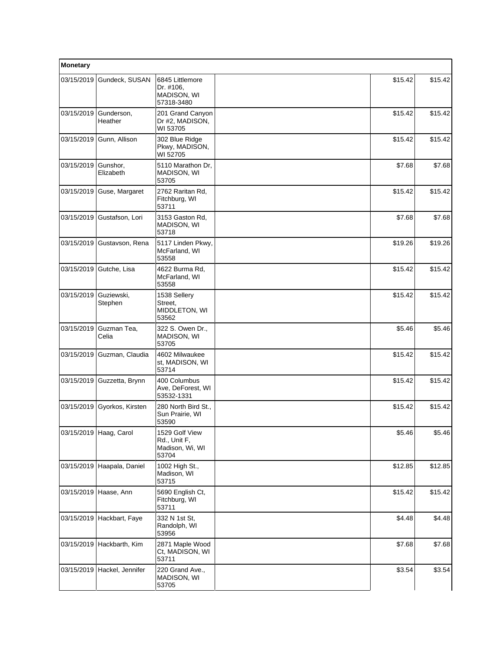| Monetary   |                             |                                                            |         |         |  |
|------------|-----------------------------|------------------------------------------------------------|---------|---------|--|
| 03/15/2019 | Gundeck, SUSAN              | 6845 Littlemore<br>Dr. #106,<br>MADISON, WI<br>57318-3480  | \$15.42 | \$15.42 |  |
| 03/15/2019 | Gunderson,<br>Heather       | 201 Grand Canyon<br>Dr #2, MADISON,<br>WI 53705            | \$15.42 | \$15.42 |  |
|            | 03/15/2019 Gunn, Allison    | 302 Blue Ridge<br>Pkwy, MADISON,<br>WI 52705               | \$15.42 | \$15.42 |  |
| 03/15/2019 | Gunshor,<br>Elizabeth       | 5110 Marathon Dr.<br>MADISON, WI<br>53705                  | \$7.68  | \$7.68  |  |
|            | 03/15/2019 Guse, Margaret   | 2762 Raritan Rd.<br>Fitchburg, WI<br>53711                 | \$15.42 | \$15.42 |  |
| 03/15/2019 | Gustafson, Lori             | 3153 Gaston Rd,<br>MADISON, WI<br>53718                    | \$7.68  | \$7.68  |  |
|            | 03/15/2019 Gustavson, Rena  | 5117 Linden Pkwy,<br>McFarland, WI<br>53558                | \$19.26 | \$19.26 |  |
|            | 03/15/2019 Gutche, Lisa     | 4622 Burma Rd,<br>McFarland, WI<br>53558                   | \$15.42 | \$15.42 |  |
| 03/15/2019 | Guziewski,<br>Stephen       | 1538 Sellery<br>Street,<br>MIDDLETON, WI<br>53562          | \$15.42 | \$15.42 |  |
| 03/15/2019 | Guzman Tea,<br>Celia        | 322 S. Owen Dr.,<br>MADISON, WI<br>53705                   | \$5.46  | \$5.46  |  |
| 03/15/2019 | Guzman, Claudia             | 4602 Milwaukee<br>st, MADISON, WI<br>53714                 | \$15.42 | \$15.42 |  |
| 03/15/2019 | Guzzetta, Brynn             | 400 Columbus<br>Ave, DeForest, WI<br>53532-1331            | \$15.42 | \$15.42 |  |
| 03/15/2019 | Gyorkos, Kirsten            | 280 North Bird St.,<br>Sun Prairie, WI<br>53590            | \$15.42 | \$15.42 |  |
|            | 03/15/2019 Haag, Carol      | 1529 Golf View<br>Rd., Unit F,<br>Madison, Wi, WI<br>53704 | \$5.46  | \$5.46  |  |
|            | 03/15/2019 Haapala, Daniel  | 1002 High St.,<br>Madison, WI<br>53715                     | \$12.85 | \$12.85 |  |
|            | 03/15/2019 Haase, Ann       | 5690 English Ct,<br>Fitchburg, WI<br>53711                 | \$15.42 | \$15.42 |  |
|            | 03/15/2019 Hackbart, Faye   | 332 N 1st St.<br>Randolph, WI<br>53956                     | \$4.48  | \$4.48  |  |
|            | 03/15/2019 Hackbarth, Kim   | 2871 Maple Wood<br>Ct, MADISON, WI<br>53711                | \$7.68  | \$7.68  |  |
|            | 03/15/2019 Hackel, Jennifer | 220 Grand Ave.,<br>MADISON, WI<br>53705                    | \$3.54  | \$3.54  |  |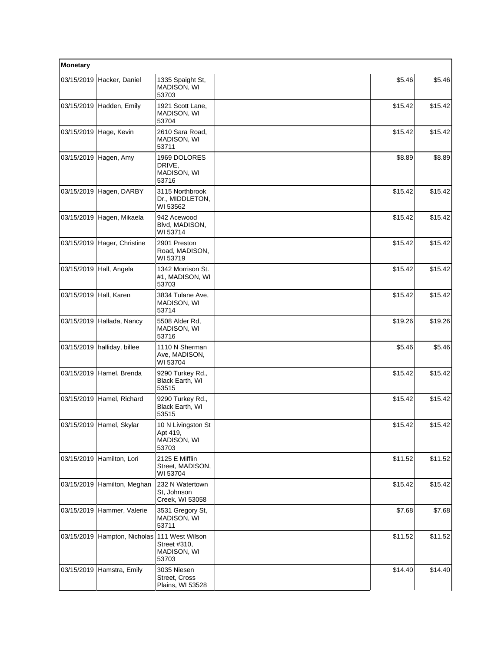| Monetary   |                                   |                                                        |         |         |
|------------|-----------------------------------|--------------------------------------------------------|---------|---------|
| 03/15/2019 | Hacker, Daniel                    | 1335 Spaight St,<br><b>MADISON, WI</b><br>53703        | \$5.46  | \$5.46  |
|            | 03/15/2019 Hadden, Emily          | 1921 Scott Lane,<br>MADISON, WI<br>53704               | \$15.42 | \$15.42 |
|            | 03/15/2019 Hage, Kevin            | 2610 Sara Road,<br>MADISON, WI<br>53711                | \$15.42 | \$15.42 |
| 03/15/2019 | Hagen, Amy                        | 1969 DOLORES<br>DRIVE,<br>MADISON, WI<br>53716         | \$8.89  | \$8.89  |
| 03/15/2019 | Hagen, DARBY                      | 3115 Northbrook<br>Dr., MIDDLETON,<br>WI 53562         | \$15.42 | \$15.42 |
|            | 03/15/2019 Hagen, Mikaela         | 942 Acewood<br>Blvd, MADISON,<br>WI 53714              | \$15.42 | \$15.42 |
|            | 03/15/2019 Hager, Christine       | 2901 Preston<br>Road, MADISON,<br>WI 53719             | \$15.42 | \$15.42 |
|            | 03/15/2019 Hall, Angela           | 1342 Morrison St.<br>#1, MADISON, WI<br>53703          | \$15.42 | \$15.42 |
| 03/15/2019 | Hall, Karen                       | 3834 Tulane Ave,<br>MADISON, WI<br>53714               | \$15.42 | \$15.42 |
| 03/15/2019 | Hallada, Nancy                    | 5508 Alder Rd,<br>MADISON, WI<br>53716                 | \$19.26 | \$19.26 |
|            | 03/15/2019   halliday, billee     | 1110 N Sherman<br>Ave, MADISON,<br>WI 53704            | \$5.46  | \$5.46  |
|            | 03/15/2019 Hamel, Brenda          | 9290 Turkey Rd.,<br>Black Earth, WI<br>53515           | \$15.42 | \$15.42 |
| 03/15/2019 | Hamel, Richard                    | 9290 Turkey Rd.,<br>Black Earth, WI<br>53515           | \$15.42 | \$15.42 |
|            | 03/15/2019 Hamel, Skylar          | 10 N Livingston St<br>Apt 419,<br>MADISON, WI<br>53703 | \$15.42 | \$15.42 |
| 03/15/2019 | Hamilton, Lori                    | 2125 E Mifflin<br>Street, MADISON,<br>WI 53704         | \$11.52 | \$11.52 |
|            | 03/15/2019 Hamilton, Meghan       | 232 N Watertown<br>St, Johnson<br>Creek, WI 53058      | \$15.42 | \$15.42 |
|            | 03/15/2019 Hammer, Valerie        | 3531 Gregory St,<br>MADISON, WI<br>53711               | \$7.68  | \$7.68  |
| 03/15/2019 | Hampton, Nicholas 111 West Wilson | Street #310,<br>MADISON, WI<br>53703                   | \$11.52 | \$11.52 |
|            | 03/15/2019 Hamstra, Emily         | 3035 Niesen<br>Street, Cross<br>Plains, WI 53528       | \$14.40 | \$14.40 |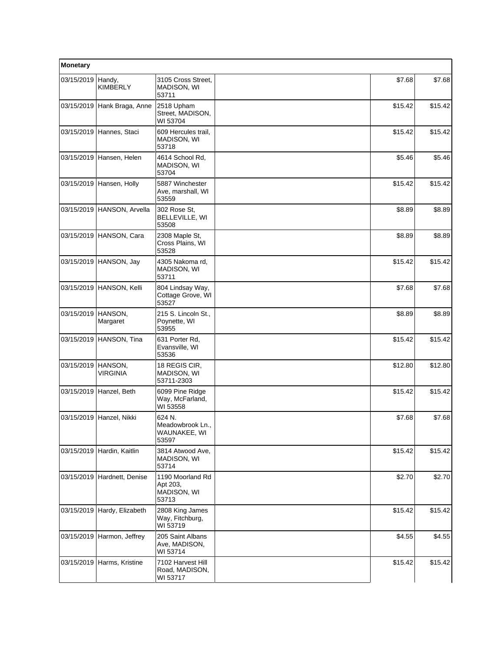| Monetary   |                             |                                                      |  |         |         |
|------------|-----------------------------|------------------------------------------------------|--|---------|---------|
| 03/15/2019 | Handy,<br>KIMBERLY          | 3105 Cross Street.<br>MADISON, WI<br>53711           |  | \$7.68  | \$7.68  |
|            | 03/15/2019 Hank Braga, Anne | 2518 Upham<br>Street, MADISON,<br>WI 53704           |  | \$15.42 | \$15.42 |
|            | 03/15/2019 Hannes, Staci    | 609 Hercules trail,<br>MADISON, WI<br>53718          |  | \$15.42 | \$15.42 |
| 03/15/2019 | Hansen, Helen               | 4614 School Rd,<br>MADISON, WI<br>53704              |  | \$5.46  | \$5.46  |
|            | 03/15/2019 Hansen, Holly    | 5887 Winchester<br>Ave, marshall, WI<br>53559        |  | \$15.42 | \$15.42 |
|            | 03/15/2019 HANSON, Arvella  | 302 Rose St,<br>BELLEVILLE, WI<br>53508              |  | \$8.89  | \$8.89  |
|            | 03/15/2019 HANSON, Cara     | 2308 Maple St,<br>Cross Plains, WI<br>53528          |  | \$8.89  | \$8.89  |
|            | 03/15/2019 HANSON, Jay      | 4305 Nakoma rd,<br>MADISON, WI<br>53711              |  | \$15.42 | \$15.42 |
|            | 03/15/2019 HANSON, Kelli    | 804 Lindsay Way,<br>Cottage Grove, WI<br>53527       |  | \$7.68  | \$7.68  |
| 03/15/2019 | HANSON,<br>Margaret         | 215 S. Lincoln St.,<br>Poynette, WI<br>53955         |  | \$8.89  | \$8.89  |
|            | 03/15/2019 HANSON, Tina     | 631 Porter Rd.<br>Evansville, WI<br>53536            |  | \$15.42 | \$15.42 |
| 03/15/2019 | HANSON,<br><b>VIRGINIA</b>  | 18 REGIS CIR,<br>MADISON, WI<br>53711-2303           |  | \$12.80 | \$12.80 |
|            | 03/15/2019 Hanzel, Beth     | 6099 Pine Ridge<br>Way, McFarland,<br>WI 53558       |  | \$15.42 | \$15.42 |
|            | 03/15/2019 Hanzel, Nikki    | 624 N.<br>Meadowbrook Ln.,<br>WAUNAKEE, WI<br>53597  |  | \$7.68  | \$7.68  |
|            | 03/15/2019 Hardin, Kaitlin  | 3814 Atwood Ave,<br>MADISON, WI<br>53714             |  | \$15.42 | \$15.42 |
|            | 03/15/2019 Hardnett, Denise | 1190 Moorland Rd<br>Apt 203,<br>MADISON, WI<br>53713 |  | \$2.70  | \$2.70  |
|            | 03/15/2019 Hardy, Elizabeth | 2808 King James<br>Way, Fitchburg,<br>WI 53719       |  | \$15.42 | \$15.42 |
| 03/15/2019 | Harmon, Jeffrey             | 205 Saint Albans<br>Ave, MADISON,<br>WI 53714        |  | \$4.55  | \$4.55  |
| 03/15/2019 | Harms, Kristine             | 7102 Harvest Hill<br>Road, MADISON,<br>WI 53717      |  | \$15.42 | \$15.42 |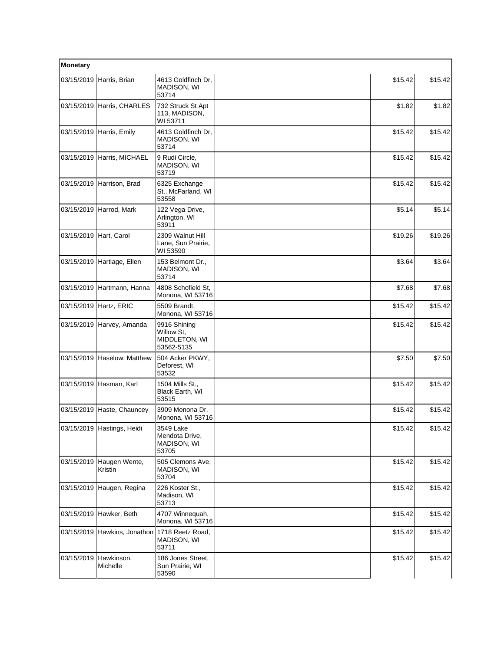| Monetary   |                            |                                                           |         |         |  |
|------------|----------------------------|-----------------------------------------------------------|---------|---------|--|
| 03/15/2019 | Harris, Brian              | 4613 Goldfinch Dr,<br><b>MADISON, WI</b><br>53714         | \$15.42 | \$15.42 |  |
|            | 03/15/2019 Harris, CHARLES | 732 Struck St Apt<br>113, MADISON,<br>WI 53711            | \$1.82  | \$1.82  |  |
|            | 03/15/2019 Harris, Emily   | 4613 Goldfinch Dr,<br>MADISON, WI<br>53714                | \$15.42 | \$15.42 |  |
| 03/15/2019 | Harris, MICHAEL            | 9 Rudi Circle,<br>MADISON, WI<br>53719                    | \$15.42 | \$15.42 |  |
| 03/15/2019 | Harrison, Brad             | 6325 Exchange<br>St., McFarland, WI<br>53558              | \$15.42 | \$15.42 |  |
|            | 03/15/2019 Harrod, Mark    | 122 Vega Drive,<br>Arlington, WI<br>53911                 | \$5.14  | \$5.14  |  |
| 03/15/2019 | Hart, Carol                | 2309 Walnut Hill<br>Lane, Sun Prairie,<br>WI 53590        | \$19.26 | \$19.26 |  |
| 03/15/2019 | Hartlage, Ellen            | 153 Belmont Dr.,<br>MADISON, WI<br>53714                  | \$3.64  | \$3.64  |  |
| 03/15/2019 | Hartmann, Hanna            | 4808 Schofield St.<br>Monona, WI 53716                    | \$7.68  | \$7.68  |  |
| 03/15/2019 | Hartz, ERIC                | 5509 Brandt,<br>Monona, WI 53716                          | \$15.42 | \$15.42 |  |
| 03/15/2019 | Harvey, Amanda             | 9916 Shining<br>Willow St,<br>MIDDLETON, WI<br>53562-5135 | \$15.42 | \$15.42 |  |
| 03/15/2019 | Haselow, Matthew           | 504 Acker PKWY,<br>Deforest, WI<br>53532                  | \$7.50  | \$7.50  |  |
| 03/15/2019 | Hasman, Karl               | 1504 Mills St.,<br>Black Earth, WI<br>53515               | \$15.42 | \$15.42 |  |
| 03/15/2019 | Haste, Chauncey            | 3909 Monona Dr,<br>Monona, WI 53716                       | \$15.42 | \$15.42 |  |
|            | 03/15/2019 Hastings, Heidi | 3549 Lake<br>Mendota Drive,<br>MADISON, WI<br>53705       | \$15.42 | \$15.42 |  |
| 03/15/2019 | Haugen Wente,<br>Kristin   | 505 Clemons Ave,<br>MADISON, WI<br>53704                  | \$15.42 | \$15.42 |  |
| 03/15/2019 | Haugen, Regina             | 226 Koster St.,<br>Madison, WI<br>53713                   | \$15.42 | \$15.42 |  |
| 03/15/2019 | Hawker, Beth               | 4707 Winnequah,<br>Monona, WI 53716                       | \$15.42 | \$15.42 |  |
| 03/15/2019 | Hawkins, Jonathon          | 1718 Reetz Road,<br>MADISON, WI<br>53711                  | \$15.42 | \$15.42 |  |
| 03/15/2019 | Hawkinson,<br>Michelle     | 186 Jones Street,<br>Sun Prairie, WI<br>53590             | \$15.42 | \$15.42 |  |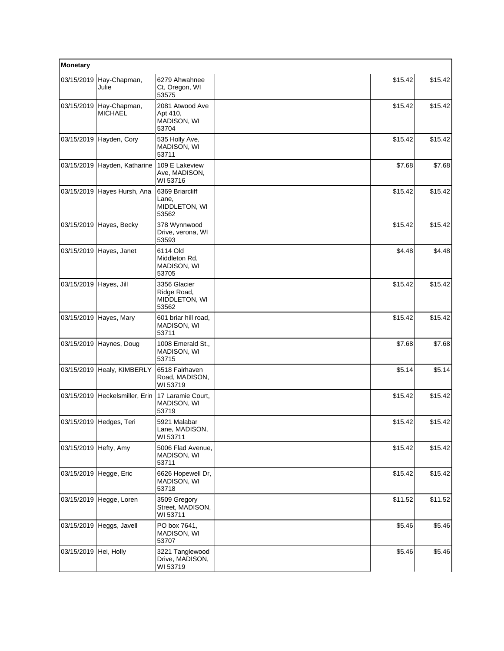| Monetary               |                                |                                                       |         |         |
|------------------------|--------------------------------|-------------------------------------------------------|---------|---------|
| 03/15/2019             | Hay-Chapman,<br>Julie          | 6279 Ahwahnee<br>Ct, Oregon, WI<br>53575              | \$15.42 | \$15.42 |
| 03/15/2019             | Hay-Chapman,<br><b>MICHAEL</b> | 2081 Atwood Ave<br>Apt 410,<br>MADISON, WI<br>53704   | \$15.42 | \$15.42 |
|                        | 03/15/2019 Hayden, Cory        | 535 Holly Ave,<br>MADISON, WI<br>53711                | \$15.42 | \$15.42 |
|                        | 03/15/2019 Hayden, Katharine   | 109 E Lakeview<br>Ave, MADISON,<br>WI 53716           | \$7.68  | \$7.68  |
|                        | 03/15/2019 Hayes Hursh, Ana    | 6369 Briarcliff<br>Lane,<br>MIDDLETON, WI<br>53562    | \$15.42 | \$15.42 |
|                        | 03/15/2019 Hayes, Becky        | 378 Wynnwood<br>Drive, verona, WI<br>53593            | \$15.42 | \$15.42 |
|                        | 03/15/2019 Hayes, Janet        | 6114 Old<br>Middleton Rd,<br>MADISON, WI<br>53705     | \$4.48  | \$4.48  |
| 03/15/2019 Hayes, Jill |                                | 3356 Glacier<br>Ridge Road,<br>MIDDLETON, WI<br>53562 | \$15.42 | \$15.42 |
|                        | 03/15/2019 Hayes, Mary         | 601 briar hill road,<br>MADISON, WI<br>53711          | \$15.42 | \$15.42 |
|                        | 03/15/2019 Haynes, Doug        | 1008 Emerald St.,<br>MADISON, WI<br>53715             | \$7.68  | \$7.68  |
| 03/15/2019             | Healy, KIMBERLY                | 6518 Fairhaven<br>Road, MADISON,<br>WI 53719          | \$5.14  | \$5.14] |
|                        | 03/15/2019 Heckelsmiller, Erin | 17 Laramie Court,<br>MADISON, WI<br>53719             | \$15.42 | \$15.42 |
|                        | 03/15/2019 Hedges, Teri        | 5921 Malabar<br>Lane, MADISON,<br>WI 53711            | \$15.42 | \$15.42 |
| 03/15/2019             | Hefty, Amy                     | 5006 Flad Avenue,<br>MADISON, WI<br>53711             | \$15.42 | \$15.42 |
| 03/15/2019             | Hegge, Eric                    | 6626 Hopewell Dr,<br>MADISON, WI<br>53718             | \$15.42 | \$15.42 |
|                        | 03/15/2019 Hegge, Loren        | 3509 Gregory<br>Street, MADISON,<br>WI 53711          | \$11.52 | \$11.52 |
|                        | 03/15/2019 Heggs, Javell       | PO box 7641,<br>MADISON, WI<br>53707                  | \$5.46  | \$5.46  |
| 03/15/2019 Hei, Holly  |                                | 3221 Tanglewood<br>Drive, MADISON,<br>WI 53719        | \$5.46  | \$5.46  |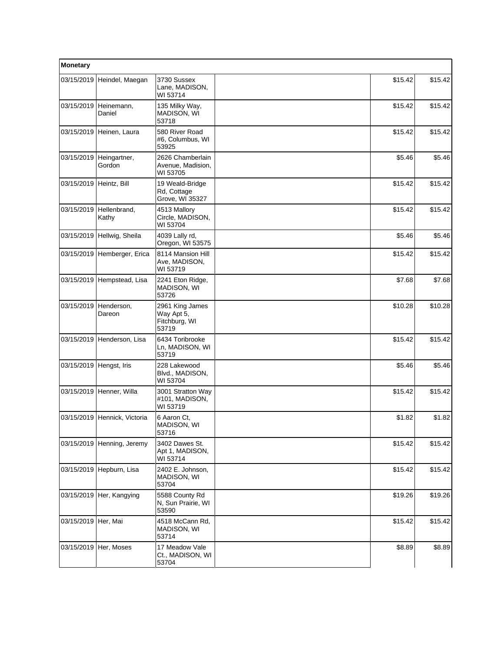| Monetary                  |                                    |                                                         |         |         |
|---------------------------|------------------------------------|---------------------------------------------------------|---------|---------|
|                           | 03/15/2019 Heindel, Maegan         | 3730 Sussex<br>Lane, MADISON,<br>WI 53714               | \$15.42 | \$15.42 |
| 03/15/2019                | Heinemann,<br>Daniel               | 135 Milky Way,<br>MADISON, WI<br>53718                  | \$15.42 | \$15.42 |
|                           | 03/15/2019 Heinen, Laura           | 580 River Road<br>#6, Columbus, WI<br>53925             | \$15.42 | \$15.42 |
| 03/15/2019                | Heingartner,<br>Gordon             | 2626 Chamberlain<br>Avenue, Madision,<br>WI 53705       | \$5.46  | \$5.46  |
| 03/15/2019   Heintz, Bill |                                    | 19 Weald-Bridge<br>Rd, Cottage<br>Grove, WI 35327       | \$15.42 | \$15.42 |
|                           | 03/15/2019   Hellenbrand,<br>Kathy | 4513 Mallory<br>Circle, MADISON,<br>WI 53704            | \$15.42 | \$15.42 |
|                           | 03/15/2019 Hellwig, Sheila         | 4039 Lally rd,<br>Oregon, WI 53575                      | \$5.46  | \$5.46  |
|                           | 03/15/2019 Hemberger, Erica        | 8114 Mansion Hill<br>Ave, MADISON,<br>WI 53719          | \$15.42 | \$15.42 |
|                           | 03/15/2019 Hempstead, Lisa         | 2241 Eton Ridge,<br>MADISON, WI<br>53726                | \$7.68  | \$7.68  |
| 03/15/2019                | Henderson,<br>Dareon               | 2961 King James<br>Way Apt 5,<br>Fitchburg, WI<br>53719 | \$10.28 | \$10.28 |
|                           | 03/15/2019 Henderson, Lisa         | 6434 Toribrooke<br>Ln, MADISON, WI<br>53719             | \$15.42 | \$15.42 |
| 03/15/2019 Hengst, Iris   |                                    | 228 Lakewood<br>Blvd., MADISON,<br>WI 53704             | \$5.46  | \$5.46  |
|                           | 03/15/2019 Henner, Willa           | 3001 Stratton Way<br>#101, MADISON,<br>WI 53719         | \$15.42 | \$15.42 |
|                           | 03/15/2019 Hennick, Victoria       | 6 Aaron Ct,<br>MADISON, WI<br>53716                     | \$1.82  | \$1.82  |
|                           | 03/15/2019 Henning, Jeremy         | 3402 Dawes St.<br>Apt 1, MADISON,<br>WI 53714           | \$15.42 | \$15.42 |
|                           | 03/15/2019   Hepburn, Lisa         | 2402 E. Johnson,<br>MADISON, WI<br>53704                | \$15.42 | \$15.42 |
|                           | 03/15/2019 Her, Kangying           | 5588 County Rd<br>N, Sun Prairie, WI<br>53590           | \$19.26 | \$19.26 |
| 03/15/2019 Her, Mai       |                                    | 4518 McCann Rd,<br>MADISON, WI<br>53714                 | \$15.42 | \$15.42 |
| 03/15/2019                | Her, Moses                         | 17 Meadow Vale<br>Ct., MADISON, WI<br>53704             | \$8.89  | \$8.89  |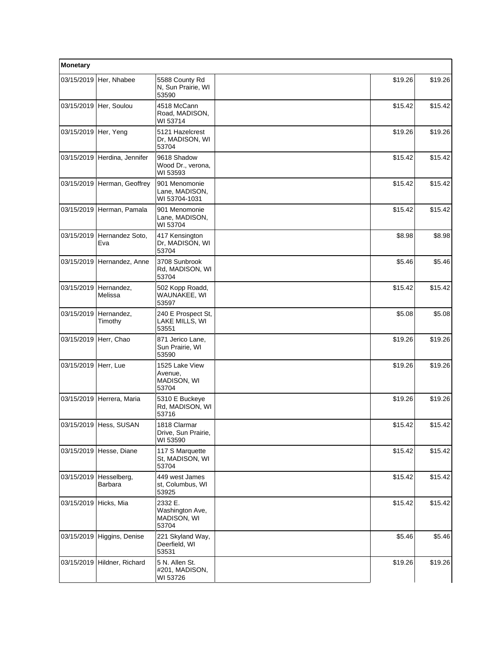| Monetary             |                             |                                                    |         |         |
|----------------------|-----------------------------|----------------------------------------------------|---------|---------|
|                      | 03/15/2019 Her, Nhabee      | 5588 County Rd<br>N, Sun Prairie, WI<br>53590      | \$19.26 | \$19.26 |
|                      | 03/15/2019 Her, Soulou      | 4518 McCann<br>Road, MADISON,<br>WI 53714          | \$15.42 | \$15.42 |
| 03/15/2019 Her, Yeng |                             | 5121 Hazelcrest<br>Dr, MADISON, WI<br>53704        | \$19.26 | \$19.26 |
| 03/15/2019           | Herdina, Jennifer           | 9618 Shadow<br>Wood Dr., verona,<br>WI 53593       | \$15.42 | \$15.42 |
|                      | 03/15/2019 Herman, Geoffrey | 901 Menomonie<br>Lane, MADISON,<br>WI 53704-1031   | \$15.42 | \$15.42 |
|                      | 03/15/2019 Herman, Pamala   | 901 Menomonie<br>Lane, MADISON,<br>WI 53704        | \$15.42 | \$15.42 |
| 03/15/2019           | Hernandez Soto,<br>Eva      | 417 Kensington<br>Dr, MADISON, WI<br>53704         | \$8.98  | \$8.98  |
| 03/15/2019           | Hernandez, Anne             | 3708 Sunbrook<br>Rd, MADISON, WI<br>53704          | \$5.46  | \$5.46  |
| 03/15/2019           | Hernandez,<br>Melissa       | 502 Kopp Roadd,<br>WAUNAKEE, WI<br>53597           | \$15.42 | \$15.42 |
| 03/15/2019           | Hernandez,<br>Timothy       | 240 E Prospect St,<br>LAKE MILLS, WI<br>53551      | \$5.08  | \$5.08  |
| 03/15/2019           | Herr, Chao                  | 871 Jerico Lane,<br>Sun Prairie, WI<br>53590       | \$19.26 | \$19.26 |
| 03/15/2019           | Herr, Lue                   | 1525 Lake View<br>Avenue,<br>MADISON, WI<br>53704  | \$19.26 | \$19.26 |
|                      | 03/15/2019 Herrera, Maria   | 5310 E Buckeye<br>Rd, MADISON, WI<br>53716         | \$19.26 | \$19.26 |
|                      | 03/15/2019 Hess, SUSAN      | 1818 Clarmar<br>Drive, Sun Prairie,<br>WI 53590    | \$15.42 | \$15.42 |
|                      | 03/15/2019 Hesse, Diane     | 117 S Marquette<br>St, MADISON, WI<br>53704        | \$15.42 | \$15.42 |
| 03/15/2019           | Hesselberg,<br>Barbara      | 449 west James<br>st, Columbus, WI<br>53925        | \$15.42 | \$15.42 |
| 03/15/2019           | Hicks, Mia                  | 2332 E.<br>Washington Ave,<br>MADISON, WI<br>53704 | \$15.42 | \$15.42 |
| 03/15/2019           | Higgins, Denise             | 221 Skyland Way,<br>Deerfield, WI<br>53531         | \$5.46  | \$5.46  |
| 03/15/2019           | Hildner, Richard            | 5 N. Allen St.<br>#201, MADISON,<br>WI 53726       | \$19.26 | \$19.26 |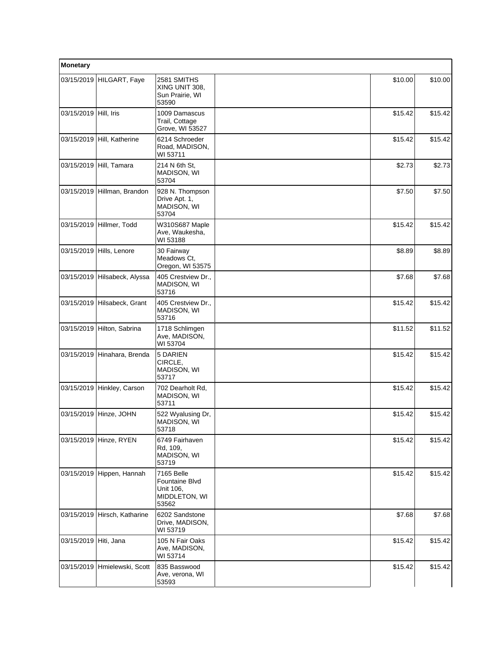| Monetary              |                            |                                                                            |         |         |
|-----------------------|----------------------------|----------------------------------------------------------------------------|---------|---------|
|                       | 03/15/2019 HILGART, Faye   | 2581 SMITHS<br>XING UNIT 308,<br>Sun Prairie, WI<br>53590                  | \$10.00 | \$10.00 |
| 03/15/2019            | Hill, Iris                 | 1009 Damascus<br>Trail, Cottage<br>Grove, WI 53527                         | \$15.42 | \$15.42 |
| 03/15/2019            | Hill, Katherine            | 6214 Schroeder<br>Road, MADISON,<br>WI 53711                               | \$15.42 | \$15.42 |
| 03/15/2019            | Hill, Tamara               | 214 N 6th St,<br>MADISON, WI<br>53704                                      | \$2.73  | \$2.73  |
| 03/15/2019            | Hillman, Brandon           | 928 N. Thompson<br>Drive Apt. 1,<br>MADISON, WI<br>53704                   | \$7.50  | \$7.50  |
| 03/15/2019            | Hillmer, Todd              | W310S687 Maple<br>Ave, Waukesha,<br>WI 53188                               | \$15.42 | \$15.42 |
| 03/15/2019            | Hills, Lenore              | 30 Fairway<br>Meadows Ct,<br>Oregon, WI 53575                              | \$8.89  | \$8.89  |
| 03/15/2019            | Hilsabeck, Alyssa          | 405 Crestview Dr.,<br>MADISON, WI<br>53716                                 | \$7.68  | \$7.68  |
| 03/15/2019            | Hilsabeck, Grant           | 405 Crestview Dr.,<br>MADISON, WI<br>53716                                 | \$15.42 | \$15.42 |
|                       | 03/15/2019 Hilton, Sabrina | 1718 Schlimgen<br>Ave, MADISON,<br>WI 53704                                | \$11.52 | \$11.52 |
| 03/15/2019            | Hinahara, Brenda           | 5 DARIEN<br>CIRCLE,<br>MADISON, WI<br>53717                                | \$15.42 | \$15.42 |
| 03/15/2019            | Hinkley, Carson            | 702 Dearholt Rd,<br>MADISON, WI<br>53711                                   | \$15.42 | \$15.42 |
| 03/15/2019            | Hinze, JOHN                | 522 Wyalusing Dr,<br>MADISON, WI<br>53718                                  | \$15.42 | \$15.42 |
| 03/15/2019            | Hinze, RYEN                | 6749 Fairhaven<br>Rd, 109,<br>MADISON, WI<br>53719                         | \$15.42 | \$15.42 |
| 03/15/2019            | Hippen, Hannah             | 7165 Belle<br><b>Fountaine Blvd</b><br>Unit 106,<br>MIDDLETON, WI<br>53562 | \$15.42 | \$15.42 |
| 03/15/2019            | Hirsch, Katharine          | 6202 Sandstone<br>Drive, MADISON,<br>WI 53719                              | \$7.68  | \$7.68  |
| 03/15/2019 Hiti, Jana |                            | 105 N Fair Oaks<br>Ave, MADISON,<br>WI 53714                               | \$15.42 | \$15.42 |
| 03/15/2019            | Hmielewski, Scott          | 835 Basswood<br>Ave, verona, WI<br>53593                                   | \$15.42 | \$15.42 |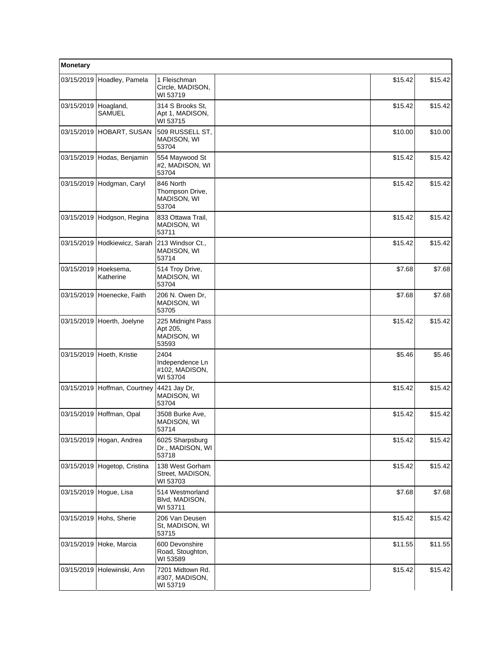| Monetary             |                              |                                                       |         |         |
|----------------------|------------------------------|-------------------------------------------------------|---------|---------|
|                      | 03/15/2019 Hoadley, Pamela   | 1 Fleischman<br>Circle, MADISON,<br>WI 53719          | \$15.42 | \$15.42 |
| 03/15/2019 Hoagland, | <b>SAMUEL</b>                | 314 S Brooks St,<br>Apt 1, MADISON,<br>WI 53715       | \$15.42 | \$15.42 |
|                      | 03/15/2019 HOBART, SUSAN     | 509 RUSSELL ST.<br>MADISON, WI<br>53704               | \$10.00 | \$10.00 |
| 03/15/2019           | Hodas, Benjamin              | 554 Maywood St<br>#2, MADISON, WI<br>53704            | \$15.42 | \$15.42 |
|                      | 03/15/2019 Hodgman, Caryl    | 846 North<br>Thompson Drive,<br>MADISON, WI<br>53704  | \$15.42 | \$15.42 |
| 03/15/2019           | Hodgson, Regina              | 833 Ottawa Trail,<br>MADISON, WI<br>53711             | \$15.42 | \$15.42 |
|                      | 03/15/2019 Hodkiewicz, Sarah | 213 Windsor Ct.,<br>MADISON, WI<br>53714              | \$15.42 | \$15.42 |
| 03/15/2019           | Hoeksema.<br>Katherine       | 514 Troy Drive,<br>MADISON, WI<br>53704               | \$7.68  | \$7.68  |
| 03/15/2019           | Hoenecke, Faith              | 206 N. Owen Dr,<br>MADISON, WI<br>53705               | \$7.68  | \$7.68  |
| 03/15/2019           | Hoerth, Joelyne              | 225 Midnight Pass<br>Apt 205,<br>MADISON, WI<br>53593 | \$15.42 | \$15.42 |
| 03/15/2019           | Hoeth, Kristie               | 2404<br>Independence Ln<br>#102, MADISON,<br>WI 53704 | \$5.46  | \$5.46  |
|                      | 03/15/2019 Hoffman, Courtney | 4421 Jay Dr,<br>MADISON, WI<br>53704                  | \$15.42 | \$15.42 |
| 03/15/2019           | Hoffman, Opal                | 3508 Burke Ave,<br>MADISON, WI<br>53714               | \$15.42 | \$15.42 |
| 03/15/2019           | Hogan, Andrea                | 6025 Sharpsburg<br>Dr., MADISON, WI<br>53718          | \$15.42 | \$15.42 |
| 03/15/2019           | Hogetop, Cristina            | 138 West Gorham<br>Street, MADISON,<br>WI 53703       | \$15.42 | \$15.42 |
|                      | 03/15/2019 Hogue, Lisa       | 514 Westmorland<br>Blvd, MADISON,<br>WI 53711         | \$7.68  | \$7.68  |
| 03/15/2019           | Hohs, Sherie                 | 206 Van Deusen<br>St. MADISON, WI<br>53715            | \$15.42 | \$15.42 |
| 03/15/2019           | Hoke, Marcia                 | 600 Devonshire<br>Road, Stoughton,<br>WI 53589        | \$11.55 | \$11.55 |
|                      | 03/15/2019 Holewinski, Ann   | 7201 Midtown Rd.<br>#307, MADISON,<br>WI 53719        | \$15.42 | \$15.42 |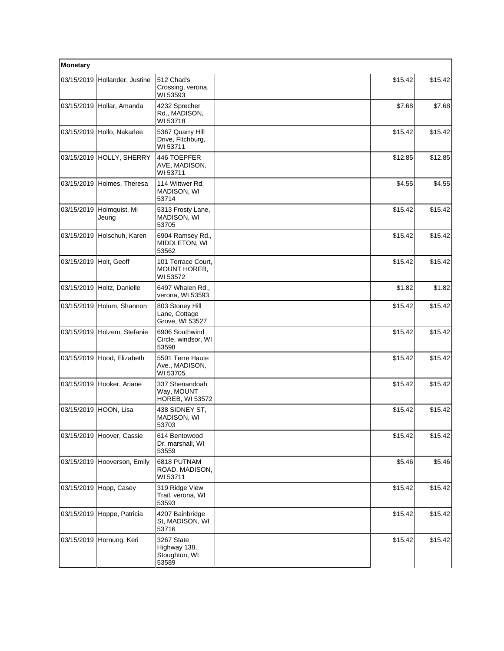| Monetary   |                                   |                                                        |         |         |
|------------|-----------------------------------|--------------------------------------------------------|---------|---------|
| 03/15/2019 | Hollander, Justine                | 512 Chad's<br>Crossing, verona,<br>WI 53593            | \$15.42 | \$15.42 |
|            | 03/15/2019 Hollar, Amanda         | 4232 Sprecher<br>Rd., MADISON,<br>WI 53718             | \$7.68  | \$7.68  |
|            | 03/15/2019 Hollo, Nakarlee        | 5367 Quarry Hill<br>Drive, Fitchburg,<br>WI 53711      | \$15.42 | \$15.42 |
| 03/15/2019 | HOLLY, SHERRY                     | 446 TOEPFER<br>AVE, MADISON,<br>WI 53711               | \$12.85 | \$12.85 |
|            | 03/15/2019 Holmes, Theresa        | 114 Wittwer Rd,<br>MADISON, WI<br>53714                | \$4.55  | \$4.55  |
|            | 03/15/2019 Holmquist, Mi<br>Jeung | 5313 Frosty Lane,<br>MADISON, WI<br>53705              | \$15.42 | \$15.42 |
| 03/15/2019 | Holschuh, Karen                   | 6904 Ramsey Rd.,<br>MIDDLETON, WI<br>53562             | \$15.42 | \$15.42 |
| 03/15/2019 | Holt, Geoff                       | 101 Terrace Court.<br>MOUNT HOREB,<br>WI 53572         | \$15.42 | \$15.42 |
|            | 03/15/2019 Holtz, Danielle        | 6497 Whalen Rd.,<br>verona, WI 53593                   | \$1.82  | \$1.82  |
|            | 03/15/2019 Holum, Shannon         | 803 Stoney Hill<br>Lane, Cottage<br>Grove, WI 53527    | \$15.42 | \$15.42 |
|            | 03/15/2019 Holzem, Stefanie       | 6906 Southwind<br>Circle, windsor, WI<br>53598         | \$15.42 | \$15.42 |
|            | 03/15/2019 Hood, Elizabeth        | 5501 Terre Haute<br>Ave., MADISON,<br>WI 53705         | \$15.42 | \$15.42 |
| 03/15/2019 | Hooker, Ariane                    | 337 Shenandoah<br>Way, MOUNT<br><b>HOREB, WI 53572</b> | \$15.42 | \$15.42 |
|            | 03/15/2019 HOON, Lisa             | 438 SIDNEY ST,<br>MADISON, WI<br>53703                 | \$15.42 | \$15.42 |
|            | 03/15/2019 Hoover, Cassie         | 614 Bentowood<br>Dr, marshall, WI<br>53559             | \$15.42 | \$15.42 |
|            | 03/15/2019 Hooverson, Emily       | 6818 PUTNAM<br>ROAD, MADISON,<br>WI 53711              | \$5.46  | \$5.46  |
| 03/15/2019 | Hopp, Casey                       | 319 Ridge View<br>Trail, verona, WI<br>53593           | \$15.42 | \$15.42 |
| 03/15/2019 | Hoppe, Patricia                   | 4207 Bainbridge<br>St, MADISON, WI<br>53716            | \$15.42 | \$15.42 |
|            | 03/15/2019 Hornung, Keri          | 3267 State<br>Highway 138,<br>Stoughton, WI<br>53589   | \$15.42 | \$15.42 |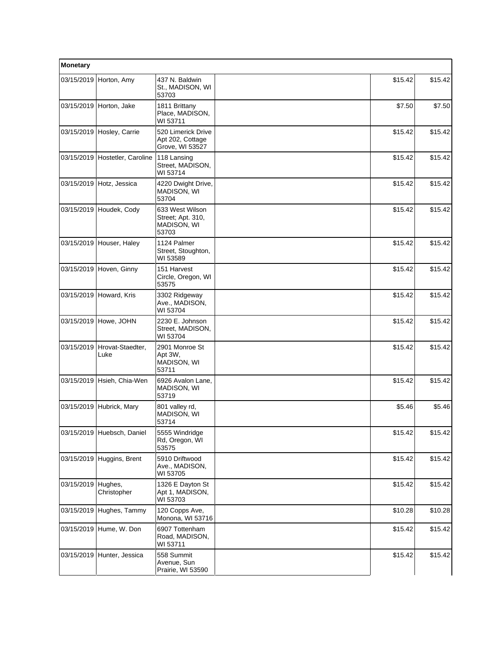| Monetary   |                            |                                                              |         |         |
|------------|----------------------------|--------------------------------------------------------------|---------|---------|
|            | 03/15/2019 Horton, Amy     | 437 N. Baldwin<br>St., MADISON, WI<br>53703                  | \$15.42 | \$15.42 |
|            | 03/15/2019 Horton, Jake    | 1811 Brittany<br>Place, MADISON,<br>WI 53711                 | \$7.50  | \$7.50  |
|            | 03/15/2019 Hosley, Carrie  | 520 Limerick Drive<br>Apt 202, Cottage<br>Grove, WI 53527    | \$15.42 | \$15.42 |
| 03/15/2019 | Hostetler, Caroline        | 118 Lansing<br>Street, MADISON,<br>WI 53714                  | \$15.42 | \$15.42 |
|            | 03/15/2019 Hotz, Jessica   | 4220 Dwight Drive,<br>MADISON, WI<br>53704                   | \$15.42 | \$15.42 |
|            | 03/15/2019 Houdek, Cody    | 633 West Wilson<br>Street; Apt. 310,<br>MADISON, WI<br>53703 | \$15.42 | \$15.42 |
|            | 03/15/2019 Houser, Haley   | 1124 Palmer<br>Street, Stoughton,<br>WI 53589                | \$15.42 | \$15.42 |
|            | 03/15/2019 Hoven, Ginny    | 151 Harvest<br>Circle, Oregon, WI<br>53575                   | \$15.42 | \$15.42 |
| 03/15/2019 | Howard, Kris               | 3302 Ridgeway<br>Ave., MADISON,<br>WI 53704                  | \$15.42 | \$15.42 |
| 03/15/2019 | Howe, JOHN                 | 2230 E. Johnson<br>Street, MADISON,<br>WI 53704              | \$15.42 | \$15.42 |
| 03/15/2019 | Hrovat-Staedter,<br>Luke   | 2901 Monroe St<br>Apt 3W,<br>MADISON, WI<br>53711            | \$15.42 | \$15.42 |
| 03/15/2019 | Hsieh, Chia-Wen            | 6926 Avalon Lane.<br>MADISON, WI<br>53719                    | \$15.42 | \$15.42 |
|            | 03/15/2019 Hubrick, Mary   | 801 valley rd,<br>MADISON, WI<br>53714                       | \$5.46  | \$5.46  |
|            | 03/15/2019 Huebsch, Daniel | 5555 Windridge<br>Rd, Oregon, WI<br>53575                    | \$15.42 | \$15.42 |
| 03/15/2019 | Huggins, Brent             | 5910 Driftwood<br>Ave., MADISON,<br>WI 53705                 | \$15.42 | \$15.42 |
| 03/15/2019 | Hughes,<br>Christopher     | 1326 E Dayton St<br>Apt 1, MADISON,<br>WI 53703              | \$15.42 | \$15.42 |
|            | 03/15/2019 Hughes, Tammy   | 120 Copps Ave,<br>Monona, WI 53716                           | \$10.28 | \$10.28 |
|            | 03/15/2019 Hume, W. Don    | 6907 Tottenham<br>Road, MADISON,<br>WI 53711                 | \$15.42 | \$15.42 |
|            | 03/15/2019 Hunter, Jessica | 558 Summit<br>Avenue, Sun<br>Prairie, WI 53590               | \$15.42 | \$15.42 |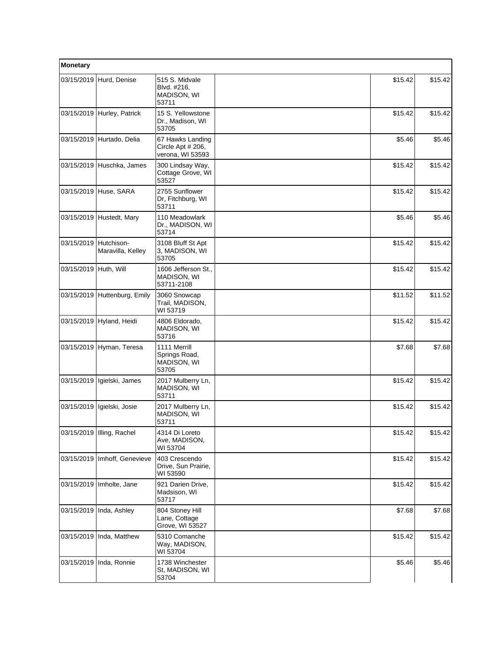| Monetary              |                                 |                                                           |         |         |
|-----------------------|---------------------------------|-----------------------------------------------------------|---------|---------|
| 03/15/2019            | Hurd, Denise                    | 515 S. Midvale<br>Blvd. #216,<br>MADISON, WI<br>53711     | \$15.42 | \$15.42 |
|                       | 03/15/2019 Hurley, Patrick      | 15 S. Yellowstone<br>Dr., Madison, WI<br>53705            | \$15.42 | \$15.42 |
|                       | 03/15/2019 Hurtado, Delia       | 67 Hawks Landing<br>Circle Apt # 206,<br>verona, WI 53593 | \$5.46  | \$5.46  |
|                       | 03/15/2019 Huschka, James       | 300 Lindsay Way,<br>Cottage Grove, WI<br>53527            | \$15.42 | \$15.42 |
|                       | 03/15/2019 Huse, SARA           | 2755 Sunflower<br>Dr, Fitchburg, WI<br>53711              | \$15.42 | \$15.42 |
| 03/15/2019            | Hustedt, Mary                   | 110 Meadowlark<br>Dr., MADISON, WI<br>53714               | \$5.46  | \$5.46  |
| 03/15/2019            | Hutchison-<br>Maravilla, Kelley | 3108 Bluff St Apt<br>3, MADISON, WI<br>53705              | \$15.42 | \$15.42 |
| 03/15/2019 Huth, Will |                                 | 1606 Jefferson St.,<br>MADISON, WI<br>53711-2108          | \$15.42 | \$15.42 |
| 03/15/2019            | Huttenburg, Emily               | 3060 Snowcap<br>Trail, MADISON,<br>WI 53719               | \$11.52 | \$11.52 |
| 03/15/2019            | Hyland, Heidi                   | 4806 Eldorado,<br>MADISON, WI<br>53716                    | \$15.42 | \$15.42 |
| 03/15/2019            | Hyman, Teresa                   | 1111 Merrill<br>Springs Road,<br>MADISON, WI<br>53705     | \$7.68  | \$7.68  |
| 03/15/2019            | Igielski, James                 | 2017 Mulberry Ln,<br>MADISON, WI<br>53711                 | \$15.42 | \$15.42 |
| 03/15/2019            | Igielski, Josie                 | 2017 Mulberry Ln,<br><b>MADISON, WI</b><br>53711          | \$15.42 | \$15.42 |
|                       | 03/15/2019   Illing, Rachel     | 4314 Di Loreto<br>Ave, MADISON,<br>WI 53704               | \$15.42 | \$15.42 |
| 03/15/2019            | Imhoff, Genevieve               | 403 Crescendo<br>Drive, Sun Prairie,<br>WI 53590          | \$15.42 | \$15.42 |
| 03/15/2019            | Imholte, Jane                   | 921 Darien Drive,<br>Madsison, WI<br>53717                | \$15.42 | \$15.42 |
|                       | 03/15/2019   Inda, Ashley       | 804 Stoney Hill<br>Lane, Cottage<br>Grove, WI 53527       | \$7.68  | \$7.68  |
| 03/15/2019            | Inda, Matthew                   | 5310 Comanche<br>Way, MADISON,<br>WI 53704                | \$15.42 | \$15.42 |
| 03/15/2019            | Inda, Ronnie                    | 1738 Winchester<br>St, MADISON, WI<br>53704               | \$5.46  | \$5.46  |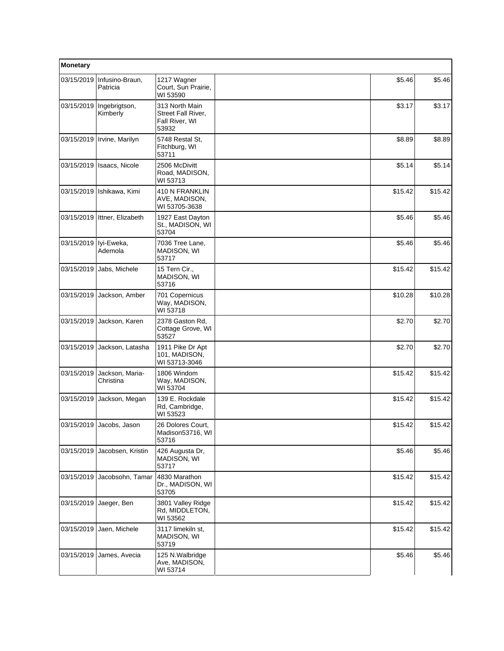| Monetary   |                              |                                                                 |         |         |
|------------|------------------------------|-----------------------------------------------------------------|---------|---------|
| 03/15/2019 | Infusino-Braun,<br>Patricia  | 1217 Wagner<br>Court, Sun Prairie,<br>WI 53590                  | \$5.46  | \$5.46  |
| 03/15/2019 | Ingebrigtson,<br>Kimberly    | 313 North Main<br>Street Fall River,<br>Fall River, WI<br>53932 | \$3.17  | \$3.17  |
| 03/15/2019 | Irvine, Marilyn              | 5748 Restal St.<br>Fitchburg, WI<br>53711                       | \$8.89  | \$8.89  |
| 03/15/2019 | Isaacs, Nicole               | 2506 McDivitt<br>Road, MADISON,<br>WI 53713                     | \$5.14  | \$5.14  |
| 03/15/2019 | Ishikawa, Kimi               | 410 N FRANKLIN<br>AVE, MADISON,<br>WI 53705-3638                | \$15.42 | \$15.42 |
| 03/15/2019 | Ittner, Elizabeth            | 1927 East Dayton<br>St., MADISON, WI<br>53704                   | \$5.46  | \$5.46  |
| 03/15/2019 | lyi-Eweka,<br>Ademola        | 7036 Tree Lane,<br>MADISON, WI<br>53717                         | \$5.46  | \$5.46  |
| 03/15/2019 | Jabs, Michele                | 15 Tern Cir.,<br>MADISON, WI<br>53716                           | \$15.42 | \$15.42 |
| 03/15/2019 | Jackson, Amber               | 701 Copernicus<br>Way, MADISON,<br>WI 53718                     | \$10.28 | \$10.28 |
| 03/15/2019 | Jackson, Karen               | 2378 Gaston Rd,<br>Cottage Grove, WI<br>53527                   | \$2.70  | \$2.70  |
| 03/15/2019 | Jackson, Latasha             | 1911 Pike Dr Apt<br>101, MADISON,<br>WI 53713-3046              | \$2.70  | \$2.70  |
| 03/15/2019 | Jackson, Maria-<br>Christina | 1806 Windom<br>Way, MADISON,<br>WI 53704                        | \$15.42 | \$15.42 |
| 03/15/2019 | Jackson, Megan               | 139 E. Rockdale<br>Rd, Cambridge,<br>WI 53523                   | \$15.42 | \$15.42 |
| 03/15/2019 | Jacobs, Jason                | 26 Dolores Court,<br>Madison53716, WI<br>53716                  | \$15.42 | \$15.42 |
| 03/15/2019 | Jacobsen, Kristin            | 426 Augusta Dr,<br>MADISON, WI<br>53717                         | \$5.46  | \$5.46  |
| 03/15/2019 | Jacobsohn, Tamar             | 4830 Marathon<br>Dr., MADISON, WI<br>53705                      | \$15.42 | \$15.42 |
| 03/15/2019 | Jaeger, Ben                  | 3801 Valley Ridge<br>Rd, MIDDLETON,<br>WI 53562                 | \$15.42 | \$15.42 |
| 03/15/2019 | Jaen, Michele                | 3117 limekiln st,<br>MADISON, WI<br>53719                       | \$15.42 | \$15.42 |
| 03/15/2019 | James, Avecia                | 125 N. Walbridge<br>Ave, MADISON,<br>WI 53714                   | \$5.46  | \$5.46  |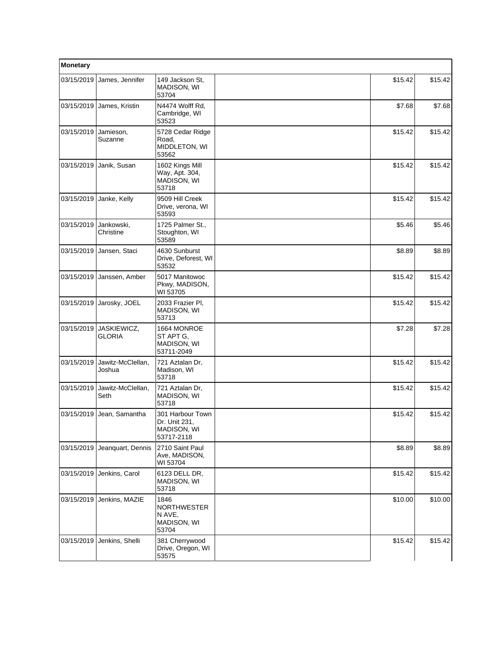| Monetary   |                              |                                                                |         |         |
|------------|------------------------------|----------------------------------------------------------------|---------|---------|
| 03/15/2019 | James, Jennifer              | 149 Jackson St,<br>MADISON, WI<br>53704                        | \$15.42 | \$15.42 |
| 03/15/2019 | James, Kristin               | N4474 Wolff Rd,<br>Cambridge, WI<br>53523                      | \$7.68  | \$7.68  |
| 03/15/2019 | Jamieson,<br>Suzanne         | 5728 Cedar Ridge<br>Road,<br>MIDDLETON, WI<br>53562            | \$15.42 | \$15.42 |
| 03/15/2019 | Janik, Susan                 | 1602 Kings Mill<br>Way, Apt. 304,<br>MADISON, WI<br>53718      | \$15.42 | \$15.42 |
| 03/15/2019 | Janke, Kelly                 | 9509 Hill Creek<br>Drive, verona, WI<br>53593                  | \$15.42 | \$15.42 |
| 03/15/2019 | Jankowski,<br>Christine      | 1725 Palmer St.,<br>Stoughton, WI<br>53589                     | \$5.46  | \$5.46  |
| 03/15/2019 | Jansen, Staci                | 4630 Sunburst<br>Drive, Deforest, WI<br>53532                  | \$8.89  | \$8.89  |
| 03/15/2019 | Janssen, Amber               | 5017 Manitowoc<br>Pkwy, MADISON,<br>WI 53705                   | \$15.42 | \$15.42 |
| 03/15/2019 | Jarosky, JOEL                | 2033 Frazier Pl,<br>MADISON, WI<br>53713                       | \$15.42 | \$15.42 |
| 03/15/2019 | JASKIEWICZ,<br><b>GLORIA</b> | 1664 MONROE<br>ST APT G,<br>MADISON, WI<br>53711-2049          | \$7.28  | \$7.28  |
| 03/15/2019 | Jawitz-McClellan,<br>Joshua  | 721 Aztalan Dr,<br>Madison, WI<br>53718                        | \$15.42 | \$15.42 |
| 03/15/2019 | Jawitz-McClellan,<br>Seth    | 721 Aztalan Dr.<br>MADISON, WI<br>53718                        | \$15.42 | \$15.42 |
| 03/15/2019 | Jean, Samantha               | 301 Harbour Town<br>Dr. Unit 231,<br>MADISON, WI<br>53717-2118 | \$15.42 | \$15.42 |
| 03/15/2019 | Jeanquart, Dennis            | 2710 Saint Paul<br>Ave, MADISON,<br>WI 53704                   | \$8.89  | \$8.89  |
| 03/15/2019 | Jenkins, Carol               | 6123 DELL DR,<br>MADISON, WI<br>53718                          | \$15.42 | \$15.42 |
| 03/15/2019 | Jenkins, MAZIE               | 1846<br><b>NORTHWESTER</b><br>N AVE.<br>MADISON, WI<br>53704   | \$10.00 | \$10.00 |
| 03/15/2019 | Jenkins, Shelli              | 381 Cherrywood<br>Drive, Oregon, WI<br>53575                   | \$15.42 | \$15.42 |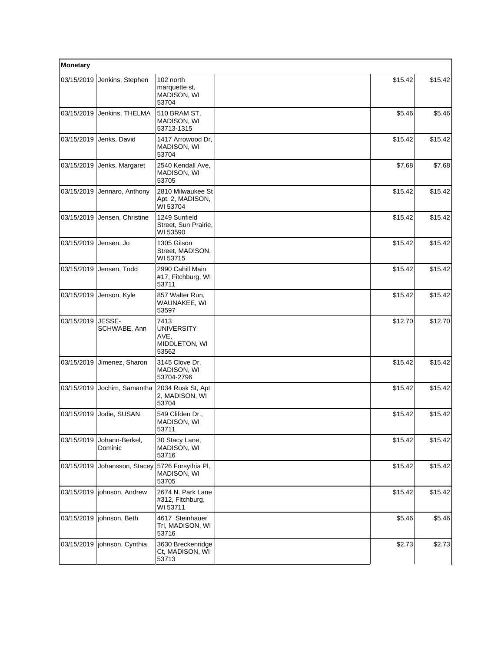| Monetary   |                           |                                                             |         |         |
|------------|---------------------------|-------------------------------------------------------------|---------|---------|
| 03/15/2019 | Jenkins, Stephen          | 102 north<br>marquette st,<br>MADISON, WI<br>53704          | \$15.42 | \$15.42 |
| 03/15/2019 | Jenkins, THELMA           | 510 BRAM ST,<br>MADISON, WI<br>53713-1315                   | \$5.46  | \$5.46  |
| 03/15/2019 | Jenks, David              | 1417 Arrowood Dr.<br>MADISON, WI<br>53704                   | \$15.42 | \$15.42 |
| 03/15/2019 | Jenks, Margaret           | 2540 Kendall Ave,<br><b>MADISON, WI</b><br>53705            | \$7.68  | \$7.68  |
| 03/15/2019 | Jennaro, Anthony          | 2810 Milwaukee St<br>Apt. 2, MADISON,<br>WI 53704           | \$15.42 | \$15.42 |
| 03/15/2019 | Jensen, Christine         | 1249 Sunfield<br>Street, Sun Prairie,<br>WI 53590           | \$15.42 | \$15.42 |
| 03/15/2019 | Jensen, Jo                | 1305 Gilson<br>Street, MADISON,<br>WI 53715                 | \$15.42 | \$15.42 |
| 03/15/2019 | Jensen, Todd              | 2990 Cahill Main<br>#17, Fitchburg, WI<br>53711             | \$15.42 | \$15.42 |
| 03/15/2019 | Jenson, Kyle              | 857 Walter Run,<br>WAUNAKEE, WI<br>53597                    | \$15.42 | \$15.42 |
| 03/15/2019 | JESSE-<br>SCHWABE, Ann    | 7413<br><b>UNIVERSITY</b><br>AVE,<br>MIDDLETON, WI<br>53562 | \$12.70 | \$12.70 |
| 03/15/2019 | Jimenez, Sharon           | 3145 Clove Dr,<br>MADISON, WI<br>53704-2796                 | \$15.42 | \$15.42 |
| 03/15/2019 | Jochim, Samantha          | 2034 Rusk St, Apt<br>2, MADISON, WI<br>53704                | \$15.42 | \$15.42 |
| 03/15/2019 | Jodie, SUSAN              | 549 Clifden Dr.,<br>MADISON, WI<br>53711                    | \$15.42 | \$15.42 |
| 03/15/2019 | Johann-Berkel,<br>Dominic | 30 Stacy Lane,<br>MADISON, WI<br>53716                      | \$15.42 | \$15.42 |
| 03/15/2019 | Johansson, Stacey         | 5726 Forsythia PI,<br><b>MADISON, WI</b><br>53705           | \$15.42 | \$15.42 |
| 03/15/2019 | johnson, Andrew           | 2674 N. Park Lane<br>#312, Fitchburg,<br>WI 53711           | \$15.42 | \$15.42 |
| 03/15/2019 | iohnson, Beth             | 4617 Steinhauer<br>Trl, MADISON, WI<br>53716                | \$5.46  | \$5.46  |
| 03/15/2019 | johnson, Cynthia          | 3630 Breckenridge<br>Ct, MADISON, WI<br>53713               | \$2.73  | \$2.73  |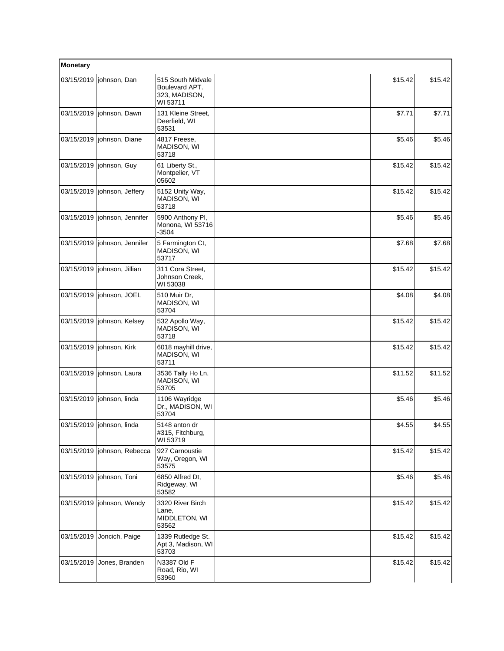| Monetary   |                                |                                                                  |         |         |
|------------|--------------------------------|------------------------------------------------------------------|---------|---------|
| 03/15/2019 | johnson, Dan                   | 515 South Midvale<br>Boulevard APT.<br>323, MADISON,<br>WI 53711 | \$15.42 | \$15.42 |
|            | 03/15/2019   johnson, Dawn     | 131 Kleine Street,<br>Deerfield, WI<br>53531                     | \$7.71  | \$7.71  |
| 03/15/2019 | johnson, Diane                 | 4817 Freese,<br>MADISON, WI<br>53718                             | \$5.46  | \$5.46  |
|            | 03/15/2019   johnson, Guy      | 61 Liberty St.,<br>Montpelier, VT<br>05602                       | \$15.42 | \$15.42 |
|            | 03/15/2019   johnson, Jeffery  | 5152 Unity Way,<br>MADISON, WI<br>53718                          | \$15.42 | \$15.42 |
|            | 03/15/2019   johnson, Jennifer | 5900 Anthony PI,<br>Monona, WI 53716<br>$-3504$                  | \$5.46  | \$5.46  |
|            | 03/15/2019   johnson, Jennifer | 5 Farmington Ct,<br>MADISON, WI<br>53717                         | \$7.68  | \$7.68  |
|            | 03/15/2019   johnson, Jillian  | 311 Cora Street,<br>Johnson Creek,<br>WI 53038                   | \$15.42 | \$15.42 |
| 03/15/2019 | johnson, JOEL                  | 510 Muir Dr,<br>MADISON, WI<br>53704                             | \$4.08  | \$4.08  |
|            | 03/15/2019   johnson, Kelsey   | 532 Apollo Way,<br>MADISON, WI<br>53718                          | \$15.42 | \$15.42 |
|            | 03/15/2019   johnson, Kirk     | 6018 mayhill drive,<br>MADISON, WI<br>53711                      | \$15.42 | \$15.42 |
|            | 03/15/2019   johnson, Laura    | 3536 Tally Ho Ln,<br>MADISON, WI<br>53705                        | \$11.52 | \$11.52 |
|            | 03/15/2019   johnson, linda    | 1106 Wayridge<br>Dr., MADISON, WI<br>53704                       | \$5.46  | \$5.46  |
|            | l03/15/2019 liohnson. linda    | 5148 anton dr<br>#315, Fitchburg,<br>WI 53719                    | \$4.55  | \$4.55  |
|            | 03/15/2019   johnson, Rebecca  | 927 Carnoustie<br>Way, Oregon, WI<br>53575                       | \$15.42 | \$15.42 |
| 03/15/2019 | johnson, Toni                  | 6850 Alfred Dt,<br>Ridgeway, WI<br>53582                         | \$5.46  | \$5.46  |
|            | 03/15/2019   johnson, Wendy    | 3320 River Birch<br>Lane,<br>MIDDLETON, WI<br>53562              | \$15.42 | \$15.42 |
| 03/15/2019 | Joncich, Paige                 | 1339 Rutledge St.<br>Apt 3, Madison, WI<br>53703                 | \$15.42 | \$15.42 |
|            | 03/15/2019 Jones, Branden      | N3387 Old F<br>Road, Rio, WI<br>53960                            | \$15.42 | \$15.42 |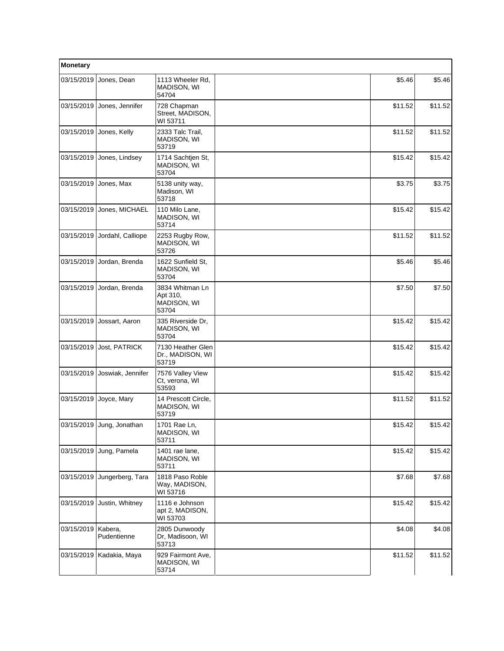| Monetary   |                           |                                                     |         |         |
|------------|---------------------------|-----------------------------------------------------|---------|---------|
| 03/15/2019 | Jones, Dean               | 1113 Wheeler Rd,<br>MADISON, WI<br>54704            | \$5.46  | \$5.46  |
| 03/15/2019 | Jones, Jennifer           | 728 Chapman<br>Street, MADISON,<br>WI 53711         | \$11.52 | \$11.52 |
| 03/15/2019 | Jones, Kelly              | 2333 Talc Trail,<br>MADISON, WI<br>53719            | \$11.52 | \$11.52 |
| 03/15/2019 | Jones, Lindsey            | 1714 Sachtjen St,<br>MADISON, WI<br>53704           | \$15.42 | \$15.42 |
| 03/15/2019 | Jones, Max                | 5138 unity way,<br>Madison, WI<br>53718             | \$3.75  | \$3.75  |
| 03/15/2019 | Jones, MICHAEL            | 110 Milo Lane,<br>MADISON, WI<br>53714              | \$15.42 | \$15.42 |
| 03/15/2019 | Jordahl, Calliope         | 2253 Rugby Row,<br>MADISON, WI<br>53726             | \$11.52 | \$11.52 |
| 03/15/2019 | Jordan, Brenda            | 1622 Sunfield St,<br>MADISON, WI<br>53704           | \$5.46  | \$5.46  |
| 03/15/2019 | Jordan, Brenda            | 3834 Whitman Ln<br>Apt 310,<br>MADISON, WI<br>53704 | \$7.50  | \$7.50  |
| 03/15/2019 | Jossart, Aaron            | 335 Riverside Dr,<br>MADISON, WI<br>53704           | \$15.42 | \$15.42 |
| 03/15/2019 | Jost, PATRICK             | 7130 Heather Glen<br>Dr., MADISON, WI<br>53719      | \$15.42 | \$15.42 |
| 03/15/2019 | Joswiak, Jennifer         | 7576 Valley View<br>Ct, verona, WI<br>53593         | \$15.42 | \$15.42 |
| 03/15/2019 | Joyce, Mary               | 14 Prescott Circle,<br>MADISON, WI<br>53719         | \$11.52 | \$11.52 |
|            | 03/15/2019 Jung, Jonathan | 1701 Rae Ln,<br>MADISON, WI<br>53711                | \$15.42 | \$15.42 |
| 03/15/2019 | Jung, Pamela              | 1401 rae lane,<br>MADISON, WI<br>53711              | \$15.42 | \$15.42 |
| 03/15/2019 | Jungerberg, Tara          | 1818 Paso Roble<br>Way, MADISON,<br>WI 53716        | \$7.68  | \$7.68  |
| 03/15/2019 | Justin, Whitney           | 1116 e Johnson<br>apt 2, MADISON,<br>WI 53703       | \$15.42 | \$15.42 |
| 03/15/2019 | Kabera,<br>Pudentienne    | 2805 Dunwoody<br>Dr, Madisoon, WI<br>53713          | \$4.08  | \$4.08  |
| 03/15/2019 | Kadakia, Maya             | 929 Fairmont Ave,<br>MADISON, WI<br>53714           | \$11.52 | \$11.52 |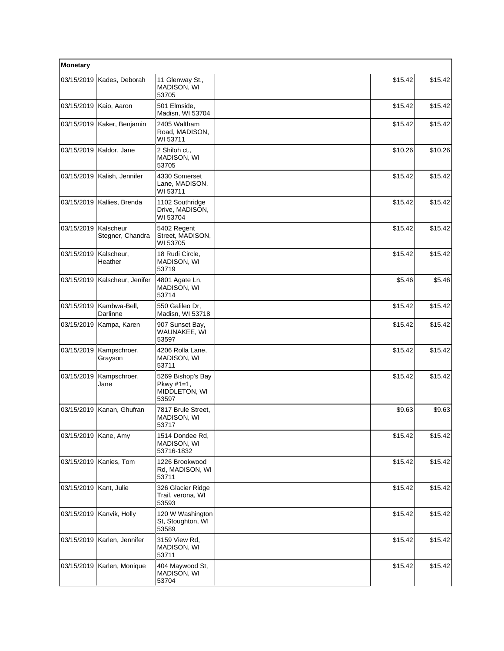| Monetary               |                               |                                                                |         |         |
|------------------------|-------------------------------|----------------------------------------------------------------|---------|---------|
| 03/15/2019             | Kades, Deborah                | 11 Glenway St.,<br>MADISON, WI<br>53705                        | \$15.42 | \$15.42 |
| 03/15/2019             | Kaio, Aaron                   | 501 Elmside,<br>Madisn, WI 53704                               | \$15.42 | \$15.42 |
| 03/15/2019             | Kaker, Benjamin               | 2405 Waltham<br>Road, MADISON,<br>WI 53711                     | \$15.42 | \$15.42 |
|                        | 03/15/2019   Kaldor, Jane     | 2 Shiloh ct.,<br><b>MADISON, WI</b><br>53705                   | \$10.26 | \$10.26 |
| 03/15/2019             | Kalish, Jennifer              | 4330 Somerset<br>Lane, MADISON,<br>WI 53711                    | \$15.42 | \$15.42 |
| 03/15/2019             | Kallies, Brenda               | 1102 Southridge<br>Drive, MADISON,<br>WI 53704                 | \$15.42 | \$15.42 |
| 03/15/2019             | Kalscheur<br>Stegner, Chandra | 5402 Regent<br>Street, MADISON,<br>WI 53705                    | \$15.42 | \$15.42 |
| 03/15/2019             | Kalscheur,<br>Heather         | 18 Rudi Circle,<br>MADISON, WI<br>53719                        | \$15.42 | \$15.42 |
| 03/15/2019             | Kalscheur, Jenifer            | 4801 Agate Ln,<br>MADISON, WI<br>53714                         | \$5.46  | \$5.46  |
| 03/15/2019             | Kambwa-Bell,<br>Darlinne      | 550 Galileo Dr,<br>Madisn, WI 53718                            | \$15.42 | \$15.42 |
| 03/15/2019             | Kampa, Karen                  | 907 Sunset Bay,<br>WAUNAKEE, WI<br>53597                       | \$15.42 | \$15.42 |
| 03/15/2019             | Kampschroer,<br>Grayson       | 4206 Rolla Lane,<br>MADISON, WI<br>53711                       | \$15.42 | \$15.42 |
| 03/15/2019             | Kampschroer,<br>Jane          | 5269 Bishop's Bay<br>Pkwy $#1 = 1$ ,<br>MIDDLETON, WI<br>53597 | \$15.42 | \$15.42 |
| 03/15/2019             | Kanan, Ghufran                | 7817 Brule Street,<br>MADISON, WI<br>53717                     | \$9.63  | \$9.63  |
| 03/15/2019   Kane, Amy |                               | 1514 Dondee Rd,<br>MADISON, WI<br>53716-1832                   | \$15.42 | \$15.42 |
|                        | 03/15/2019   Kanies, Tom      | 1226 Brookwood<br>Rd, MADISON, WI<br>53711                     | \$15.42 | \$15.42 |
| 03/15/2019             | Kant, Julie                   | 326 Glacier Ridge<br>Trail, verona, WI<br>53593                | \$15.42 | \$15.42 |
| 03/15/2019             | Kanvik, Holly                 | 120 W Washington<br>St, Stoughton, WI<br>53589                 | \$15.42 | \$15.42 |
| 03/15/2019             | Karlen, Jennifer              | 3159 View Rd,<br>MADISON, WI<br>53711                          | \$15.42 | \$15.42 |
| 03/15/2019             | Karlen, Monique               | 404 Maywood St,<br>MADISON, WI<br>53704                        | \$15.42 | \$15.42 |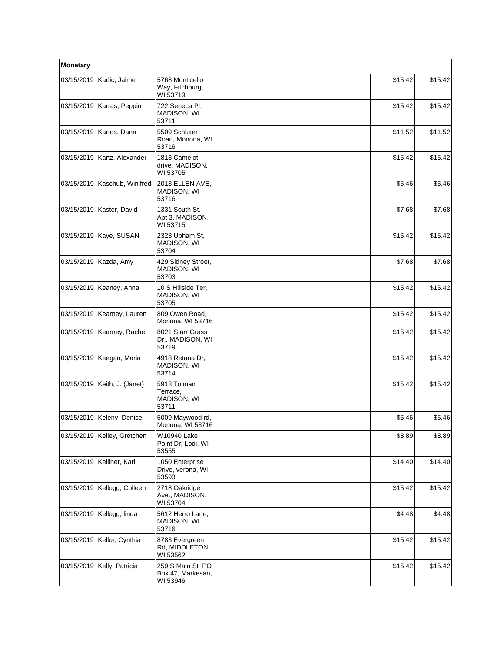| Monetary   |                                |                                                   |         |         |
|------------|--------------------------------|---------------------------------------------------|---------|---------|
|            | 03/15/2019   Karlic, Jaime     | 5768 Monticello<br>Way, Fitchburg,<br>WI 53719    | \$15.42 | \$15.42 |
|            | 03/15/2019   Karras, Peppin    | 722 Seneca Pl,<br>MADISON, WI<br>53711            | \$15.42 | \$15.42 |
|            | 03/15/2019   Kartos, Dana      | 5509 Schluter<br>Road, Monona, WI<br>53716        | \$11.52 | \$11.52 |
| 03/15/2019 | Kartz, Alexander               | 1813 Camelot<br>drive, MADISON,<br>WI 53705       | \$15.42 | \$15.42 |
|            | 03/15/2019   Kaschub, Winifred | 2013 ELLEN AVE,<br>MADISON, WI<br>53716           | \$5.46  | \$5.46  |
|            | 03/15/2019   Kaster, David     | 1331 South St.<br>Apt 3, MADISON,<br>WI 53715     | \$7.68  | \$7.68  |
|            | 03/15/2019   Kaye, SUSAN       | 2323 Upham St,<br>MADISON, WI<br>53704            | \$15.42 | \$15.42 |
|            | 03/15/2019   Kazda, Amy        | 429 Sidney Street,<br>MADISON, WI<br>53703        | \$7.68  | \$7.68  |
|            | 03/15/2019   Keaney, Anna      | 10 S Hillside Ter,<br>MADISON, WI<br>53705        | \$15.42 | \$15.42 |
|            | 03/15/2019   Kearney, Lauren   | 809 Owen Road,<br>Monona, WI 53716                | \$15.42 | \$15.42 |
|            | 03/15/2019   Kearney, Rachel   | 8021 Starr Grass<br>Dr., MADISON, WI<br>53719     | \$15.42 | \$15.42 |
|            | 03/15/2019   Keegan, Maria     | 4918 Retana Dr,<br>MADISON, WI<br>53714           | \$15.42 | \$15.42 |
|            | 03/15/2019   Keith, J. (Janet) | 5918 Tolman<br>Terrace,<br>MADISON, WI<br>53711   | \$15.42 | \$15.42 |
|            | 03/15/2019   Keleny, Denise    | 5009 Maywood rd,<br>Monona, WI 53716              | \$5.46  | \$5.46  |
|            | 03/15/2019 Kelley, Gretchen    | W10940 Lake<br>Point Dr, Lodi, WI<br>53555        | \$8.89  | \$8.89  |
|            | 03/15/2019   Kelliher, Kari    | 1050 Enterprise<br>Drive, verona, WI<br>53593     | \$14.40 | \$14.40 |
| 03/15/2019 | Kellogg, Colleen               | 2718 Oakridge<br>Ave., MADISON,<br>WI 53704       | \$15.42 | \$15.42 |
| 03/15/2019 | Kellogg, linda                 | 5612 Herro Lane,<br>MADISON, WI<br>53716          | \$4.48  | \$4.48  |
|            | 03/15/2019   Kellor, Cynthia   | 8783 Evergreen<br>Rd, MIDDLETON,<br>WI 53562      | \$15.42 | \$15.42 |
| 03/15/2019 | Kelly, Patricia                | 259 S Main St PO<br>Box 47, Markesan,<br>WI 53946 | \$15.42 | \$15.42 |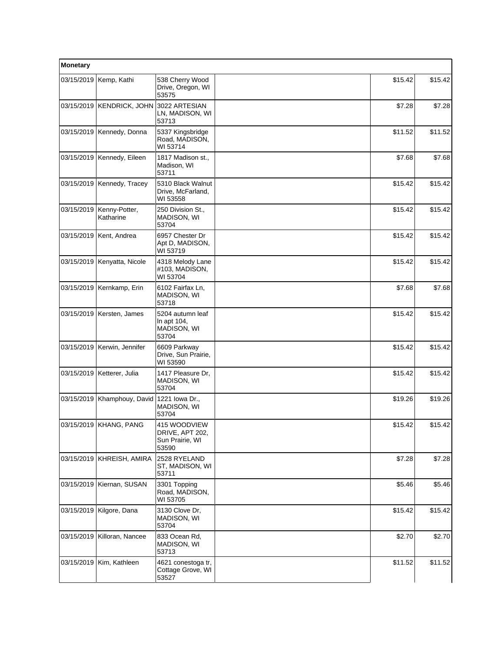| Monetary   |                               |                                                             |         |         |
|------------|-------------------------------|-------------------------------------------------------------|---------|---------|
|            | 03/15/2019   Kemp, Kathi      | 538 Cherry Wood<br>Drive, Oregon, WI<br>53575               | \$15.42 | \$15.42 |
|            | 03/15/2019 KENDRICK, JOHN     | 3022 ARTESIAN<br>LN, MADISON, WI<br>53713                   | \$7.28  | \$7.28  |
|            | 03/15/2019   Kennedy, Donna   | 5337 Kingsbridge<br>Road, MADISON,<br>WI 53714              | \$11.52 | \$11.52 |
| 03/15/2019 | Kennedy, Eileen               | 1817 Madison st.,<br>Madison, WI<br>53711                   | \$7.68  | \$7.68  |
|            | 03/15/2019   Kennedy, Tracey  | 5310 Black Walnut<br>Drive, McFarland,<br>WI 53558          | \$15.42 | \$15.42 |
| 03/15/2019 | Kenny-Potter,<br>Katharine    | 250 Division St.,<br>MADISON, WI<br>53704                   | \$15.42 | \$15.42 |
|            | 03/15/2019   Kent, Andrea     | 6957 Chester Dr<br>Apt D, MADISON,<br>WI 53719              | \$15.42 | \$15.42 |
| 03/15/2019 | Kenyatta, Nicole              | 4318 Melody Lane<br>#103, MADISON,<br>WI 53704              | \$15.42 | \$15.42 |
|            | 03/15/2019   Kernkamp, Erin   | 6102 Fairfax Ln,<br>MADISON, WI<br>53718                    | \$7.68  | \$7.68  |
|            | 03/15/2019   Kersten, James   | 5204 autumn leaf<br>In apt 104,<br>MADISON, WI<br>53704     | \$15.42 | \$15.42 |
|            | 03/15/2019   Kerwin, Jennifer | 6609 Parkway<br>Drive, Sun Prairie,<br>WI 53590             | \$15.42 | \$15.42 |
|            | 03/15/2019   Ketterer, Julia  | 1417 Pleasure Dr,<br>MADISON, WI<br>53704                   | \$15.42 | \$15.42 |
|            | 03/15/2019   Khamphouy, David | 1221 Iowa Dr.,<br>MADISON, WI<br>53704                      | \$19.26 | \$19.26 |
|            | 03/15/2019 KHANG, PANG        | 415 WOODVIEW<br>DRIVE, APT 202,<br>Sun Prairie, WI<br>53590 | \$15.42 | \$15.42 |
| 03/15/2019 | KHREISH, AMIRA                | 2528 RYELAND<br>ST, MADISON, WI<br>53711                    | \$7.28  | \$7.28  |
|            | 03/15/2019   Kiernan, SUSAN   | 3301 Topping<br>Road, MADISON,<br>WI 53705                  | \$5.46  | \$5.46  |
|            | 03/15/2019   Kilgore, Dana    | 3130 Clove Dr,<br>MADISON, WI<br>53704                      | \$15.42 | \$15.42 |
| 03/15/2019 | Killoran, Nancee              | 833 Ocean Rd,<br>MADISON, WI<br>53713                       | \$2.70  | \$2.70  |
| 03/15/2019 | Kim, Kathleen                 | 4621 conestoga tr,<br>Cottage Grove, WI<br>53527            | \$11.52 | \$11.52 |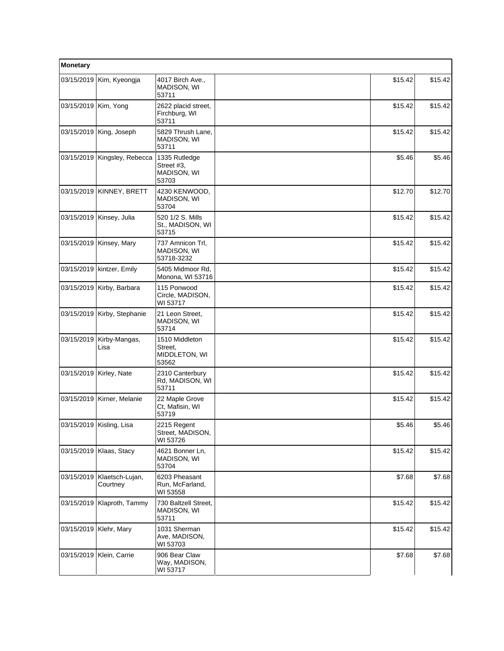| Monetary               |                               |                                                     |         |         |
|------------------------|-------------------------------|-----------------------------------------------------|---------|---------|
| 03/15/2019             | Kim, Kyeongja                 | 4017 Birch Ave.,<br>MADISON, WI<br>53711            | \$15.42 | \$15.42 |
| 03/15/2019   Kim, Yong |                               | 2622 placid street,<br>Firchburg, WI<br>53711       | \$15.42 | \$15.42 |
|                        | 03/15/2019 King, Joseph       | 5829 Thrush Lane,<br>MADISON, WI<br>53711           | \$15.42 | \$15.42 |
| 03/15/2019             | Kingsley, Rebecca             | 1335 Rutledge<br>Street #3,<br>MADISON, WI<br>53703 | \$5.46  | \$5.46  |
| 03/15/2019             | KINNEY, BRETT                 | 4230 KENWOOD,<br>MADISON, WI<br>53704               | \$12.70 | \$12.70 |
|                        | 03/15/2019   Kinsey, Julia    | 520 1/2 S. Mills<br>St., MADISON, WI<br>53715       | \$15.42 | \$15.42 |
|                        | 03/15/2019   Kinsey, Mary     | 737 Amnicon Trl,<br>MADISON, WI<br>53718-3232       | \$15.42 | \$15.42 |
|                        | 03/15/2019   kintzer, Emily   | 5405 Midmoor Rd.<br>Monona, WI 53716                | \$15.42 | \$15.42 |
|                        | 03/15/2019 Kirby, Barbara     | 115 Ponwood<br>Circle, MADISON,<br>WI 53717         | \$15.42 | \$15.42 |
|                        | 03/15/2019   Kirby, Stephanie | 21 Leon Street,<br>MADISON, WI<br>53714             | \$15.42 | \$15.42 |
| 03/15/2019             | Kirby-Mangas,<br>Lisa         | 1510 Middleton<br>Street,<br>MIDDLETON, WI<br>53562 | \$15.42 | \$15.42 |
| 03/15/2019             | Kirley, Nate                  | 2310 Canterbury<br>Rd, MADISON, WI<br>53711         | \$15.42 | \$15.42 |
| 03/15/2019             | Kirner, Melanie               | 22 Maple Grove<br>Ct, Mafisin, WI<br>53719          | \$15.42 | \$15.42 |
|                        | 03/15/2019 Kisling, Lisa      | 2215 Regent<br>Street, MADISON,<br>WI 53726         | \$5.46  | \$5.46  |
|                        | 03/15/2019   Klaas, Stacy     | 4621 Bonner Ln,<br>MADISON, WI<br>53704             | \$15.42 | \$15.42 |
| 03/15/2019             | Klaetsch-Lujan,<br>Courtney   | 6203 Pheasant<br>Run, McFarland,<br>WI 53558        | \$7.68  | \$7.68  |
| 03/15/2019             | Klaproth, Tammy               | 730 Baltzell Street,<br>MADISON, WI<br>53711        | \$15.42 | \$15.42 |
|                        | 03/15/2019   Klehr, Mary      | 1031 Sherman<br>Ave, MADISON,<br>WI 53703           | \$15.42 | \$15.42 |
|                        | 03/15/2019   Klein, Carrie    | 906 Bear Claw<br>Way, MADISON,<br>WI 53717          | \$7.68  | \$7.68  |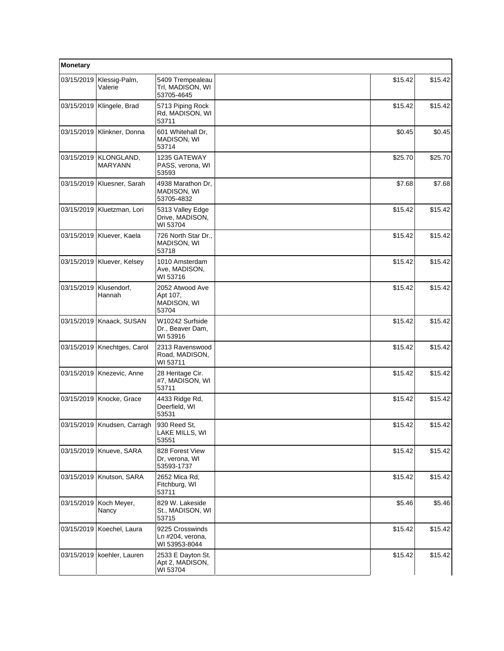| Monetary   |                              |                                                      |         |         |
|------------|------------------------------|------------------------------------------------------|---------|---------|
| 03/15/2019 | Klessig-Palm,<br>Valerie     | 5409 Trempealeau<br>Trl, MADISON, WI<br>53705-4645   | \$15.42 | \$15.42 |
| 03/15/2019 | Klingele, Brad               | 5713 Piping Rock<br>Rd, MADISON, WI<br>53711         | \$15.42 | \$15.42 |
|            | 03/15/2019   Klinkner, Donna | 601 Whitehall Dr,<br>MADISON, WI<br>53714            | \$0.45  | \$0.45  |
| 03/15/2019 | KLONGLAND,<br><b>MARYANN</b> | 1235 GATEWAY<br>PASS, verona, WI<br>53593            | \$25.70 | \$25.70 |
|            | 03/15/2019   Kluesner, Sarah | 4938 Marathon Dr,<br>MADISON, WI<br>53705-4832       | \$7.68  | \$7.68  |
|            | 03/15/2019   Kluetzman, Lori | 5313 Valley Edge<br>Drive, MADISON,<br>WI 53704      | \$15.42 | \$15.42 |
| 03/15/2019 | Kluever, Kaela               | 726 North Star Dr.,<br>MADISON, WI<br>53718          | \$15.42 | \$15.42 |
| 03/15/2019 | Kluever, Kelsey              | 1010 Amsterdam<br>Ave, MADISON,<br>WI 53716          | \$15.42 | \$15.42 |
| 03/15/2019 | Klusendorf,<br>Hannah        | 2052 Atwood Ave<br>Apt 107,<br>MADISON, WI<br>53704  | \$15.42 | \$15.42 |
| 03/15/2019 | Knaack, SUSAN                | W10242 Surfside<br>Dr., Beaver Dam,<br>WI 53916      | \$15.42 | \$15.42 |
|            | 03/15/2019 Knechtges, Carol  | 2313 Ravenswood<br>Road, MADISON,<br>WI 53711        | \$15.42 | \$15.42 |
|            | 03/15/2019   Knezevic, Anne  | 28 Heritage Cir.<br>#7, MADISON, WI<br>53711         | \$15.42 | \$15.42 |
|            | 03/15/2019 Knocke, Grace     | 4433 Ridge Rd,<br>Deerfield, WI<br>53531             | \$15.42 | \$15.42 |
|            | 03/15/2019 Knudsen, Carragh  | 930 Reed St.<br>LAKE MILLS, WI<br>53551              | \$15.42 | \$15.42 |
|            | 03/15/2019 Knueve, SARA      | 828 Forest View<br>Dr. verona, WI<br>53593-1737      | \$15.42 | \$15.42 |
|            | 03/15/2019   Knutson, SARA   | 2652 Mica Rd,<br>Fitchburg, WI<br>53711              | \$15.42 | \$15.42 |
| 03/15/2019 | Koch Meyer,<br>Nancy         | 829 W. Lakeside<br>St., MADISON, WI<br>53715         | \$5.46  | \$5.46  |
|            | 03/15/2019   Koechel, Laura  | 9225 Crosswinds<br>Ln #204, verona,<br>WI 53953-8044 | \$15.42 | \$15.42 |
|            | 03/15/2019   koehler, Lauren | 2533 E Dayton St.<br>Apt 2, MADISON,<br>WI 53704     | \$15.42 | \$15.42 |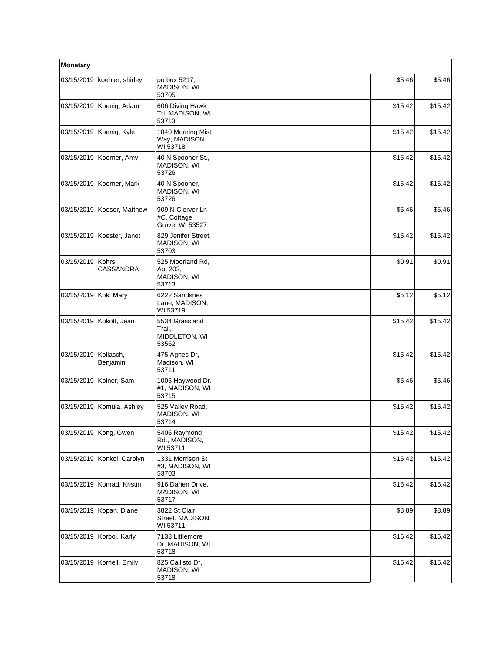| Monetary   |                               |                                                      |         |         |
|------------|-------------------------------|------------------------------------------------------|---------|---------|
|            | 03/15/2019   koehler, shirley | po box 5217,<br>MADISON, WI<br>53705                 | \$5.46  | \$5.46  |
|            | 03/15/2019 Koenig, Adam       | 606 Diving Hawk<br>Trl, MADISON, WI<br>53713         | \$15.42 | \$15.42 |
|            | 03/15/2019   Koenig, Kyle     | 1840 Morning Mist<br>Way, MADISON,<br>WI 53718       | \$15.42 | \$15.42 |
| 03/15/2019 | Koerner, Amy                  | 40 N Spooner St.,<br>MADISON, WI<br>53726            | \$15.42 | \$15.42 |
|            | 03/15/2019   Koerner, Mark    | 40 N Spooner,<br>MADISON, WI<br>53726                | \$15.42 | \$15.42 |
|            | 03/15/2019   Koeser, Matthew  | 909 N Clerver Ln<br>#C, Cottage<br>Grove, WI 53527   | \$5.46  | \$5.46  |
|            | 03/15/2019 Koester, Janet     | 829 Jenifer Street.<br>MADISON, WI<br>53703          | \$15.42 | \$15.42 |
| 03/15/2019 | Kohrs,<br>CASSANDRA           | 525 Moorland Rd,<br>Apt 202,<br>MADISON, WI<br>53713 | \$0.91  | \$0.91  |
| 03/15/2019 | Kok, Mary                     | 6222 Sandsnes<br>Lane, MADISON,<br>WI 53719          | \$5.12  | \$5.12  |
| 03/15/2019 | Kokott, Jean                  | 5534 Grassland<br>Trail,<br>MIDDLETON, WI<br>53562   | \$15.42 | \$15.42 |
| 03/15/2019 | Kollasch,<br>Benjamin         | 475 Agnes Dr,<br>Madison, WI<br>53711                | \$15.42 | \$15.42 |
|            | 03/15/2019   Kolner, Sam      | 1005 Haywood Dr.<br>#1, MADISON, WI<br>53715         | \$5.46  | \$5.46  |
|            | 03/15/2019 Komula, Ashley     | 525 Valley Road,<br><b>MADISON, WI</b><br>53714      | \$15.42 | \$15.42 |
|            | 03/15/2019 Kong, Gwen         | 5406 Raymond<br>Rd., MADISON,<br>WI 53711            | \$15.42 | \$15.42 |
| 03/15/2019 | Konkol, Carolyn               | 1331 Morrison St<br>#3, MADISON, WI<br>53703         | \$15.42 | \$15.42 |
|            | 03/15/2019 Konrad, Kristin    | 916 Darien Drive,<br>MADISON, WI<br>53717            | \$15.42 | \$15.42 |
|            | 03/15/2019   Kopan, Diane     | 3822 St Clair<br>Street, MADISON,<br>WI 53711        | \$8.89  | \$8.89  |
|            | 03/15/2019 Korbol, Karly      | 7138 Littlemore<br>Dr, MADISON, WI<br>53718          | \$15.42 | \$15.42 |
| 03/15/2019 | Kornell, Emily                | 825 Callisto Dr,<br>MADISON, WI<br>53718             | \$15.42 | \$15.42 |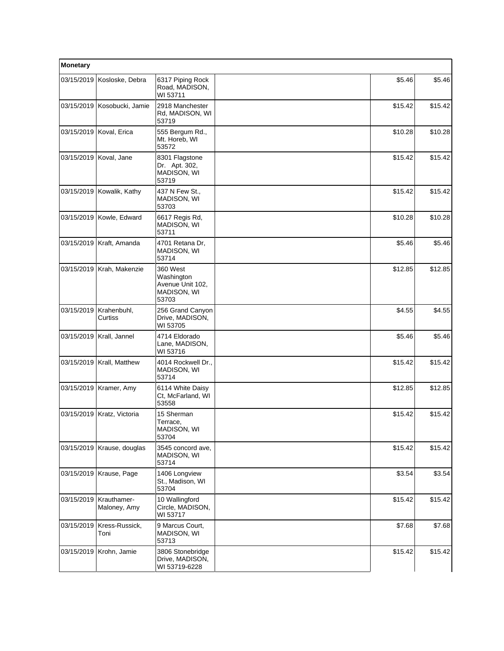| <b>Monetary</b> |                             |                                                                    |         |         |
|-----------------|-----------------------------|--------------------------------------------------------------------|---------|---------|
| 03/15/2019      | Kosloske, Debra             | 6317 Piping Rock<br>Road, MADISON,<br>WI 53711                     | \$5.46  | \$5.46  |
|                 | 03/15/2019 Kosobucki, Jamie | 2918 Manchester<br>Rd, MADISON, WI<br>53719                        | \$15.42 | \$15.42 |
|                 | 03/15/2019 Koval, Erica     | 555 Bergum Rd.,<br>Mt. Horeb, WI<br>53572                          | \$10.28 | \$10.28 |
| 03/15/2019      | Koval, Jane                 | 8301 Flagstone<br>Dr. Apt. 302,<br><b>MADISON, WI</b><br>53719     | \$15.42 | \$15.42 |
| 03/15/2019      | Kowalik, Kathy              | 437 N Few St.,<br>MADISON, WI<br>53703                             | \$15.42 | \$15.42 |
|                 | 03/15/2019 Kowle, Edward    | 6617 Regis Rd,<br>MADISON, WI<br>53711                             | \$10.28 | \$10.28 |
| 03/15/2019      | Kraft, Amanda               | 4701 Retana Dr,<br><b>MADISON, WI</b><br>53714                     | \$5.46  | \$5.46  |
|                 | 03/15/2019 Krah, Makenzie   | 360 West<br>Washington<br>Avenue Unit 102,<br>MADISON, WI<br>53703 | \$12.85 | \$12.85 |
| 03/15/2019      | Krahenbuhl,<br>Curtiss      | 256 Grand Canyon<br>Drive, MADISON,<br>WI 53705                    | \$4.55  | \$4.55  |
| 03/15/2019      | Krall, Jannel               | 4714 Eldorado<br>Lane, MADISON,<br>WI 53716                        | \$5.46  | \$5.46  |
|                 | 03/15/2019   Krall, Matthew | 4014 Rockwell Dr.,<br>MADISON, WI<br>53714                         | \$15.42 | \$15.42 |
| 03/15/2019      | Kramer, Amy                 | 6114 White Daisy<br>Ct, McFarland, WI<br>53558                     | \$12.85 | \$12.85 |
| 03/15/2019      | Kratz, Victoria             | 15 Sherman<br>Terrace,<br>MADISON, WI<br>53704                     | \$15.42 | \$15.42 |
| 03/15/2019      | Krause, douglas             | 3545 concord ave,<br><b>MADISON, WI</b><br>53714                   | \$15.42 | \$15.42 |
|                 | 03/15/2019 Krause, Page     | 1406 Longview<br>St., Madison, WI<br>53704                         | \$3.54  | \$3.54  |
| 03/15/2019      | Krauthamer-<br>Maloney, Amy | 10 Wallingford<br>Circle, MADISON,<br>WI 53717                     | \$15.42 | \$15.42 |
| 03/15/2019      | Kress-Russick,<br>Toni      | 9 Marcus Court,<br>MADISON, WI<br>53713                            | \$7.68  | \$7.68  |
| 03/15/2019      | Krohn, Jamie                | 3806 Stonebridge<br>Drive, MADISON,<br>WI 53719-6228               | \$15.42 | \$15.42 |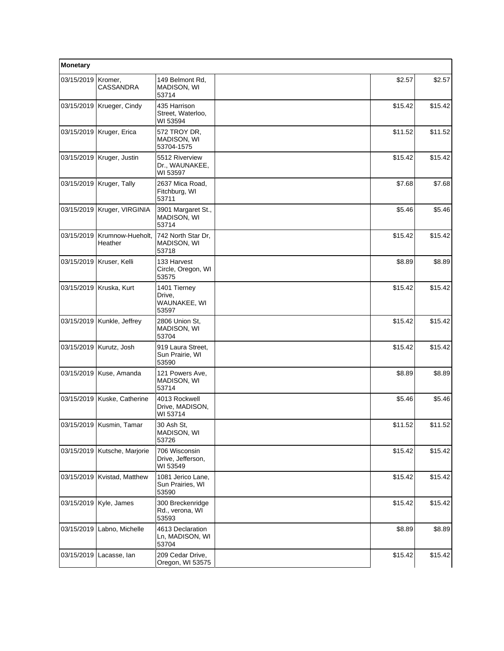| Monetary   |                               |                                                  |         |         |
|------------|-------------------------------|--------------------------------------------------|---------|---------|
| 03/15/2019 | Kromer,<br>CASSANDRA          | 149 Belmont Rd,<br>MADISON, WI<br>53714          | \$2.57  | \$2.57  |
|            | 03/15/2019   Krueger, Cindy   | 435 Harrison<br>Street, Waterloo,<br>WI 53594    | \$15.42 | \$15.42 |
|            | 03/15/2019   Kruger, Erica    | 572 TROY DR,<br><b>MADISON, WI</b><br>53704-1575 | \$11.52 | \$11.52 |
|            | 03/15/2019   Kruger, Justin   | 5512 Riverview<br>Dr., WAUNAKEE,<br>WI 53597     | \$15.42 | \$15.42 |
|            | 03/15/2019   Kruger, Tally    | 2637 Mica Road,<br>Fitchburg, WI<br>53711        | \$7.68  | \$7.68  |
|            | 03/15/2019   Kruger, VIRGINIA | 3901 Margaret St.,<br>MADISON, WI<br>53714       | \$5.46  | \$5.46  |
| 03/15/2019 | Krumnow-Hueholt,<br>Heather   | 742 North Star Dr.<br>MADISON, WI<br>53718       | \$15.42 | \$15.42 |
|            | 03/15/2019   Kruser, Kelli    | 133 Harvest<br>Circle, Oregon, WI<br>53575       | \$8.89  | \$8.89  |
|            | 03/15/2019 Kruska, Kurt       | 1401 Tierney<br>Drive,<br>WAUNAKEE, WI<br>53597  | \$15.42 | \$15.42 |
|            | 03/15/2019   Kunkle, Jeffrey  | 2806 Union St,<br>MADISON, WI<br>53704           | \$15.42 | \$15.42 |
|            | 03/15/2019 Kurutz, Josh       | 919 Laura Street,<br>Sun Prairie, WI<br>53590    | \$15.42 | \$15.42 |
| 03/15/2019 | Kuse, Amanda                  | 121 Powers Ave,<br>MADISON, WI<br>53714          | \$8.89  | \$8.89  |
|            | 03/15/2019 Kuske, Catherine   | 4013 Rockwell<br>Drive, MADISON,<br>WI 53714     | \$5.46  | \$5.46  |
|            | 03/15/2019   Kusmin, Tamar    | 30 Ash St,<br>MADISON, WI<br>53726               | \$11.52 | \$11.52 |
|            | 03/15/2019 Kutsche, Marjorie  | 706 Wisconsin<br>Drive, Jefferson,<br>WI 53549   | \$15.42 | \$15.42 |
| 03/15/2019 | Kvistad, Matthew              | 1081 Jerico Lane,<br>Sun Prairies, WI<br>53590   | \$15.42 | \$15.42 |
|            | 03/15/2019   Kyle, James      | 300 Breckenridge<br>Rd., verona, WI<br>53593     | \$15.42 | \$15.42 |
| 03/15/2019 | Labno, Michelle               | 4613 Declaration<br>Ln, MADISON, WI<br>53704     | \$8.89  | \$8.89  |
| 03/15/2019 | Lacasse, lan                  | 209 Cedar Drive,<br>Oregon, WI 53575             | \$15.42 | \$15.42 |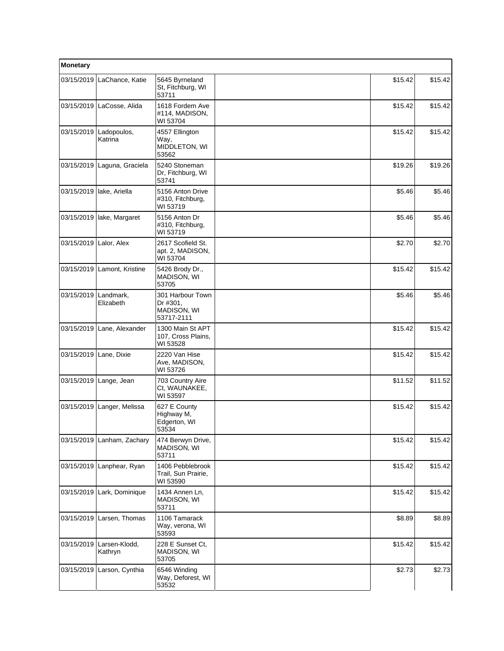| Monetary   |                                   |                                                           |         |         |
|------------|-----------------------------------|-----------------------------------------------------------|---------|---------|
| 03/15/2019 | LaChance, Katie                   | 5645 Byrneland<br>St. Fitchburg, WI<br>53711              | \$15.42 | \$15.42 |
|            | 03/15/2019 LaCosse, Alida         | 1618 Fordem Ave<br>#114. MADISON.<br>WI 53704             | \$15.42 | \$15.42 |
|            | 03/15/2019 Ladopoulos,<br>Katrina | 4557 Ellington<br>Way,<br>MIDDLETON, WI<br>53562          | \$15.42 | \$15.42 |
| 03/15/2019 | Laguna, Graciela                  | 5240 Stoneman<br>Dr. Fitchburg, WI<br>53741               | \$19.26 | \$19.26 |
|            | 03/15/2019   lake, Ariella        | 5156 Anton Drive<br>#310, Fitchburg,<br>WI 53719          | \$5.46  | \$5.46  |
| 03/15/2019 | lake, Margaret                    | 5156 Anton Dr<br>#310, Fitchburg,<br>WI 53719             | \$5.46  | \$5.46  |
| 03/15/2019 | Lalor, Alex                       | 2617 Scofield St.<br>apt. 2, MADISON,<br>WI 53704         | \$2.70  | \$2.70  |
|            | 03/15/2019 Lamont, Kristine       | 5426 Brody Dr.,<br><b>MADISON, WI</b><br>53705            | \$15.42 | \$15.42 |
| 03/15/2019 | Landmark,<br>Elizabeth            | 301 Harbour Town<br>Dr #301,<br>MADISON, WI<br>53717-2111 | \$5.46  | \$5.46  |
|            | 03/15/2019 Lane, Alexander        | 1300 Main St APT<br>107, Cross Plains,<br>WI 53528        | \$15.42 | \$15.42 |
| 03/15/2019 | Lane, Dixie                       | 2220 Van Hise<br>Ave, MADISON,<br>WI 53726                | \$15.42 | \$15.42 |
|            | 03/15/2019 Lange, Jean            | 703 Country Aire<br>Ct, WAUNAKEE,<br>WI 53597             | \$11.52 | \$11.52 |
| 03/15/2019 | Langer, Melissa                   | 627 E County<br>Highway M,<br>Edgerton, WI<br>53534       | \$15.42 | \$15.42 |
|            | 03/15/2019 Lanham, Zachary        | 474 Berwyn Drive,<br>MADISON, WI<br>53711                 | \$15.42 | \$15.42 |
| 03/15/2019 | Lanphear, Ryan                    | 1406 Pebblebrook<br>Trail, Sun Prairie,<br>WI 53590       | \$15.42 | \$15.42 |
| 03/15/2019 | Lark, Dominique                   | 1434 Annen Ln,<br>MADISON, WI<br>53711                    | \$15.42 | \$15.42 |
| 03/15/2019 | Larsen, Thomas                    | 1106 Tamarack<br>Way, verona, WI<br>53593                 | \$8.89  | \$8.89  |
| 03/15/2019 | Larsen-Klodd,<br>Kathryn          | 228 E Sunset Ct,<br>MADISON, WI<br>53705                  | \$15.42 | \$15.42 |
|            | 03/15/2019 Larson, Cynthia        | 6546 Winding<br>Way, Deforest, WI<br>53532                | \$2.73  | \$2.73  |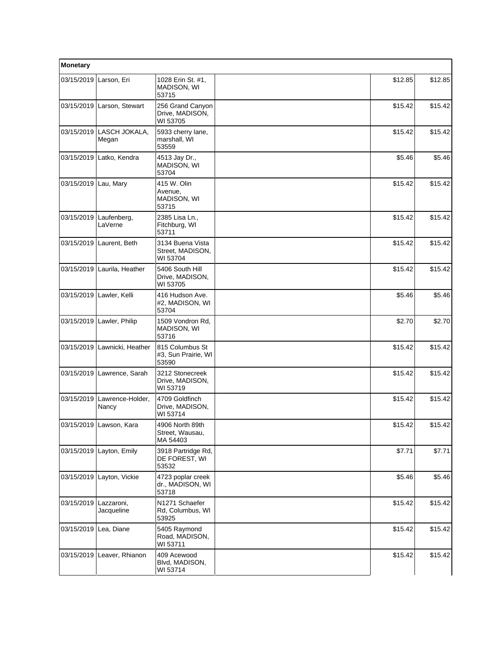| Monetary              |                                   |                                                  |         |         |
|-----------------------|-----------------------------------|--------------------------------------------------|---------|---------|
| 03/15/2019            | Larson, Eri                       | 1028 Erin St. #1,<br>MADISON, WI<br>53715        | \$12.85 | \$12.85 |
|                       | 03/15/2019 Larson, Stewart        | 256 Grand Canyon<br>Drive, MADISON,<br>WI 53705  | \$15.42 | \$15.42 |
|                       | 03/15/2019 LASCH JOKALA,<br>Megan | 5933 cherry lane,<br>marshall, WI<br>53559       | \$15.42 | \$15.42 |
| 03/15/2019            | Latko, Kendra                     | 4513 Jay Dr.,<br>MADISON, WI<br>53704            | \$5.46  | \$5.46  |
| 03/15/2019 Lau, Mary  |                                   | 415 W. Olin<br>Avenue,<br>MADISON, WI<br>53715   | \$15.42 | \$15.42 |
| 03/15/2019            | Laufenberg,<br>LaVerne            | 2385 Lisa Ln.,<br>Fitchburg, WI<br>53711         | \$15.42 | \$15.42 |
| 03/15/2019            | Laurent, Beth                     | 3134 Buena Vista<br>Street, MADISON,<br>WI 53704 | \$15.42 | \$15.42 |
|                       | 03/15/2019 Laurila, Heather       | 5406 South Hill<br>Drive, MADISON,<br>WI 53705   | \$15.42 | \$15.42 |
| 03/15/2019            | Lawler, Kelli                     | 416 Hudson Ave.<br>#2, MADISON, WI<br>53704      | \$5.46  | \$5.46  |
|                       | 03/15/2019 Lawler, Philip         | 1509 Vondron Rd,<br>MADISON, WI<br>53716         | \$2.70  | \$2.70  |
| 03/15/2019            | Lawnicki, Heather                 | 815 Columbus St<br>#3, Sun Prairie, WI<br>53590  | \$15.42 | \$15.42 |
|                       | 03/15/2019 Lawrence, Sarah        | 3212 Stonecreek<br>Drive, MADISON,<br>WI 53719   | \$15.42 | \$15.42 |
| 03/15/2019            | Lawrence-Holder,<br>Nancy         | 4709 Goldfinch<br>Drive, MADISON,<br>WI 53714    | \$15.42 | \$15.42 |
|                       | 03/15/2019 Lawson, Kara           | 4906 North 89th<br>Street, Wausau,<br>MA 54403   | \$15.42 | \$15.42 |
| 03/15/2019            | Layton, Emily                     | 3918 Partridge Rd,<br>DE FOREST, WI<br>53532     | \$7.71  | \$7.71  |
|                       | 03/15/2019 Layton, Vickie         | 4723 poplar creek<br>dr., MADISON, WI<br>53718   | \$5.46  | \$5.46  |
| 03/15/2019            | Lazzaroni,<br>Jacqueline          | N1271 Schaefer<br>Rd, Columbus, WI<br>53925      | \$15.42 | \$15.42 |
| 03/15/2019 Lea, Diane |                                   | 5405 Raymond<br>Road, MADISON,<br>WI 53711       | \$15.42 | \$15.42 |
| 03/15/2019            | Leaver, Rhianon                   | 409 Acewood<br>Blvd, MADISON,<br>WI 53714        | \$15.42 | \$15.42 |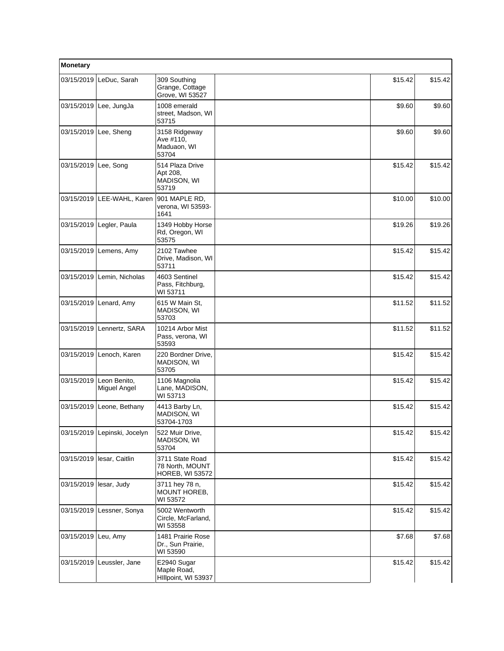| Monetary   |                              |                                                              |         |         |
|------------|------------------------------|--------------------------------------------------------------|---------|---------|
| 03/15/2019 | LeDuc, Sarah                 | 309 Southing<br>Grange, Cottage<br>Grove, WI 53527           | \$15.42 | \$15.42 |
| 03/15/2019 | Lee, JungJa                  | 1008 emerald<br>street, Madson, WI<br>53715                  | \$9.60  | \$9.60  |
|            | 03/15/2019 Lee, Sheng        | 3158 Ridgeway<br>Ave #110,<br>Maduaon, WI<br>53704           | \$9.60  | \$9.60  |
| 03/15/2019 | Lee, Song                    | 514 Plaza Drive<br>Apt 208,<br>MADISON, WI<br>53719          | \$15.42 | \$15.42 |
| 03/15/2019 | LEE-WAHL, Karen              | 901 MAPLE RD,<br>verona, WI 53593-<br>1641                   | \$10.00 | \$10.00 |
|            | 03/15/2019 Legler, Paula     | 1349 Hobby Horse<br>Rd, Oregon, WI<br>53575                  | \$19.26 | \$19.26 |
| 03/15/2019 | Lemens, Amy                  | 2102 Tawhee<br>Drive, Madison, WI<br>53711                   | \$15.42 | \$15.42 |
| 03/15/2019 | Lemin, Nicholas              | 4603 Sentinel<br>Pass, Fitchburg,<br>WI 53711                | \$15.42 | \$15.42 |
| 03/15/2019 | Lenard, Amy                  | 615 W Main St,<br>MADISON, WI<br>53703                       | \$11.52 | \$11.52 |
|            | 03/15/2019 Lennertz, SARA    | 10214 Arbor Mist<br>Pass, verona, WI<br>53593                | \$11.52 | \$11.52 |
| 03/15/2019 | Lenoch, Karen                | 220 Bordner Drive,<br>MADISON, WI<br>53705                   | \$15.42 | \$15.42 |
| 03/15/2019 | Leon Benito,<br>Miguel Angel | 1106 Magnolia<br>Lane, MADISON,<br>WI 53713                  | \$15.42 | \$15.42 |
| 03/15/2019 | Leone, Bethany               | 4413 Barby Ln.<br>MADISON, WI<br>53704-1703                  | \$15.42 | \$15.42 |
|            | 03/15/2019 Lepinski, Jocelyn | 522 Muir Drive,<br>MADISON, WI<br>53704                      | \$15.42 | \$15.42 |
| 03/15/2019 | lesar, Caitlin               | 3711 State Road<br>78 North, MOUNT<br><b>HOREB, WI 53572</b> | \$15.42 | \$15.42 |
| 03/15/2019 | lesar, Judy                  | 3711 hey 78 n,<br>MOUNT HOREB,<br>WI 53572                   | \$15.42 | \$15.42 |
| 03/15/2019 | Lessner, Sonya               | 5002 Wentworth<br>Circle, McFarland,<br>WI 53558             | \$15.42 | \$15.42 |
| 03/15/2019 | Leu, Amy                     | 1481 Prairie Rose<br>Dr., Sun Prairie,<br>WI 53590           | \$7.68  | \$7.68  |
| 03/15/2019 | Leussler, Jane               | E2940 Sugar<br>Maple Road,<br>Hillpoint, WI 53937            | \$15.42 | \$15.42 |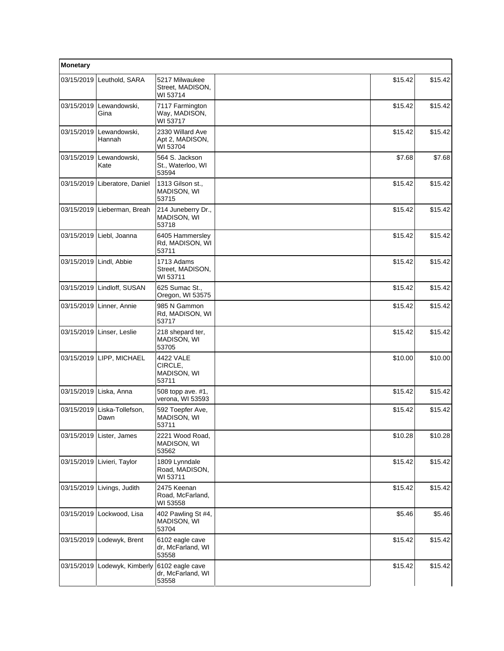| Monetary   |                               |                                                 |         |         |
|------------|-------------------------------|-------------------------------------------------|---------|---------|
| 03/15/2019 | Leuthold, SARA                | 5217 Milwaukee<br>Street, MADISON,<br>WI 53714  | \$15.42 | \$15.42 |
| 03/15/2019 | Lewandowski,<br>Gina          | 7117 Farmington<br>Way, MADISON,<br>WI 53717    | \$15.42 | \$15.42 |
| 03/15/2019 | Lewandowski,<br>Hannah        | 2330 Willard Ave<br>Apt 2, MADISON,<br>WI 53704 | \$15.42 | \$15.42 |
| 03/15/2019 | Lewandowski,<br>Kate          | 564 S. Jackson<br>St., Waterloo, WI<br>53594    | \$7.68  | \$7.68  |
|            | 03/15/2019 Liberatore, Daniel | 1313 Gilson st.,<br>MADISON, WI<br>53715        | \$15.42 | \$15.42 |
| 03/15/2019 | Lieberman, Breah              | 214 Juneberry Dr.,<br>MADISON, WI<br>53718      | \$15.42 | \$15.42 |
|            | 03/15/2019 Liebl, Joanna      | 6405 Hammersley<br>Rd, MADISON, WI<br>53711     | \$15.42 | \$15.42 |
| 03/15/2019 | Lindl, Abbie                  | 1713 Adams<br>Street, MADISON,<br>WI 53711      | \$15.42 | \$15.42 |
| 03/15/2019 | Lindloff, SUSAN               | 625 Sumac St.,<br>Oregon, WI 53575              | \$15.42 | \$15.42 |
| 03/15/2019 | Linner, Annie                 | 985 N Gammon<br>Rd, MADISON, WI<br>53717        | \$15.42 | \$15.42 |
|            | 03/15/2019 Linser, Leslie     | 218 shepard ter,<br>MADISON, WI<br>53705        | \$15.42 | \$15.42 |
|            | 03/15/2019 LIPP, MICHAEL      | 4422 VALE<br>CIRCLE,<br>MADISON, WI<br>53711    | \$10.00 | \$10.00 |
| 03/15/2019 | Liska, Anna                   | 508 topp ave. #1,<br>verona, WI 53593           | \$15.42 | \$15.42 |
| 03/15/2019 | Liska-Tollefson,<br>Dawn      | 592 Toepfer Ave,<br>MADISON, WI<br>53711        | \$15.42 | \$15.42 |
| 03/15/2019 | Lister, James                 | 2221 Wood Road,<br>MADISON, WI<br>53562         | \$10.28 | \$10.28 |
|            | 03/15/2019 Livieri, Taylor    | 1809 Lynndale<br>Road, MADISON,<br>WI 53711     | \$15.42 | \$15.42 |
| 03/15/2019 | Livings, Judith               | 2475 Keenan<br>Road, McFarland,<br>WI 53558     | \$15.42 | \$15.42 |
| 03/15/2019 | Lockwood, Lisa                | 402 Pawling St #4,<br>MADISON, WI<br>53704      | \$5.46  | \$5.46  |
| 03/15/2019 | Lodewyk, Brent                | 6102 eagle cave<br>dr, McFarland, WI<br>53558   | \$15.42 | \$15.42 |
| 03/15/2019 | Lodewyk, Kimberly             | 6102 eagle cave<br>dr, McFarland, WI<br>53558   | \$15.42 | \$15.42 |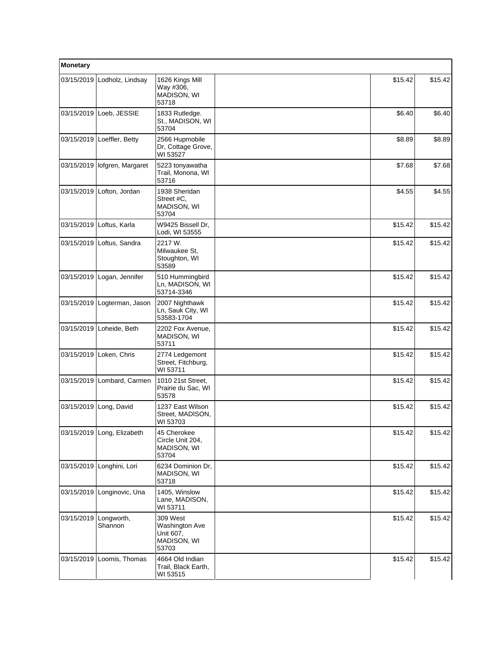| Monetary   |                                |                                                                 |         |         |
|------------|--------------------------------|-----------------------------------------------------------------|---------|---------|
| 03/15/2019 | Lodholz, Lindsay               | 1626 Kings Mill<br>Way #306,<br>MADISON, WI<br>53718            | \$15.42 | \$15.42 |
| 03/15/2019 | Loeb, JESSIE                   | 1833 Rutledge.<br>St., MADISON, WI<br>53704                     | \$6.40  | \$6.40  |
| 03/15/2019 | Loeffler, Betty                | 2566 Hupmobile<br>Dr, Cottage Grove,<br>WI 53527                | \$8.89  | \$8.89  |
|            | 03/15/2019   lofgren, Margaret | 5223 tonyawatha<br>Trail, Monona, WI<br>53716                   | \$7.68  | \$7.68  |
| 03/15/2019 | Lofton, Jordan                 | 1938 Sheridan<br>Street #C,<br>MADISON, WI<br>53704             | \$4.55  | \$4.55  |
| 03/15/2019 | Loftus, Karla                  | W9425 Bissell Dr,<br>Lodi, WI 53555                             | \$15.42 | \$15.42 |
| 03/15/2019 | Loftus, Sandra                 | 2217 W.<br>Milwaukee St.<br>Stoughton, WI<br>53589              | \$15.42 | \$15.42 |
| 03/15/2019 | Logan, Jennifer                | 510 Hummingbird<br>Ln, MADISON, WI<br>53714-3346                | \$15.42 | \$15.42 |
| 03/15/2019 | Logterman, Jason               | 2007 Nighthawk<br>Ln, Sauk City, WI<br>53583-1704               | \$15.42 | \$15.42 |
| 03/15/2019 | Loheide, Beth                  | 2202 Fox Avenue,<br>MADISON, WI<br>53711                        | \$15.42 | \$15.42 |
| 03/15/2019 | Loken, Chris                   | 2774 Ledgemont<br>Street, Fitchburg,<br>WI 53711                | \$15.42 | \$15.42 |
| 03/15/2019 | Lombard, Carmen                | 1010 21st Street,<br>Prairie du Sac, WI<br>53578                | \$15.42 | \$15.42 |
| 03/15/2019 | Long, David                    | 1237 East Wilson<br>Street, MADISON,<br>WI 53703                | \$15.42 | \$15.42 |
|            | 03/15/2019 Long, Elizabeth     | 45 Cherokee<br>Circle Unit 204,<br>MADISON, WI<br>53704         | \$15.42 | \$15.42 |
| 03/15/2019 | Longhini, Lori                 | 6234 Dominion Dr,<br>MADISON, WI<br>53718                       | \$15.42 | \$15.42 |
| 03/15/2019 | Longinovic, Una                | 1405, Winslow<br>Lane, MADISON,<br>WI 53711                     | \$15.42 | \$15.42 |
| 03/15/2019 | Longworth,<br>Shannon          | 309 West<br>Washington Ave<br>Unit 607,<br>MADISON, WI<br>53703 | \$15.42 | \$15.42 |
| 03/15/2019 | Loomis, Thomas                 | 4664 Old Indian<br>Trail, Black Earth,<br>WI 53515              | \$15.42 | \$15.42 |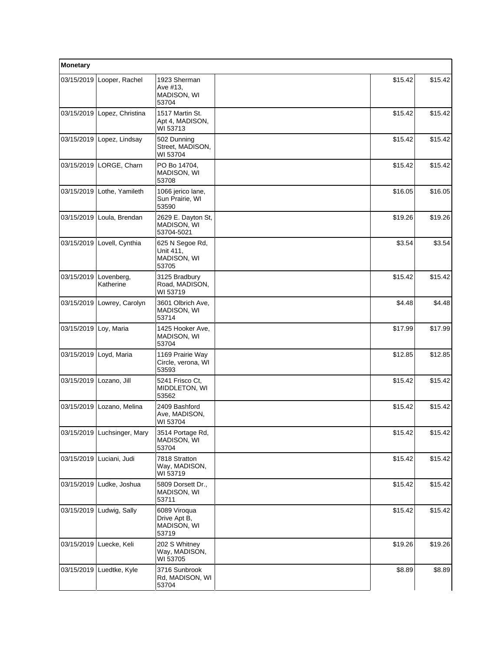| Monetary              |                             |                                                      |         |         |
|-----------------------|-----------------------------|------------------------------------------------------|---------|---------|
| 03/15/2019            | Looper, Rachel              | 1923 Sherman<br>Ave #13,<br>MADISON, WI<br>53704     | \$15.42 | \$15.42 |
| 03/15/2019            | Lopez, Christina            | 1517 Martin St.<br>Apt 4, MADISON,<br>WI 53713       | \$15.42 | \$15.42 |
| 03/15/2019            | Lopez, Lindsay              | 502 Dunning<br>Street, MADISON,<br>WI 53704          | \$15.42 | \$15.42 |
| 03/15/2019            | LORGE, Charn                | PO Bo 14704.<br>MADISON, WI<br>53708                 | \$15.42 | \$15.42 |
| 03/15/2019            | Lothe, Yamileth             | 1066 jerico lane,<br>Sun Prairie, WI<br>53590        | \$16.05 | \$16.05 |
| 03/15/2019            | Loula, Brendan              | 2629 E. Dayton St,<br>MADISON, WI<br>53704-5021      | \$19.26 | \$19.26 |
| 03/15/2019            | Lovell, Cynthia             | 625 N Segoe Rd,<br>Unit 411,<br>MADISON, WI<br>53705 | \$3.54  | \$3.54  |
| 03/15/2019            | Lovenberg,<br>Katherine     | 3125 Bradbury<br>Road, MADISON,<br>WI 53719          | \$15.42 | \$15.42 |
| 03/15/2019            | Lowrey, Carolyn             | 3601 Olbrich Ave,<br>MADISON, WI<br>53714            | \$4.48  | \$4.48  |
| 03/15/2019 Loy, Maria |                             | 1425 Hooker Ave,<br>MADISON, WI<br>53704             | \$17.99 | \$17.99 |
| 03/15/2019            | Loyd, Maria                 | 1169 Prairie Way<br>Circle, verona, WI<br>53593      | \$12.85 | \$12.85 |
| 03/15/2019            | Lozano, Jill                | 5241 Frisco Ct,<br>MIDDLETON, WI<br>53562            | \$15.42 | \$15.42 |
| 03/15/2019            | Lozano, Melina              | 2409 Bashford<br>Ave, MADISON,<br>WI 53704           | \$15.42 | \$15.42 |
|                       | 03/15/2019 Luchsinger, Mary | 3514 Portage Rd,<br><b>MADISON, WI</b><br>53704      | \$15.42 | \$15.42 |
| 03/15/2019            | Luciani, Judi               | 7818 Stratton<br>Way, MADISON,<br>WI 53719           | \$15.42 | \$15.42 |
| 03/15/2019            | Ludke, Joshua               | 5809 Dorsett Dr.,<br>MADISON, WI<br>53711            | \$15.42 | \$15.42 |
|                       | 03/15/2019 Ludwig, Sally    | 6089 Viroqua<br>Drive Apt B,<br>MADISON, WI<br>53719 | \$15.42 | \$15.42 |
| 03/15/2019            | Luecke, Keli                | 202 S Whitney<br>Way, MADISON,<br>WI 53705           | \$19.26 | \$19.26 |
| 03/15/2019            | Luedtke, Kyle               | 3716 Sunbrook<br>Rd, MADISON, WI<br>53704            | \$8.89  | \$8.89  |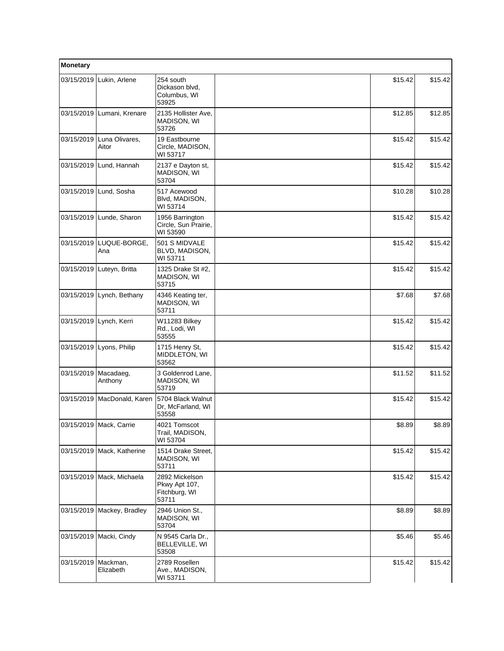| Monetary   |                             |                                                           |         |         |
|------------|-----------------------------|-----------------------------------------------------------|---------|---------|
| 03/15/2019 | Lukin, Arlene               | 254 south<br>Dickason blvd.<br>Columbus, WI<br>53925      | \$15.42 | \$15.42 |
| 03/15/2019 | Lumani, Krenare             | 2135 Hollister Ave.<br>MADISON, WI<br>53726               | \$12.85 | \$12.85 |
| 03/15/2019 | Luna Olivares,<br>Aitor     | 19 Eastbourne<br>Circle, MADISON,<br>WI 53717             | \$15.42 | \$15.42 |
| 03/15/2019 | Lund, Hannah                | 2137 e Dayton st,<br>MADISON, WI<br>53704                 | \$15.42 | \$15.42 |
|            | 03/15/2019 Lund, Sosha      | 517 Acewood<br>Blvd, MADISON,<br>WI 53714                 | \$10.28 | \$10.28 |
| 03/15/2019 | Lunde, Sharon               | 1956 Barrington<br>Circle, Sun Prairie,<br>WI 53590       | \$15.42 | \$15.42 |
| 03/15/2019 | LUQUE-BORGE,<br>Ana         | 501 S MIDVALE<br>BLVD, MADISON,<br>WI 53711               | \$15.42 | \$15.42 |
| 03/15/2019 | Luteyn, Britta              | 1325 Drake St #2,<br>MADISON, WI<br>53715                 | \$15.42 | \$15.42 |
| 03/15/2019 | Lynch, Bethany              | 4346 Keating ter,<br>MADISON, WI<br>53711                 | \$7.68  | \$7.68  |
| 03/15/2019 | Lynch, Kerri                | W11283 Bilkey<br>Rd., Lodi, WI<br>53555                   | \$15.42 | \$15.42 |
| 03/15/2019 | Lyons, Philip               | 1715 Henry St,<br>MIDDLETON, WI<br>53562                  | \$15.42 | \$15.42 |
| 03/15/2019 | Macadaeg,<br>Anthony        | 3 Goldenrod Lane,<br>MADISON, WI<br>53719                 | \$11.52 | \$11.52 |
| 03/15/2019 | MacDonald, Karen            | 5704 Black Walnut<br>Dr, McFarland, WI<br>53558           | \$15.42 | \$15.42 |
|            | 03/15/2019   Mack, Carrie   | 4021 Tomscot<br>Trail, MADISON,<br>WI 53704               | \$8.89  | \$8.89  |
| 03/15/2019 | Mack, Katherine             | 1514 Drake Street,<br>MADISON, WI<br>53711                | \$15.42 | \$15.42 |
|            | 03/15/2019   Mack, Michaela | 2892 Mickelson<br>Pkwy Apt 107,<br>Fitchburg, WI<br>53711 | \$15.42 | \$15.42 |
| 03/15/2019 | Mackey, Bradley             | 2946 Union St.,<br>MADISON, WI<br>53704                   | \$8.89  | \$8.89  |
| 03/15/2019 | Macki, Cindy                | N 9545 Carla Dr.,<br>BELLEVILLE, WI<br>53508              | \$5.46  | \$5.46  |
| 03/15/2019 | Mackman,<br>Elizabeth       | 2789 Rosellen<br>Ave., MADISON,<br>WI 53711               | \$15.42 | \$15.42 |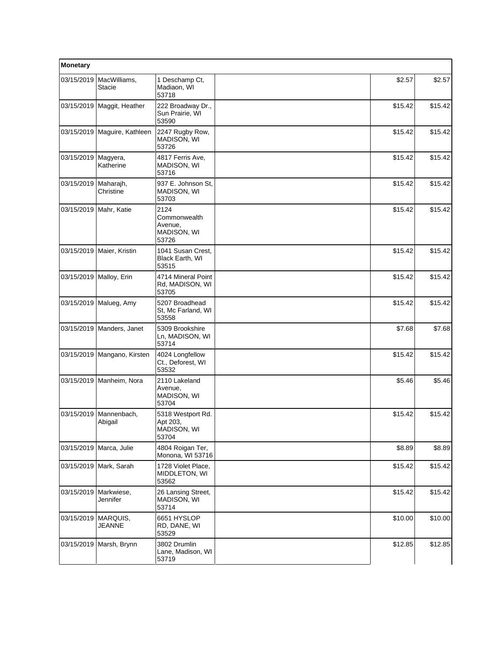| Monetary                 |                              |                                                         |         |         |
|--------------------------|------------------------------|---------------------------------------------------------|---------|---------|
| 03/15/2019               | MacWilliams,<br>Stacie       | 1 Deschamp Ct,<br>Madiaon, WI<br>53718                  | \$2.57  | \$2.57  |
|                          | 03/15/2019   Maggit, Heather | 222 Broadway Dr.,<br>Sun Prairie, WI<br>53590           | \$15.42 | \$15.42 |
|                          | 03/15/2019 Maguire, Kathleen | 2247 Rugby Row,<br>MADISON, WI<br>53726                 | \$15.42 | \$15.42 |
| 03/15/2019               | Magyera,<br>Katherine        | 4817 Ferris Ave,<br>MADISON, WI<br>53716                | \$15.42 | \$15.42 |
| 03/15/2019               | Maharajh,<br>Christine       | 937 E. Johnson St.<br>MADISON, WI<br>53703              | \$15.42 | \$15.42 |
| 03/15/2019   Mahr, Katie |                              | 2124<br>Commonwealth<br>Avenue,<br>MADISON, WI<br>53726 | \$15.42 | \$15.42 |
|                          | 03/15/2019   Maier, Kristin  | 1041 Susan Crest,<br>Black Earth, WI<br>53515           | \$15.42 | \$15.42 |
|                          | 03/15/2019   Malloy, Erin    | 4714 Mineral Point<br>Rd, MADISON, WI<br>53705          | \$15.42 | \$15.42 |
|                          | 03/15/2019   Malueg, Amy     | 5207 Broadhead<br>St, Mc Farland, WI<br>53558           | \$15.42 | \$15.42 |
|                          | 03/15/2019   Manders, Janet  | 5309 Brookshire<br>Ln, MADISON, WI<br>53714             | \$7.68  | \$7.68  |
| 03/15/2019               | Mangano, Kirsten             | 4024 Longfellow<br>Ct., Deforest, WI<br>53532           | \$15.42 | \$15.42 |
|                          | 03/15/2019   Manheim, Nora   | 2110 Lakeland<br>Avenue,<br>MADISON, WI<br>53704        | \$5.46  | \$5.46  |
| 03/15/2019               | Mannenbach,<br>Abigail       | 5318 Westport Rd.<br>Apt 203,<br>MADISON, WI<br>53704   | \$15.42 | \$15.42 |
| 03/15/2019               | Marca, Julie                 | 4804 Roigan Ter,<br>Monona, WI 53716                    | \$8.89  | \$8.89  |
|                          | 03/15/2019 Mark, Sarah       | 1728 Violet Place,<br>MIDDLETON, WI<br>53562            | \$15.42 | \$15.42 |
| 03/15/2019               | Markwiese,<br>Jennifer       | 26 Lansing Street,<br>MADISON, WI<br>53714              | \$15.42 | \$15.42 |
| 03/15/2019   MARQUIS,    | <b>JEANNE</b>                | 6651 HYSLOP<br>RD, DANE, WI<br>53529                    | \$10.00 | \$10.00 |
|                          | 03/15/2019 Marsh, Brynn      | 3802 Drumlin<br>Lane, Madison, WI<br>53719              | \$12.85 | \$12.85 |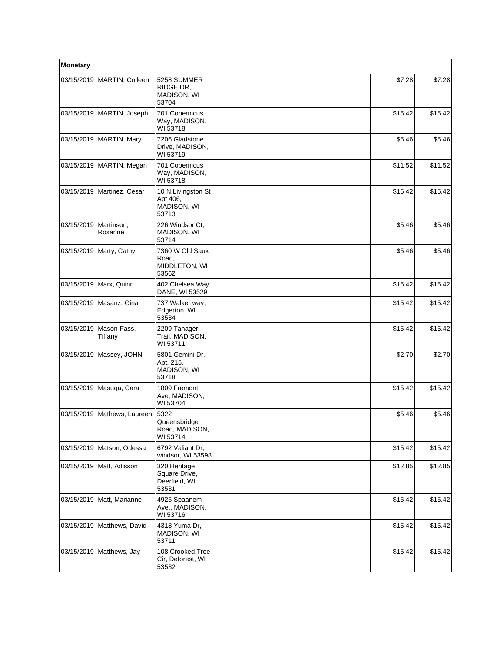| Monetary   |                              |                                                         |         |         |
|------------|------------------------------|---------------------------------------------------------|---------|---------|
|            | 03/15/2019   MARTIN, Colleen | 5258 SUMMER<br>RIDGE DR,<br>MADISON, WI<br>53704        | \$7.28  | \$7.28  |
|            | 03/15/2019   MARTIN, Joseph  | 701 Copernicus<br>Way, MADISON,<br>WI 53718             | \$15.42 | \$15.42 |
|            | 03/15/2019   MARTIN, Mary    | 7206 Gladstone<br>Drive, MADISON,<br>WI 53719           | \$5.46  | \$5.46  |
|            | 03/15/2019   MARTIN, Megan   | 701 Copernicus<br>Way, MADISON,<br>WI 53718             | \$11.52 | \$11.52 |
|            | 03/15/2019   Martinez, Cesar | 10 N Livingston St<br>Apt 406,<br>MADISON, WI<br>53713  | \$15.42 | \$15.42 |
| 03/15/2019 | Martinson,<br>Roxanne        | 226 Windsor Ct,<br>MADISON, WI<br>53714                 | \$5.46  | \$5.46  |
| 03/15/2019 | Marty, Cathy                 | 7360 W Old Sauk<br>Road,<br>MIDDLETON, WI<br>53562      | \$5.46  | \$5.46  |
|            | 03/15/2019 Marx, Quinn       | 402 Chelsea Way,<br>DANE, WI 53529                      | \$15.42 | \$15.42 |
|            | 03/15/2019   Masanz, Gina    | 737 Walker way,<br>Edgerton, WI<br>53534                | \$15.42 | \$15.42 |
| 03/15/2019 | Mason-Fass,<br>Tiffany       | 2209 Tanager<br>Trail, MADISON,<br>WI 53711             | \$15.42 | \$15.42 |
| 03/15/2019 | Massey, JOHN                 | 5801 Gemini Dr.,<br>Apt. 215,<br>MADISON, WI<br>53718   | \$2.70  | \$2.70  |
|            | 03/15/2019 Masuga, Cara      | 1809 Fremont<br>Ave, MADISON,<br>WI 53704               | \$15.42 | \$15.42 |
| 03/15/2019 | Mathews, Laureen             | 5322<br>Queensbridge<br>Road, MADISON,<br>WI 53714      | \$5.46  | \$5.46  |
| 03/15/2019 | Matson, Odessa               | 6792 Valiant Dr,<br>windsor, WI 53598                   | \$15.42 | \$15.42 |
|            | 03/15/2019 Matt, Adisson     | 320 Heritage<br>Square Drive,<br>Deerfield, WI<br>53531 | \$12.85 | \$12.85 |
|            | 03/15/2019   Matt, Marianne  | 4925 Spaanem<br>Ave., MADISON,<br>WI 53716              | \$15.42 | \$15.42 |
|            | 03/15/2019   Matthews, David | 4318 Yuma Dr,<br>MADISON, WI<br>53711                   | \$15.42 | \$15.42 |
| 03/15/2019 | Matthews, Jay                | 108 Crooked Tree<br>Cir, Deforest, WI<br>53532          | \$15.42 | \$15.42 |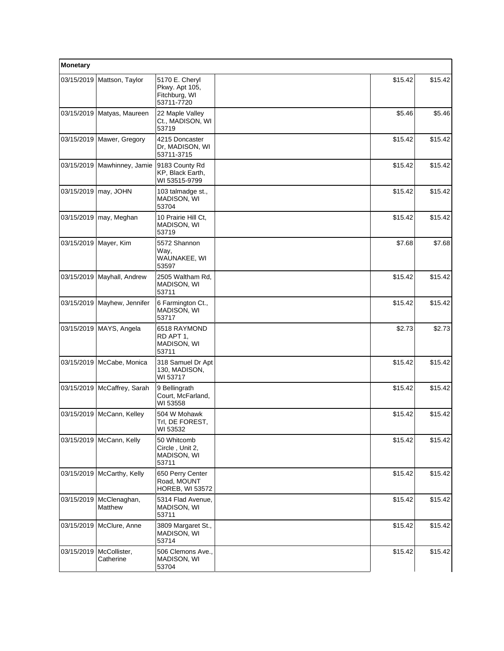| Monetary   |                               |                                                                 |         |         |
|------------|-------------------------------|-----------------------------------------------------------------|---------|---------|
| 03/15/2019 | Mattson, Taylor               | 5170 E. Cheryl<br>Pkwy. Apt 105,<br>Fitchburg, WI<br>53711-7720 | \$15.42 | \$15.42 |
| 03/15/2019 | Matyas, Maureen               | 22 Maple Valley<br>Ct., MADISON, WI<br>53719                    | \$5.46  | \$5.46  |
|            | 03/15/2019   Mawer, Gregory   | 4215 Doncaster<br>Dr, MADISON, WI<br>53711-3715                 | \$15.42 | \$15.42 |
|            | 03/15/2019   Mawhinney, Jamie | 9183 County Rd<br>KP, Black Earth,<br>WI 53515-9799             | \$15.42 | \$15.42 |
| 03/15/2019 | may, JOHN                     | 103 talmadge st.,<br>MADISON, WI<br>53704                       | \$15.42 | \$15.42 |
| 03/15/2019 | may, Meghan                   | 10 Prairie Hill Ct,<br>MADISON, WI<br>53719                     | \$15.42 | \$15.42 |
| 03/15/2019 | Mayer, Kim                    | 5572 Shannon<br>Way,<br>WAUNAKEE, WI<br>53597                   | \$7.68  | \$7.68  |
| 03/15/2019 | Mayhall, Andrew               | 2505 Waltham Rd,<br>MADISON, WI<br>53711                        | \$15.42 | \$15.42 |
| 03/15/2019 | Mayhew, Jennifer              | 6 Farmington Ct.,<br>MADISON, WI<br>53717                       | \$15.42 | \$15.42 |
|            | 03/15/2019   MAYS, Angela     | 6518 RAYMOND<br>RD APT 1,<br>MADISON, WI<br>53711               | \$2.73  | \$2.73  |
| 03/15/2019 | McCabe, Monica                | 318 Samuel Dr Apt<br>130, MADISON,<br>WI 53717                  | \$15.42 | \$15.42 |
| 03/15/2019 | McCaffrey, Sarah              | 9 Bellingrath<br>Court, McFarland,<br>WI 53558                  | \$15.42 | \$15.42 |
| 03/15/2019 | McCann, Kelley                | 504 W Mohawk<br>Trl, DE FOREST,<br>WI 53532                     | \$15.42 | \$15.42 |
|            | 03/15/2019 McCann, Kelly      | 50 Whitcomb<br>Circle, Unit 2,<br>MADISON, WI<br>53711          | \$15.42 | \$15.42 |
| 03/15/2019 | McCarthy, Kelly               | 650 Perry Center<br>Road, MOUNT<br><b>HOREB, WI 53572</b>       | \$15.42 | \$15.42 |
| 03/15/2019 | McClenaghan,<br>Matthew       | 5314 Flad Avenue,<br>MADISON, WI<br>53711                       | \$15.42 | \$15.42 |
| 03/15/2019 | McClure, Anne                 | 3809 Margaret St.,<br>MADISON, WI<br>53714                      | \$15.42 | \$15.42 |
| 03/15/2019 | McCollister,<br>Catherine     | 506 Clemons Ave.,<br>MADISON, WI<br>53704                       | \$15.42 | \$15.42 |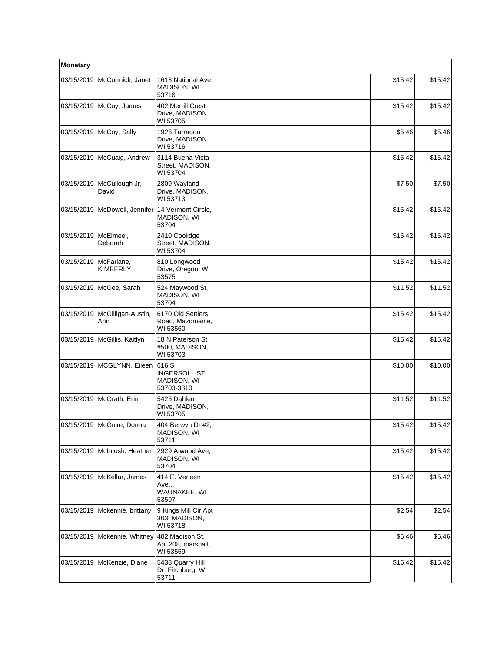| Monetary   |                                 |                                                     |         |         |
|------------|---------------------------------|-----------------------------------------------------|---------|---------|
|            | 03/15/2019 McCormick, Janet     | 1613 National Ave,<br>MADISON, WI<br>53716          | \$15.42 | \$15.42 |
|            | 03/15/2019 McCoy, James         | 402 Merrill Crest<br>Drive, MADISON,<br>WI 53705    | \$15.42 | \$15.42 |
|            | 03/15/2019   McCoy, Sally       | 1925 Tarragon<br>Drive, MADISON,<br>WI 53716        | \$5.46  | \$5.46  |
| 03/15/2019 | McCuaig, Andrew                 | 3114 Buena Vista<br>Street, MADISON,<br>WI 53704    | \$15.42 | \$15.42 |
| 03/15/2019 | McCullough Jr,<br>David         | 2809 Wayland<br>Drive, MADISON,<br>WI 53713         | \$7.50  | \$7.50  |
|            | 03/15/2019   McDowell, Jennifer | 14 Vermont Circle,<br>MADISON, WI<br>53704          | \$15.42 | \$15.42 |
| 03/15/2019 | McElmeel,<br>Deborah            | 2410 Coolidge<br>Street, MADISON,<br>WI 53704       | \$15.42 | \$15.42 |
| 03/15/2019 | McFarlane,<br><b>KIMBERLY</b>   | 810 Longwood<br>Drive, Oregon, WI<br>53575          | \$15.42 | \$15.42 |
|            | 03/15/2019   McGee, Sarah       | 524 Maywood St,<br>MADISON, WI<br>53704             | \$11.52 | \$11.52 |
| 03/15/2019 | McGilligan-Austin,<br>Ann       | 6170 Old Settlers<br>Road, Mazomanie,<br>WI 53560   | \$15.42 | \$15.42 |
| 03/15/2019 | McGillis, Kaitlyn               | 18 N Paterson St<br>#500, MADISON,<br>WI 53703      | \$15.42 | \$15.42 |
|            | 03/15/2019   MCGLYNN, Eileen    | 616 S<br>INGERSOLL ST,<br>MADISON, WI<br>53703-3810 | \$10.00 | \$10.00 |
|            | 03/15/2019   McGrath, Erin      | 5425 Dahlen<br>Drive, MADISON,<br>WI 53705          | \$11.52 | \$11.52 |
|            | 03/15/2019   McGuire, Donna     | 404 Berwyn Dr #2.<br>MADISON, WI<br>53711           | \$15.42 | \$15.42 |
|            | 03/15/2019 McIntosh, Heather    | 2929 Atwood Ave,<br>MADISON, WI<br>53704            | \$15.42 | \$15.42 |
|            | 03/15/2019 McKellar, James      | 414 E. Verleen<br>Ave.,<br>WAUNAKEE, WI<br>53597    | \$15.42 | \$15.42 |
|            | 03/15/2019   Mckennie, brittany | 9 Kings Mill Cir Apt<br>303, MADISON,<br>WI 53718   | \$2.54  | \$2.54  |
|            | 03/15/2019   Mckennie, Whitney  | 402 Madison St.<br>Apt 208, marshall,<br>WI 53559   | \$5.46  | \$5.46  |
| 03/15/2019 | McKenzie, Diane                 | 5438 Quarry Hill<br>Dr, Fitchburg, WI<br>53711      | \$15.42 | \$15.42 |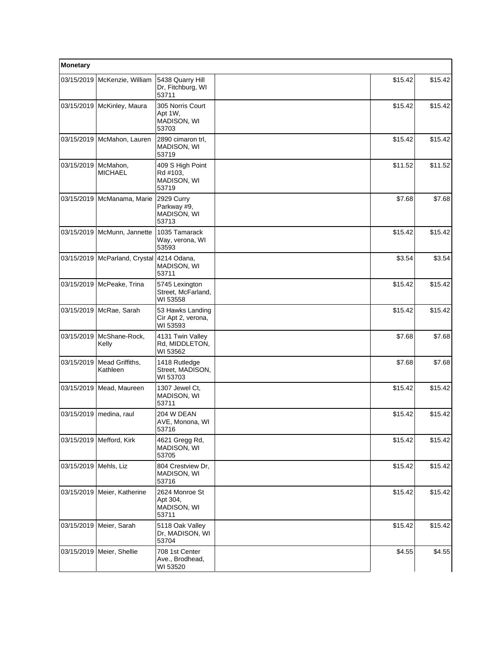| Monetary              |                                 |                                                      |         |         |
|-----------------------|---------------------------------|------------------------------------------------------|---------|---------|
| 03/15/2019            | McKenzie, William               | 5438 Quarry Hill<br>Dr. Fitchburg, WI<br>53711       | \$15.42 | \$15.42 |
|                       | 03/15/2019   McKinley, Maura    | 305 Norris Court<br>Apt 1W,<br>MADISON, WI<br>53703  | \$15.42 | \$15.42 |
| 03/15/2019            | McMahon, Lauren                 | 2890 cimaron trl,<br>MADISON, WI<br>53719            | \$15.42 | \$15.42 |
| 03/15/2019            | McMahon,<br><b>MICHAEL</b>      | 409 S High Point<br>Rd #103,<br>MADISON, WI<br>53719 | \$11.52 | \$11.52 |
| 03/15/2019            | McManama, Marie                 | 2929 Curry<br>Parkway #9,<br>MADISON, WI<br>53713    | \$7.68  | \$7.68  |
|                       | 03/15/2019   McMunn, Jannette   | 1035 Tamarack<br>Way, verona, WI<br>53593            | \$15.42 | \$15.42 |
|                       | 03/15/2019   McParland, Crystal | 4214 Odana,<br>MADISON, WI<br>53711                  | \$3.54  | \$3.54  |
| 03/15/2019            | McPeake, Trina                  | 5745 Lexington<br>Street, McFarland,<br>WI 53558     | \$15.42 | \$15.42 |
| 03/15/2019            | McRae, Sarah                    | 53 Hawks Landing<br>Cir Apt 2, verona,<br>WI 53593   | \$15.42 | \$15.42 |
| 03/15/2019            | McShane-Rock,<br>Kelly          | 4131 Twin Valley<br>Rd, MIDDLETON,<br>WI 53562       | \$7.68  | \$7.68  |
| 03/15/2019            | Mead Griffiths,<br>Kathleen     | 1418 Rutledge<br>Street, MADISON,<br>WI 53703        | \$7.68  | \$7.68  |
| 03/15/2019            | Mead, Maureen                   | 1307 Jewel Ct.<br>MADISON, WI<br>53711               | \$15.42 | \$15.42 |
| 03/15/2019            | medina, raul                    | 204 W DEAN<br>AVE, Monona, WI<br>53716               | \$15.42 | \$15.42 |
|                       | 03/15/2019 Mefford, Kirk        | 4621 Gregg Rd,<br>MADISON, WI<br>53705               | \$15.42 | \$15.42 |
| 03/15/2019 Mehls, Liz |                                 | 804 Crestview Dr,<br>MADISON, WI<br>53716            | \$15.42 | \$15.42 |
|                       | 03/15/2019 Meier, Katherine     | 2624 Monroe St<br>Apt 304,<br>MADISON, WI<br>53711   | \$15.42 | \$15.42 |
|                       | 03/15/2019   Meier, Sarah       | 5118 Oak Valley<br>Dr, MADISON, WI<br>53704          | \$15.42 | \$15.42 |
|                       | 03/15/2019 Meier, Shellie       | 708 1st Center<br>Ave., Brodhead,<br>WI 53520        | \$4.55  | \$4.55  |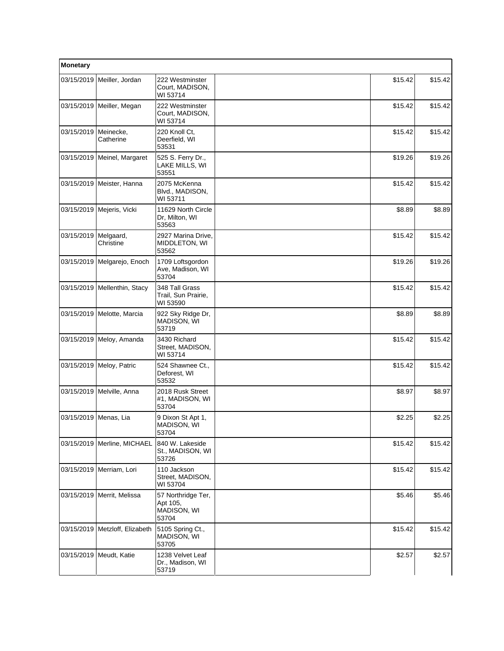| Monetary              |                                  |                                                        |         |         |
|-----------------------|----------------------------------|--------------------------------------------------------|---------|---------|
|                       | 03/15/2019 Meiller, Jordan       | 222 Westminster<br>Court, MADISON,<br>WI 53714         | \$15.42 | \$15.42 |
|                       | 03/15/2019 Meiller, Megan        | 222 Westminster<br>Court, MADISON,<br>WI 53714         | \$15.42 | \$15.42 |
| 03/15/2019            | Meinecke,<br>Catherine           | 220 Knoll Ct,<br>Deerfield, WI<br>53531                | \$15.42 | \$15.42 |
| 03/15/2019            | Meinel, Margaret                 | 525 S. Ferry Dr.,<br>LAKE MILLS, WI<br>53551           | \$19.26 | \$19.26 |
|                       | 03/15/2019 Meister, Hanna        | 2075 McKenna<br>Blvd., MADISON,<br>WI 53711            | \$15.42 | \$15.42 |
|                       | 03/15/2019   Mejeris, Vicki      | 11629 North Circle<br>Dr, Milton, WI<br>53563          | \$8.89  | \$8.89  |
| 03/15/2019            | Melgaard,<br>Christine           | 2927 Marina Drive,<br>MIDDLETON, WI<br>53562           | \$15.42 | \$15.42 |
| 03/15/2019            | Melgarejo, Enoch                 | 1709 Loftsgordon<br>Ave, Madison, WI<br>53704          | \$19.26 | \$19.26 |
|                       | 03/15/2019   Mellenthin, Stacy   | 348 Tall Grass<br>Trail, Sun Prairie,<br>WI 53590      | \$15.42 | \$15.42 |
|                       | 03/15/2019   Melotte, Marcia     | 922 Sky Ridge Dr,<br>MADISON, WI<br>53719              | \$8.89  | \$8.89  |
| 03/15/2019            | Meloy, Amanda                    | 3430 Richard<br>Street, MADISON,<br>WI 53714           | \$15.42 | \$15.42 |
|                       | 03/15/2019   Meloy, Patric       | 524 Shawnee Ct.,<br>Deforest, WI<br>53532              | \$15.42 | \$15.42 |
| 03/15/2019            | Melville, Anna                   | 2018 Rusk Street<br>#1, MADISON, WI<br>53704           | \$8.97  | \$8.97  |
| 03/15/2019 Menas, Lia |                                  | 9 Dixon St Apt 1,<br>MADISON, WI<br>53704              | \$2.25  | \$2.25  |
| 03/15/2019            | Merline, MICHAEL                 | 840 W. Lakeside<br>St., MADISON, WI<br>53726           | \$15.42 | \$15.42 |
|                       | 03/15/2019   Merriam, Lori       | 110 Jackson<br>Street, MADISON,<br>WI 53704            | \$15.42 | \$15.42 |
|                       | 03/15/2019   Merrit, Melissa     | 57 Northridge Ter,<br>Apt 105,<br>MADISON, WI<br>53704 | \$5.46  | \$5.46  |
|                       | 03/15/2019   Metzloff, Elizabeth | 5105 Spring Ct.,<br>MADISON, WI<br>53705               | \$15.42 | \$15.42 |
|                       | 03/15/2019   Meudt, Katie        | 1238 Velvet Leaf<br>Dr., Madison, WI<br>53719          | \$2.57  | \$2.57  |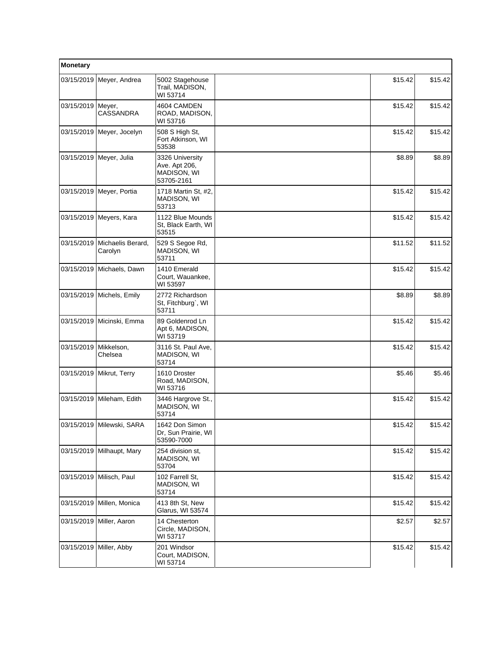| <b>Monetary</b> |                              |                                                               |         |         |
|-----------------|------------------------------|---------------------------------------------------------------|---------|---------|
| 03/15/2019      | Meyer, Andrea                | 5002 Stagehouse<br>Trail, MADISON,<br>WI 53714                | \$15.42 | \$15.42 |
| 03/15/2019      | Meyer,<br><b>CASSANDRA</b>   | 4604 CAMDEN<br>ROAD, MADISON,<br>WI 53716                     | \$15.42 | \$15.42 |
| 03/15/2019      | Meyer, Jocelyn               | 508 S High St,<br>Fort Atkinson, WI<br>53538                  | \$15.42 | \$15.42 |
| 03/15/2019      | Meyer, Julia                 | 3326 University<br>Ave. Apt 206,<br>MADISON, WI<br>53705-2161 | \$8.89  | \$8.89  |
| 03/15/2019      | Meyer, Portia                | 1718 Martin St, #2,<br>MADISON, WI<br>53713                   | \$15.42 | \$15.42 |
|                 | 03/15/2019   Meyers, Kara    | 1122 Blue Mounds<br>St, Black Earth, WI<br>53515              | \$15.42 | \$15.42 |
| 03/15/2019      | Michaelis Berard,<br>Carolyn | 529 S Segoe Rd,<br>MADISON, WI<br>53711                       | \$11.52 | \$11.52 |
|                 | 03/15/2019 Michaels, Dawn    | 1410 Emerald<br>Court, Wauankee,<br>WI 53597                  | \$15.42 | \$15.42 |
| 03/15/2019      | Michels, Emily               | 2772 Richardson<br>St, Fitchburg`, WI<br>53711                | \$8.89  | \$8.89  |
| 03/15/2019      | Micinski, Emma               | 89 Goldenrod Ln<br>Apt 6, MADISON,<br>WI 53719                | \$15.42 | \$15.42 |
| 03/15/2019      | Mikkelson,<br>Chelsea        | 3116 St. Paul Ave,<br>MADISON, WI<br>53714                    | \$15.42 | \$15.42 |
| 03/15/2019      | Mikrut, Terry                | 1610 Droster<br>Road, MADISON,<br>WI 53716                    | \$5.46  | \$5.46  |
| 03/15/2019      | Mileham, Edith               | 3446 Hargrove St.,<br>MADISON, WI<br>53714                    | \$15.42 | \$15.42 |
|                 | 03/15/2019 Milewski, SARA    | 1642 Don Simon<br>Dr, Sun Prairie, WI<br>53590-7000           | \$15.42 | \$15.42 |
|                 | 03/15/2019 Milhaupt, Mary    | 254 division st.<br>MADISON, WI<br>53704                      | \$15.42 | \$15.42 |
| 03/15/2019      | Milisch, Paul                | 102 Farrell St,<br>MADISON, WI<br>53714                       | \$15.42 | \$15.42 |
| 03/15/2019      | Millen, Monica               | 413 8th St, New<br>Glarus, WI 53574                           | \$15.42 | \$15.42 |
| 03/15/2019      | Miller, Aaron                | 14 Chesterton<br>Circle, MADISON,<br>WI 53717                 | \$2.57  | \$2.57  |
| 03/15/2019      | Miller, Abby                 | 201 Windsor<br>Court, MADISON,<br>WI 53714                    | \$15.42 | \$15.42 |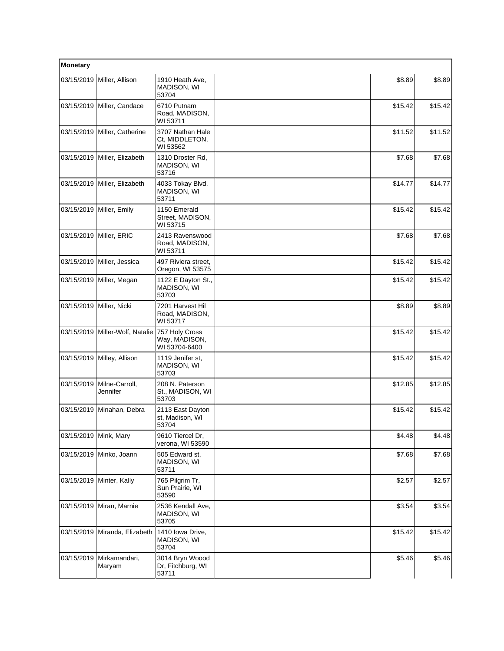| Monetary   |                              |                                                  |         |         |
|------------|------------------------------|--------------------------------------------------|---------|---------|
| 03/15/2019 | Miller, Allison              | 1910 Heath Ave,<br>MADISON, WI<br>53704          | \$8.89  | \$8.89  |
|            | 03/15/2019 Miller, Candace   | 6710 Putnam<br>Road, MADISON,<br>WI 53711        | \$15.42 | \$15.42 |
|            | 03/15/2019 Miller, Catherine | 3707 Nathan Hale<br>Ct, MIDDLETON,<br>WI 53562   | \$11.52 | \$11.52 |
| 03/15/2019 | Miller, Elizabeth            | 1310 Droster Rd,<br>MADISON, WI<br>53716         | \$7.68  | \$7.68  |
| 03/15/2019 | Miller, Elizabeth            | 4033 Tokay Blvd,<br>MADISON, WI<br>53711         | \$14.77 | \$14.77 |
|            | 03/15/2019 Miller, Emily     | 1150 Emerald<br>Street, MADISON,<br>WI 53715     | \$15.42 | \$15.42 |
| 03/15/2019 | Miller, ERIC                 | 2413 Ravenswood<br>Road, MADISON,<br>WI 53711    | \$7.68  | \$7.68  |
| 03/15/2019 | Miller, Jessica              | 497 Riviera street,<br>Oregon, WI 53575          | \$15.42 | \$15.42 |
| 03/15/2019 | Miller, Megan                | 1122 E Dayton St.,<br>MADISON, WI<br>53703       | \$15.42 | \$15.42 |
| 03/15/2019 | Miller, Nicki                | 7201 Harvest Hil<br>Road, MADISON,<br>WI 53717   | \$8.89  | \$8.89  |
| 03/15/2019 | Miller-Wolf, Natalie         | 757 Holy Cross<br>Way, MADISON,<br>WI 53704-6400 | \$15.42 | \$15.42 |
|            | 03/15/2019 Milley, Allison   | 1119 Jenifer st.<br>MADISON, WI<br>53703         | \$15.42 | \$15.42 |
| 03/15/2019 | Milne-Carroll,<br>Jennifer   | 208 N. Paterson<br>St., MADISON, WI<br>53703     | \$12.85 | \$12.85 |
| 03/15/2019 | Minahan, Debra               | 2113 East Dayton<br>st, Madison, WI<br>53704     | \$15.42 | \$15.42 |
| 03/15/2019 | Mink, Mary                   | 9610 Tiercel Dr,<br>verona, WI 53590             | \$4.48  | \$4.48  |
| 03/15/2019 | Minko, Joann                 | 505 Edward st,<br>MADISON, WI<br>53711           | \$7.68  | \$7.68  |
|            | 03/15/2019   Minter, Kally   | 765 Pilgrim Tr,<br>Sun Prairie, WI<br>53590      | \$2.57  | \$2.57  |
| 03/15/2019 | Miran, Marnie                | 2536 Kendall Ave,<br>MADISON, WI<br>53705        | \$3.54  | \$3.54  |
| 03/15/2019 | Miranda, Elizabeth           | 1410 Iowa Drive,<br>MADISON, WI<br>53704         | \$15.42 | \$15.42 |
| 03/15/2019 | Mirkamandari,<br>Maryam      | 3014 Bryn Woood<br>Dr, Fitchburg, WI<br>53711    | \$5.46  | \$5.46  |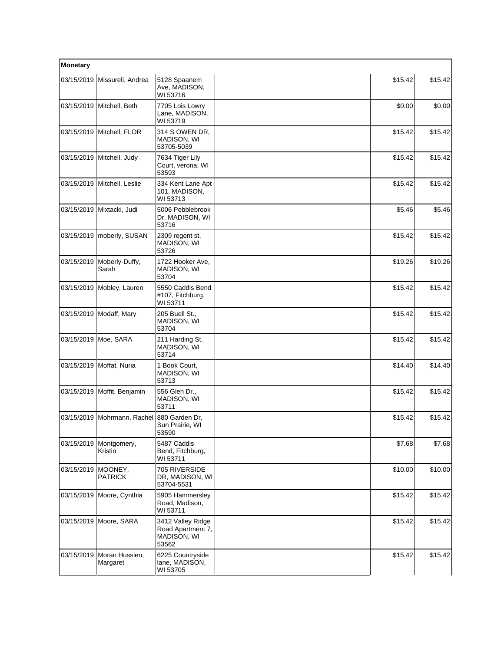| Monetary   |                                            |                                                                |         |         |
|------------|--------------------------------------------|----------------------------------------------------------------|---------|---------|
| 03/15/2019 | Missureli, Andrea                          | 5128 Spaanem<br>Ave, MADISON,<br>WI 53716                      | \$15.42 | \$15.42 |
|            | 03/15/2019 Mitchell, Beth                  | 7705 Lois Lowry<br>Lane, MADISON,<br>WI 53719                  | \$0.00  | \$0.00  |
|            | 03/15/2019 Mitchell, FLOR                  | 314 S OWEN DR,<br>MADISON, WI<br>53705-5039                    | \$15.42 | \$15.42 |
| 03/15/2019 | Mitchell, Judy                             | 7634 Tiger Lily<br>Court, verona, WI<br>53593                  | \$15.42 | \$15.42 |
| 03/15/2019 | Mitchell, Leslie                           | 334 Kent Lane Apt<br>101, MADISON,<br>WI 53713                 | \$15.42 | \$15.42 |
|            | 03/15/2019 Mixtacki, Judi                  | 5006 Pebblebrook<br>Dr, MADISON, WI<br>53716                   | \$5.46  | \$5.46  |
| 03/15/2019 | moberly, SUSAN                             | 2309 regent st,<br>MADISON, WI<br>53726                        | \$15.42 | \$15.42 |
| 03/15/2019 | Moberly-Duffy,<br>Sarah                    | 1722 Hooker Ave,<br>MADISON, WI<br>53704                       | \$19.26 | \$19.26 |
|            | 03/15/2019 Mobley, Lauren                  | 5550 Caddis Bend<br>#107, Fitchburg,<br>WI 53711               | \$15.42 | \$15.42 |
|            | 03/15/2019   Modaff, Mary                  | 205 Buell St.,<br>MADISON, WI<br>53704                         | \$15.42 | \$15.42 |
| 03/15/2019 | Moe, SARA                                  | 211 Harding St,<br>MADISON, WI<br>53714                        | \$15.42 | \$15.42 |
| 03/15/2019 | Moffat, Nuria                              | 1 Book Court,<br>MADISON, WI<br>53713                          | \$14.40 | \$14.40 |
| 03/15/2019 | Moffit, Benjamin                           | 556 Glen Dr.,<br>MADISON, WI<br>53711                          | \$15.42 | \$15.42 |
|            | 03/15/2019 Mohrmann, Rachel 880 Garden Dr, | Sun Prairie, WI<br>53590                                       | \$15.42 | \$15.42 |
| 03/15/2019 | Montgomery,<br>Kristin                     | 5487 Caddis<br>Bend, Fitchburg,<br>WI 53711                    | \$7.68  | \$7.68  |
| 03/15/2019 | MOONEY,<br><b>PATRICK</b>                  | 705 RIVERSIDE<br>DR, MADISON, WI<br>53704-5531                 | \$10.00 | \$10.00 |
|            | 03/15/2019 Moore, Cynthia                  | 5905 Hammersley<br>Road, Madison,<br>WI 53711                  | \$15.42 | \$15.42 |
|            | 03/15/2019 Moore, SARA                     | 3412 Valley Ridge<br>Road Apartment 7,<br>MADISON, WI<br>53562 | \$15.42 | \$15.42 |
| 03/15/2019 | Moran Hussien,<br>Margaret                 | 6225 Countryside<br>lane, MADISON,<br>WI 53705                 | \$15.42 | \$15.42 |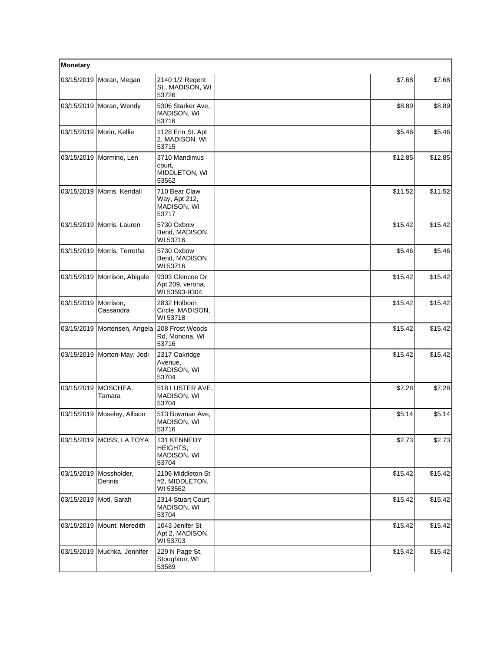| <b>Monetary</b> |                             |                                                        |         |         |
|-----------------|-----------------------------|--------------------------------------------------------|---------|---------|
| 03/15/2019      | Moran, Megan                | 2140 1/2 Regent<br>St., MADISON, WI<br>53726           | \$7.68  | \$7.68  |
|                 | 03/15/2019 Moran, Wendy     | 5306 Starker Ave.<br>MADISON, WI<br>53716              | \$8.89  | \$8.89  |
|                 | 03/15/2019 Morin, Kellie    | 1128 Erin St. Apt<br>2, MADISON, WI<br>53715           | \$5.46  | \$5.46  |
| 03/15/2019      | Mormino, Len                | 3710 Mandimus<br>court,<br>MIDDLETON, WI<br>53562      | \$12.85 | \$12.85 |
| 03/15/2019      | Morris, Kendall             | 710 Bear Claw<br>Way, Apt 212,<br>MADISON, WI<br>53717 | \$11.52 | \$11.52 |
|                 | 03/15/2019   Morris, Lauren | 5730 Oxbow<br>Bend, MADISON,<br>WI 53716               | \$15.42 | \$15.42 |
| 03/15/2019      | Morris, Terretha            | 5730 Oxbow<br>Bend, MADISON,<br>WI 53716               | \$5.46  | \$5.46  |
| 03/15/2019      | Morrison, Abigale           | 9303 Glencoe Dr<br>Apt 209, verona,<br>WI 53593-9304   | \$15.42 | \$15.42 |
| 03/15/2019      | Morrison,<br>Cassandra      | 2832 Holborn<br>Circle, MADISON,<br>WI 53718           | \$15.42 | \$15.42 |
| 03/15/2019      | Mortensen, Angela           | 208 Frost Woods<br>Rd, Monona, WI<br>53716             | \$15.42 | \$15.42 |
| 03/15/2019      | Morton-May, Jodi            | 2317 Oakridge<br>Avenue,<br>MADISON, WI<br>53704       | \$15.42 | \$15.42 |
| 03/15/2019      | MOSCHEA,<br>Tamara          | 518 LUSTER AVE,<br>MADISON, WI<br>53704                | \$7.28  | \$7.28  |
| 03/15/2019      | Moseley, Allison            | 513 Bowman Ave,<br>MADISON, WI<br>53716                | \$5.14  | \$5.14  |
|                 | 03/15/2019   MOSS, LA TOYA  | 131 KENNEDY<br>HEIGHTS,<br>MADISON, WI<br>53704        | \$2.73  | \$2.73  |
| 03/15/2019      | Mossholder,<br>Dennis       | 2106 Middleton St<br>#2, MIDDLETON,<br>WI 53562        | \$15.42 | \$15.42 |
|                 | 03/15/2019 Motl, Sarah      | 2314 Stuart Court,<br>MADISON, WI<br>53704             | \$15.42 | \$15.42 |
| 03/15/2019      | Mount, Meredith             | 1043 Jenifer St<br>Apt 2, MADISON,<br>WI 53703         | \$15.42 | \$15.42 |
| 03/15/2019      | Muchka, Jennifer            | 229 N Page St,<br>Stoughton, WI<br>53589               | \$15.42 | \$15.42 |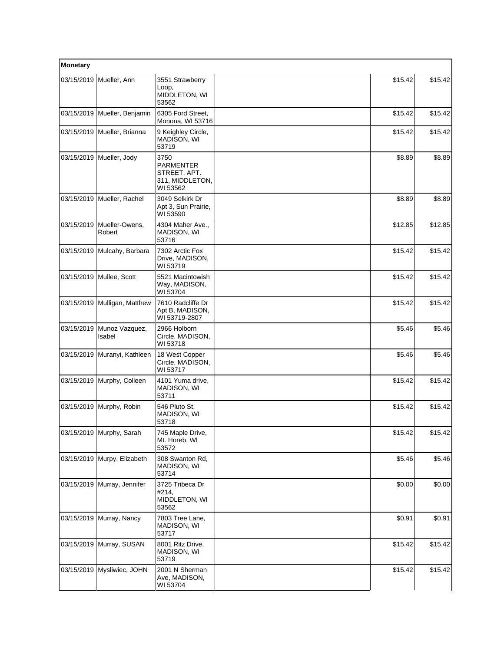| Monetary   |                                |                                                                         |         |         |
|------------|--------------------------------|-------------------------------------------------------------------------|---------|---------|
| 03/15/2019 | Mueller, Ann                   | 3551 Strawberry<br>Loop,<br>MIDDLETON, WI<br>53562                      | \$15.42 | \$15.42 |
| 03/15/2019 | Mueller, Benjamin              | 6305 Ford Street,<br>Monona, WI 53716                                   | \$15.42 | \$15.42 |
|            | 03/15/2019 Mueller, Brianna    | 9 Keighley Circle,<br>MADISON, WI<br>53719                              | \$15.42 | \$15.42 |
| 03/15/2019 | Mueller, Jody                  | 3750<br><b>PARMENTER</b><br>STREET, APT.<br>311, MIDDLETON,<br>WI 53562 | \$8.89  | \$8.89  |
| 03/15/2019 | Mueller, Rachel                | 3049 Selkirk Dr<br>Apt 3, Sun Prairie,<br>WI 53590                      | \$8.89  | \$8.89  |
| 03/15/2019 | Mueller-Owens,<br>Robert       | 4304 Maher Ave.,<br>MADISON, WI<br>53716                                | \$12.85 | \$12.85 |
|            | 03/15/2019 Mulcahy, Barbara    | 7302 Arctic Fox<br>Drive, MADISON,<br>WI 53719                          | \$15.42 | \$15.42 |
| 03/15/2019 | Mullee, Scott                  | 5521 Macintowish<br>Way, MADISON,<br>WI 53704                           | \$15.42 | \$15.42 |
|            | 03/15/2019   Mulligan, Matthew | 7610 Radcliffe Dr<br>Apt B, MADISON,<br>WI 53719-2807                   | \$15.42 | \$15.42 |
| 03/15/2019 | Munoz Vazquez,<br>Isabel       | 2966 Holborn<br>Circle, MADISON,<br>WI 53718                            | \$5.46  | \$5.46  |
| 03/15/2019 | Muranyi, Kathleen              | 18 West Copper<br>Circle, MADISON,<br>WI 53717                          | \$5.46  | \$5.46  |
|            | 03/15/2019   Murphy, Colleen   | 4101 Yuma drive,<br>MADISON, WI<br>53711                                | \$15.42 | \$15.42 |
|            | 03/15/2019 Murphy, Robin       | 546 Pluto St,<br>MADISON, WI<br>53718                                   | \$15.42 | \$15.42 |
|            | 03/15/2019 Murphy, Sarah       | 745 Maple Drive,<br>Mt. Horeb, WI<br>53572                              | \$15.42 | \$15.42 |
| 03/15/2019 | Murpy, Elizabeth               | 308 Swanton Rd,<br>MADISON, WI<br>53714                                 | \$5.46  | \$5.46  |
|            | 03/15/2019 Murray, Jennifer    | 3725 Tribeca Dr<br>#214,<br>MIDDLETON, WI<br>53562                      | \$0.00  | \$0.00  |
| 03/15/2019 | Murray, Nancy                  | 7803 Tree Lane,<br>MADISON, WI<br>53717                                 | \$0.91  | \$0.91  |
| 03/15/2019 | Murray, SUSAN                  | 8001 Ritz Drive,<br>MADISON, WI<br>53719                                | \$15.42 | \$15.42 |
|            | 03/15/2019   Mysliwiec, JOHN   | 2001 N Sherman<br>Ave, MADISON,<br>WI 53704                             | \$15.42 | \$15.42 |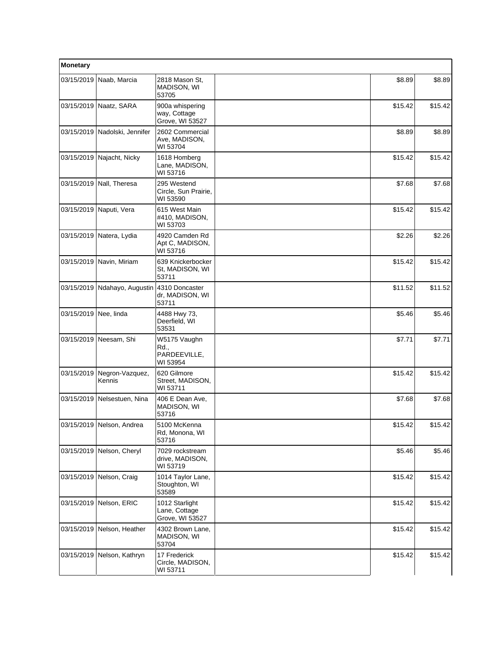| Monetary              |                           |                                                    |         |         |
|-----------------------|---------------------------|----------------------------------------------------|---------|---------|
| 03/15/2019            | Naab, Marcia              | 2818 Mason St,<br>MADISON, WI<br>53705             | \$8.89  | \$8.89  |
|                       | 03/15/2019 Naatz, SARA    | 900a whispering<br>way, Cottage<br>Grove, WI 53527 | \$15.42 | \$15.42 |
| 03/15/2019            | Nadolski, Jennifer        | 2602 Commercial<br>Ave, MADISON,<br>WI 53704       | \$8.89  | \$8.89  |
| 03/15/2019            | Najacht, Nicky            | 1618 Homberg<br>Lane, MADISON,<br>WI 53716         | \$15.42 | \$15.42 |
| 03/15/2019            | Nall, Theresa             | 295 Westend<br>Circle, Sun Prairie,<br>WI 53590    | \$7.68  | \$7.68  |
|                       | 03/15/2019 Naputi, Vera   | 615 West Main<br>#410, MADISON,<br>WI 53703        | \$15.42 | \$15.42 |
| 03/15/2019            | Natera, Lydia             | 4920 Camden Rd<br>Apt C, MADISON,<br>WI 53716      | \$2.26  | \$2.26  |
| 03/15/2019            | Navin, Miriam             | 639 Knickerbocker<br>St, MADISON, WI<br>53711      | \$15.42 | \$15.42 |
| 03/15/2019            | Ndahayo, Augustin         | 4310 Doncaster<br>dr, MADISON, WI<br>53711         | \$11.52 | \$11.52 |
| 03/15/2019 Nee, linda |                           | 4488 Hwy 73,<br>Deerfield, WI<br>53531             | \$5.46  | \$5.46  |
| 03/15/2019            | Neesam, Shi               | W5175 Vaughn<br>Rd.,<br>PARDEEVILLE,<br>WI 53954   | \$7.71  | \$7.71  |
| 03/15/2019            | Negron-Vazquez,<br>Kennis | 620 Gilmore<br>Street, MADISON,<br>WI 53711        | \$15.42 | \$15.42 |
| 03/15/2019            | Nelsestuen, Nina          | 406 E Dean Ave,<br>MADISON, WI<br>53716            | \$7.68  | \$7.68  |
|                       | 03/15/2019 Nelson, Andrea | 5100 McKenna<br>Rd, Monona, WI<br>53716            | \$15.42 | \$15.42 |
|                       | 03/15/2019 Nelson, Cheryl | 7029 rockstream<br>drive, MADISON,<br>WI 53719     | \$5.46  | \$5.46  |
| 03/15/2019            | Nelson, Craig             | 1014 Taylor Lane,<br>Stoughton, WI<br>53589        | \$15.42 | \$15.42 |
| 03/15/2019            | Nelson, ERIC              | 1012 Starlight<br>Lane, Cottage<br>Grove, WI 53527 | \$15.42 | \$15.42 |
| 03/15/2019            | Nelson, Heather           | 4302 Brown Lane,<br>MADISON, WI<br>53704           | \$15.42 | \$15.42 |
| 03/15/2019            | Nelson, Kathryn           | 17 Frederick<br>Circle, MADISON,<br>WI 53711       | \$15.42 | \$15.42 |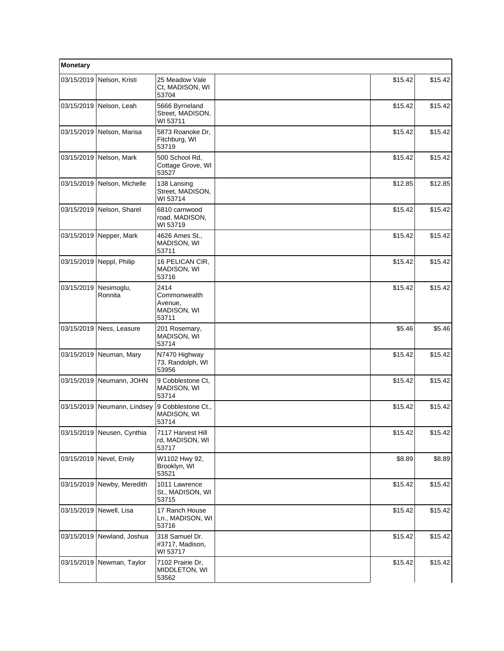| Monetary   |                            |                                                         |         |         |
|------------|----------------------------|---------------------------------------------------------|---------|---------|
| 03/15/2019 | Nelson, Kristi             | 25 Meadow Vale<br>Ct, MADISON, WI<br>53704              | \$15.42 | \$15.42 |
|            | 03/15/2019 Nelson, Leah    | 5666 Byrneland<br>Street, MADISON,<br>WI 53711          | \$15.42 | \$15.42 |
|            | 03/15/2019 Nelson, Marisa  | 5873 Roanoke Dr,<br>Fitchburg, WI<br>53719              | \$15.42 | \$15.42 |
| 03/15/2019 | Nelson, Mark               | 500 School Rd.<br>Cottage Grove, WI<br>53527            | \$15.42 | \$15.42 |
| 03/15/2019 | Nelson, Michelle           | 138 Lansing<br>Street, MADISON,<br>WI 53714             | \$12.85 | \$12.85 |
|            | 03/15/2019 Nelson, Sharel  | 6810 carnwood<br>road, MADISON,<br>WI 53719             | \$15.42 | \$15.42 |
| 03/15/2019 | Nepper, Mark               | 4626 Ames St.,<br><b>MADISON, WI</b><br>53711           | \$15.42 | \$15.42 |
| 03/15/2019 | Neppl, Philip              | 16 PELICAN CIR.<br>MADISON, WI<br>53716                 | \$15.42 | \$15.42 |
| 03/15/2019 | Nesimoglu,<br>Ronnita      | 2414<br>Commonwealth<br>Avenue,<br>MADISON, WI<br>53711 | \$15.42 | \$15.42 |
|            | 03/15/2019 Ness, Leasure   | 201 Rosemary,<br>MADISON, WI<br>53714                   | \$5.46  | \$5.46  |
| 03/15/2019 | Neuman, Mary               | N7470 Highway<br>73, Randolph, WI<br>53956              | \$15.42 | \$15.42 |
|            | 03/15/2019 Neumann, JOHN   | 9 Cobblestone Ct,<br>MADISON, WI<br>53714               | \$15.42 | \$15.42 |
| 03/15/2019 | Neumann, Lindsey           | 9 Cobblestone Ct.,<br>MADISON, WI<br>53714              | \$15.42 | \$15.42 |
|            | 03/15/2019 Neusen, Cynthia | 7117 Harvest Hill<br>rd, MADISON, WI<br>53717           | \$15.42 | \$15.42 |
| 03/15/2019 | Nevel, Emily               | W1102 Hwy 92,<br>Brooklyn, WI<br>53521                  | \$8.89  | \$8.89  |
| 03/15/2019 | Newby, Meredith            | 1011 Lawrence<br>St., MADISON, WI<br>53715              | \$15.42 | \$15.42 |
|            | 03/15/2019 Newell, Lisa    | 17 Ranch House<br>Ln., MADISON, WI<br>53716             | \$15.42 | \$15.42 |
| 03/15/2019 | Newland, Joshua            | 318 Samuel Dr.<br>#3717, Madison,<br>WI 53717           | \$15.42 | \$15.42 |
| 03/15/2019 | Newman, Taylor             | 7102 Prairie Dr,<br>MIDDLETON, WI<br>53562              | \$15.42 | \$15.42 |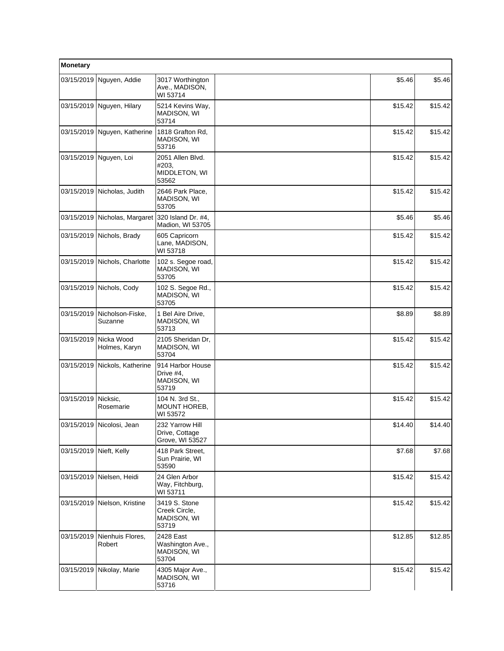| Monetary                |                              |                                                        |  |         |         |
|-------------------------|------------------------------|--------------------------------------------------------|--|---------|---------|
| 03/15/2019              | Nguyen, Addie                | 3017 Worthington<br>Ave., MADISON,<br>WI 53714         |  | \$5.46  | \$5.46  |
|                         | 03/15/2019 Nguyen, Hilary    | 5214 Kevins Way,<br><b>MADISON, WI</b><br>53714        |  | \$15.42 | \$15.42 |
|                         | 03/15/2019 Nguyen, Katherine | 1818 Grafton Rd,<br><b>MADISON, WI</b><br>53716        |  | \$15.42 | \$15.42 |
| 03/15/2019              | Nguyen, Loi                  | 2051 Allen Blvd.<br>#203,<br>MIDDLETON, WI<br>53562    |  | \$15.42 | \$15.42 |
| 03/15/2019              | Nicholas, Judith             | 2646 Park Place,<br>MADISON, WI<br>53705               |  | \$15.42 | \$15.42 |
| 03/15/2019              | Nicholas, Margaret           | 320 Island Dr. #4,<br>Madion, WI 53705                 |  | \$5.46  | \$5.46  |
| 03/15/2019              | Nichols, Brady               | 605 Capricorn<br>Lane, MADISON,<br>WI 53718            |  | \$15.42 | \$15.42 |
| 03/15/2019              | Nichols, Charlotte           | 102 s. Segoe road,<br>MADISON, WI<br>53705             |  | \$15.42 | \$15.42 |
|                         | 03/15/2019 Nichols, Cody     | 102 S. Segoe Rd.,<br>MADISON, WI<br>53705              |  | \$15.42 | \$15.42 |
| 03/15/2019              | Nicholson-Fiske,<br>Suzanne  | 1 Bel Aire Drive,<br>MADISON, WI<br>53713              |  | \$8.89  | \$8.89  |
| 03/15/2019              | Nicka Wood<br>Holmes, Karyn  | 2105 Sheridan Dr,<br>MADISON, WI<br>53704              |  | \$15.42 | \$15.42 |
| 03/15/2019              | Nickols, Katherine           | 914 Harbor House<br>Drive #4,<br>MADISON, WI<br>53719  |  | \$15.42 | \$15.42 |
| 03/15/2019              | Nicksic,<br>Rosemarie        | 104 N. 3rd St.,<br>MOUNT HOREB,<br>WI 53572            |  | \$15.42 | \$15.42 |
|                         | 03/15/2019 Nicolosi, Jean    | 232 Yarrow Hill<br>Drive, Cottage<br>Grove, WI 53527   |  | \$14.40 | \$14.40 |
| 03/15/2019 Nieft, Kelly |                              | 418 Park Street,<br>Sun Prairie, WI<br>53590           |  | \$7.68  | \$7.68  |
|                         | 03/15/2019 Nielsen, Heidi    | 24 Glen Arbor<br>Way, Fitchburg,<br>WI 53711           |  | \$15.42 | \$15.42 |
| 03/15/2019              | Nielson, Kristine            | 3419 S. Stone<br>Creek Circle,<br>MADISON, WI<br>53719 |  | \$15.42 | \$15.42 |
| 03/15/2019              | Nienhuis Flores,<br>Robert   | 2428 East<br>Washington Ave.,<br>MADISON, WI<br>53704  |  | \$12.85 | \$12.85 |
|                         | 03/15/2019 Nikolay, Marie    | 4305 Major Ave.,<br>MADISON, WI<br>53716               |  | \$15.42 | \$15.42 |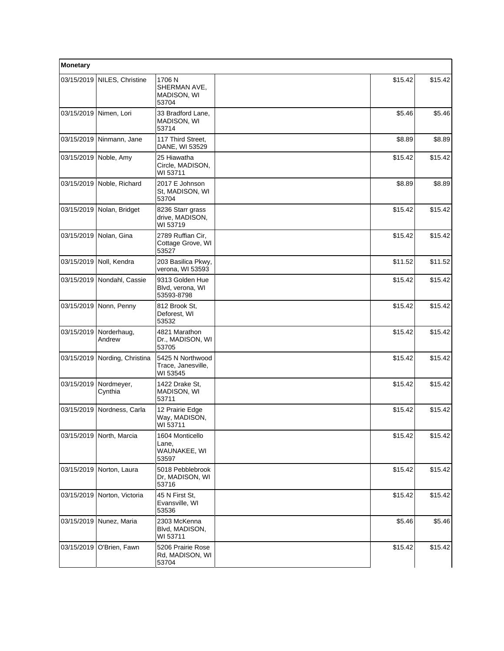| Monetary   |                               |                                                    |         |         |
|------------|-------------------------------|----------------------------------------------------|---------|---------|
|            | 03/15/2019 NILES, Christine   | 1706 N<br>SHERMAN AVE,<br>MADISON, WI<br>53704     | \$15.42 | \$15.42 |
| 03/15/2019 | Nimen, Lori                   | 33 Bradford Lane,<br>MADISON, WI<br>53714          | \$5.46  | \$5.46  |
|            | 03/15/2019 Ninmann, Jane      | 117 Third Street,<br>DANE, WI 53529                | \$8.89  | \$8.89  |
|            | 03/15/2019 Noble, Amy         | 25 Hiawatha<br>Circle, MADISON,<br>WI 53711        | \$15.42 | \$15.42 |
|            | 03/15/2019 Noble, Richard     | 2017 E Johnson<br>St, MADISON, WI<br>53704         | \$8.89  | \$8.89  |
|            | 03/15/2019 Nolan, Bridget     | 8236 Starr grass<br>drive, MADISON,<br>WI 53719    | \$15.42 | \$15.42 |
|            | 03/15/2019 Nolan, Gina        | 2789 Ruffian Cir.<br>Cottage Grove, WI<br>53527    | \$15.42 | \$15.42 |
| 03/15/2019 | Noll, Kendra                  | 203 Basilica Pkwy,<br>verona, WI 53593             | \$11.52 | \$11.52 |
|            | 03/15/2019 Nondahl, Cassie    | 9313 Golden Hue<br>Blvd, verona, WI<br>53593-8798  | \$15.42 | \$15.42 |
| 03/15/2019 | Nonn, Penny                   | 812 Brook St,<br>Deforest, WI<br>53532             | \$15.42 | \$15.42 |
| 03/15/2019 | Norderhaug,<br>Andrew         | 4821 Marathon<br>Dr., MADISON, WI<br>53705         | \$15.42 | \$15.42 |
|            | 03/15/2019 Nording, Christina | 5425 N Northwood<br>Trace, Janesville,<br>WI 53545 | \$15.42 | \$15.42 |
| 03/15/2019 | Nordmeyer,<br>Cynthia         | 1422 Drake St,<br>MADISON, WI<br>53711             | \$15.42 | \$15.42 |
| 03/15/2019 | Nordness, Carla               | 12 Prairie Edge<br>Way, MADISON,<br>WI 53711       | \$15.42 | \$15.42 |
|            | 03/15/2019 North, Marcia      | 1604 Monticello<br>Lane,<br>WAUNAKEE, WI<br>53597  | \$15.42 | \$15.42 |
|            | 03/15/2019 Norton, Laura      | 5018 Pebblebrook<br>Dr, MADISON, WI<br>53716       | \$15.42 | \$15.42 |
|            | 03/15/2019 Norton, Victoria   | 45 N First St,<br>Evansville, WI<br>53536          | \$15.42 | \$15.42 |
|            | 03/15/2019   Nunez, Maria     | 2303 McKenna<br>Blvd, MADISON,<br>WI 53711         | \$5.46  | \$5.46  |
| 03/15/2019 | O'Brien, Fawn                 | 5206 Prairie Rose<br>Rd, MADISON, WI<br>53704      | \$15.42 | \$15.42 |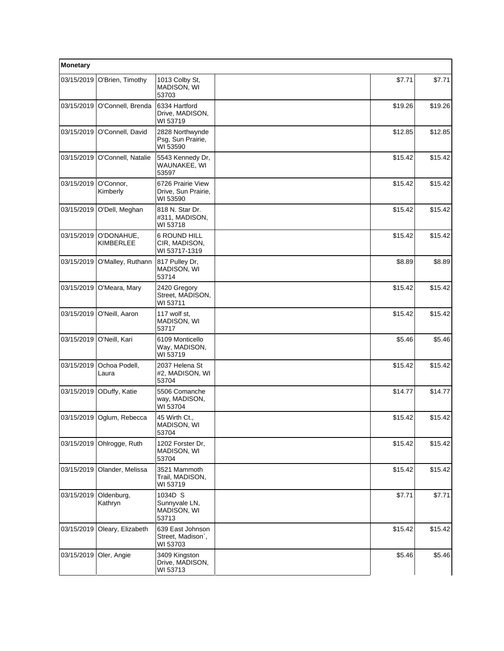| Monetary   |                         |                                                      |         |         |
|------------|-------------------------|------------------------------------------------------|---------|---------|
| 03/15/2019 | O'Brien, Timothy        | 1013 Colby St,<br>MADISON, WI<br>53703               | \$7.71  | \$7.71  |
| 03/15/2019 | O'Connell, Brenda       | 6334 Hartford<br>Drive, MADISON,<br>WI 53719         | \$19.26 | \$19.26 |
| 03/15/2019 | O'Connell, David        | 2828 Northwynde<br>Psg, Sun Prairie,<br>WI 53590     | \$12.85 | \$12.85 |
| 03/15/2019 | O'Connell, Natalie      | 5543 Kennedy Dr,<br>WAUNAKEE, WI<br>53597            | \$15.42 | \$15.42 |
| 03/15/2019 | O'Connor,<br>Kimberly   | 6726 Prairie View<br>Drive, Sun Prairie,<br>WI 53590 | \$15.42 | \$15.42 |
| 03/15/2019 | O'Dell, Meghan          | 818 N. Star Dr.<br>#311, MADISON,<br>WI 53718        | \$15.42 | \$15.42 |
| 03/15/2019 | O'DONAHUE,<br>KIMBERLEE | 6 ROUND HILL<br>CIR, MADISON,<br>WI 53717-1319       | \$15.42 | \$15.42 |
| 03/15/2019 | O'Malley, Ruthann       | 817 Pulley Dr.<br>MADISON, WI<br>53714               | \$8.89  | \$8.89  |
| 03/15/2019 | O'Meara, Mary           | 2420 Gregory<br>Street, MADISON,<br>WI 53711         | \$15.42 | \$15.42 |
| 03/15/2019 | O'Neill, Aaron          | 117 wolf st,<br>MADISON, WI<br>53717                 | \$15.42 | \$15.42 |
| 03/15/2019 | O'Neill, Kari           | 6109 Monticello<br>Way, MADISON,<br>WI 53719         | \$5.46  | \$5.46  |
| 03/15/2019 | Ochoa Podell,<br>Laura  | 2037 Helena St<br>#2, MADISON, WI<br>53704           | \$15.42 | \$15.42 |
| 03/15/2019 | ODuffy, Katie           | 5506 Comanche<br>way, MADISON,<br>WI 53704           | \$14.77 | \$14.77 |
| 03/15/2019 | Oglum, Rebecca          | 45 Wirth Ct.,<br>MADISON, WI<br>53704                | \$15.42 | \$15.42 |
| 03/15/2019 | Ohlrogge, Ruth          | 1202 Forster Dr,<br>MADISON, WI<br>53704             | \$15.42 | \$15.42 |
| 03/15/2019 | Olander, Melissa        | 3521 Mammoth<br>Trail, MADISON,<br>WI 53719          | \$15.42 | \$15.42 |
| 03/15/2019 | Oldenburg,<br>Kathryn   | 1034D S<br>Sunnyvale LN,<br>MADISON, WI<br>53713     | \$7.71  | \$7.71  |
| 03/15/2019 | Oleary, Elizabeth       | 639 East Johnson<br>Street, Madison`,<br>WI 53703    | \$15.42 | \$15.42 |
| 03/15/2019 | Oler, Angie             | 3409 Kingston<br>Drive, MADISON,<br>WI 53713         | \$5.46  | \$5.46  |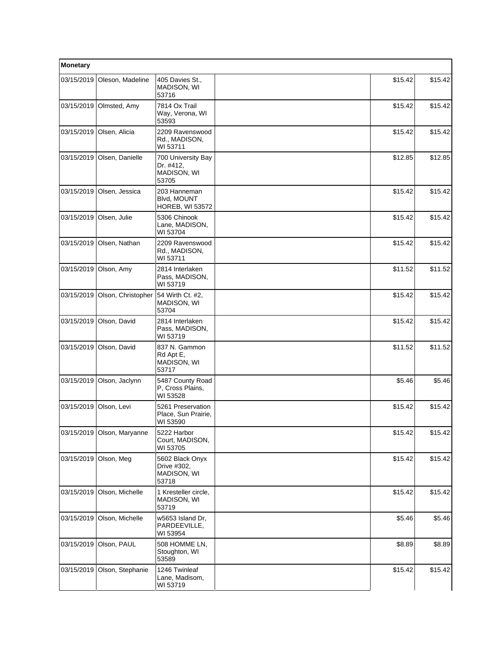| Monetary   |                    |                                                         |         |         |
|------------|--------------------|---------------------------------------------------------|---------|---------|
| 03/15/2019 | Oleson, Madeline   | 405 Davies St.,<br>MADISON, WI<br>53716                 | \$15.42 | \$15.42 |
| 03/15/2019 | Olmsted, Amy       | 7814 Ox Trail<br>Way, Verona, WI<br>53593               | \$15.42 | \$15.42 |
| 03/15/2019 | Olsen, Alicia      | 2209 Ravenswood<br>Rd., MADISON,<br>WI 53711            | \$15.42 | \$15.42 |
| 03/15/2019 | Olsen, Danielle    | 700 University Bay<br>Dr. #412,<br>MADISON, WI<br>53705 | \$12.85 | \$12.85 |
| 03/15/2019 | Olsen, Jessica     | 203 Hanneman<br>Blvd, MOUNT<br><b>HOREB, WI 53572</b>   | \$15.42 | \$15.42 |
| 03/15/2019 | Olsen, Julie       | 5306 Chinook<br>Lane, MADISON,<br>WI 53704              | \$15.42 | \$15.42 |
| 03/15/2019 | Olsen, Nathan      | 2209 Ravenswood<br>Rd., MADISON,<br>WI 53711            | \$15.42 | \$15.42 |
| 03/15/2019 | Olson, Amy         | 2814 Interlaken<br>Pass, MADISON,<br>WI 53719           | \$11.52 | \$11.52 |
| 03/15/2019 | Olson, Christopher | 54 Wirth Ct. #2,<br>MADISON, WI<br>53704                | \$15.42 | \$15.42 |
| 03/15/2019 | Olson, David       | 2814 Interlaken<br>Pass, MADISON,<br>WI 53719           | \$15.42 | \$15.42 |
| 03/15/2019 | Olson, David       | 837 N. Gammon<br>Rd Apt E,<br>MADISON, WI<br>53717      | \$11.52 | \$11.52 |
| 03/15/2019 | Olson, Jaclynn     | 5487 County Road<br>P, Cross Plains,<br>WI 53528        | \$5.46  | \$5.46  |
| 03/15/2019 | Olson, Levi        | 5261 Preservation<br>Place, Sun Prairie,<br>WI 53590    | \$15.42 | \$15.42 |
| 03/15/2019 | Olson, Maryanne    | 5222 Harbor<br>Court, MADISON,<br>WI 53705              | \$15.42 | \$15.42 |
| 03/15/2019 | Olson, Meg         | 5602 Black Onyx<br>Drive #302,<br>MADISON, WI<br>53718  | \$15.42 | \$15.42 |
| 03/15/2019 | Olson, Michelle    | 1 Kresteller circle,<br>MADISON, WI<br>53719            | \$15.42 | \$15.42 |
| 03/15/2019 | Olson, Michelle    | w5653 Island Dr.<br>PARDEEVILLE,<br>WI 53954            | \$5.46  | \$5.46  |
| 03/15/2019 | Olson, PAUL        | 508 HOMME LN,<br>Stoughton, WI<br>53589                 | \$8.89  | \$8.89  |
| 03/15/2019 | Olson, Stephanie   | 1246 Twinleaf<br>Lane, Madisom,<br>WI 53719             | \$15.42 | \$15.42 |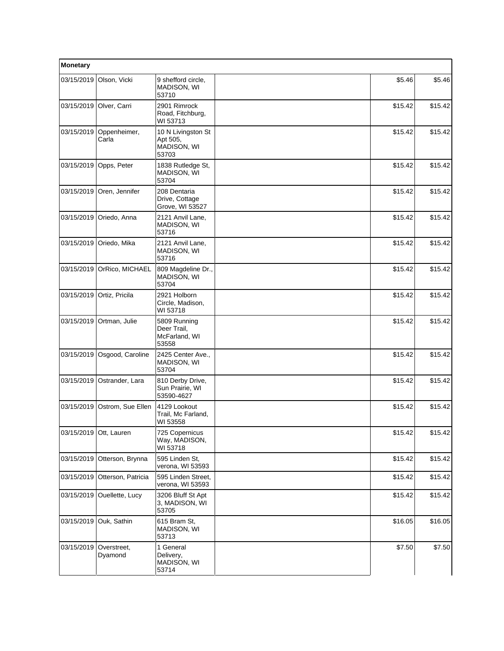| Monetary               |                            |                                                        |         |         |
|------------------------|----------------------------|--------------------------------------------------------|---------|---------|
| 03/15/2019             | Olson, Vicki               | 9 shefford circle,<br>MADISON, WI<br>53710             | \$5.46  | \$5.46  |
| 03/15/2019             | Olver, Carri               | 2901 Rimrock<br>Road, Fitchburg,<br>WI 53713           | \$15.42 | \$15.42 |
| 03/15/2019             | Oppenheimer,<br>Carla      | 10 N Livingston St<br>Apt 505,<br>MADISON, WI<br>53703 | \$15.42 | \$15.42 |
| 03/15/2019             | Opps, Peter                | 1838 Rutledge St,<br>MADISON, WI<br>53704              | \$15.42 | \$15.42 |
|                        | 03/15/2019 Oren, Jennifer  | 208 Dentaria<br>Drive, Cottage<br>Grove, WI 53527      | \$15.42 | \$15.42 |
| 03/15/2019             | Oriedo, Anna               | 2121 Anvil Lane,<br>MADISON, WI<br>53716               | \$15.42 | \$15.42 |
| 03/15/2019             | Oriedo, Mika               | 2121 Anvil Lane,<br>MADISON, WI<br>53716               | \$15.42 | \$15.42 |
|                        | 03/15/2019 OrRico, MICHAEL | 809 Magdeline Dr.,<br>MADISON, WI<br>53704             | \$15.42 | \$15.42 |
| 03/15/2019             | Ortiz, Pricila             | 2921 Holborn<br>Circle, Madison,<br>WI 53718           | \$15.42 | \$15.42 |
| 03/15/2019             | Ortman, Julie              | 5809 Running<br>Deer Trail,<br>McFarland, WI<br>53558  | \$15.42 | \$15.42 |
| 03/15/2019             | Osgood, Caroline           | 2425 Center Ave.,<br>MADISON, WI<br>53704              | \$15.42 | \$15.42 |
| 03/15/2019             | Ostrander, Lara            | 810 Derby Drive,<br>Sun Prairie, WI<br>53590-4627      | \$15.42 | \$15.42 |
| 03/15/2019             | Ostrom, Sue Ellen          | 4129 Lookout<br>Trail, Mc Farland,<br>WI 53558         | \$15.42 | \$15.42 |
| 03/15/2019 Ott, Lauren |                            | 725 Copernicus<br>Way, MADISON,<br>WI 53718            | \$15.42 | \$15.42 |
| 03/15/2019             | Otterson, Brynna           | 595 Linden St,<br>verona, WI 53593                     | \$15.42 | \$15.42 |
| 03/15/2019             | Otterson, Patricia         | 595 Linden Street.<br>verona, WI 53593                 | \$15.42 | \$15.42 |
| 03/15/2019             | Ouellette, Lucy            | 3206 Bluff St Apt<br>3, MADISON, WI<br>53705           | \$15.42 | \$15.42 |
| 03/15/2019             | Ouk, Sathin                | 615 Bram St,<br>MADISON, WI<br>53713                   | \$16.05 | \$16.05 |
| 03/15/2019             | Overstreet,<br>Dyamond     | 1 General<br>Delivery,<br>MADISON, WI<br>53714         | \$7.50  | \$7.50  |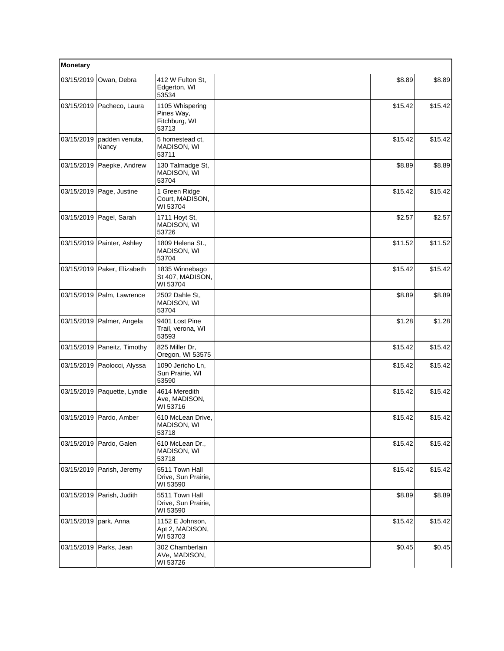| Monetary                |                               |                                                         |         |         |
|-------------------------|-------------------------------|---------------------------------------------------------|---------|---------|
| 03/15/2019              | Owan, Debra                   | 412 W Fulton St,<br>Edgerton, WI<br>53534               | \$8.89  | \$8.89  |
|                         | 03/15/2019   Pacheco, Laura   | 1105 Whispering<br>Pines Way,<br>Fitchburg, WI<br>53713 | \$15.42 | \$15.42 |
| 03/15/2019              | padden venuta,<br>Nancy       | 5 homestead ct.<br>MADISON, WI<br>53711                 | \$15.42 | \$15.42 |
|                         | 03/15/2019   Paepke, Andrew   | 130 Talmadge St,<br>MADISON, WI<br>53704                | \$8.89  | \$8.89  |
|                         | 03/15/2019   Page, Justine    | 1 Green Ridge<br>Court, MADISON,<br>WI 53704            | \$15.42 | \$15.42 |
|                         | 03/15/2019 Pagel, Sarah       | 1711 Hoyt St,<br>MADISON, WI<br>53726                   | \$2.57  | \$2.57  |
|                         | 03/15/2019 Painter, Ashley    | 1809 Helena St.,<br>MADISON, WI<br>53704                | \$11.52 | \$11.52 |
|                         | 03/15/2019   Paker, Elizabeth | 1835 Winnebago<br>St 407, MADISON,<br>WI 53704          | \$15.42 | \$15.42 |
|                         | 03/15/2019 Palm, Lawrence     | 2502 Dahle St,<br>MADISON, WI<br>53704                  | \$8.89  | \$8.89  |
|                         | 03/15/2019 Palmer, Angela     | 9401 Lost Pine<br>Trail, verona, WI<br>53593            | \$1.28  | \$1.28  |
|                         | 03/15/2019 Paneitz, Timothy   | 825 Miller Dr,<br>Oregon, WI 53575                      | \$15.42 | \$15.42 |
|                         | 03/15/2019 Paolocci, Alyssa   | 1090 Jericho Ln,<br>Sun Prairie, WI<br>53590            | \$15.42 | \$15.42 |
|                         | 03/15/2019 Paquette, Lyndie   | 4614 Meredith<br>Ave, MADISON,<br>WI 53716              | \$15.42 | \$15.42 |
|                         | 03/15/2019 Pardo, Amber       | 610 McLean Drive,<br>MADISON, WI<br>53718               | \$15.42 | \$15.42 |
|                         | 03/15/2019   Pardo, Galen     | 610 McLean Dr.,<br>MADISON, WI<br>53718                 | \$15.42 | \$15.42 |
|                         | 03/15/2019 Parish, Jeremy     | 5511 Town Hall<br>Drive, Sun Prairie,<br>WI 53590       | \$15.42 | \$15.42 |
|                         | 03/15/2019 Parish, Judith     | 5511 Town Hall<br>Drive, Sun Prairie,<br>WI 53590       | \$8.89  | \$8.89  |
| 03/15/2019   park, Anna |                               | 1152 E Johnson,<br>Apt 2, MADISON,<br>WI 53703          | \$15.42 | \$15.42 |
| 03/15/2019              | Parks, Jean                   | 302 Chamberlain<br>AVe, MADISON,<br>WI 53726            | \$0.45  | \$0.45  |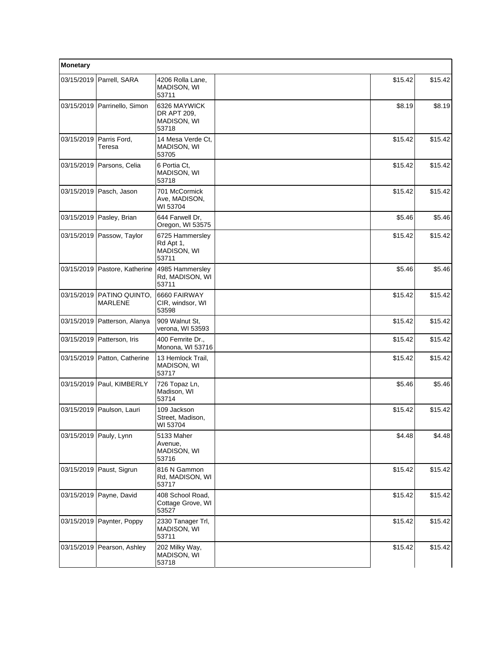| Monetary |                                        |                                                      |         |         |
|----------|----------------------------------------|------------------------------------------------------|---------|---------|
|          | 03/15/2019   Parrell, SARA             | 4206 Rolla Lane,<br>MADISON, WI<br>53711             | \$15.42 | \$15.42 |
|          | 03/15/2019   Parrinello, Simon         | 6326 MAYWICK<br>DR APT 209,<br>MADISON, WI<br>53718  | \$8.19  | \$8.19  |
|          | 03/15/2019 Parris Ford,<br>Teresa      | 14 Mesa Verde Ct.<br>MADISON, WI<br>53705            | \$15.42 | \$15.42 |
|          | 03/15/2019   Parsons, Celia            | 6 Portia Ct,<br>MADISON, WI<br>53718                 | \$15.42 | \$15.42 |
|          | 03/15/2019 Pasch, Jason                | 701 McCormick<br>Ave, MADISON,<br>WI 53704           | \$15.42 | \$15.42 |
|          | 03/15/2019 Pasley, Brian               | 644 Farwell Dr,<br>Oregon, WI 53575                  | \$5.46  | \$5.46  |
|          | 03/15/2019   Passow, Taylor            | 6725 Hammersley<br>Rd Apt 1,<br>MADISON, WI<br>53711 | \$15.42 | \$15.42 |
|          | 03/15/2019   Pastore, Katherine        | 4985 Hammersley<br>Rd, MADISON, WI<br>53711          | \$5.46  | \$5.46  |
|          | 03/15/2019   PATINO QUINTO,<br>MARLENE | 6660 FAIRWAY<br>CIR, windsor, WI<br>53598            | \$15.42 | \$15.42 |
|          | 03/15/2019   Patterson, Alanya         | 909 Walnut St.<br>verona, WI 53593                   | \$15.42 | \$15.42 |
|          | 03/15/2019   Patterson, Iris           | 400 Femrite Dr.,<br>Monona, WI 53716                 | \$15.42 | \$15.42 |
|          | 03/15/2019 Patton, Catherine           | 13 Hemlock Trail,<br>MADISON, WI<br>53717            | \$15.42 | \$15.42 |
|          | 03/15/2019   Paul, KIMBERLY            | 726 Topaz Ln,<br>Madison, WI<br>53714                | \$5.46  | \$5.46  |
|          | 03/15/2019 Paulson, Lauri              | 109 Jackson<br>Street, Madison,<br>WI 53704          | \$15.42 | \$15.42 |
|          | 03/15/2019 Pauly, Lynn                 | 5133 Maher<br>Avenue,<br>MADISON, WI<br>53716        | \$4.48  | \$4.48  |
|          | 03/15/2019 Paust, Sigrun               | 816 N Gammon<br>Rd, MADISON, WI<br>53717             | \$15.42 | \$15.42 |
|          | 03/15/2019 Payne, David                | 408 School Road,<br>Cottage Grove, WI<br>53527       | \$15.42 | \$15.42 |
|          | 03/15/2019 Paynter, Poppy              | 2330 Tanager Trl,<br>MADISON, WI<br>53711            | \$15.42 | \$15.42 |
|          | 03/15/2019   Pearson, Ashley           | 202 Milky Way,<br>MADISON, WI<br>53718               | \$15.42 | \$15.42 |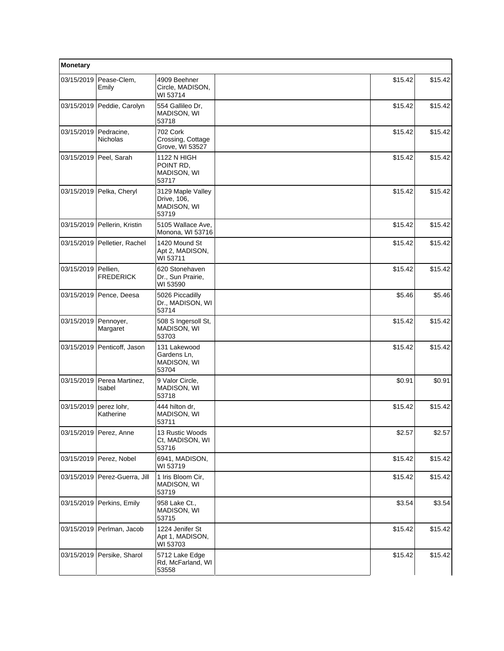| Monetary            |                              |                                                          |         |         |
|---------------------|------------------------------|----------------------------------------------------------|---------|---------|
| 03/15/2019          | Pease-Clem,<br>Emily         | 4909 Beehner<br>Circle, MADISON,<br>WI 53714             | \$15.42 | \$15.42 |
|                     | 03/15/2019 Peddie, Carolyn   | 554 Gallileo Dr,<br>MADISON, WI<br>53718                 | \$15.42 | \$15.42 |
| 03/15/2019          | Pedracine,<br>Nicholas       | 702 Cork<br>Crossing, Cottage<br>Grove, WI 53527         | \$15.42 | \$15.42 |
| 03/15/2019          | Peel, Sarah                  | 1122 N HIGH<br>POINT RD,<br>MADISON, WI<br>53717         | \$15.42 | \$15.42 |
|                     | 03/15/2019 Pelka, Cheryl     | 3129 Maple Valley<br>Drive, 106,<br>MADISON, WI<br>53719 | \$15.42 | \$15.42 |
|                     | 03/15/2019 Pellerin, Kristin | 5105 Wallace Ave.<br>Monona, WI 53716                    | \$15.42 | \$15.42 |
|                     | 03/15/2019 Pelletier, Rachel | 1420 Mound St<br>Apt 2, MADISON,<br>WI 53711             | \$15.42 | \$15.42 |
| 03/15/2019 Pellien, | <b>FREDERICK</b>             | 620 Stonehaven<br>Dr., Sun Prairie,<br>WI 53590          | \$15.42 | \$15.42 |
|                     | 03/15/2019 Pence, Deesa      | 5026 Piccadilly<br>Dr., MADISON, WI<br>53714             | \$5.46  | \$5.46  |
| 03/15/2019          | Pennoyer,<br>Margaret        | 508 S Ingersoll St,<br>MADISON, WI<br>53703              | \$15.42 | \$15.42 |
|                     | 03/15/2019 Penticoff, Jason  | 131 Lakewood<br>Gardens Ln,<br>MADISON, WI<br>53704      | \$15.42 | \$15.42 |
| 03/15/2019          | Perea Martinez,<br>Isabel    | 9 Valor Circle,<br>MADISON, WI<br>53718                  | \$0.91  | \$0.91  |
| 03/15/2019          | perez lohr,<br>Katherine     | 444 hilton dr.<br>MADISON, WI<br>53711                   | \$15.42 | \$15.42 |
|                     | 03/15/2019 Perez, Anne       | 13 Rustic Woods<br>Ct, MADISON, WI<br>53716              | \$2.57  | \$2.57  |
| 03/15/2019          | Perez, Nobel                 | 6941, MADISON,<br>WI 53719                               | \$15.42 | \$15.42 |
| 03/15/2019          | Perez-Guerra, Jill           | 1 Iris Bloom Cir,<br>MADISON, WI<br>53719                | \$15.42 | \$15.42 |
| 03/15/2019          | Perkins, Emily               | 958 Lake Ct.,<br>MADISON, WI<br>53715                    | \$3.54  | \$3.54  |
| 03/15/2019          | Perlman, Jacob               | 1224 Jenifer St<br>Apt 1, MADISON,<br>WI 53703           | \$15.42 | \$15.42 |
|                     | 03/15/2019 Persike, Sharol   | 5712 Lake Edge<br>Rd, McFarland, WI<br>53558             | \$15.42 | \$15.42 |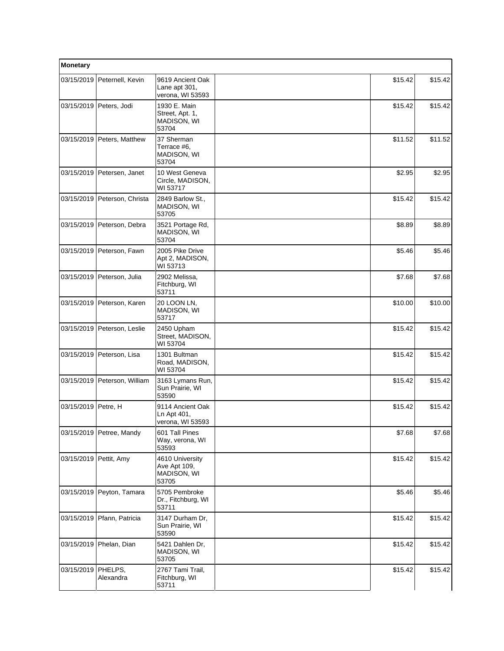| Monetary              |                               |                                                         |         |         |
|-----------------------|-------------------------------|---------------------------------------------------------|---------|---------|
|                       | 03/15/2019 Peternell, Kevin   | 9619 Ancient Oak<br>Lane apt 301,<br>verona, WI 53593   | \$15.42 | \$15.42 |
|                       | 03/15/2019 Peters, Jodi       | 1930 E. Main<br>Street, Apt. 1,<br>MADISON, WI<br>53704 | \$15.42 | \$15.42 |
| 03/15/2019            | Peters, Matthew               | 37 Sherman<br>Terrace #6.<br>MADISON, WI<br>53704       | \$11.52 | \$11.52 |
|                       | 03/15/2019 Petersen, Janet    | 10 West Geneva<br>Circle, MADISON,<br>WI 53717          | \$2.95  | \$2.95  |
| 03/15/2019            | Peterson, Christa             | 2849 Barlow St.,<br>MADISON, WI<br>53705                | \$15.42 | \$15.42 |
|                       | 03/15/2019   Peterson, Debra  | 3521 Portage Rd,<br><b>MADISON, WI</b><br>53704         | \$8.89  | \$8.89  |
|                       | 03/15/2019 Peterson, Fawn     | 2005 Pike Drive<br>Apt 2, MADISON,<br>WI 53713          | \$5.46  | \$5.46  |
|                       | 03/15/2019 Peterson, Julia    | 2902 Melissa,<br>Fitchburg, WI<br>53711                 | \$7.68  | \$7.68  |
|                       | 03/15/2019 Peterson, Karen    | 20 LOON LN,<br>MADISON, WI<br>53717                     | \$10.00 | \$10.00 |
|                       | 03/15/2019   Peterson, Leslie | 2450 Upham<br>Street, MADISON,<br>WI 53704              | \$15.42 | \$15.42 |
|                       | 03/15/2019   Peterson, Lisa   | 1301 Bultman<br>Road, MADISON,<br>WI 53704              | \$15.42 | \$15.42 |
|                       | 03/15/2019 Peterson, William  | 3163 Lymans Run,<br>Sun Prairie, WI<br>53590            | \$15.42 | \$15.42 |
| 03/15/2019   Petre, H |                               | 9114 Ancient Oak<br>Ln Apt 401,<br>verona, WI 53593     | \$15.42 | \$15.42 |
|                       | 03/15/2019 Petree, Mandy      | 601 Tall Pines<br>Way, verona, WI<br>53593              | \$7.68  | \$7.68  |
| 03/15/2019            | Pettit, Amy                   | 4610 University<br>Ave Apt 109,<br>MADISON, WI<br>53705 | \$15.42 | \$15.42 |
| 03/15/2019            | Peyton, Tamara                | 5705 Pembroke<br>Dr., Fitchburg, WI<br>53711            | \$5.46  | \$5.46  |
| 03/15/2019            | Pfann, Patricia               | 3147 Durham Dr,<br>Sun Prairie, WI<br>53590             | \$15.42 | \$15.42 |
| 03/15/2019            | Phelan, Dian                  | 5421 Dahlen Dr,<br>MADISON, WI<br>53705                 | \$15.42 | \$15.42 |
| 03/15/2019            | PHELPS,<br>Alexandra          | 2767 Tami Trail,<br>Fitchburg, WI<br>53711              | \$15.42 | \$15.42 |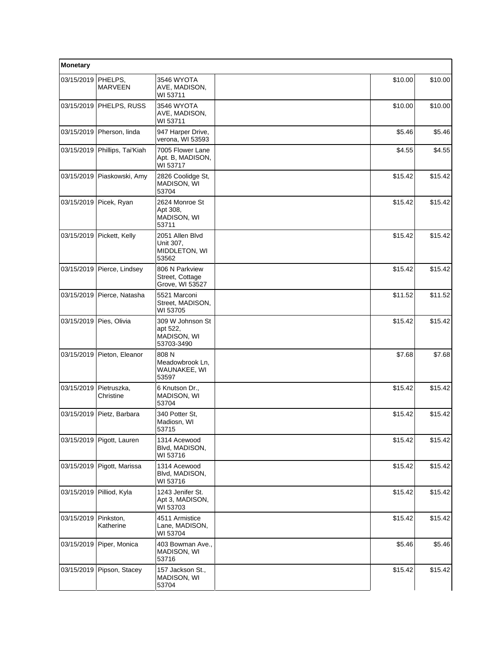| Monetary                  |                               |                                                           |         |         |
|---------------------------|-------------------------------|-----------------------------------------------------------|---------|---------|
| 03/15/2019   PHELPS,      | <b>MARVEEN</b>                | 3546 WYOTA<br>AVE, MADISON,<br>WI 53711                   | \$10.00 | \$10.00 |
|                           | 03/15/2019 PHELPS, RUSS       | 3546 WYOTA<br>AVE, MADISON,<br>WI 53711                   | \$10.00 | \$10.00 |
|                           | 03/15/2019   Pherson, linda   | 947 Harper Drive,<br>verona, WI 53593                     | \$5.46  | \$5.46  |
|                           | 03/15/2019 Phillips, Tai'Kiah | 7005 Flower Lane<br>Apt. B, MADISON,<br>WI 53717          | \$4.55  | \$4.55  |
|                           | 03/15/2019   Piaskowski, Amy  | 2826 Coolidge St,<br>MADISON, WI<br>53704                 | \$15.42 | \$15.42 |
|                           | 03/15/2019 Picek, Ryan        | 2624 Monroe St<br>Apt 308,<br>MADISON, WI<br>53711        | \$15.42 | \$15.42 |
| 03/15/2019                | Pickett, Kelly                | 2051 Allen Blvd<br>Unit 307.<br>MIDDLETON, WI<br>53562    | \$15.42 | \$15.42 |
|                           | 03/15/2019 Pierce, Lindsey    | 806 N Parkview<br>Street, Cottage<br>Grove, WI 53527      | \$15.42 | \$15.42 |
| 03/15/2019                | Pierce, Natasha               | 5521 Marconi<br>Street, MADISON,<br>WI 53705              | \$11.52 | \$11.52 |
| 03/15/2019   Pies, Olivia |                               | 309 W Johnson St<br>apt 522,<br>MADISON, WI<br>53703-3490 | \$15.42 | \$15.42 |
| 03/15/2019                | Pieton, Eleanor               | 808 N<br>Meadowbrook Ln,<br>WAUNAKEE, WI<br>53597         | \$7.68  | \$7.68  |
| 03/15/2019                | Pietruszka,<br>Christine      | 6 Knutson Dr.,<br>MADISON, WI<br>53704                    | \$15.42 | \$15.42 |
| 03/15/2019                | Pietz, Barbara                | 340 Potter St,<br>Madiosn, WI<br>53715                    | \$15.42 | \$15.42 |
| 03/15/2019                | Pigott, Lauren                | 1314 Acewood<br>Blvd, MADISON,<br>WI 53716                | \$15.42 | \$15.42 |
| 03/15/2019                | Pigott, Marissa               | 1314 Acewood<br>Blvd, MADISON,<br>WI 53716                | \$15.42 | \$15.42 |
|                           | 03/15/2019 Pilliod, Kyla      | 1243 Jenifer St.<br>Apt 3, MADISON,<br>WI 53703           | \$15.42 | \$15.42 |
| 03/15/2019                | Pinkston,<br>Katherine        | 4511 Armistice<br>Lane, MADISON,<br>WI 53704              | \$15.42 | \$15.42 |
| 03/15/2019                | Piper, Monica                 | 403 Bowman Ave.,<br>MADISON, WI<br>53716                  | \$5.46  | \$5.46  |
|                           | 03/15/2019 Pipson, Stacey     | 157 Jackson St.,<br>MADISON, WI<br>53704                  | \$15.42 | \$15.42 |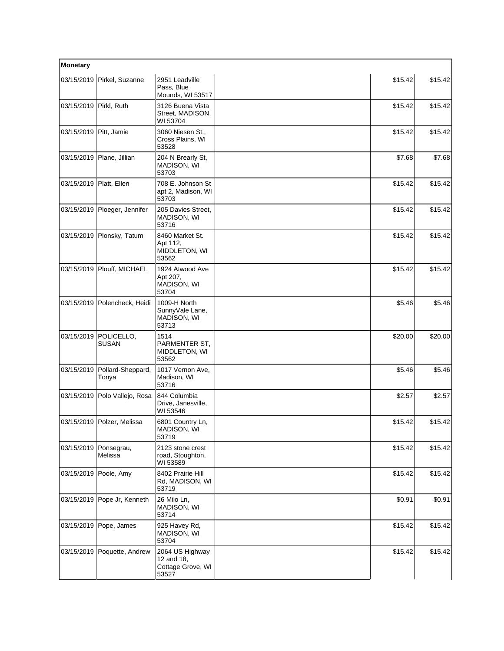| Monetary                 |                                 |                                                             |         |         |
|--------------------------|---------------------------------|-------------------------------------------------------------|---------|---------|
| 03/15/2019               | Pirkel, Suzanne                 | 2951 Leadville<br>Pass, Blue<br>Mounds, WI 53517            | \$15.42 | \$15.42 |
| 03/15/2019 Pirkl, Ruth   |                                 | 3126 Buena Vista<br>Street, MADISON,<br>WI 53704            | \$15.42 | \$15.42 |
| 03/15/2019   Pitt, Jamie |                                 | 3060 Niesen St.,<br>Cross Plains, WI<br>53528               | \$15.42 | \$15.42 |
| 03/15/2019               | Plane, Jillian                  | 204 N Brearly St.<br>MADISON, WI<br>53703                   | \$7.68  | \$7.68  |
| 03/15/2019 Platt, Ellen  |                                 | 708 E. Johnson St<br>apt 2, Madison, WI<br>53703            | \$15.42 | \$15.42 |
|                          | 03/15/2019   Ploeger, Jennifer  | 205 Davies Street,<br>MADISON, WI<br>53716                  | \$15.42 | \$15.42 |
| 03/15/2019               | Plonsky, Tatum                  | 8460 Market St.<br>Apt 112,<br>MIDDLETON, WI<br>53562       | \$15.42 | \$15.42 |
|                          | 03/15/2019   Plouff, MICHAEL    | 1924 Atwood Ave<br>Apt 207,<br>MADISON, WI<br>53704         | \$15.42 | \$15.42 |
| 03/15/2019               | Polencheck, Heidi               | 1009-H North<br>SunnyVale Lane,<br>MADISON, WI<br>53713     | \$5.46  | \$5.46  |
| 03/15/2019               | POLICELLO,<br>SUSAN             | 1514<br>PARMENTER ST,<br>MIDDLETON, WI<br>53562             | \$20.00 | \$20.00 |
| 03/15/2019               | Pollard-Sheppard,<br>Tonya      | 1017 Vernon Ave,<br>Madison, WI<br>53716                    | \$5.46  | \$5.46  |
|                          | 03/15/2019   Polo Vallejo, Rosa | 844 Columbia<br>Drive, Janesville,<br>WI 53546              | \$2.57  | \$2.57  |
|                          | 03/15/2019 Polzer, Melissa      | 6801 Country Ln,<br>MADISON, WI<br>53719                    | \$15.42 | \$15.42 |
| 03/15/2019               | Ponsegrau,<br>Melissa           | 2123 stone crest<br>road, Stoughton,<br>WI 53589            | \$15.42 | \$15.42 |
| 03/15/2019               | Poole, Amy                      | 8402 Prairie Hill<br>Rd, MADISON, WI<br>53719               | \$15.42 | \$15.42 |
|                          | 03/15/2019 Pope Jr, Kenneth     | 26 Milo Ln,<br><b>MADISON, WI</b><br>53714                  | \$0.91  | \$0.91  |
|                          | 03/15/2019 Pope, James          | 925 Havey Rd,<br><b>MADISON, WI</b><br>53704                | \$15.42 | \$15.42 |
|                          | 03/15/2019 Poquette, Andrew     | 2064 US Highway<br>12 and 18,<br>Cottage Grove, WI<br>53527 | \$15.42 | \$15.42 |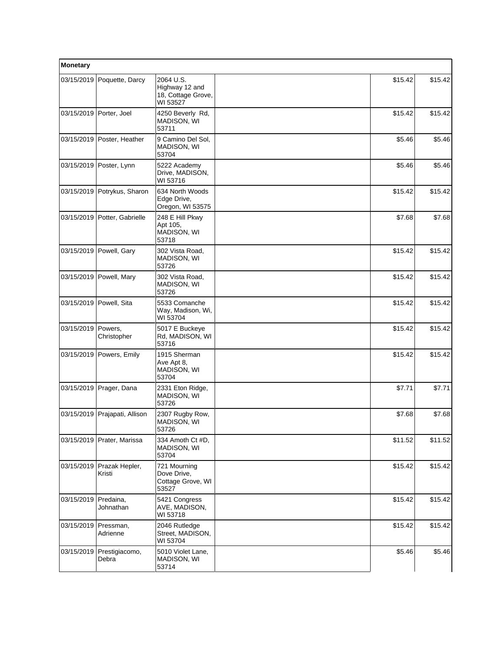| Monetary   |                           |                                                               |         |         |
|------------|---------------------------|---------------------------------------------------------------|---------|---------|
| 03/15/2019 | Poquette, Darcy           | 2064 U.S.<br>Highway 12 and<br>18, Cottage Grove,<br>WI 53527 | \$15.42 | \$15.42 |
| 03/15/2019 | Porter, Joel              | 4250 Beverly Rd,<br>MADISON, WI<br>53711                      | \$15.42 | \$15.42 |
| 03/15/2019 | Poster, Heather           | 9 Camino Del Sol,<br>MADISON, WI<br>53704                     | \$5.46  | \$5.46  |
|            | 03/15/2019   Poster, Lynn | 5222 Academy<br>Drive, MADISON,<br>WI 53716                   | \$5.46  | \$5.46  |
| 03/15/2019 | Potrykus, Sharon          | 634 North Woods<br>Edge Drive,<br>Oregon, WI 53575            | \$15.42 | \$15.42 |
| 03/15/2019 | Potter, Gabrielle         | 248 E Hill Pkwy<br>Apt 105,<br><b>MADISON, WI</b><br>53718    | \$7.68  | \$7.68  |
| 03/15/2019 | Powell, Gary              | 302 Vista Road,<br>MADISON, WI<br>53726                       | \$15.42 | \$15.42 |
|            | 03/15/2019   Powell, Mary | 302 Vista Road,<br><b>MADISON, WI</b><br>53726                | \$15.42 | \$15.42 |
|            | 03/15/2019   Powell, Sita | 5533 Comanche<br>Way, Madison, Wi,<br>WI 53704                | \$15.42 | \$15.42 |
| 03/15/2019 | Powers,<br>Christopher    | 5017 E Buckeye<br>Rd, MADISON, WI<br>53716                    | \$15.42 | \$15.42 |
| 03/15/2019 | Powers, Emily             | 1915 Sherman<br>Ave Apt 8,<br>MADISON, WI<br>53704            | \$15.42 | \$15.42 |
| 03/15/2019 | Prager, Dana              | 2331 Eton Ridge,<br>MADISON, WI<br>53726                      | \$7.71  | \$7.71  |
| 03/15/2019 | Prajapati, Allison        | 2307 Rugby Row,<br>MADISON, WI<br>53726                       | \$7.68  | \$7.68  |
| 03/15/2019 | Prater, Marissa           | 334 Amoth Ct #D,<br>MADISON, WI<br>53704                      | \$11.52 | \$11.52 |
| 03/15/2019 | Prazak Hepler,<br>Kristi  | 721 Mourning<br>Dove Drive,<br>Cottage Grove, WI<br>53527     | \$15.42 | \$15.42 |
| 03/15/2019 | Predaina,<br>Johnathan    | 5421 Congress<br>AVE, MADISON,<br>WI 53718                    | \$15.42 | \$15.42 |
| 03/15/2019 | Pressman,<br>Adrienne     | 2046 Rutledge<br>Street, MADISON,<br>WI 53704                 | \$15.42 | \$15.42 |
| 03/15/2019 | Prestigiacomo,<br>Debra   | 5010 Violet Lane,<br>MADISON, WI<br>53714                     | \$5.46  | \$5.46  |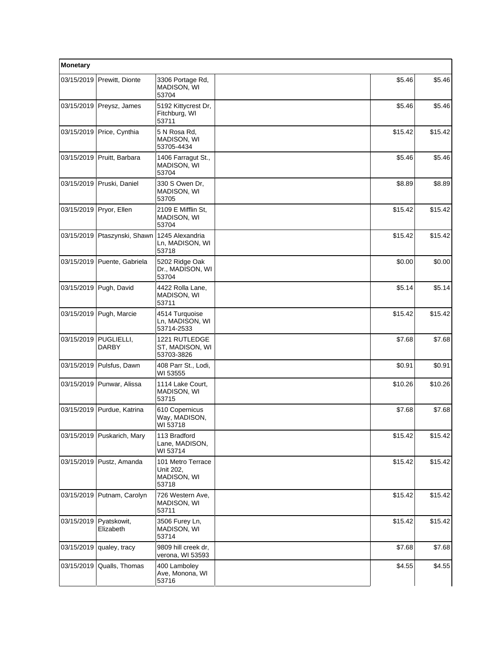| Monetary   |                               |                                                        |         |         |
|------------|-------------------------------|--------------------------------------------------------|---------|---------|
|            | 03/15/2019 Prewitt, Dionte    | 3306 Portage Rd,<br>MADISON, WI<br>53704               | \$5.46  | \$5.46  |
|            | 03/15/2019 Preysz, James      | 5192 Kittycrest Dr.<br>Fitchburg, WI<br>53711          | \$5.46  | \$5.46  |
|            | 03/15/2019   Price, Cynthia   | 5 N Rosa Rd,<br><b>MADISON, WI</b><br>53705-4434       | \$15.42 | \$15.42 |
| 03/15/2019 | Pruitt, Barbara               | 1406 Farragut St.,<br>MADISON, WI<br>53704             | \$5.46  | \$5.46  |
|            | 03/15/2019 Pruski, Daniel     | 330 S Owen Dr,<br>MADISON, WI<br>53705                 | \$8.89  | \$8.89  |
|            | 03/15/2019   Pryor, Ellen     | 2109 E Mifflin St,<br>MADISON, WI<br>53704             | \$15.42 | \$15.42 |
| 03/15/2019 | Ptaszynski, Shawn             | 1245 Alexandria<br>Ln, MADISON, WI<br>53718            | \$15.42 | \$15.42 |
|            | 03/15/2019   Puente, Gabriela | 5202 Ridge Oak<br>Dr., MADISON, WI<br>53704            | \$0.00  | \$0.00  |
| 03/15/2019 | Pugh, David                   | 4422 Rolla Lane,<br>MADISON, WI<br>53711               | \$5.14  | \$5.14  |
|            | 03/15/2019 Pugh, Marcie       | 4514 Turquoise<br>Ln, MADISON, WI<br>53714-2533        | \$15.42 | \$15.42 |
| 03/15/2019 | PUGLIELLI,<br><b>DARBY</b>    | 1221 RUTLEDGE<br>ST, MADISON, WI<br>53703-3826         | \$7.68  | \$7.68  |
|            | 03/15/2019   Pulsfus, Dawn    | 408 Parr St., Lodi,<br>WI 53555                        | \$0.91  | \$0.91  |
| 03/15/2019 | Punwar, Alissa                | 1114 Lake Court,<br>MADISON, WI<br>53715               | \$10.26 | \$10.26 |
| 03/15/2019 | Purdue, Katrina               | 610 Copernicus<br>Way, MADISON,<br>WI 53718            | \$7.68  | \$7.68  |
|            | 03/15/2019 Puskarich, Mary    | 113 Bradford<br>Lane, MADISON,<br>WI 53714             | \$15.42 | \$15.42 |
|            | 03/15/2019   Pustz, Amanda    | 101 Metro Terrace<br>Unit 202,<br>MADISON, WI<br>53718 | \$15.42 | \$15.42 |
| 03/15/2019 | Putnam, Carolyn               | 726 Western Ave,<br>MADISON, WI<br>53711               | \$15.42 | \$15.42 |
| 03/15/2019 | Pyatskowit,<br>Elizabeth      | 3506 Furey Ln,<br>MADISON, WI<br>53714                 | \$15.42 | \$15.42 |
| 03/15/2019 | qualey, tracy                 | 9809 hill creek dr.<br>verona, WI 53593                | \$7.68  | \$7.68  |
| 03/15/2019 | Qualls, Thomas                | 400 Lamboley<br>Ave, Monona, WI<br>53716               | \$4.55  | \$4.55  |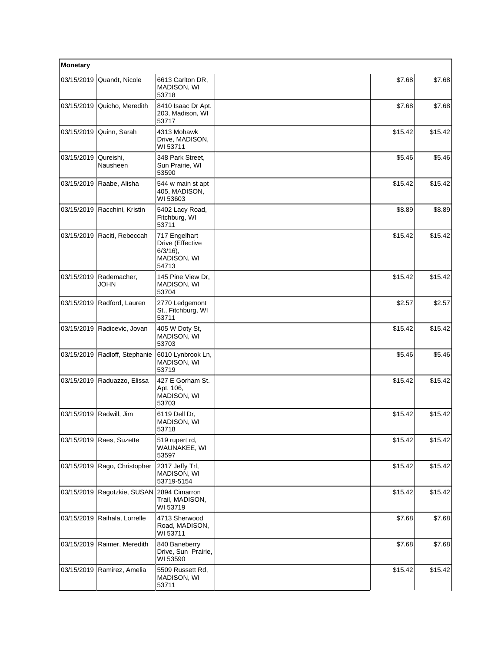| Monetary   |                                           |                                                                          |         |         |  |
|------------|-------------------------------------------|--------------------------------------------------------------------------|---------|---------|--|
| 03/15/2019 | Quandt, Nicole                            | 6613 Carlton DR,<br><b>MADISON, WI</b><br>53718                          | \$7.68  | \$7.68  |  |
| 03/15/2019 | Quicho, Meredith                          | 8410 Isaac Dr Apt.<br>203, Madison, WI<br>53717                          | \$7.68  | \$7.68  |  |
|            | 03/15/2019 Quinn, Sarah                   | 4313 Mohawk<br>Drive, MADISON,<br>WI 53711                               | \$15.42 | \$15.42 |  |
| 03/15/2019 | Qureishi,<br>Nausheen                     | 348 Park Street,<br>Sun Prairie, WI<br>53590                             | \$5.46  | \$5.46  |  |
|            | 03/15/2019 Raabe, Alisha                  | 544 w main st apt<br>405, MADISON,<br>WI 53603                           | \$15.42 | \$15.42 |  |
|            | 03/15/2019 Racchini, Kristin              | 5402 Lacy Road,<br>Fitchburg, WI<br>53711                                | \$8.89  | \$8.89  |  |
|            | 03/15/2019 Raciti, Rebeccah               | 717 Engelhart<br>Drive (Effective<br>$6/3/16$ ),<br>MADISON, WI<br>54713 | \$15.42 | \$15.42 |  |
| 03/15/2019 | Rademacher,<br>JOHN                       | 145 Pine View Dr,<br>MADISON, WI<br>53704                                | \$15.42 | \$15.42 |  |
|            | 03/15/2019 Radford, Lauren                | 2770 Ledgemont<br>St., Fitchburg, WI<br>53711                            | \$2.57  | \$2.57  |  |
|            | 03/15/2019 Radicevic, Jovan               | 405 W Doty St,<br>MADISON, WI<br>53703                                   | \$15.42 | \$15.42 |  |
|            | 03/15/2019 Radloff, Stephanie             | 6010 Lynbrook Ln,<br>MADISON, WI<br>53719                                | \$5.46  | \$5.46  |  |
|            | 03/15/2019 Raduazzo, Elissa               | 427 E Gorham St.<br>Apt. 106,<br>MADISON, WI<br>53703                    | \$15.42 | \$15.42 |  |
| 03/15/2019 | Radwill, Jim                              | 6119 Dell Dr.<br>MADISON, WI<br>53718                                    | \$15.42 | \$15.42 |  |
|            | 03/15/2019 Raes, Suzette                  | 519 rupert rd,<br>WAUNAKEE, WI<br>53597                                  | \$15.42 | \$15.42 |  |
|            | 03/15/2019 Rago, Christopher              | 2317 Jeffy Trl,<br>MADISON, WI<br>53719-5154                             | \$15.42 | \$15.42 |  |
|            | 03/15/2019 Ragotzkie, SUSAN 2894 Cimarron | Trail, MADISON,<br>WI 53719                                              | \$15.42 | \$15.42 |  |
| 03/15/2019 | Raihala, Lorrelle                         | 4713 Sherwood<br>Road, MADISON,<br>WI 53711                              | \$7.68  | \$7.68  |  |
|            | 03/15/2019 Raimer, Meredith               | 840 Baneberry<br>Drive, Sun Prairie,<br>WI 53590                         | \$7.68  | \$7.68  |  |
|            | 03/15/2019 Ramirez, Amelia                | 5509 Russett Rd,<br>MADISON, WI<br>53711                                 | \$15.42 | \$15.42 |  |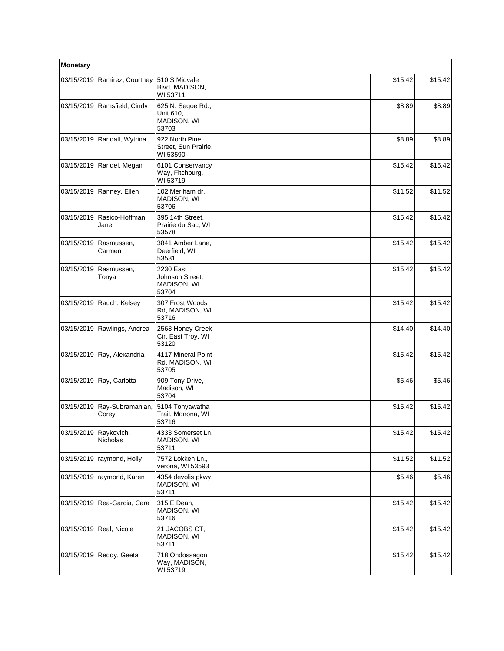| Monetary              |                               |                                                        |         |         |
|-----------------------|-------------------------------|--------------------------------------------------------|---------|---------|
| 03/15/2019            | Ramirez, Courtney             | 510 S Midvale<br>Blvd, MADISON,<br>WI 53711            | \$15.42 | \$15.42 |
|                       | 03/15/2019 Ramsfield, Cindy   | 625 N. Segoe Rd.,<br>Unit 610,<br>MADISON, WI<br>53703 | \$8.89  | \$8.89  |
| 03/15/2019            | Randall, Wytrina              | 922 North Pine<br>Street, Sun Prairie,<br>WI 53590     | \$8.89  | \$8.89  |
|                       | 03/15/2019   Randel, Megan    | 6101 Conservancy<br>Way, Fitchburg,<br>WI 53719        | \$15.42 | \$15.42 |
|                       | 03/15/2019 Ranney, Ellen      | 102 Merlham dr,<br>MADISON, WI<br>53706                | \$11.52 | \$11.52 |
| 03/15/2019            | Rasico-Hoffman,<br>Jane       | 395 14th Street,<br>Prairie du Sac, WI<br>53578        | \$15.42 | \$15.42 |
| 03/15/2019            | Rasmussen,<br>Carmen          | 3841 Amber Lane,<br>Deerfield, WI<br>53531             | \$15.42 | \$15.42 |
| 03/15/2019            | Rasmussen,<br>Tonya           | 2230 East<br>Johnson Street,<br>MADISON, WI<br>53704   | \$15.42 | \$15.42 |
| 03/15/2019            | Rauch, Kelsey                 | 307 Frost Woods<br>Rd, MADISON, WI<br>53716            | \$15.42 | \$15.42 |
|                       | 03/15/2019   Rawlings, Andrea | 2568 Honey Creek<br>Cir, East Troy, WI<br>53120        | \$14.40 | \$14.40 |
| 03/15/2019            | Ray, Alexandria               | 4117 Mineral Point<br>Rd, MADISON, WI<br>53705         | \$15.42 | \$15.42 |
| 03/15/2019            | Ray, Carlotta                 | 909 Tony Drive,<br>Madison, WI<br>53704                | \$5.46  | \$5.46  |
| 03/15/2019            | Ray-Subramanian,<br>Corey     | 5104 Tonyawatha<br>Trail, Monona, WI<br>53716          | \$15.42 | \$15.42 |
| 03/15/2019 Raykovich, | Nicholas                      | 4333 Somerset Ln,<br>MADISON, WI<br>53711              | \$15.42 | \$15.42 |
| 03/15/2019            | raymond, Holly                | 7572 Lokken Ln.,<br>verona, WI 53593                   | \$11.52 | \$11.52 |
| 03/15/2019            | raymond, Karen                | 4354 devolis pkwy,<br>MADISON, WI<br>53711             | \$5.46  | \$5.46  |
| 03/15/2019            | Rea-Garcia, Cara              | 315 E Dean,<br>MADISON, WI<br>53716                    | \$15.42 | \$15.42 |
| 03/15/2019            | Real, Nicole                  | 21 JACOBS CT,<br>MADISON, WI<br>53711                  | \$15.42 | \$15.42 |
| 03/15/2019            | Reddy, Geeta                  | 718 Ondossagon<br>Way, MADISON,<br>WI 53719            | \$15.42 | \$15.42 |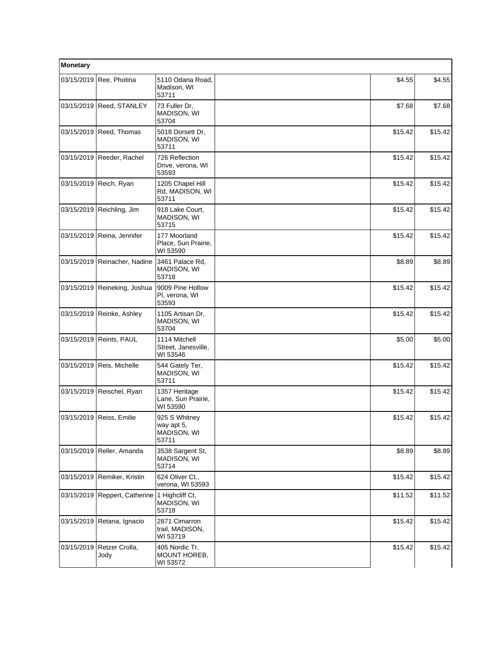| Monetary   |                                               |                                                     |         |         |  |
|------------|-----------------------------------------------|-----------------------------------------------------|---------|---------|--|
|            | 03/15/2019 Ree, Photina                       | 5110 Odana Road,<br>Madison, WI<br>53711            | \$4.55  | \$4.55  |  |
|            | 03/15/2019 Reed, STANLEY                      | 73 Fuller Dr,<br>MADISON, WI<br>53704               | \$7.68  | \$7.68  |  |
|            | 03/15/2019 Reed, Thomas                       | 5018 Dorsett Dr,<br>MADISON, WI<br>53711            | \$15.42 | \$15.42 |  |
| 03/15/2019 | Reeder, Rachel                                | 726 Reflection<br>Drive, verona, WI<br>53593        | \$15.42 | \$15.42 |  |
|            | 03/15/2019 Reich, Ryan                        | 1205 Chapel Hill<br>Rd, MADISON, WI<br>53711        | \$15.42 | \$15.42 |  |
|            | 03/15/2019   Reichling, Jim                   | 918 Lake Court,<br>MADISON, WI<br>53715             | \$15.42 | \$15.42 |  |
|            | 03/15/2019 Reina, Jennifer                    | 177 Moorland<br>Place, Sun Prairie,<br>WI 53590     | \$15.42 | \$15.42 |  |
|            | 03/15/2019 Reinacher, Nadine                  | 3461 Palace Rd,<br>MADISON, WI<br>53718             | \$8.89  | \$8.89  |  |
|            | 03/15/2019 Reineking, Joshua                  | 9009 Pine Hollow<br>Pl, verona, WI<br>53593         | \$15.42 | \$15.42 |  |
|            | 03/15/2019 Reinke, Ashley                     | 1105 Artisan Dr,<br>MADISON, WI<br>53704            | \$15.42 | \$15.42 |  |
|            | 03/15/2019 Reints, PAUL                       | 1114 Mitchell<br>Street, Janesville,<br>WI 53546    | \$5.00  | \$5.00  |  |
|            | 03/15/2019   Reis, Michelle                   | 544 Gately Ter,<br>MADISON, WI<br>53711             | \$15.42 | \$15.42 |  |
|            | 03/15/2019 Reischel, Ryan                     | 1357 Heritage<br>Lane, Sun Prairie,<br>WI 53590     | \$15.42 | \$15.42 |  |
|            | 03/15/2019 Reiss, Emilie                      | 925 S Whitney<br>way apt 5,<br>MADISON, WI<br>53711 | \$15.42 | \$15.42 |  |
|            | 03/15/2019 Reller, Amanda                     | 3538 Sargent St,<br>MADISON, WI<br>53714            | \$8.89  | \$8.89  |  |
| 03/15/2019 | Remiker, Kristin                              | 624 Oliver Ct.,<br>verona, WI 53593                 | \$15.42 | \$15.42 |  |
|            | 03/15/2019 Reppert, Catherine 1 Highcliff Ct, | MADISON, WI<br>53718                                | \$11.52 | \$11.52 |  |
|            | 03/15/2019 Retana, Ignacio                    | 2871 Cimarron<br>trail, MADISON,<br>WI 53719        | \$15.42 | \$15.42 |  |
| 03/15/2019 | Retzer Crolla,<br>Jody                        | 405 Nordic Tr,<br>MOUNT HOREB,<br>WI 53572          | \$15.42 | \$15.42 |  |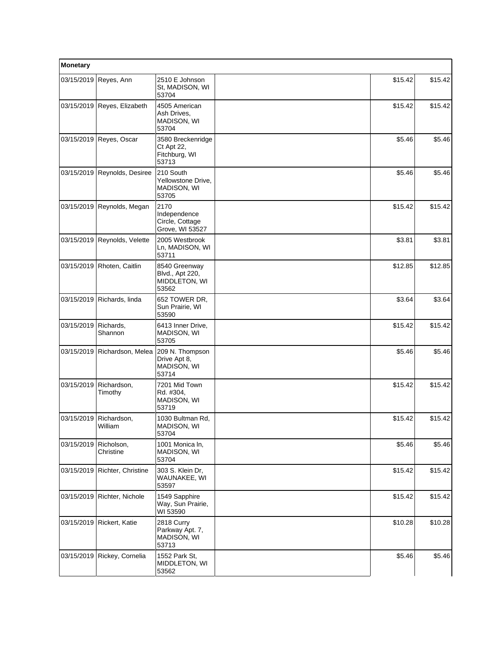| Monetary   |                              |                                                            |         |         |  |
|------------|------------------------------|------------------------------------------------------------|---------|---------|--|
| 03/15/2019 | Reyes, Ann                   | 2510 E Johnson<br>St, MADISON, WI<br>53704                 | \$15.42 | \$15.42 |  |
|            | 03/15/2019 Reyes, Elizabeth  | 4505 American<br>Ash Drives,<br>MADISON, WI<br>53704       | \$15.42 | \$15.42 |  |
| 03/15/2019 | Reyes, Oscar                 | 3580 Breckenridge<br>Ct Apt 22,<br>Fitchburg, WI<br>53713  | \$5.46  | \$5.46  |  |
| 03/15/2019 | Reynolds, Desiree            | 210 South<br>Yellowstone Drive,<br>MADISON, WI<br>53705    | \$5.46  | \$5.46  |  |
| 03/15/2019 | Reynolds, Megan              | 2170<br>Independence<br>Circle, Cottage<br>Grove, WI 53527 | \$15.42 | \$15.42 |  |
|            | 03/15/2019 Reynolds, Velette | 2005 Westbrook<br>Ln, MADISON, WI<br>53711                 | \$3.81  | \$3.81  |  |
| 03/15/2019 | Rhoten, Caitlin              | 8540 Greenway<br>Blvd., Apt 220,<br>MIDDLETON, WI<br>53562 | \$12.85 | \$12.85 |  |
| 03/15/2019 | Richards, linda              | 652 TOWER DR,<br>Sun Prairie, WI<br>53590                  | \$3.64  | \$3.64  |  |
| 03/15/2019 | Richards,<br>Shannon         | 6413 Inner Drive,<br>MADISON, WI<br>53705                  | \$15.42 | \$15.42 |  |
| 03/15/2019 | Richardson, Melea            | 209 N. Thompson<br>Drive Apt 8,<br>MADISON, WI<br>53714    | \$5.46  | \$5.46  |  |
| 03/15/2019 | Richardson,<br>Timothy       | 7201 Mid Town<br>Rd. #304,<br>MADISON, WI<br>53719         | \$15.42 | \$15.42 |  |
| 03/15/2019 | Richardson,<br>William       | 1030 Bultman Rd,<br>MADISON, WI<br>53704                   | \$15.42 | \$15.42 |  |
| 03/15/2019 | Richolson,<br>Christine      | 1001 Monica In,<br>MADISON, WI<br>53704                    | \$5.46  | \$5.46  |  |
| 03/15/2019 | Richter, Christine           | 303 S. Klein Dr,<br>WAUNAKEE, WI<br>53597                  | \$15.42 | \$15.42 |  |
| 03/15/2019 | Richter, Nichole             | 1549 Sapphire<br>Way, Sun Prairie,<br>WI 53590             | \$15.42 | \$15.42 |  |
| 03/15/2019 | Rickert, Katie               | 2818 Curry<br>Parkway Apt. 7,<br>MADISON, WI<br>53713      | \$10.28 | \$10.28 |  |
| 03/15/2019 | Rickey, Cornelia             | 1552 Park St,<br>MIDDLETON, WI<br>53562                    | \$5.46  | \$5.46  |  |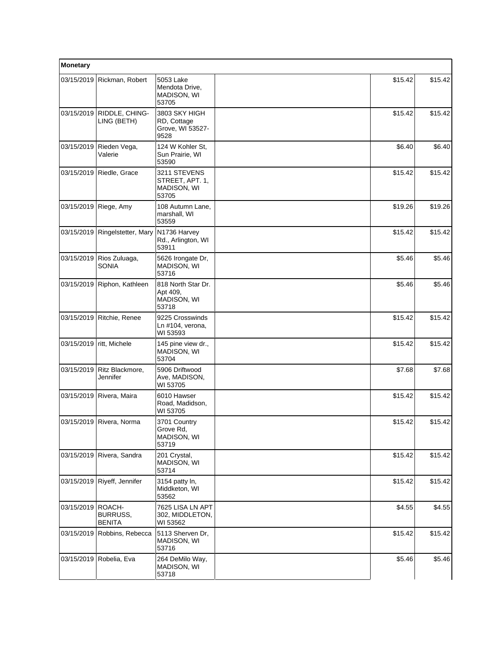| Monetary          |                                            |                                                          |         |         |  |
|-------------------|--------------------------------------------|----------------------------------------------------------|---------|---------|--|
|                   | 03/15/2019 Rickman, Robert                 | 5053 Lake<br>Mendota Drive,<br>MADISON, WI<br>53705      | \$15.42 | \$15.42 |  |
| 03/15/2019        | RIDDLE, CHING-<br>LING (BETH)              | 3803 SKY HIGH<br>RD, Cottage<br>Grove, WI 53527-<br>9528 | \$15.42 | \$15.42 |  |
| 03/15/2019        | Rieden Vega,<br>Valerie                    | 124 W Kohler St.<br>Sun Prairie, WI<br>53590             | \$6.40  | \$6.40  |  |
|                   | 03/15/2019   Riedle, Grace                 | 3211 STEVENS<br>STREET, APT. 1,<br>MADISON, WI<br>53705  | \$15.42 | \$15.42 |  |
| 03/15/2019        | Riege, Amy                                 | 108 Autumn Lane,<br>marshall, WI<br>53559                | \$19.26 | \$19.26 |  |
|                   | 03/15/2019 Ringelstetter, Mary             | N1736 Harvey<br>Rd., Arlington, WI<br>53911              | \$15.42 | \$15.42 |  |
|                   | 03/15/2019   Rios Zuluaga,<br><b>SONIA</b> | 5626 Irongate Dr,<br>MADISON, WI<br>53716                | \$5.46  | \$5.46  |  |
|                   | 03/15/2019 Riphon, Kathleen                | 818 North Star Dr.<br>Apt 409,<br>MADISON, WI<br>53718   | \$5.46  | \$5.46  |  |
|                   | 03/15/2019 Ritchie, Renee                  | 9225 Crosswinds<br>Ln #104, verona,<br>WI 53593          | \$15.42 | \$15.42 |  |
|                   | 03/15/2019   ritt, Michele                 | 145 pine view dr.,<br>MADISON, WI<br>53704               | \$15.42 | \$15.42 |  |
| 03/15/2019        | Ritz Blackmore,<br>Jennifer                | 5906 Driftwood<br>Ave, MADISON,<br>WI 53705              | \$7.68  | \$7.68  |  |
|                   | 03/15/2019 Rivera, Maira                   | 6010 Hawser<br>Road, Madidson,<br>WI 53705               | \$15.42 | \$15.42 |  |
|                   | 03/15/2019 Rivera, Norma                   | 3701 Country<br>Grove Rd,<br>MADISON, WI<br>53719        | \$15.42 | \$15.42 |  |
|                   | 03/15/2019 Rivera, Sandra                  | 201 Crystal,<br>MADISON, WI<br>53714                     | \$15.42 | \$15.42 |  |
|                   | 03/15/2019 Riyeff, Jennifer                | 3154 patty In,<br>Middketon, WI<br>53562                 | \$15.42 | \$15.42 |  |
| 03/15/2019 ROACH- | BURRUSS,<br><b>BENITA</b>                  | 7625 LISA LN APT<br>302, MIDDLETON,<br>WI 53562          | \$4.55  | \$4.55  |  |
|                   | 03/15/2019 Robbins, Rebecca                | 5113 Sherven Dr,<br>MADISON, WI<br>53716                 | \$15.42 | \$15.42 |  |
|                   | 03/15/2019 Robelia, Eva                    | 264 DeMilo Way,<br>MADISON, WI<br>53718                  | \$5.46  | \$5.46  |  |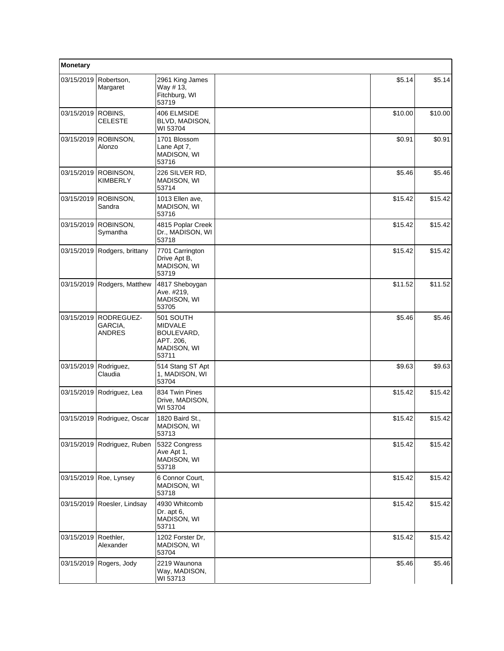| Monetary   |                                        |                                                                                |         |         |  |
|------------|----------------------------------------|--------------------------------------------------------------------------------|---------|---------|--|
| 03/15/2019 | Robertson,<br>Margaret                 | 2961 King James<br>Way #13,<br>Fitchburg, WI<br>53719                          | \$5.14  | \$5.14  |  |
| 03/15/2019 | ROBINS,<br><b>CELESTE</b>              | 406 ELMSIDE<br>BLVD, MADISON,<br>WI 53704                                      | \$10.00 | \$10.00 |  |
| 03/15/2019 | ROBINSON,<br>Alonzo                    | 1701 Blossom<br>Lane Apt 7,<br>MADISON, WI<br>53716                            | \$0.91  | \$0.91  |  |
| 03/15/2019 | ROBINSON,<br><b>KIMBERLY</b>           | 226 SILVER RD,<br>MADISON, WI<br>53714                                         | \$5.46  | \$5.46  |  |
| 03/15/2019 | ROBINSON,<br>Sandra                    | 1013 Ellen ave,<br>MADISON, WI<br>53716                                        | \$15.42 | \$15.42 |  |
| 03/15/2019 | ROBINSON,<br>Symantha                  | 4815 Poplar Creek<br>Dr., MADISON, WI<br>53718                                 | \$15.42 | \$15.42 |  |
| 03/15/2019 | Rodgers, brittany                      | 7701 Carrington<br>Drive Apt B,<br>MADISON, WI<br>53719                        | \$15.42 | \$15.42 |  |
| 03/15/2019 | Rodgers, Matthew                       | 4817 Sheboygan<br>Ave. #219,<br>MADISON, WI<br>53705                           | \$11.52 | \$11.52 |  |
| 03/15/2019 | RODREGUEZ-<br>GARCIA,<br><b>ANDRES</b> | 501 SOUTH<br><b>MIDVALE</b><br>BOULEVARD,<br>APT. 206,<br>MADISON, WI<br>53711 | \$5.46  | \$5.46  |  |
| 03/15/2019 | Rodriguez,<br>Claudia                  | 514 Stang ST Apt<br>1, MADISON, WI<br>53704                                    | \$9.63  | \$9.63  |  |
| 03/15/2019 | Rodriguez, Lea                         | 834 Twin Pines<br>Drive, MADISON,<br>WI 53704                                  | \$15.42 | \$15.42 |  |
| 03/15/2019 | Rodriguez, Oscar                       | 1820 Baird St.,<br>MADISON, WI<br>53713                                        | \$15.42 | \$15.42 |  |
| 03/15/2019 | Rodriguez, Ruben                       | 5322 Congress<br>Ave Apt 1,<br><b>MADISON, WI</b><br>53718                     | \$15.42 | \$15.42 |  |
| 03/15/2019 | Roe, Lynsey                            | 6 Connor Court.<br>MADISON, WI<br>53718                                        | \$15.42 | \$15.42 |  |
| 03/15/2019 | Roesler, Lindsay                       | 4930 Whitcomb<br>Dr. apt 6,<br>MADISON, WI<br>53711                            | \$15.42 | \$15.42 |  |
| 03/15/2019 | Roethler,<br>Alexander                 | 1202 Forster Dr,<br>MADISON, WI<br>53704                                       | \$15.42 | \$15.42 |  |
| 03/15/2019 | Rogers, Jody                           | 2219 Waunona<br>Way, MADISON,<br>WI 53713                                      | \$5.46  | \$5.46  |  |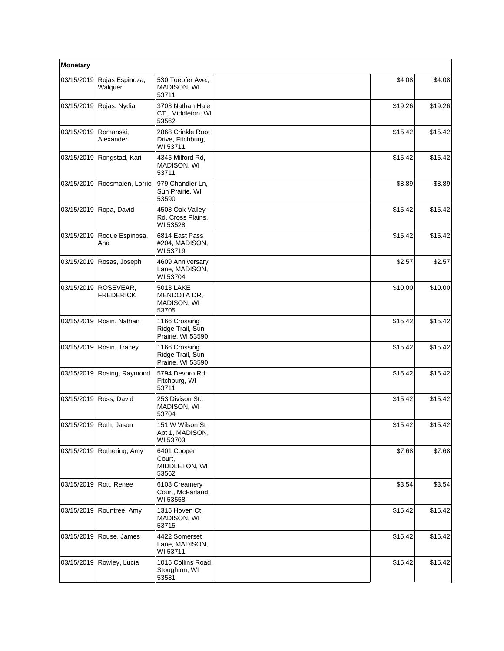| Monetary               |                               |                                                         |  |         |         |
|------------------------|-------------------------------|---------------------------------------------------------|--|---------|---------|
| 03/15/2019             | Rojas Espinoza,<br>Walquer    | 530 Toepfer Ave.,<br>MADISON, WI<br>53711               |  | \$4.08  | \$4.08  |
| 03/15/2019             | Rojas, Nydia                  | 3703 Nathan Hale<br>CT., Middleton, WI<br>53562         |  | \$19.26 | \$19.26 |
| 03/15/2019   Romanski, | Alexander                     | 2868 Crinkle Root<br>Drive, Fitchburg,<br>WI 53711      |  | \$15.42 | \$15.42 |
| 03/15/2019             | Rongstad, Kari                | 4345 Milford Rd,<br>MADISON, WI<br>53711                |  | \$15.42 | \$15.42 |
|                        | 03/15/2019 Roosmalen, Lorrie  | 979 Chandler Ln,<br>Sun Prairie, WI<br>53590            |  | \$8.89  | \$8.89  |
|                        | 03/15/2019 Ropa, David        | 4508 Oak Valley<br>Rd, Cross Plains,<br>WI 53528        |  | \$15.42 | \$15.42 |
| 03/15/2019             | Roque Espinosa,<br>Ana        | 6814 East Pass<br>#204, MADISON,<br>WI 53719            |  | \$15.42 | \$15.42 |
| 03/15/2019             | Rosas, Joseph                 | 4609 Anniversary<br>Lane, MADISON,<br>WI 53704          |  | \$2.57  | \$2.57  |
| 03/15/2019             | ROSEVEAR,<br><b>FREDERICK</b> | <b>5013 LAKE</b><br>MENDOTA DR,<br>MADISON, WI<br>53705 |  | \$10.00 | \$10.00 |
| 03/15/2019             | Rosin, Nathan                 | 1166 Crossing<br>Ridge Trail, Sun<br>Prairie, WI 53590  |  | \$15.42 | \$15.42 |
|                        | 03/15/2019 Rosin, Tracey      | 1166 Crossing<br>Ridge Trail, Sun<br>Prairie, WI 53590  |  | \$15.42 | \$15.42 |
|                        | 03/15/2019 Rosing, Raymond    | 5794 Devoro Rd,<br>Fitchburg, WI<br>53711               |  | \$15.42 | \$15.42 |
|                        | 03/15/2019 Ross, David        | 253 Divison St.,<br>MADISON, WI<br>53704                |  | \$15.42 | \$15.42 |
|                        | 03/15/2019 Roth, Jason        | 151 W Wilson St<br>Apt 1, MADISON,<br>WI 53703          |  | \$15.42 | \$15.42 |
|                        | 03/15/2019 Rothering, Amy     | 6401 Cooper<br>Court,<br>MIDDLETON, WI<br>53562         |  | \$7.68  | \$7.68  |
|                        | 03/15/2019 Rott, Renee        | 6108 Creamery<br>Court, McFarland,<br>WI 53558          |  | \$3.54  | \$3.54  |
|                        | 03/15/2019   Rountree, Amy    | 1315 Hoven Ct,<br>MADISON, WI<br>53715                  |  | \$15.42 | \$15.42 |
| 03/15/2019             | Rouse, James                  | 4422 Somerset<br>Lane, MADISON,<br>WI 53711             |  | \$15.42 | \$15.42 |
| 03/15/2019             | Rowley, Lucia                 | 1015 Collins Road,<br>Stoughton, WI<br>53581            |  | \$15.42 | \$15.42 |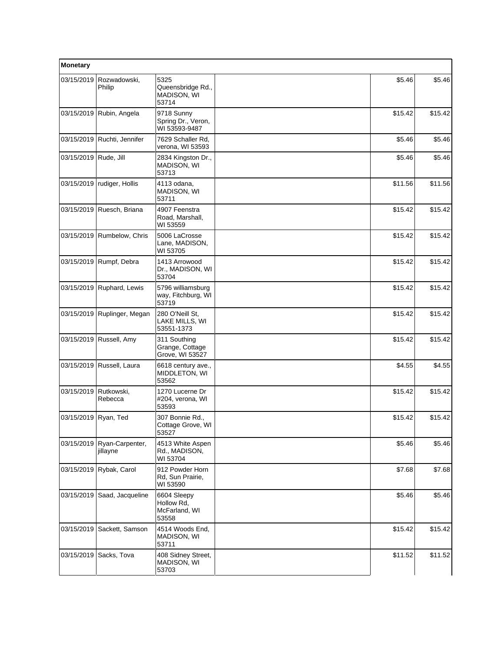| Monetary   |                             |                                                     |         |         |  |
|------------|-----------------------------|-----------------------------------------------------|---------|---------|--|
| 03/15/2019 | Rozwadowski,<br>Philip      | 5325<br>Queensbridge Rd.,<br>MADISON, WI<br>53714   | \$5.46  | \$5.46  |  |
| 03/15/2019 | Rubin, Angela               | 9718 Sunny<br>Spring Dr., Veron,<br>WI 53593-9487   | \$15.42 | \$15.42 |  |
| 03/15/2019 | Ruchti, Jennifer            | 7629 Schaller Rd,<br>verona, WI 53593               | \$5.46  | \$5.46  |  |
| 03/15/2019 | Rude, Jill                  | 2834 Kingston Dr.,<br>MADISON, WI<br>53713          | \$5.46  | \$5.46  |  |
| 03/15/2019 | rudiger, Hollis             | 4113 odana,<br>MADISON, WI<br>53711                 | \$11.56 | \$11.56 |  |
| 03/15/2019 | Ruesch, Briana              | 4907 Feenstra<br>Road, Marshall,<br>WI 53559        | \$15.42 | \$15.42 |  |
| 03/15/2019 | Rumbelow, Chris             | 5006 LaCrosse<br>Lane, MADISON,<br>WI 53705         | \$15.42 | \$15.42 |  |
| 03/15/2019 | Rumpf, Debra                | 1413 Arrowood<br>Dr., MADISON, WI<br>53704          | \$15.42 | \$15.42 |  |
| 03/15/2019 | Ruphard, Lewis              | 5796 williamsburg<br>way, Fitchburg, WI<br>53719    | \$15.42 | \$15.42 |  |
| 03/15/2019 | Ruplinger, Megan            | 280 O'Neill St.<br>LAKE MILLS, WI<br>53551-1373     | \$15.42 | \$15.42 |  |
|            | 03/15/2019 Russell, Amy     | 311 Southing<br>Grange, Cottage<br>Grove, WI 53527  | \$15.42 | \$15.42 |  |
| 03/15/2019 | Russell, Laura              | 6618 century ave.,<br>MIDDLETON, WI<br>53562        | \$4.55  | \$4.55  |  |
| 03/15/2019 | Rutkowski,<br>Rebecca       | 1270 Lucerne Dr<br>#204, verona, WI<br>53593        | \$15.42 | \$15.42 |  |
| 03/15/2019 | Ryan, Ted                   | 307 Bonnie Rd.,<br>Cottage Grove, WI<br>53527       | \$15.42 | \$15.42 |  |
| 03/15/2019 | Ryan-Carpenter,<br>jillayne | 4513 White Aspen<br>Rd., MADISON,<br>WI 53704       | \$5.46  | \$5.46  |  |
| 03/15/2019 | Rybak, Carol                | 912 Powder Horn<br>Rd, Sun Prairie,<br>WI 53590     | \$7.68  | \$7.68  |  |
| 03/15/2019 | Saad, Jacqueline            | 6604 Sleepy<br>Hollow Rd,<br>McFarland, WI<br>53558 | \$5.46  | \$5.46  |  |
| 03/15/2019 | Sackett, Samson             | 4514 Woods End.<br>MADISON, WI<br>53711             | \$15.42 | \$15.42 |  |
| 03/15/2019 | Sacks, Tova                 | 408 Sidney Street,<br>MADISON, WI<br>53703          | \$11.52 | \$11.52 |  |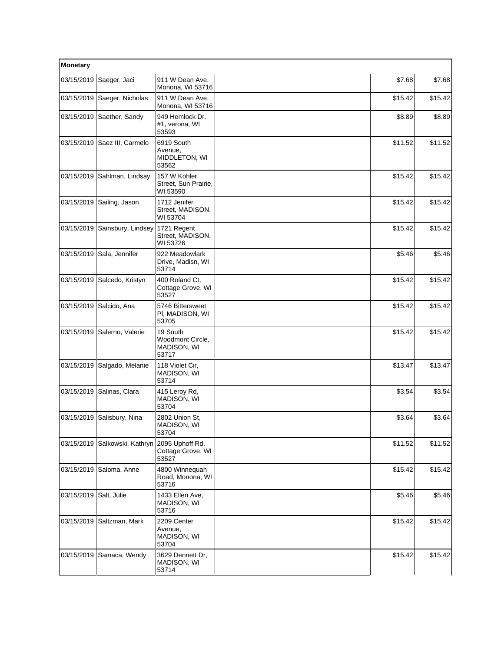| Monetary   |                    |                                                      |         |         |  |
|------------|--------------------|------------------------------------------------------|---------|---------|--|
| 03/15/2019 | Saeger, Jaci       | 911 W Dean Ave,<br>Monona, WI 53716                  | \$7.68  | \$7.68  |  |
| 03/15/2019 | Saeger, Nicholas   | 911 W Dean Ave,<br>Monona, WI 53716                  | \$15.42 | \$15.42 |  |
| 03/15/2019 | Saether, Sandy     | 949 Hemlock Dr.<br>#1, verona, WI<br>53593           | \$8.89  | \$8.89  |  |
| 03/15/2019 | Saez III, Carmelo  | 6919 South<br>Avenue,<br>MIDDLETON, WI<br>53562      | \$11.52 | \$11.52 |  |
| 03/15/2019 | Sahlman, Lindsay   | 157 W Kohler<br>Street, Sun Prairie,<br>WI 53590     | \$15.42 | \$15.42 |  |
| 03/15/2019 | Sailing, Jason     | 1712 Jenifer<br>Street, MADISON,<br>WI 53704         | \$15.42 | \$15.42 |  |
| 03/15/2019 | Sainsbury, Lindsey | 1721 Regent<br>Street, MADISON,<br>WI 53726          | \$15.42 | \$15.42 |  |
| 03/15/2019 | Sala, Jennifer     | 922 Meadowlark<br>Drive, Madisn, WI<br>53714         | \$5.46  | \$5.46  |  |
| 03/15/2019 | Salcedo, Kristyn   | 400 Roland Ct,<br>Cottage Grove, WI<br>53527         | \$15.42 | \$15.42 |  |
| 03/15/2019 | Salcido, Ana       | 5746 Bittersweet<br>PI, MADISON, WI<br>53705         | \$15.42 | \$15.42 |  |
| 03/15/2019 | Salerno, Valerie   | 19 South<br>Woodmont Circle,<br>MADISON, WI<br>53717 | \$15.42 | \$15.42 |  |
| 03/15/2019 | Salgado, Melanie   | 118 Violet Cir,<br>MADISON, WI<br>53714              | \$13.47 | \$13.47 |  |
| 03/15/2019 | Salinas, Clara     | 415 Leroy Rd,<br>MADISON, WI<br>53704                | \$3.54  | \$3.54  |  |
| 03/15/2019 | Salisbury, Nina    | 2802 Union St,<br>MADISON, WI<br>53704               | \$3.64  | \$3.64  |  |
| 03/15/2019 | Salkowski, Kathryn | 2095 Uphoff Rd,<br>Cottage Grove, WI<br>53527        | \$11.52 | \$11.52 |  |
| 03/15/2019 | Saloma, Anne       | 4800 Winnequah<br>Road, Monona, WI<br>53716          | \$15.42 | \$15.42 |  |
| 03/15/2019 | Salt, Julie        | 1433 Ellen Ave,<br>MADISON, WI<br>53716              | \$5.46  | \$5.46  |  |
| 03/15/2019 | Saltzman, Mark     | 2209 Center<br>Avenue,<br>MADISON, WI<br>53704       | \$15.42 | \$15.42 |  |
| 03/15/2019 | Samaca, Wendy      | 3629 Dennett Dr,<br>MADISON, WI<br>53714             | \$15.42 | \$15.42 |  |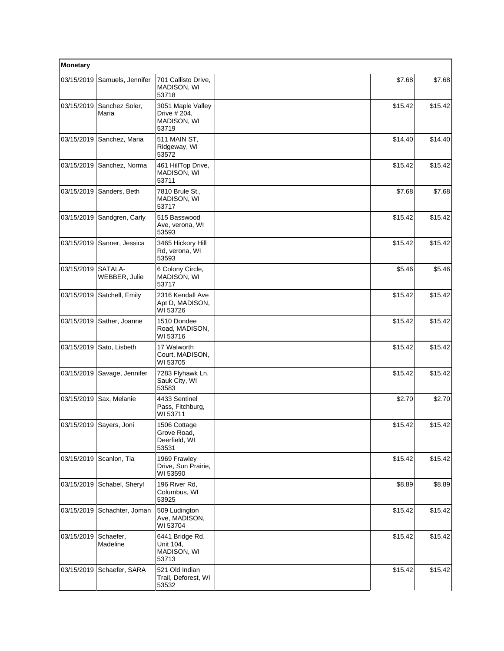| Monetary   |                          |                                                           |  |         |         |
|------------|--------------------------|-----------------------------------------------------------|--|---------|---------|
| 03/15/2019 | Samuels, Jennifer        | 701 Callisto Drive,<br>MADISON, WI<br>53718               |  | \$7.68  | \$7.68  |
| 03/15/2019 | Sanchez Soler,<br>Maria  | 3051 Maple Valley<br>Drive # 204,<br>MADISON, WI<br>53719 |  | \$15.42 | \$15.42 |
| 03/15/2019 | Sanchez, Maria           | 511 MAIN ST,<br>Ridgeway, WI<br>53572                     |  | \$14.40 | \$14.40 |
| 03/15/2019 | Sanchez, Norma           | 461 HillTop Drive,<br>MADISON, WI<br>53711                |  | \$15.42 | \$15.42 |
| 03/15/2019 | Sanders, Beth            | 7810 Brule St.,<br>MADISON, WI<br>53717                   |  | \$7.68  | \$7.68  |
| 03/15/2019 | Sandgren, Carly          | 515 Basswood<br>Ave, verona, WI<br>53593                  |  | \$15.42 | \$15.42 |
| 03/15/2019 | Sanner, Jessica          | 3465 Hickory Hill<br>Rd, verona, WI<br>53593              |  | \$15.42 | \$15.42 |
| 03/15/2019 | SATALA-<br>WEBBER, Julie | 6 Colony Circle,<br>MADISON, WI<br>53717                  |  | \$5.46  | \$5.46  |
| 03/15/2019 | Satchell, Emily          | 2316 Kendall Ave<br>Apt D, MADISON,<br>WI 53726           |  | \$15.42 | \$15.42 |
| 03/15/2019 | Sather, Joanne           | 1510 Dondee<br>Road, MADISON,<br>WI 53716                 |  | \$15.42 | \$15.42 |
| 03/15/2019 | Sato, Lisbeth            | 17 Walworth<br>Court, MADISON,<br>WI 53705                |  | \$15.42 | \$15.42 |
| 03/15/2019 | Savage, Jennifer         | 7283 Flyhawk Ln,<br>Sauk City, WI<br>53583                |  | \$15.42 | \$15.42 |
| 03/15/2019 | Sax, Melanie             | 4433 Sentinel<br>Pass, Fitchburg,<br>WI 53711             |  | \$2.70  | \$2.70  |
|            | 03/15/2019 Sayers, Joni  | 1506 Cottage<br>Grove Road,<br>Deerfield, WI<br>53531     |  | \$15.42 | \$15.42 |
| 03/15/2019 | Scanlon, Tia             | 1969 Frawley<br>Drive, Sun Prairie,<br>WI 53590           |  | \$15.42 | \$15.42 |
| 03/15/2019 | Schabel, Sheryl          | 196 River Rd.<br>Columbus, WI<br>53925                    |  | \$8.89  | \$8.89  |
| 03/15/2019 | Schachter, Joman         | 509 Ludington<br>Ave, MADISON,<br>WI 53704                |  | \$15.42 | \$15.42 |
| 03/15/2019 | Schaefer,<br>Madeline    | 6441 Bridge Rd.<br>Unit 104,<br>MADISON, WI<br>53713      |  | \$15.42 | \$15.42 |
| 03/15/2019 | Schaefer, SARA           | 521 Old Indian<br>Trail, Deforest, WI<br>53532            |  | \$15.42 | \$15.42 |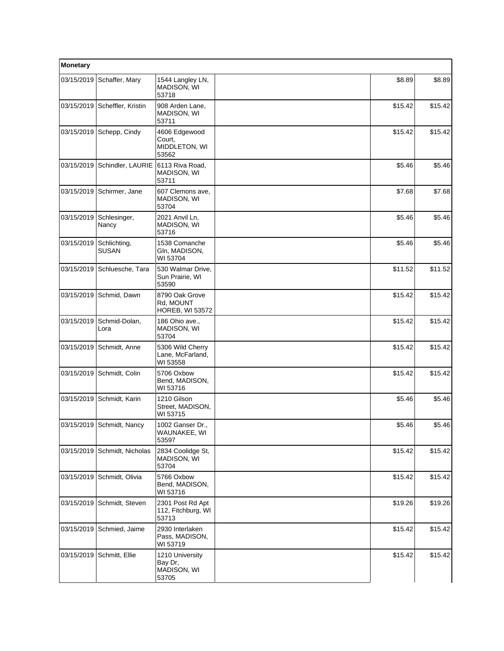| Monetary   |                              |                                                       |         |         |
|------------|------------------------------|-------------------------------------------------------|---------|---------|
| 03/15/2019 | Schaffer, Mary               | 1544 Langley LN,<br>MADISON, WI<br>53718              | \$8.89  | \$8.89  |
| 03/15/2019 | Scheffler, Kristin           | 908 Arden Lane,<br>MADISON, WI<br>53711               | \$15.42 | \$15.42 |
|            | 03/15/2019 Schepp, Cindy     | 4606 Edgewood<br>Court,<br>MIDDLETON, WI<br>53562     | \$15.42 | \$15.42 |
| 03/15/2019 | Schindler, LAURIE            | 6113 Riva Road,<br>MADISON, WI<br>53711               | \$5.46  | \$5.46  |
| 03/15/2019 | Schirmer, Jane               | 607 Clemons ave,<br>MADISON, WI<br>53704              | \$7.68  | \$7.68  |
| 03/15/2019 | Schlesinger,<br>Nancy        | 2021 Anvil Ln,<br>MADISON, WI<br>53716                | \$5.46  | \$5.46  |
| 03/15/2019 | Schlichting,<br><b>SUSAN</b> | 1538 Comanche<br>Gln, MADISON,<br>WI 53704            | \$5.46  | \$5.46  |
|            | 03/15/2019 Schluesche, Tara  | 530 Walmar Drive,<br>Sun Prairie, WI<br>53590         | \$11.52 | \$11.52 |
| 03/15/2019 | Schmid, Dawn                 | 8790 Oak Grove<br>Rd, MOUNT<br><b>HOREB, WI 53572</b> | \$15.42 | \$15.42 |
| 03/15/2019 | Schmid-Dolan,<br>Lora        | 186 Ohio ave.,<br>MADISON, WI<br>53704                | \$15.42 | \$15.42 |
| 03/15/2019 | Schmidt, Anne                | 5306 Wild Cherry<br>Lane, McFarland,<br>WI 53558      | \$15.42 | \$15.42 |
| 03/15/2019 | Schmidt, Colin               | 5706 Oxbow<br>Bend, MADISON,<br>WI 53716              | \$15.42 | \$15.42 |
| 03/15/2019 | Schmidt, Karin               | 1210 Gilson<br>Street, MADISON,<br>WI 53715           | \$5.46  | \$5.46  |
|            | 03/15/2019 Schmidt, Nancy    | 1002 Ganser Dr.,<br>WAUNAKEE, WI<br>53597             | \$5.46  | \$5.46  |
| 03/15/2019 | Schmidt, Nicholas            | 2834 Coolidge St,<br>MADISON, WI<br>53704             | \$15.42 | \$15.42 |
| 03/15/2019 | Schmidt, Olivia              | 5766 Oxbow<br>Bend, MADISON,<br>WI 53716              | \$15.42 | \$15.42 |
| 03/15/2019 | Schmidt, Steven              | 2301 Post Rd Apt<br>112, Fitchburg, WI<br>53713       | \$19.26 | \$19.26 |
|            | 03/15/2019 Schmied, Jaime    | 2930 Interlaken<br>Pass, MADISON,<br>WI 53719         | \$15.42 | \$15.42 |
| 03/15/2019 | Schmitt, Ellie               | 1210 University<br>Bay Dr,<br>MADISON, WI<br>53705    | \$15.42 | \$15.42 |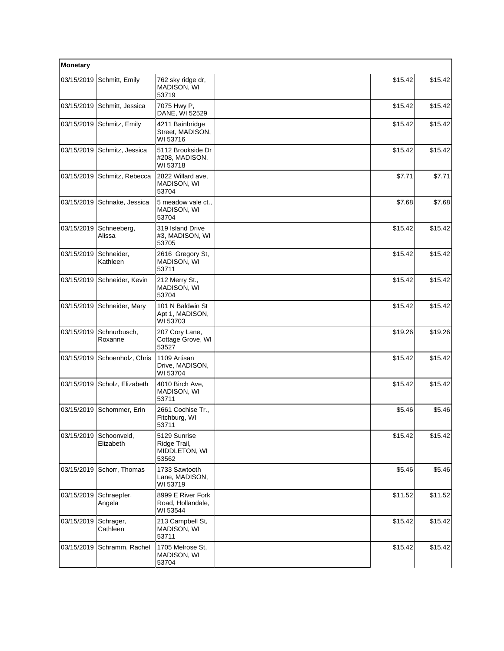| Monetary   |                              |                                                        |         |         |
|------------|------------------------------|--------------------------------------------------------|---------|---------|
|            | 03/15/2019 Schmitt, Emily    | 762 sky ridge dr,<br>MADISON, WI<br>53719              | \$15.42 | \$15.42 |
|            | 03/15/2019 Schmitt, Jessica  | 7075 Hwy P,<br>DANE, WI 52529                          | \$15.42 | \$15.42 |
|            | 03/15/2019 Schmitz, Emily    | 4211 Bainbridge<br>Street, MADISON,<br>WI 53716        | \$15.42 | \$15.42 |
|            | 03/15/2019 Schmitz, Jessica  | 5112 Brookside Dr<br>#208, MADISON,<br>WI 53718        | \$15.42 | \$15.42 |
|            | 03/15/2019 Schmitz, Rebecca  | 2822 Willard ave,<br>MADISON, WI<br>53704              | \$7.71  | \$7.71  |
| 03/15/2019 | Schnake, Jessica             | 5 meadow vale ct.,<br>MADISON, WI<br>53704             | \$7.68  | \$7.68  |
| 03/15/2019 | Schneeberg,<br>Alissa        | 319 Island Drive<br>#3, MADISON, WI<br>53705           | \$15.42 | \$15.42 |
| 03/15/2019 | Schneider,<br>Kathleen       | 2616 Gregory St,<br>MADISON, WI<br>53711               | \$15.42 | \$15.42 |
| 03/15/2019 | Schneider, Kevin             | 212 Merry St.,<br>MADISON, WI<br>53704                 | \$15.42 | \$15.42 |
|            | 03/15/2019 Schneider, Mary   | 101 N Baldwin St<br>Apt 1, MADISON,<br>WI 53703        | \$15.42 | \$15.42 |
| 03/15/2019 | Schnurbusch,<br>Roxanne      | 207 Cory Lane,<br>Cottage Grove, WI<br>53527           | \$19.26 | \$19.26 |
|            | 03/15/2019 Schoenholz, Chris | 1109 Artisan<br>Drive, MADISON,<br>WI 53704            | \$15.42 | \$15.42 |
| 03/15/2019 | Scholz, Elizabeth            | 4010 Birch Ave,<br>MADISON, WI<br>53711                | \$15.42 | \$15.42 |
| 03/15/2019 | Schommer, Erin               | 2661 Cochise Tr.,<br>Fitchburg, WI<br>53711            | \$5.46  | \$5.46  |
| 03/15/2019 | Schoonveld,<br>Elizabeth     | 5129 Sunrise<br>Ridge Trail,<br>MIDDLETON, WI<br>53562 | \$15.42 | \$15.42 |
| 03/15/2019 | Schorr, Thomas               | 1733 Sawtooth<br>Lane, MADISON,<br>WI 53719            | \$5.46  | \$5.46  |
| 03/15/2019 | Schraepfer,<br>Angela        | 8999 E River Fork<br>Road, Hollandale,<br>WI 53544     | \$11.52 | \$11.52 |
| 03/15/2019 | Schrager,<br>Cathleen        | 213 Campbell St,<br>MADISON, WI<br>53711               | \$15.42 | \$15.42 |
| 03/15/2019 | Schramm, Rachel              | 1705 Melrose St.<br>MADISON, WI<br>53704               | \$15.42 | \$15.42 |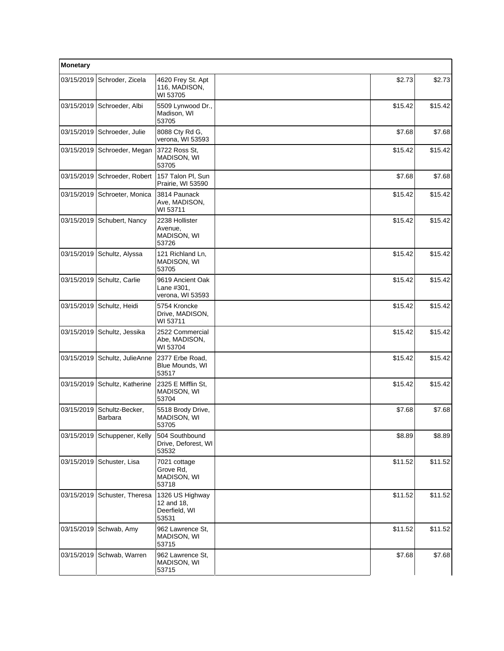| Monetary   |                               |                                                         |         |         |
|------------|-------------------------------|---------------------------------------------------------|---------|---------|
|            | 03/15/2019 Schroder, Zicela   | 4620 Frey St. Apt<br>116, MADISON,<br>WI 53705          | \$2.73  | \$2.73  |
|            | 03/15/2019 Schroeder, Albi    | 5509 Lynwood Dr.,<br>Madison, WI<br>53705               | \$15.42 | \$15.42 |
|            | 03/15/2019 Schroeder, Julie   | 8088 Cty Rd G,<br>verona, WI 53593                      | \$7.68  | \$7.68  |
|            | 03/15/2019 Schroeder, Megan   | 3722 Ross St.<br>MADISON, WI<br>53705                   | \$15.42 | \$15.42 |
|            | 03/15/2019 Schroeder, Robert  | 157 Talon Pl, Sun<br>Prairie, WI 53590                  | \$7.68  | \$7.68  |
|            | 03/15/2019 Schroeter, Monica  | 3814 Paunack<br>Ave, MADISON,<br>WI 53711               | \$15.42 | \$15.42 |
|            | 03/15/2019 Schubert, Nancy    | 2238 Hollister<br>Avenue,<br>MADISON, WI<br>53726       | \$15.42 | \$15.42 |
| 03/15/2019 | Schultz, Alyssa               | 121 Richland Ln,<br>MADISON, WI<br>53705                | \$15.42 | \$15.42 |
|            | 03/15/2019 Schultz, Carlie    | 9619 Ancient Oak<br>Lane #301,<br>verona, WI 53593      | \$15.42 | \$15.42 |
|            | 03/15/2019 Schultz, Heidi     | 5754 Kroncke<br>Drive, MADISON,<br>WI 53711             | \$15.42 | \$15.42 |
|            | 03/15/2019 Schultz, Jessika   | 2522 Commercial<br>Abe, MADISON,<br>WI 53704            | \$15.42 | \$15.42 |
|            | 03/15/2019 Schultz, JulieAnne | 2377 Erbe Road,<br>Blue Mounds, WI<br>53517             | \$15.42 | \$15.42 |
| 03/15/2019 | Schultz, Katherine            | 2325 E Mifflin St,<br>MADISON, WI<br>53704              | \$15.42 | \$15.42 |
| 03/15/2019 | Schultz-Becker,<br>Barbara    | 5518 Brody Drive,<br>MADISON, WI<br>53705               | \$7.68  | \$7.68  |
|            | 03/15/2019 Schuppener, Kelly  | 504 Southbound<br>Drive, Deforest, WI<br>53532          | \$8.89  | \$8.89  |
|            | 03/15/2019 Schuster, Lisa     | 7021 cottage<br>Grove Rd,<br>MADISON, WI<br>53718       | \$11.52 | \$11.52 |
| 03/15/2019 | Schuster, Theresa             | 1326 US Highway<br>12 and 18,<br>Deerfield, WI<br>53531 | \$11.52 | \$11.52 |
|            | 03/15/2019 Schwab, Amy        | 962 Lawrence St,<br>MADISON, WI<br>53715                | \$11.52 | \$11.52 |
|            | 03/15/2019 Schwab, Warren     | 962 Lawrence St,<br>MADISON, WI<br>53715                | \$7.68  | \$7.68  |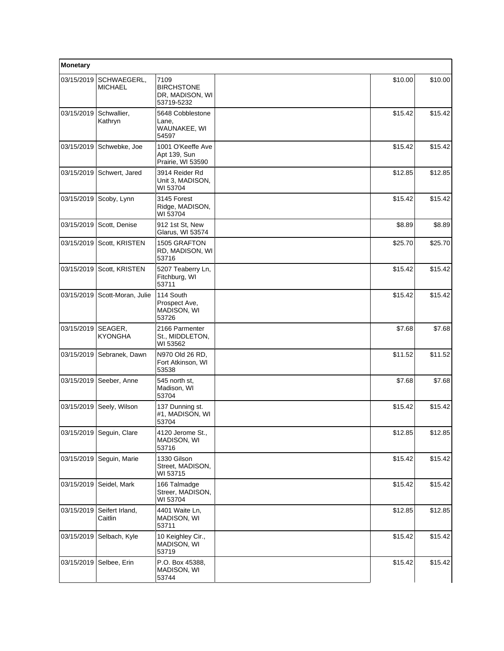| Monetary   |                               |                                                            |         |         |
|------------|-------------------------------|------------------------------------------------------------|---------|---------|
| 03/15/2019 | SCHWAEGERL,<br><b>MICHAEL</b> | 7109<br><b>BIRCHSTONE</b><br>DR, MADISON, WI<br>53719-5232 | \$10.00 | \$10.00 |
| 03/15/2019 | Schwallier,<br>Kathryn        | 5648 Cobblestone<br>Lane,<br>WAUNAKEE, WI<br>54597         | \$15.42 | \$15.42 |
| 03/15/2019 | Schwebke, Joe                 | 1001 O'Keeffe Ave<br>Apt 139, Sun<br>Prairie, WI 53590     | \$15.42 | \$15.42 |
| 03/15/2019 | Schwert, Jared                | 3914 Reider Rd<br>Unit 3, MADISON,<br>WI 53704             | \$12.85 | \$12.85 |
| 03/15/2019 | Scoby, Lynn                   | 3145 Forest<br>Ridge, MADISON,<br>WI 53704                 | \$15.42 | \$15.42 |
| 03/15/2019 | Scott, Denise                 | 912 1st St. New<br>Glarus, WI 53574                        | \$8.89  | \$8.89  |
| 03/15/2019 | Scott, KRISTEN                | 1505 GRAFTON<br>RD, MADISON, WI<br>53716                   | \$25.70 | \$25.70 |
| 03/15/2019 | Scott, KRISTEN                | 5207 Teaberry Ln,<br>Fitchburg, WI<br>53711                | \$15.42 | \$15.42 |
| 03/15/2019 | Scott-Moran, Julie            | 114 South<br>Prospect Ave,<br>MADISON, WI<br>53726         | \$15.42 | \$15.42 |
| 03/15/2019 | SEAGER,<br><b>KYONGHA</b>     | 2166 Parmenter<br>St., MIDDLETON,<br>WI 53562              | \$7.68  | \$7.68  |
| 03/15/2019 | Sebranek, Dawn                | N970 Old 26 RD,<br>Fort Atkinson, WI<br>53538              | \$11.52 | \$11.52 |
| 03/15/2019 | Seeber, Anne                  | 545 north st.<br>Madison, WI<br>53704                      | \$7.68  | \$7.68  |
| 03/15/2019 | Seely, Wilson                 | 137 Dunning st.<br>#1, MADISON, WI<br>53704                | \$15.42 | \$15.42 |
|            | 03/15/2019 Seguin, Clare      | 4120 Jerome St.,<br>MADISON, WI<br>53716                   | \$12.85 | \$12.85 |
| 03/15/2019 | Seguin, Marie                 | 1330 Gilson<br>Street, MADISON,<br>WI 53715                | \$15.42 | \$15.42 |
| 03/15/2019 | Seidel, Mark                  | 166 Talmadge<br>Streer, MADISON,<br>WI 53704               | \$15.42 | \$15.42 |
| 03/15/2019 | Seifert Irland,<br>Caitlin    | 4401 Waite Ln,<br>MADISON, WI<br>53711                     | \$12.85 | \$12.85 |
| 03/15/2019 | Selbach, Kyle                 | 10 Keighley Cir.,<br>MADISON, WI<br>53719                  | \$15.42 | \$15.42 |
| 03/15/2019 | Selbee, Erin                  | P.O. Box 45388,<br>MADISON, WI<br>53744                    | \$15.42 | \$15.42 |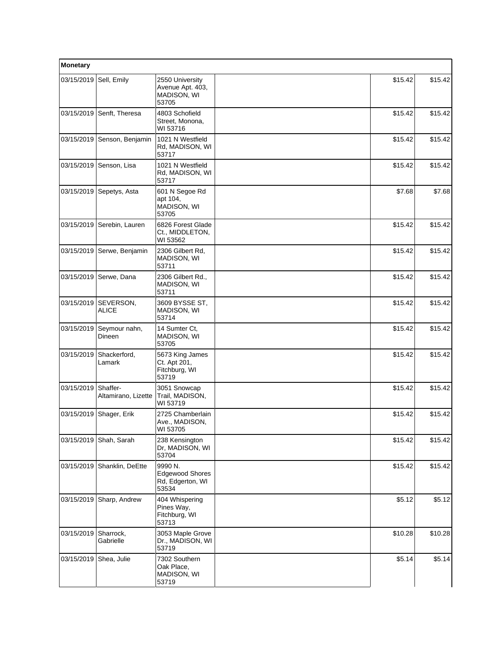| Monetary   |                                 |                                                                |         |         |  |
|------------|---------------------------------|----------------------------------------------------------------|---------|---------|--|
| 03/15/2019 | Sell, Emily                     | 2550 University<br>Avenue Apt. 403,<br>MADISON, WI<br>53705    | \$15.42 | \$15.42 |  |
| 03/15/2019 | Senft, Theresa                  | 4803 Schofield<br>Street, Monona,<br>WI 53716                  | \$15.42 | \$15.42 |  |
| 03/15/2019 | Senson, Benjamin                | 1021 N Westfield<br>Rd, MADISON, WI<br>53717                   | \$15.42 | \$15.42 |  |
| 03/15/2019 | Senson, Lisa                    | 1021 N Westfield<br>Rd, MADISON, WI<br>53717                   | \$15.42 | \$15.42 |  |
|            | 03/15/2019 Sepetys, Asta        | 601 N Segoe Rd<br>apt 104,<br>MADISON, WI<br>53705             | \$7.68  | \$7.68  |  |
| 03/15/2019 | Serebin, Lauren                 | 6826 Forest Glade<br>Ct., MIDDLETON,<br>WI 53562               | \$15.42 | \$15.42 |  |
| 03/15/2019 | Serwe, Benjamin                 | 2306 Gilbert Rd,<br>MADISON, WI<br>53711                       | \$15.42 | \$15.42 |  |
| 03/15/2019 | Serwe, Dana                     | 2306 Gilbert Rd.,<br>MADISON, WI<br>53711                      | \$15.42 | \$15.42 |  |
| 03/15/2019 | SEVERSON,<br>ALICE              | 3609 BYSSE ST,<br>MADISON, WI<br>53714                         | \$15.42 | \$15.42 |  |
| 03/15/2019 | Seymour nahn,<br>Dineen         | 14 Sumter Ct,<br>MADISON, WI<br>53705                          | \$15.42 | \$15.42 |  |
| 03/15/2019 | Shackerford,<br>Lamark          | 5673 King James<br>Ct. Apt 201,<br>Fitchburg, WI<br>53719      | \$15.42 | \$15.42 |  |
| 03/15/2019 | Shaffer-<br>Altamirano, Lizette | 3051 Snowcap<br>Trail, MADISON,<br>WI 53719                    | \$15.42 | \$15.42 |  |
| 03/15/2019 | Shager, Erik                    | 2725 Chamberlain<br>Ave., MADISON,<br>WI 53705                 | \$15.42 | \$15.42 |  |
| 03/15/2019 | Shah, Sarah                     | 238 Kensington<br>Dr, MADISON, WI<br>53704                     | \$15.42 | \$15.42 |  |
| 03/15/2019 | Shanklin, DeEtte                | 9990 N.<br><b>Edgewood Shores</b><br>Rd, Edgerton, WI<br>53534 | \$15.42 | \$15.42 |  |
| 03/15/2019 | Sharp, Andrew                   | 404 Whispering<br>Pines Way,<br>Fitchburg, WI<br>53713         | \$5.12  | \$5.12  |  |
| 03/15/2019 | Sharrock,<br>Gabrielle          | 3053 Maple Grove<br>Dr., MADISON, WI<br>53719                  | \$10.28 | \$10.28 |  |
| 03/15/2019 | Shea, Julie                     | 7302 Southern<br>Oak Place,<br>MADISON, WI<br>53719            | \$5.14  | \$5.14  |  |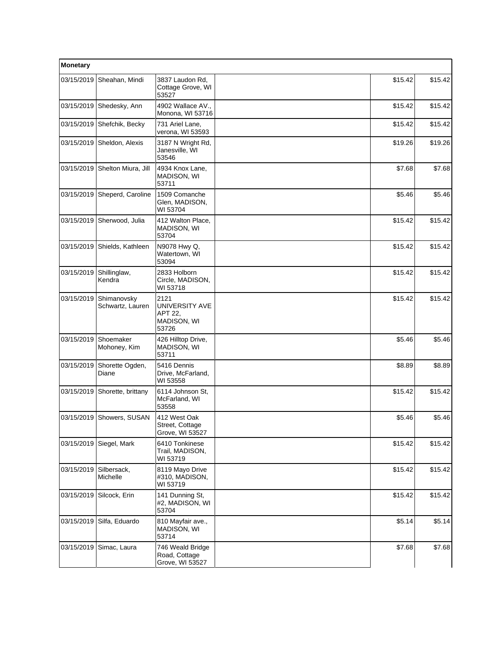| Monetary   |                                 |                                                           |         |         |
|------------|---------------------------------|-----------------------------------------------------------|---------|---------|
| 03/15/2019 | Sheahan, Mindi                  | 3837 Laudon Rd,<br>Cottage Grove, WI<br>53527             | \$15.42 | \$15.42 |
| 03/15/2019 | Shedesky, Ann                   | 4902 Wallace AV<br>Monona, WI 53716                       | \$15.42 | \$15.42 |
| 03/15/2019 | Shefchik, Becky                 | 731 Ariel Lane,<br>verona, WI 53593                       | \$15.42 | \$15.42 |
| 03/15/2019 | Sheldon, Alexis                 | 3187 N Wright Rd,<br>Janesville, WI<br>53546              | \$19.26 | \$19.26 |
|            | 03/15/2019 Shelton Miura, Jill  | 4934 Knox Lane,<br>MADISON, WI<br>53711                   | \$7.68  | \$7.68  |
|            | 03/15/2019 Sheperd, Caroline    | 1509 Comanche<br>Glen, MADISON,<br>WI 53704               | \$5.46  | \$5.46  |
|            | 03/15/2019 Sherwood, Julia      | 412 Walton Place,<br>MADISON, WI<br>53704                 | \$15.42 | \$15.42 |
| 03/15/2019 | Shields, Kathleen               | N9078 Hwy Q,<br>Watertown, WI<br>53094                    | \$15.42 | \$15.42 |
| 03/15/2019 | Shillinglaw,<br>Kendra          | 2833 Holborn<br>Circle, MADISON,<br>WI 53718              | \$15.42 | \$15.42 |
| 03/15/2019 | Shimanovsky<br>Schwartz, Lauren | 2121<br>UNIVERSITY AVE<br>APT 22,<br>MADISON, WI<br>53726 | \$15.42 | \$15.42 |
| 03/15/2019 | Shoemaker<br>Mohoney, Kim       | 426 Hilltop Drive,<br>MADISON, WI<br>53711                | \$5.46  | \$5.46  |
| 03/15/2019 | Shorette Ogden,<br>Diane        | 5416 Dennis<br>Drive, McFarland,<br>WI 53558              | \$8.89  | \$8.89  |
| 03/15/2019 | Shorette, brittany              | 6114 Johnson St,<br>McFarland, WI<br>53558                | \$15.42 | \$15.42 |
|            | 03/15/2019 Showers, SUSAN       | 412 West Oak<br>Street, Cottage<br>Grove, WI 53527        | \$5.46  | \$5.46  |
| 03/15/2019 | Siegel, Mark                    | 6410 Tonkinese<br>Trail, MADISON,<br>WI 53719             | \$15.42 | \$15.42 |
| 03/15/2019 | Silbersack,<br>Michelle         | 8119 Mayo Drive<br>#310, MADISON,<br>WI 53719             | \$15.42 | \$15.42 |
| 03/15/2019 | Silcock, Erin                   | 141 Dunning St,<br>#2, MADISON, WI<br>53704               | \$15.42 | \$15.42 |
| 03/15/2019 | Silfa, Eduardo                  | 810 Mayfair ave.,<br>MADISON, WI<br>53714                 | \$5.14  | \$5.14  |
| 03/15/2019 | Simac, Laura                    | 746 Weald Bridge<br>Road, Cottage<br>Grove, WI 53527      | \$7.68  | \$7.68  |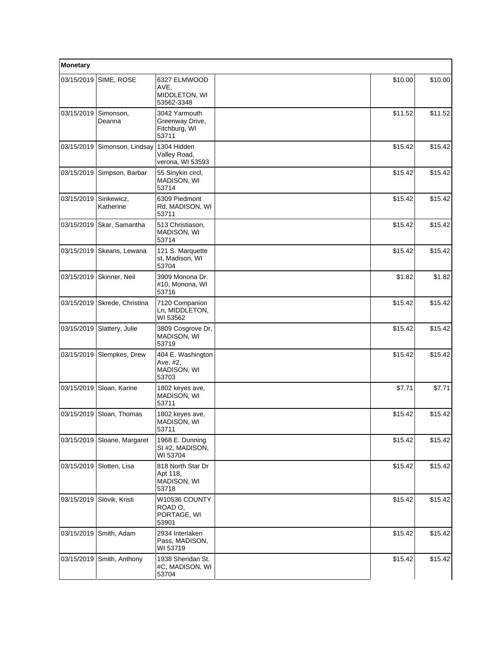| Monetary   |                             |                                                            |         |         |
|------------|-----------------------------|------------------------------------------------------------|---------|---------|
| 03/15/2019 | SIME, ROSE                  | 6327 ELMWOOD<br>AVE,<br>MIDDLETON, WI<br>53562-3348        | \$10.00 | \$10.00 |
| 03/15/2019 | Simonson,<br>Deanna         | 3042 Yarmouth<br>Greenway Drive,<br>Fitchburg, WI<br>53711 | \$11.52 | \$11.52 |
| 03/15/2019 | Simonson, Lindsay           | 1304 Hidden<br>Valley Road,<br>verona, WI 53593            | \$15.42 | \$15.42 |
|            | 03/15/2019 Simpson, Barbar  | 55 Sinykin circl,<br>MADISON, WI<br>53714                  | \$15.42 | \$15.42 |
| 03/15/2019 | Sinkewicz,<br>Katherine     | 6309 Piedmont<br>Rd, MADISON, WI<br>53711                  | \$15.42 | \$15.42 |
|            | 03/15/2019 Skar, Samantha   | 513 Christiason,<br>MADISON, WI<br>53714                   | \$15.42 | \$15.42 |
| 03/15/2019 | Skeans, Lewana              | 121 S. Marquette<br>st, Madison, WI<br>53704               | \$15.42 | \$15.42 |
|            | 03/15/2019   Skinner, Neil  | 3909 Monona Dr.<br>#10, Monona, WI<br>53716                | \$1.82  | \$1.82  |
| 03/15/2019 | Skrede, Christina           | 7120 Companion<br>Ln, MIDDLETON,<br>WI 53562               | \$15.42 | \$15.42 |
|            | 03/15/2019 Slattery, Julie  | 3809 Cosgrove Dr,<br>MADISON, WI<br>53719                  | \$15.42 | \$15.42 |
| 03/15/2019 | Slempkes, Drew              | 404 E. Washington<br>Ave. #2,<br>MADISON, WI<br>53703      | \$15.42 | \$15.42 |
|            | 03/15/2019 Sloan, Karine    | 1802 keyes ave,<br>MADISON, WI<br>53711                    | \$7.71  | \$7.71  |
| 03/15/2019 | Sloan, Thomas               | 1802 keyes ave,<br>MADISON, WI<br>53711                    | \$15.42 | \$15.42 |
|            | 03/15/2019 Sloane, Margaret | 1968 E. Dunning<br>St #2, MADISON,<br>WI 53704             | \$15.42 | \$15.42 |
|            | 03/15/2019 Slotten, Lisa    | 818 North Star Dr<br>Apt 118,<br>MADISON, WI<br>53718      | \$15.42 | \$15.42 |
|            | 03/15/2019 Slovik, Kristi   | W10536 COUNTY<br>ROAD O,<br>PORTAGE, WI<br>53901           | \$15.42 | \$15.42 |
| 03/15/2019 | Smith, Adam                 | 2934 Interlaken<br>Pass, MADISON,<br>WI 53719              | \$15.42 | \$15.42 |
|            | 03/15/2019 Smith, Anthony   | 1938 Sheridan St.<br>#C, MADISON, WI<br>53704              | \$15.42 | \$15.42 |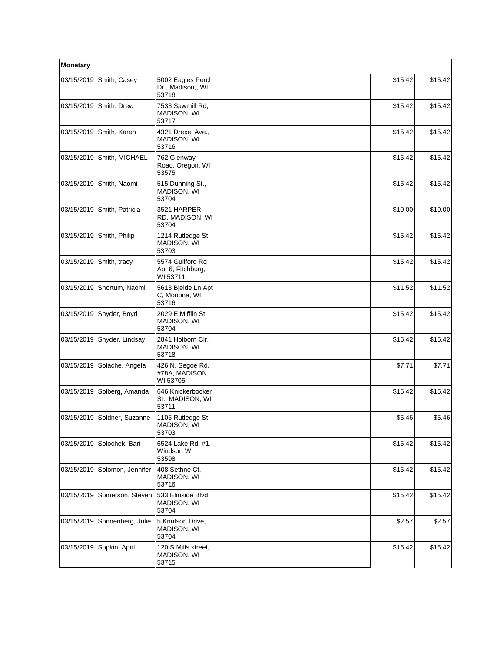| Monetary   |                             |                                                   |         |         |
|------------|-----------------------------|---------------------------------------------------|---------|---------|
|            | 03/15/2019 Smith, Casey     | 5002 Eagles Perch<br>Dr., Madison,, WI<br>53718   | \$15.42 | \$15.42 |
|            | 03/15/2019 Smith, Drew      | 7533 Sawmill Rd,<br>MADISON, WI<br>53717          | \$15.42 | \$15.42 |
|            | 03/15/2019 Smith, Karen     | 4321 Drexel Ave.,<br>MADISON, WI<br>53716         | \$15.42 | \$15.42 |
| 03/15/2019 | Smith, MICHAEL              | 762 Glenway<br>Road, Oregon, WI<br>53575          | \$15.42 | \$15.42 |
|            | 03/15/2019 Smith, Naomi     | 515 Dunning St.,<br>MADISON, WI<br>53704          | \$15.42 | \$15.42 |
|            | 03/15/2019 Smith, Patricia  | 3521 HARPER<br>RD, MADISON, WI<br>53704           | \$10.00 | \$10.00 |
| 03/15/2019 | Smith, Philip               | 1214 Rutledge St.<br>MADISON, WI<br>53703         | \$15.42 | \$15.42 |
|            | 03/15/2019 Smith, tracy     | 5574 Guilford Rd<br>Apt 6, Fitchburg,<br>WI 53711 | \$15.42 | \$15.42 |
|            | 03/15/2019 Snortum, Naomi   | 5613 Bjelde Ln Apt<br>C. Monona, WI<br>53716      | \$11.52 | \$11.52 |
| 03/15/2019 | Snyder, Boyd                | 2029 E Mifflin St,<br>MADISON, WI<br>53704        | \$15.42 | \$15.42 |
| 03/15/2019 | Snyder, Lindsay             | 2841 Holborn Cir,<br>MADISON, WI<br>53718         | \$15.42 | \$15.42 |
|            | 03/15/2019 Solache, Angela  | 426 N. Segoe Rd.<br>#78A, MADISON,<br>WI 53705    | \$7.71  | \$7.71  |
| 03/15/2019 | Solberg, Amanda             | 646 Knickerbocker<br>St., MADISON, WI<br>53711    | \$15.42 | \$15.42 |
|            | 03/15/2019 Soldner, Suzanne | 1105 Rutledge St,<br>MADISON, WI<br>53703         | \$5.46  | \$5.46  |
| 03/15/2019 | Solochek, Bari              | 6524 Lake Rd. #1,<br>Windsor, WI<br>53598         | \$15.42 | \$15.42 |
| 03/15/2019 | Solomon, Jennifer           | 408 Sethne Ct,<br>MADISON, WI<br>53716            | \$15.42 | \$15.42 |
| 03/15/2019 | Somerson, Steven            | 533 Elmside Blvd,<br>MADISON, WI<br>53704         | \$15.42 | \$15.42 |
| 03/15/2019 | Sonnenberg, Julie           | 5 Knutson Drive,<br>MADISON, WI<br>53704          | \$2.57  | \$2.57  |
| 03/15/2019 | Sopkin, April               | 120 S Mills street,<br>MADISON, WI<br>53715       | \$15.42 | \$15.42 |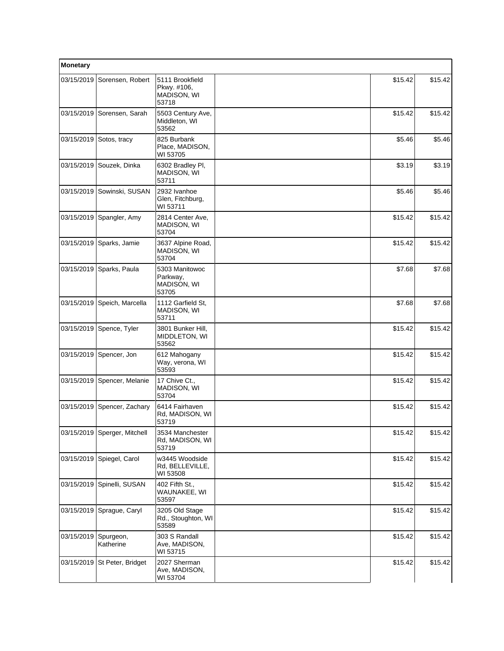| Monetary   |                              |                                                        |         |         |  |
|------------|------------------------------|--------------------------------------------------------|---------|---------|--|
| 03/15/2019 | Sorensen, Robert             | 5111 Brookfield<br>Pkwy. #106,<br>MADISON, WI<br>53718 | \$15.42 | \$15.42 |  |
| 03/15/2019 | Sorensen, Sarah              | 5503 Century Ave,<br>Middleton, WI<br>53562            | \$15.42 | \$15.42 |  |
| 03/15/2019 | Sotos, tracy                 | 825 Burbank<br>Place, MADISON,<br>WI 53705             | \$5.46  | \$5.46  |  |
| 03/15/2019 | Souzek, Dinka                | 6302 Bradley Pl,<br><b>MADISON, WI</b><br>53711        | \$3.19  | \$3.19  |  |
|            | 03/15/2019 Sowinski, SUSAN   | 2932 Ivanhoe<br>Glen, Fitchburg,<br>WI 53711           | \$5.46  | \$5.46  |  |
| 03/15/2019 | Spangler, Amy                | 2814 Center Ave,<br>MADISON, WI<br>53704               | \$15.42 | \$15.42 |  |
| 03/15/2019 | Sparks, Jamie                | 3637 Alpine Road,<br>MADISON, WI<br>53704              | \$15.42 | \$15.42 |  |
| 03/15/2019 | Sparks, Paula                | 5303 Manitowoc<br>Parkway,<br>MADISON, WI<br>53705     | \$7.68  | \$7.68  |  |
| 03/15/2019 | Speich, Marcella             | 1112 Garfield St.<br>MADISON, WI<br>53711              | \$7.68  | \$7.68  |  |
|            | 03/15/2019 Spence, Tyler     | 3801 Bunker Hill,<br>MIDDLETON, WI<br>53562            | \$15.42 | \$15.42 |  |
| 03/15/2019 | Spencer, Jon                 | 612 Mahogany<br>Way, verona, WI<br>53593               | \$15.42 | \$15.42 |  |
| 03/15/2019 | Spencer, Melanie             | 17 Chive Ct.,<br>MADISON, WI<br>53704                  | \$15.42 | \$15.42 |  |
| 03/15/2019 | Spencer, Zachary             | 6414 Fairhaven<br>Rd, MADISON, WI<br>53719             | \$15.42 | \$15.42 |  |
|            | 03/15/2019 Sperger, Mitchell | 3534 Manchester<br>Rd, MADISON, WI<br>53719            | \$15.42 | \$15.42 |  |
| 03/15/2019 | Spiegel, Carol               | w3445 Woodside<br>Rd, BELLEVILLE,<br>WI 53508          | \$15.42 | \$15.42 |  |
| 03/15/2019 | Spinelli, SUSAN              | 402 Fifth St.,<br>WAUNAKEE, WI<br>53597                | \$15.42 | \$15.42 |  |
|            | 03/15/2019 Sprague, Caryl    | 3205 Old Stage<br>Rd., Stoughton, WI<br>53589          | \$15.42 | \$15.42 |  |
| 03/15/2019 | Spurgeon,<br>Katherine       | 303 S Randall<br>Ave, MADISON,<br>WI 53715             | \$15.42 | \$15.42 |  |
| 03/15/2019 | St Peter, Bridget            | 2027 Sherman<br>Ave, MADISON,<br>WI 53704              | \$15.42 | \$15.42 |  |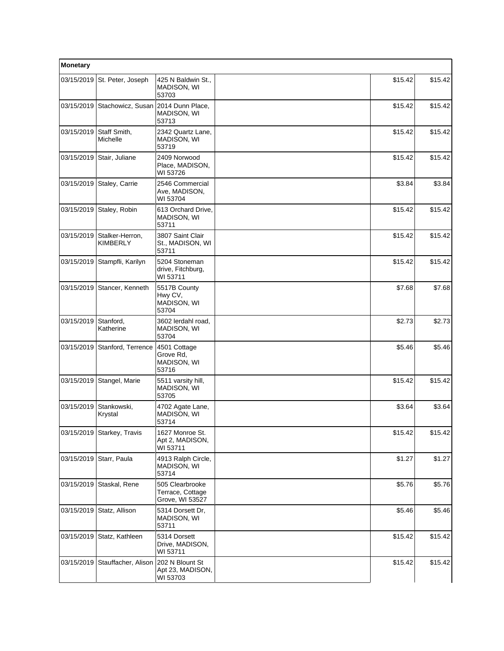| Monetary   |                                    |                                                        |         |         |  |
|------------|------------------------------------|--------------------------------------------------------|---------|---------|--|
| 03/15/2019 | St. Peter, Joseph                  | 425 N Baldwin St.,<br>MADISON, WI<br>53703             | \$15.42 | \$15.42 |  |
| 03/15/2019 | Stachowicz, Susan                  | 2014 Dunn Place,<br>MADISON, WI<br>53713               | \$15.42 | \$15.42 |  |
| 03/15/2019 | Staff Smith,<br>Michelle           | 2342 Quartz Lane,<br>MADISON, WI<br>53719              | \$15.42 | \$15.42 |  |
| 03/15/2019 | Stair, Juliane                     | 2409 Norwood<br>Place, MADISON,<br>WI 53726            | \$15.42 | \$15.42 |  |
| 03/15/2019 | Staley, Carrie                     | 2546 Commercial<br>Ave, MADISON,<br>WI 53704           | \$3.84  | \$3.84  |  |
|            | 03/15/2019 Staley, Robin           | 613 Orchard Drive,<br>MADISON, WI<br>53711             | \$15.42 | \$15.42 |  |
| 03/15/2019 | Stalker-Herron,<br><b>KIMBERLY</b> | 3807 Saint Clair<br>St., MADISON, WI<br>53711          | \$15.42 | \$15.42 |  |
| 03/15/2019 | Stampfli, Karilyn                  | 5204 Stoneman<br>drive, Fitchburg,<br>WI 53711         | \$15.42 | \$15.42 |  |
| 03/15/2019 | Stancer, Kenneth                   | 5517B County<br>Hwy CV,<br>MADISON, WI<br>53704        | \$7.68  | \$7.68  |  |
| 03/15/2019 | Stanford,<br>Katherine             | 3602 lerdahl road,<br>MADISON, WI<br>53704             | \$2.73  | \$2.73  |  |
| 03/15/2019 | Stanford, Terrence                 | 4501 Cottage<br>Grove Rd,<br>MADISON, WI<br>53716      | \$5.46  | \$5.46  |  |
| 03/15/2019 | Stangel, Marie                     | 5511 varsity hill,<br>MADISON, WI<br>53705             | \$15.42 | \$15.42 |  |
| 03/15/2019 | Stankowski,<br>Krystal             | 4702 Agate Lane,<br><b>MADISON, WI</b><br>53714        | \$3.64  | \$3.64  |  |
|            | 03/15/2019 Starkey, Travis         | 1627 Monroe St.<br>Apt 2, MADISON,<br>WI 53711         | \$15.42 | \$15.42 |  |
| 03/15/2019 | Starr, Paula                       | 4913 Ralph Circle,<br>MADISON, WI<br>53714             | \$1.27  | \$1.27  |  |
| 03/15/2019 | Staskal, Rene                      | 505 Clearbrooke<br>Terrace, Cottage<br>Grove, WI 53527 | \$5.76  | \$5.76  |  |
| 03/15/2019 | Statz, Allison                     | 5314 Dorsett Dr,<br>MADISON, WI<br>53711               | \$5.46  | \$5.46  |  |
| 03/15/2019 | Statz, Kathleen                    | 5314 Dorsett<br>Drive, MADISON,<br>WI 53711            | \$15.42 | \$15.42 |  |
| 03/15/2019 | Stauffacher, Alison                | 202 N Blount St<br>Apt 23, MADISON,<br>WI 53703        | \$15.42 | \$15.42 |  |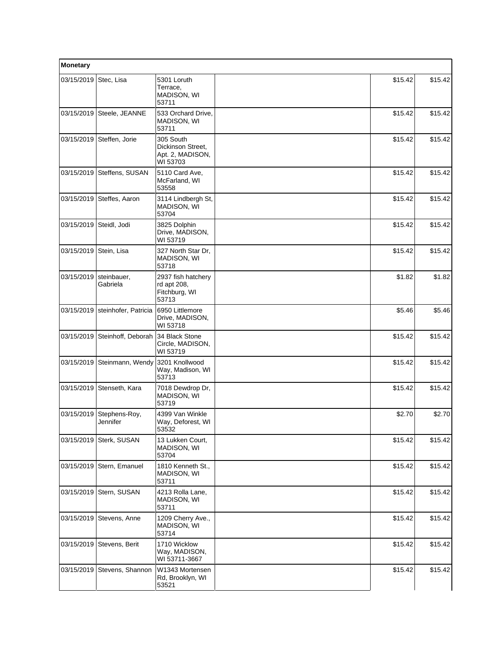| Monetary               |                           |                                                                |         |         |
|------------------------|---------------------------|----------------------------------------------------------------|---------|---------|
| 03/15/2019             | Stec, Lisa                | 5301 Loruth<br>Terrace,<br>MADISON, WI<br>53711                | \$15.42 | \$15.42 |
| 03/15/2019             | Steele, JEANNE            | 533 Orchard Drive,<br>MADISON, WI<br>53711                     | \$15.42 | \$15.42 |
| 03/15/2019             | Steffen, Jorie            | 305 South<br>Dickinson Street,<br>Apt. 2, MADISON,<br>WI 53703 | \$15.42 | \$15.42 |
| 03/15/2019             | Steffens, SUSAN           | 5110 Card Ave,<br>McFarland, WI<br>53558                       | \$15.42 | \$15.42 |
| 03/15/2019             | Steffes, Aaron            | 3114 Lindbergh St,<br>MADISON, WI<br>53704                     | \$15.42 | \$15.42 |
| 03/15/2019             | Steidl, Jodi              | 3825 Dolphin<br>Drive, MADISON,<br>WI 53719                    | \$15.42 | \$15.42 |
| 03/15/2019 Stein, Lisa |                           | 327 North Star Dr.<br>MADISON, WI<br>53718                     | \$15.42 | \$15.42 |
| 03/15/2019             | steinbauer,<br>Gabriela   | 2937 fish hatchery<br>rd apt 208,<br>Fitchburg, WI<br>53713    | \$1.82  | \$1.82  |
| 03/15/2019             | steinhofer, Patricia      | 6950 Littlemore<br>Drive, MADISON,<br>WI 53718                 | \$5.46  | \$5.46  |
| 03/15/2019             | Steinhoff, Deborah        | 34 Black Stone<br>Circle, MADISON,<br>WI 53719                 | \$15.42 | \$15.42 |
| 03/15/2019             | Steinmann, Wendy          | 3201 Knollwood<br>Way, Madison, WI<br>53713                    | \$15.42 | \$15.42 |
|                        | 03/15/2019 Stenseth, Kara | 7018 Dewdrop Dr,<br>MADISON, WI<br>53719                       | \$15.42 | \$15.42 |
| 03/15/2019             | Stephens-Roy,<br>Jennifer | 4399 Van Winkle<br>Way, Deforest, WI<br>53532                  | \$2.70  | \$2.70  |
| 03/15/2019             | Sterk, SUSAN              | 13 Lukken Court,<br>MADISON, WI<br>53704                       | \$15.42 | \$15.42 |
| 03/15/2019             | Stern, Emanuel            | 1810 Kenneth St.,<br>MADISON, WI<br>53711                      | \$15.42 | \$15.42 |
|                        | 03/15/2019 Stern, SUSAN   | 4213 Rolla Lane,<br>MADISON, WI<br>53711                       | \$15.42 | \$15.42 |
| 03/15/2019             | Stevens, Anne             | 1209 Cherry Ave.,<br>MADISON, WI<br>53714                      | \$15.42 | \$15.42 |
| 03/15/2019             | Stevens, Berit            | 1710 Wicklow<br>Way, MADISON,<br>WI 53711-3667                 | \$15.42 | \$15.42 |
| 03/15/2019             | Stevens, Shannon          | W1343 Mortensen<br>Rd, Brooklyn, WI<br>53521                   | \$15.42 | \$15.42 |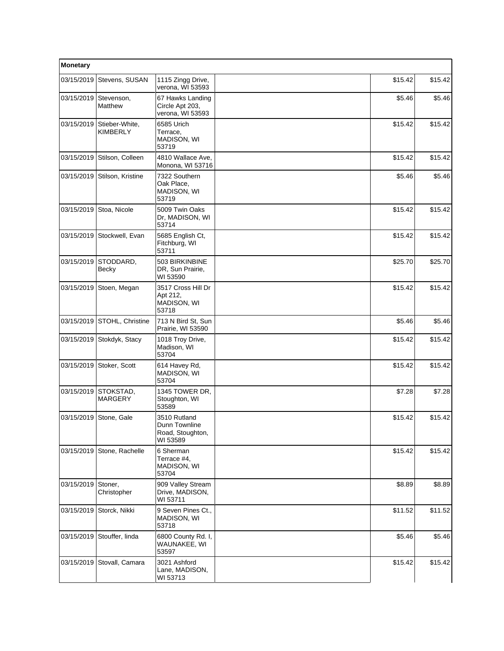| Monetary   |                                   |                                                               |         |         |  |
|------------|-----------------------------------|---------------------------------------------------------------|---------|---------|--|
| 03/15/2019 | Stevens, SUSAN                    | 1115 Zingg Drive,<br>verona, WI 53593                         | \$15.42 | \$15.42 |  |
| 03/15/2019 | Stevenson,<br>Matthew             | 67 Hawks Landing<br>Circle Apt 203,<br>verona, WI 53593       | \$5.46  | \$5.46  |  |
| 03/15/2019 | Stieber-White,<br><b>KIMBERLY</b> | 6585 Urich<br>Terrace,<br>MADISON, WI<br>53719                | \$15.42 | \$15.42 |  |
| 03/15/2019 | Stilson, Colleen                  | 4810 Wallace Ave,<br>Monona, WI 53716                         | \$15.42 | \$15.42 |  |
| 03/15/2019 | Stilson, Kristine                 | 7322 Southern<br>Oak Place,<br>MADISON, WI<br>53719           | \$5.46  | \$5.46  |  |
| 03/15/2019 | Stoa, Nicole                      | 5009 Twin Oaks<br>Dr, MADISON, WI<br>53714                    | \$15.42 | \$15.42 |  |
| 03/15/2019 | Stockwell, Evan                   | 5685 English Ct,<br>Fitchburg, WI<br>53711                    | \$15.42 | \$15.42 |  |
| 03/15/2019 | STODDARD.<br>Becky                | 503 BIRKINBINE<br>DR, Sun Prairie,<br>WI 53590                | \$25.70 | \$25.70 |  |
| 03/15/2019 | Stoen, Megan                      | 3517 Cross Hill Dr<br>Apt 212,<br>MADISON, WI<br>53718        | \$15.42 | \$15.42 |  |
| 03/15/2019 | STOHL, Christine                  | 713 N Bird St, Sun<br>Prairie, WI 53590                       | \$5.46  | \$5.46  |  |
| 03/15/2019 | Stokdyk, Stacy                    | 1018 Troy Drive,<br>Madison, WI<br>53704                      | \$15.42 | \$15.42 |  |
| 03/15/2019 | Stoker, Scott                     | 614 Havey Rd,<br>MADISON, WI<br>53704                         | \$15.42 | \$15.42 |  |
| 03/15/2019 | STOKSTAD,<br><b>MARGERY</b>       | 1345 TOWER DR.<br>Stoughton, WI<br>53589                      | \$7.28  | \$7.28  |  |
|            | 03/15/2019 Stone, Gale            | 3510 Rutland<br>Dunn Townline<br>Road, Stoughton,<br>WI 53589 | \$15.42 | \$15.42 |  |
| 03/15/2019 | Stone, Rachelle                   | 6 Sherman<br>Terrace #4,<br>MADISON, WI<br>53704              | \$15.42 | \$15.42 |  |
| 03/15/2019 | Stoner,<br>Christopher            | 909 Valley Stream<br>Drive, MADISON,<br>WI 53711              | \$8.89  | \$8.89  |  |
| 03/15/2019 | Storck, Nikki                     | 9 Seven Pines Ct.,<br>MADISON, WI<br>53718                    | \$11.52 | \$11.52 |  |
| 03/15/2019 | Stouffer, linda                   | 6800 County Rd. I,<br>WAUNAKEE, WI<br>53597                   | \$5.46  | \$5.46  |  |
| 03/15/2019 | Stovall, Camara                   | 3021 Ashford<br>Lane, MADISON,<br>WI 53713                    | \$15.42 | \$15.42 |  |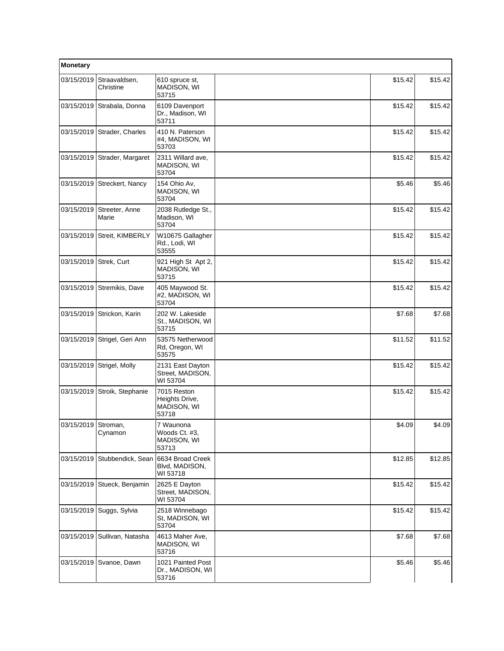| Monetary            |                             |                                                       |         |         |
|---------------------|-----------------------------|-------------------------------------------------------|---------|---------|
| 03/15/2019          | Straavaldsen,<br>Christine  | 610 spruce st,<br>MADISON, WI<br>53715                | \$15.42 | \$15.42 |
| 03/15/2019          | Strabala, Donna             | 6109 Davenport<br>Dr., Madison, WI<br>53711           | \$15.42 | \$15.42 |
|                     | 03/15/2019 Strader, Charles | 410 N. Paterson<br>#4, MADISON, WI<br>53703           | \$15.42 | \$15.42 |
| 03/15/2019          | Strader, Margaret           | 2311 Willard ave,<br>MADISON, WI<br>53704             | \$15.42 | \$15.42 |
| 03/15/2019          | Streckert, Nancy            | 154 Ohio Av,<br>MADISON, WI<br>53704                  | \$5.46  | \$5.46  |
| 03/15/2019          | Streeter, Anne<br>Marie     | 2038 Rutledge St.,<br>Madison, WI<br>53704            | \$15.42 | \$15.42 |
|                     | 03/15/2019 Streit, KIMBERLY | W10675 Gallagher<br>Rd., Lodi, WI<br>53555            | \$15.42 | \$15.42 |
| 03/15/2019          | Strek, Curt                 | 921 High St Apt 2,<br>MADISON, WI<br>53715            | \$15.42 | \$15.42 |
| 03/15/2019          | Stremikis, Dave             | 405 Maywood St.<br>#2, MADISON, WI<br>53704           | \$15.42 | \$15.42 |
| 03/15/2019          | Strickon, Karin             | 202 W. Lakeside<br>St., MADISON, WI<br>53715          | \$7.68  | \$7.68  |
| 03/15/2019          | Strigel, Geri Ann           | 53575 Netherwood<br>Rd, Oregon, WI<br>53575           | \$11.52 | \$11.52 |
| 03/15/2019          | Strigel, Molly              | 2131 East Dayton<br>Street, MADISON,<br>WI 53704      | \$15.42 | \$15.42 |
| 03/15/2019          | Stroik, Stephanie           | 7015 Reston<br>Heights Drive,<br>MADISON, WI<br>53718 | \$15.42 | \$15.42 |
| 03/15/2019 Stroman, | Cynamon                     | 7 Waunona<br>Woods Ct. #3,<br>MADISON, WI<br>53713    | \$4.09  | \$4.09  |
| 03/15/2019          | Stubbendick, Sean           | 6634 Broad Creek<br>Blvd, MADISON,<br>WI 53718        | \$12.85 | \$12.85 |
| 03/15/2019          | Stueck, Benjamin            | 2625 E Dayton<br>Street, MADISON,<br>WI 53704         | \$15.42 | \$15.42 |
|                     | 03/15/2019   Suggs, Sylvia  | 2518 Winnebago<br>St, MADISON, WI<br>53704            | \$15.42 | \$15.42 |
| 03/15/2019          | Sullivan, Natasha           | 4613 Maher Ave,<br>MADISON, WI<br>53716               | \$7.68  | \$7.68  |
| 03/15/2019          | Svanoe, Dawn                | 1021 Painted Post<br>Dr., MADISON, WI<br>53716        | \$5.46  | \$5.46  |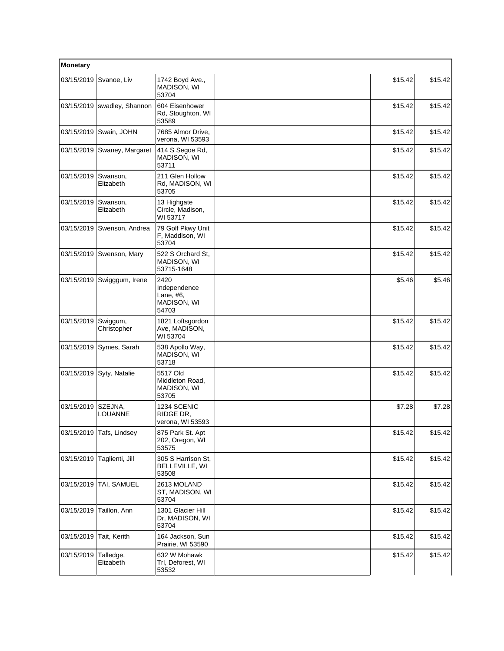| Monetary   |                               |                                                           |         |         |
|------------|-------------------------------|-----------------------------------------------------------|---------|---------|
| 03/15/2019 | Svanoe, Liv                   | 1742 Boyd Ave.,<br>MADISON, WI<br>53704                   | \$15.42 | \$15.42 |
|            | $03/15/2019$ swadley, Shannon | 604 Eisenhower<br>Rd, Stoughton, WI<br>53589              | \$15.42 | \$15.42 |
|            | 03/15/2019 Swain, JOHN        | 7685 Almor Drive,<br>verona, WI 53593                     | \$15.42 | \$15.42 |
|            | 03/15/2019 Swaney, Margaret   | 414 S Segoe Rd,<br><b>MADISON, WI</b><br>53711            | \$15.42 | \$15.42 |
| 03/15/2019 | Swanson,<br>Elizabeth         | 211 Glen Hollow<br>Rd, MADISON, WI<br>53705               | \$15.42 | \$15.42 |
| 03/15/2019 | Swanson,<br>Elizabeth         | 13 Highgate<br>Circle, Madison,<br>WI 53717               | \$15.42 | \$15.42 |
|            | 03/15/2019   Swenson, Andrea  | 79 Golf Pkwy Unit<br>F, Maddison, WI<br>53704             | \$15.42 | \$15.42 |
| 03/15/2019 | Swenson, Mary                 | 522 S Orchard St.<br>MADISON, WI<br>53715-1648            | \$15.42 | \$15.42 |
| 03/15/2019 | Swigggum, Irene               | 2420<br>Independence<br>Lane, #6,<br>MADISON, WI<br>54703 | \$5.46  | \$5.46  |
| 03/15/2019 | Swiggum,<br>Christopher       | 1821 Loftsgordon<br>Ave, MADISON,<br>WI 53704             | \$15.42 | \$15.42 |
| 03/15/2019 | Symes, Sarah                  | 538 Apollo Way,<br>MADISON, WI<br>53718                   | \$15.42 | \$15.42 |
|            | 03/15/2019 Syty, Natalie      | 5517 Old<br>Middleton Road,<br>MADISON, WI<br>53705       | \$15.42 | \$15.42 |
| 03/15/2019 | SZEJNA,<br><b>LOUANNE</b>     | 1234 SCENIC<br>RIDGE DR,<br>verona, WI 53593              | \$7.28  | \$7.28  |
|            | 03/15/2019 Tafs, Lindsey      | 875 Park St. Apt<br>202, Oregon, WI<br>53575              | \$15.42 | \$15.42 |
| 03/15/2019 | Taglienti, Jill               | 305 S Harrison St.<br>BELLEVILLE, WI<br>53508             | \$15.42 | \$15.42 |
| 03/15/2019 | TAI, SAMUEL                   | 2613 MOLAND<br>ST, MADISON, WI<br>53704                   | \$15.42 | \$15.42 |
| 03/15/2019 | Taillon, Ann                  | 1301 Glacier Hill<br>Dr, MADISON, WI<br>53704             | \$15.42 | \$15.42 |
| 03/15/2019 | Tait, Kerith                  | 164 Jackson, Sun<br>Prairie, WI 53590                     | \$15.42 | \$15.42 |
| 03/15/2019 | Talledge,<br>Elizabeth        | 632 W Mohawk<br>Trl, Deforest, WI<br>53532                | \$15.42 | \$15.42 |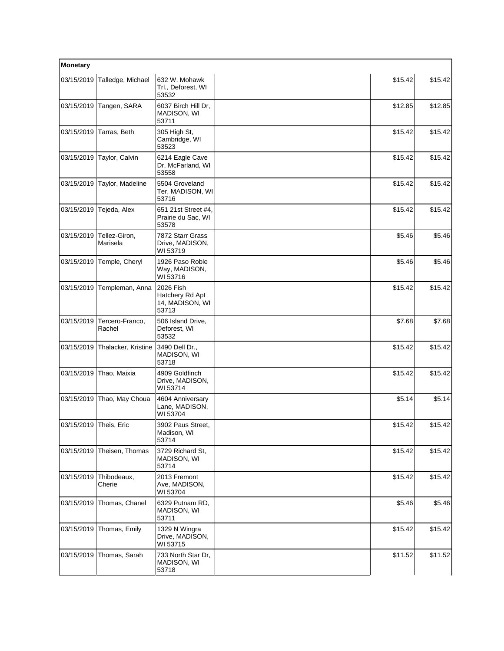| Monetary               |                           |                                                          |         |          |
|------------------------|---------------------------|----------------------------------------------------------|---------|----------|
| 03/15/2019             | Talledge, Michael         | 632 W. Mohawk<br>Trl., Deforest, WI<br>53532             | \$15.42 | \$15.42  |
| 03/15/2019             | Tangen, SARA              | 6037 Birch Hill Dr,<br>MADISON, WI<br>53711              | \$12.85 | \$12.85  |
| 03/15/2019             | Tarras, Beth              | 305 High St,<br>Cambridge, WI<br>53523                   | \$15.42 | \$15.42  |
| 03/15/2019             | Taylor, Calvin            | 6214 Eagle Cave<br>Dr, McFarland, WI<br>53558            | \$15.42 | \$15.42  |
| 03/15/2019             | Taylor, Madeline          | 5504 Groveland<br>Ter, MADISON, WI<br>53716              | \$15.42 | \$15.42  |
| 03/15/2019             | Tejeda, Alex              | 651 21st Street #4,<br>Prairie du Sac, WI<br>53578       | \$15.42 | \$15.42  |
| 03/15/2019             | Tellez-Giron,<br>Marisela | 7872 Starr Grass<br>Drive, MADISON,<br>WI 53719          | \$5.46  | \$5.46   |
| 03/15/2019             | Temple, Cheryl            | 1926 Paso Roble<br>Way, MADISON,<br>WI 53716             | \$5.46  | \$5.46   |
| 03/15/2019             | Templeman, Anna           | 2026 Fish<br>Hatchery Rd Apt<br>14, MADISON, WI<br>53713 | \$15.42 | \$15.42  |
| 03/15/2019             | Tercero-Franco,<br>Rachel | 506 Island Drive,<br>Deforest, WI<br>53532               | \$7.68  | \$7.68   |
| 03/15/2019             | Thalacker, Kristine       | 3490 Dell Dr.,<br>MADISON, WI<br>53718                   | \$15.42 | \$15.42  |
| 03/15/2019             | Thao, Maixia              | 4909 Goldfinch<br>Drive, MADISON,<br>WI 53714            | \$15.42 | \$15.42  |
| 03/15/2019             | Thao, May Choua           | 4604 Anniversary<br>Lane, MADISON,<br>WI 53704           | \$5.14  | \$5.14   |
| 03/15/2019 Theis, Eric |                           | 3902 Paus Street.<br>Madison, WI<br>53714                | \$15.42 | \$15.42] |
| 03/15/2019             | Theisen, Thomas           | 3729 Richard St,<br>MADISON, WI<br>53714                 | \$15.42 | \$15.42  |
| 03/15/2019             | Thibodeaux,<br>Cherie     | 2013 Fremont<br>Ave, MADISON,<br>WI 53704                | \$15.42 | \$15.42  |
| 03/15/2019             | Thomas, Chanel            | 6329 Putnam RD,<br>MADISON, WI<br>53711                  | \$5.46  | \$5.46   |
| 03/15/2019             | Thomas, Emily             | 1329 N Wingra<br>Drive, MADISON,<br>WI 53715             | \$15.42 | \$15.42  |
| 03/15/2019             | Thomas, Sarah             | 733 North Star Dr,<br>MADISON, WI<br>53718               | \$11.52 | \$11.52  |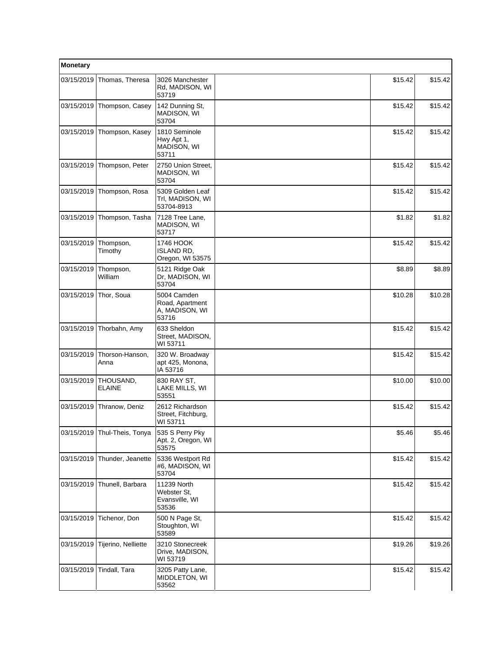| Monetary   |                              |                                                           |         |         |  |
|------------|------------------------------|-----------------------------------------------------------|---------|---------|--|
| 03/15/2019 | Thomas, Theresa              | 3026 Manchester<br>Rd, MADISON, WI<br>53719               | \$15.42 | \$15.42 |  |
| 03/15/2019 | Thompson, Casey              | 142 Dunning St,<br>MADISON, WI<br>53704                   | \$15.42 | \$15.42 |  |
| 03/15/2019 | Thompson, Kasey              | 1810 Seminole<br>Hwy Apt 1,<br>MADISON, WI<br>53711       | \$15.42 | \$15.42 |  |
| 03/15/2019 | Thompson, Peter              | 2750 Union Street.<br>MADISON, WI<br>53704                | \$15.42 | \$15.42 |  |
| 03/15/2019 | Thompson, Rosa               | 5309 Golden Leaf<br>Trl, MADISON, WI<br>53704-8913        | \$15.42 | \$15.42 |  |
| 03/15/2019 | Thompson, Tasha              | 7128 Tree Lane,<br>MADISON, WI<br>53717                   | \$1.82  | \$1.82  |  |
| 03/15/2019 | Thompson,<br>Timothy         | 1746 HOOK<br>ISLAND RD.<br>Oregon, WI 53575               | \$15.42 | \$15.42 |  |
| 03/15/2019 | Thompson,<br>William         | 5121 Ridge Oak<br>Dr, MADISON, WI<br>53704                | \$8.89  | \$8.89  |  |
| 03/15/2019 | Thor, Soua                   | 5004 Camden<br>Road, Apartment<br>A, MADISON, WI<br>53716 | \$10.28 | \$10.28 |  |
| 03/15/2019 | Thorbahn, Amy                | 633 Sheldon<br>Street, MADISON,<br>WI 53711               | \$15.42 | \$15.42 |  |
| 03/15/2019 | Thorson-Hanson,<br>Anna      | 320 W. Broadway<br>apt 425, Monona,<br>IA 53716           | \$15.42 | \$15.42 |  |
| 03/15/2019 | THOUSAND,<br><b>ELAINE</b>   | 830 RAY ST.<br>LAKE MILLS, WI<br>53551                    | \$10.00 | \$10.00 |  |
| 03/15/2019 | Thranow, Deniz               | 2612 Richardson<br>Street, Fitchburg,<br>WI 53711         | \$15.42 | \$15.42 |  |
|            | 03/15/2019 Thul-Theis, Tonya | 535 S Perry Pky<br>Apt. 2, Oregon, WI<br>53575            | \$5.46  | \$5.46] |  |
| 03/15/2019 | Thunder, Jeanette            | 5336 Westport Rd<br>#6, MADISON, WI<br>53704              | \$15.42 | \$15.42 |  |
| 03/15/2019 | Thunell, Barbara             | 11239 North<br>Webster St,<br>Evansville, WI<br>53536     | \$15.42 | \$15.42 |  |
| 03/15/2019 | Tichenor, Don                | 500 N Page St,<br>Stoughton, WI<br>53589                  | \$15.42 | \$15.42 |  |
| 03/15/2019 | Tijerino, Nelliette          | 3210 Stonecreek<br>Drive, MADISON,<br>WI 53719            | \$19.26 | \$19.26 |  |
| 03/15/2019 | Tindall, Tara                | 3205 Patty Lane,<br>MIDDLETON, WI<br>53562                | \$15.42 | \$15.42 |  |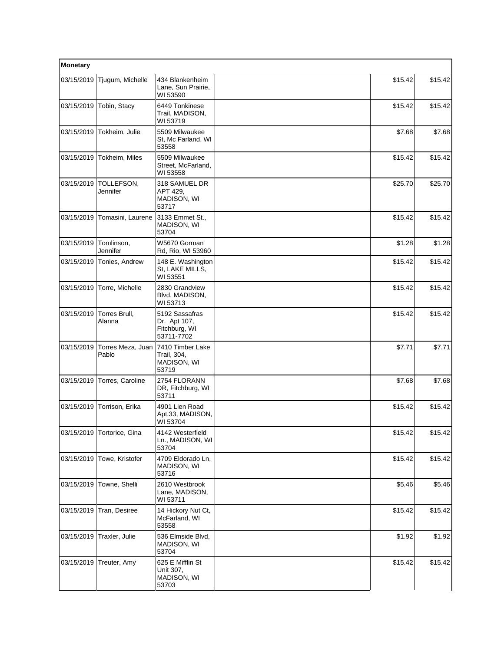| Monetary   |                            |                                                               |  |         |         |
|------------|----------------------------|---------------------------------------------------------------|--|---------|---------|
| 03/15/2019 | Tjugum, Michelle           | 434 Blankenheim<br>Lane, Sun Prairie,<br>WI 53590             |  | \$15.42 | \$15.42 |
| 03/15/2019 | Tobin, Stacy               | 6449 Tonkinese<br>Trail, MADISON,<br>WI 53719                 |  | \$15.42 | \$15.42 |
| 03/15/2019 | Tokheim, Julie             | 5509 Milwaukee<br>St, Mc Farland, WI<br>53558                 |  | \$7.68  | \$7.68  |
| 03/15/2019 | Tokheim, Miles             | 5509 Milwaukee<br>Street, McFarland,<br>WI 53558              |  | \$15.42 | \$15.42 |
| 03/15/2019 | TOLLEFSON,<br>Jennifer     | 318 SAMUEL DR<br>APT 429,<br>MADISON, WI<br>53717             |  | \$25.70 | \$25.70 |
| 03/15/2019 | Tomasini, Laurene          | 3133 Emmet St.,<br>MADISON, WI<br>53704                       |  | \$15.42 | \$15.42 |
| 03/15/2019 | Tomlinson.<br>Jennifer     | W5670 Gorman<br>Rd, Rio, WI 53960                             |  | \$1.28  | \$1.28  |
| 03/15/2019 | Tonies, Andrew             | 148 E. Washington<br>St, LAKE MILLS,<br>WI 53551              |  | \$15.42 | \$15.42 |
| 03/15/2019 | Torre, Michelle            | 2830 Grandview<br>Blvd, MADISON,<br>WI 53713                  |  | \$15.42 | \$15.42 |
| 03/15/2019 | Torres Brull,<br>Alanna    | 5192 Sassafras<br>Dr. Apt 107,<br>Fitchburg, WI<br>53711-7702 |  | \$15.42 | \$15.42 |
| 03/15/2019 | Torres Meza, Juan<br>Pablo | 7410 Timber Lake<br>Trail, 304,<br>MADISON, WI<br>53719       |  | \$7.71  | \$7.71  |
| 03/15/2019 | Torres, Caroline           | 2754 FLORANN<br>DR, Fitchburg, WI<br>53711                    |  | \$7.68  | \$7.68  |
| 03/15/2019 | Torrison, Erika            | 4901 Lien Road<br>Apt.33, MADISON,<br>WI 53704                |  | \$15.42 | \$15.42 |
|            | 03/15/2019 Tortorice, Gina | 4142 Westerfield<br>Ln., MADISON, WI<br>53704                 |  | \$15.42 | \$15.42 |
| 03/15/2019 | Towe, Kristofer            | 4709 Eldorado Ln,<br>MADISON, WI<br>53716                     |  | \$15.42 | \$15.42 |
| 03/15/2019 | Towne, Shelli              | 2610 Westbrook<br>Lane, MADISON,<br>WI 53711                  |  | \$5.46  | \$5.46  |
| 03/15/2019 | Tran, Desiree              | 14 Hickory Nut Ct,<br>McFarland, WI<br>53558                  |  | \$15.42 | \$15.42 |
| 03/15/2019 | Traxler, Julie             | 536 Elmside Blvd,<br>MADISON, WI<br>53704                     |  | \$1.92  | \$1.92  |
| 03/15/2019 | Treuter, Amy               | 625 E Mifflin St<br>Unit 307,<br>MADISON, WI<br>53703         |  | \$15.42 | \$15.42 |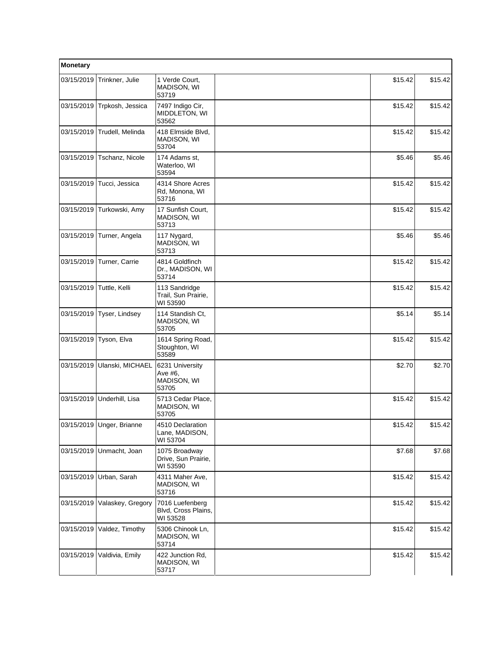| Monetary   |                           |                                                    |         |         |
|------------|---------------------------|----------------------------------------------------|---------|---------|
| 03/15/2019 | Trinkner, Julie           | 1 Verde Court,<br>MADISON, WI<br>53719             | \$15.42 | \$15.42 |
| 03/15/2019 | Trpkosh, Jessica          | 7497 Indigo Cir,<br>MIDDLETON, WI<br>53562         | \$15.42 | \$15.42 |
| 03/15/2019 | Trudell, Melinda          | 418 Elmside Blvd,<br>MADISON, WI<br>53704          | \$15.42 | \$15.42 |
| 03/15/2019 | Tschanz, Nicole           | 174 Adams st.<br>Waterloo, WI<br>53594             | \$5.46  | \$5.46  |
| 03/15/2019 | Tucci, Jessica            | 4314 Shore Acres<br>Rd, Monona, WI<br>53716        | \$15.42 | \$15.42 |
| 03/15/2019 | Turkowski, Amy            | 17 Sunfish Court,<br>MADISON, WI<br>53713          | \$15.42 | \$15.42 |
| 03/15/2019 | Turner, Angela            | 117 Nygard,<br>MADISON, WI<br>53713                | \$5.46  | \$5.46  |
| 03/15/2019 | Turner, Carrie            | 4814 Goldfinch<br>Dr., MADISON, WI<br>53714        | \$15.42 | \$15.42 |
| 03/15/2019 | Tuttle, Kelli             | 113 Sandridge<br>Trail, Sun Prairie,<br>WI 53590   | \$15.42 | \$15.42 |
| 03/15/2019 | Tyser, Lindsey            | 114 Standish Ct,<br>MADISON, WI<br>53705           | \$5.14  | \$5.14  |
| 03/15/2019 | Tyson, Elva               | 1614 Spring Road,<br>Stoughton, WI<br>53589        | \$15.42 | \$15.42 |
| 03/15/2019 | Ulanski, MICHAEL          | 6231 University<br>Ave #6,<br>MADISON, WI<br>53705 | \$2.70  | \$2.70  |
| 03/15/2019 | Underhill, Lisa           | 5713 Cedar Place.<br>MADISON, WI<br>53705          | \$15.42 | \$15.42 |
|            | 03/15/2019 Unger, Brianne | 4510 Declaration<br>Lane, MADISON,<br>WI 53704     | \$15.42 | \$15.42 |
| 03/15/2019 | Unmacht, Joan             | 1075 Broadway<br>Drive, Sun Prairie,<br>WI 53590   | \$7.68  | \$7.68  |
| 03/15/2019 | Urban, Sarah              | 4311 Maher Ave,<br>MADISON, WI<br>53716            | \$15.42 | \$15.42 |
| 03/15/2019 | Valaskey, Gregory         | 7016 Luefenberg<br>Blvd, Cross Plains,<br>WI 53528 | \$15.42 | \$15.42 |
| 03/15/2019 | Valdez, Timothy           | 5306 Chinook Ln,<br>MADISON, WI<br>53714           | \$15.42 | \$15.42 |
| 03/15/2019 | Valdivia, Emily           | 422 Junction Rd,<br>MADISON, WI<br>53717           | \$15.42 | \$15.42 |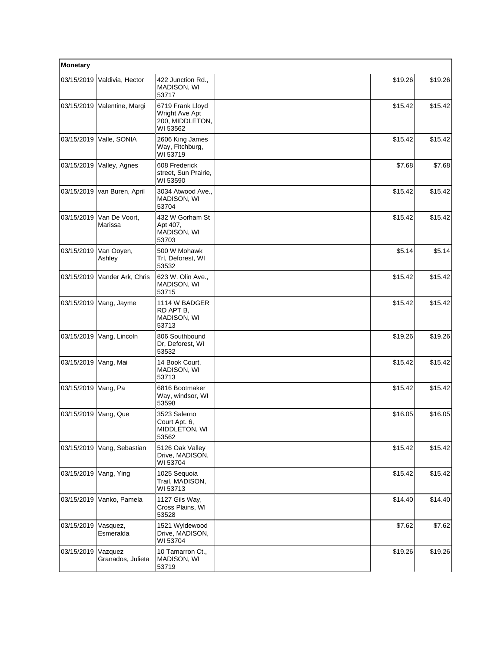| Monetary   |                              |                                                                   |         |         |
|------------|------------------------------|-------------------------------------------------------------------|---------|---------|
| 03/15/2019 | Valdivia, Hector             | 422 Junction Rd.,<br>MADISON, WI<br>53717                         | \$19.26 | \$19.26 |
| 03/15/2019 | Valentine, Margi             | 6719 Frank Lloyd<br>Wright Ave Apt<br>200, MIDDLETON,<br>WI 53562 | \$15.42 | \$15.42 |
| 03/15/2019 | Valle, SONIA                 | 2606 King James<br>Way, Fitchburg,<br>WI 53719                    | \$15.42 | \$15.42 |
| 03/15/2019 | Valley, Agnes                | 608 Frederick<br>street, Sun Prairie,<br>WI 53590                 | \$7.68  | \$7.68  |
| 03/15/2019 | van Buren, April             | 3034 Atwood Ave.,<br>MADISON, WI<br>53704                         | \$15.42 | \$15.42 |
| 03/15/2019 | Van De Voort,<br>Marissa     | 432 W Gorham St<br>Apt 407,<br>MADISON, WI<br>53703               | \$15.42 | \$15.42 |
| 03/15/2019 | Van Ooyen,<br>Ashley         | 500 W Mohawk<br>Trl, Deforest, WI<br>53532                        | \$5.14  | \$5.14  |
| 03/15/2019 | Vander Ark, Chris            | 623 W. Olin Ave.,<br>MADISON, WI<br>53715                         | \$15.42 | \$15.42 |
| 03/15/2019 | Vang, Jayme                  | 1114 W BADGER<br>RD APT B,<br>MADISON, WI<br>53713                | \$15.42 | \$15.42 |
| 03/15/2019 | Vang, Lincoln                | 806 Southbound<br>Dr, Deforest, WI<br>53532                       | \$19.26 | \$19.26 |
| 03/15/2019 | Vang, Mai                    | 14 Book Court,<br>MADISON, WI<br>53713                            | \$15.42 | \$15.42 |
| 03/15/2019 | Vang, Pa                     | 6816 Bootmaker<br>Way, windsor, WI<br>53598                       | \$15.42 | \$15.42 |
| 03/15/2019 | Vang, Que                    | 3523 Salerno<br>Court Apt. 6,<br>MIDDLETON, WI<br>53562           | \$16.05 | \$16.05 |
| 03/15/2019 | Vang, Sebastian              | 5126 Oak Valley<br>Drive, MADISON,<br>WI 53704                    | \$15.42 | \$15.42 |
| 03/15/2019 | Vang, Ying                   | 1025 Sequoia<br>Trail, MADISON,<br>WI 53713                       | \$15.42 | \$15.42 |
| 03/15/2019 | Vanko, Pamela                | 1127 Gils Way,<br>Cross Plains, WI<br>53528                       | \$14.40 | \$14.40 |
| 03/15/2019 | Vasquez,<br>Esmeralda        | 1521 Wyldewood<br>Drive, MADISON,<br>WI 53704                     | \$7.62  | \$7.62  |
| 03/15/2019 | Vazquez<br>Granados, Julieta | 10 Tamarron Ct.,<br>MADISON, WI<br>53719                          | \$19.26 | \$19.26 |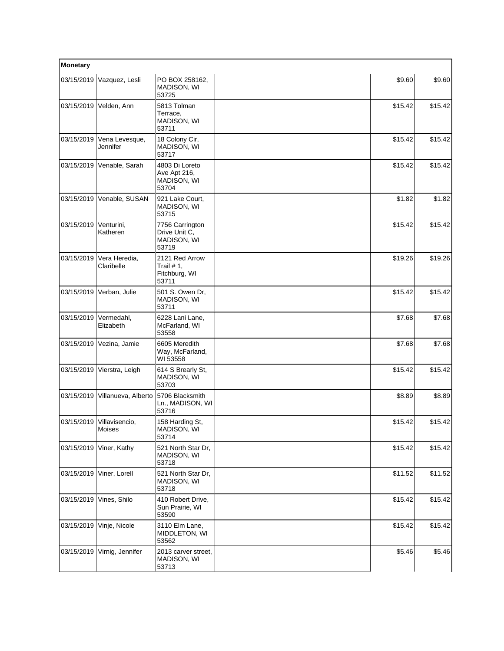| Monetary   |                                     |                                                           |         |         |
|------------|-------------------------------------|-----------------------------------------------------------|---------|---------|
| 03/15/2019 | Vazquez, Lesli                      | PO BOX 258162,<br>MADISON, WI<br>53725                    | \$9.60  | \$9.60  |
| 03/15/2019 | Velden, Ann                         | 5813 Tolman<br>Terrace,<br>MADISON, WI<br>53711           | \$15.42 | \$15.42 |
| 03/15/2019 | Vena Levesque,<br>Jennifer          | 18 Colony Cir,<br>MADISON, WI<br>53717                    | \$15.42 | \$15.42 |
| 03/15/2019 | Venable, Sarah                      | 4803 Di Loreto<br>Ave Apt 216,<br>MADISON, WI<br>53704    | \$15.42 | \$15.42 |
| 03/15/2019 | Venable, SUSAN                      | 921 Lake Court,<br>MADISON, WI<br>53715                   | \$1.82  | \$1.82  |
| 03/15/2019 | Venturini,<br>Katheren              | 7756 Carrington<br>Drive Unit C.<br>MADISON, WI<br>53719  | \$15.42 | \$15.42 |
| 03/15/2019 | Vera Heredia,<br>Claribelle         | 2121 Red Arrow<br>Trail $# 1$ ,<br>Fitchburg, WI<br>53711 | \$19.26 | \$19.26 |
| 03/15/2019 | Verban, Julie                       | 501 S. Owen Dr,<br>MADISON, WI<br>53711                   | \$15.42 | \$15.42 |
| 03/15/2019 | Vermedahl,<br>Elizabeth             | 6228 Lani Lane,<br>McFarland, WI<br>53558                 | \$7.68  | \$7.68  |
| 03/15/2019 | Vezina, Jamie                       | 6605 Meredith<br>Way, McFarland,<br>WI 53558              | \$7.68  | \$7.68  |
| 03/15/2019 | Vierstra, Leigh                     | 614 S Brearly St,<br>MADISON, WI<br>53703                 | \$15.42 | \$15.42 |
| 03/15/2019 | Villanueva, Alberto                 | 5706 Blacksmith<br>Ln., MADISON, WI<br>53716              | \$8.89  | \$8.89  |
|            | 03/15/2019 Villavisencio,<br>Moises | 158 Harding St,<br>MADISON, WI<br>53714                   | \$15.42 | \$15.42 |
| 03/15/2019 | Viner, Kathy                        | 521 North Star Dr,<br>MADISON, WI<br>53718                | \$15.42 | \$15.42 |
| 03/15/2019 | Viner, Lorell                       | 521 North Star Dr,<br>MADISON, WI<br>53718                | \$11.52 | \$11.52 |
| 03/15/2019 | Vines, Shilo                        | 410 Robert Drive.<br>Sun Prairie, WI<br>53590             | \$15.42 | \$15.42 |
| 03/15/2019 | Vinje, Nicole                       | 3110 Elm Lane,<br>MIDDLETON, WI<br>53562                  | \$15.42 | \$15.42 |
| 03/15/2019 | Virnig, Jennifer                    | 2013 carver street,<br>MADISON, WI<br>53713               | \$5.46  | \$5.46  |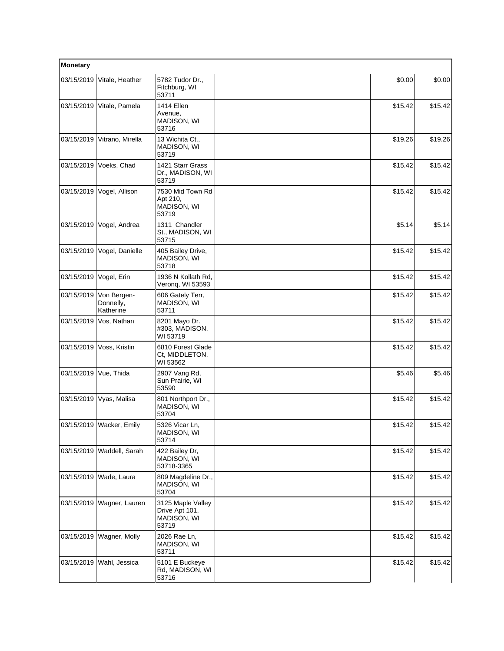| Monetary   |                                       |                                                             |         |         |
|------------|---------------------------------------|-------------------------------------------------------------|---------|---------|
| 03/15/2019 | Vitale, Heather                       | 5782 Tudor Dr.,<br>Fitchburg, WI<br>53711                   | \$0.00  | \$0.00  |
| 03/15/2019 | Vitale, Pamela                        | 1414 Ellen<br>Avenue,<br>MADISON, WI<br>53716               | \$15.42 | \$15.42 |
| 03/15/2019 | Vitrano, Mirella                      | 13 Wichita Ct.,<br>MADISON, WI<br>53719                     | \$19.26 | \$19.26 |
| 03/15/2019 | Voeks, Chad                           | 1421 Starr Grass<br>Dr., MADISON, WI<br>53719               | \$15.42 | \$15.42 |
| 03/15/2019 | Vogel, Allison                        | 7530 Mid Town Rd<br>Apt 210,<br>MADISON, WI<br>53719        | \$15.42 | \$15.42 |
| 03/15/2019 | Vogel, Andrea                         | 1311 Chandler<br>St., MADISON, WI<br>53715                  | \$5.14  | \$5.14  |
| 03/15/2019 | Vogel, Danielle                       | 405 Bailey Drive,<br>MADISON, WI<br>53718                   | \$15.42 | \$15.42 |
| 03/15/2019 | Vogel, Erin                           | 1936 N Kollath Rd,<br>Veronq, WI 53593                      | \$15.42 | \$15.42 |
| 03/15/2019 | Von Bergen-<br>Donnelly,<br>Katherine | 606 Gately Terr,<br>MADISON, WI<br>53711                    | \$15.42 | \$15.42 |
| 03/15/2019 | Vos, Nathan                           | 8201 Mayo Dr.<br>#303, MADISON,<br>WI 53719                 | \$15.42 | \$15.42 |
| 03/15/2019 | Voss, Kristin                         | 6810 Forest Glade<br>Ct, MIDDLETON,<br>WI 53562             | \$15.42 | \$15.42 |
| 03/15/2019 | Vue, Thida                            | 2907 Vang Rd,<br>Sun Prairie, WI<br>53590                   | \$5.46  | \$5.46  |
| 03/15/2019 | Vyas, Malisa                          | 801 Northport Dr.,<br>MADISON, WI<br>53704                  | \$15.42 | \$15.42 |
|            | 03/15/2019 Wacker, Emily              | 5326 Vicar Ln,<br>MADISON, WI<br>53714                      | \$15.42 | \$15.42 |
| 03/15/2019 | Waddell, Sarah                        | 422 Bailey Dr,<br>MADISON, WI<br>53718-3365                 | \$15.42 | \$15.42 |
| 03/15/2019 | Wade, Laura                           | 809 Magdeline Dr.,<br>MADISON, WI<br>53704                  | \$15.42 | \$15.42 |
| 03/15/2019 | Wagner, Lauren                        | 3125 Maple Valley<br>Drive Apt 101,<br>MADISON, WI<br>53719 | \$15.42 | \$15.42 |
| 03/15/2019 | Wagner, Molly                         | 2026 Rae Ln,<br>MADISON, WI<br>53711                        | \$15.42 | \$15.42 |
| 03/15/2019 | Wahl, Jessica                         | 5101 E Buckeye<br>Rd, MADISON, WI<br>53716                  | \$15.42 | \$15.42 |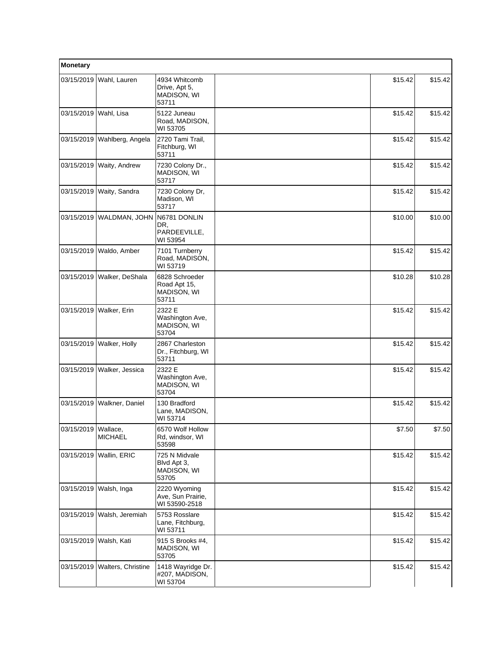| Monetary              |                        |                                                          |         |         |
|-----------------------|------------------------|----------------------------------------------------------|---------|---------|
| 03/15/2019            | Wahl, Lauren           | 4934 Whitcomb<br>Drive, Apt 5,<br>MADISON, WI<br>53711   | \$15.42 | \$15.42 |
| 03/15/2019            | Wahl, Lisa             | 5122 Juneau<br>Road, MADISON,<br>WI 53705                | \$15.42 | \$15.42 |
| 03/15/2019            | Wahlberg, Angela       | 2720 Tami Trail,<br>Fitchburg, WI<br>53711               | \$15.42 | \$15.42 |
| 03/15/2019            | Waity, Andrew          | 7230 Colony Dr.,<br>MADISON, WI<br>53717                 | \$15.42 | \$15.42 |
| 03/15/2019            | Waity, Sandra          | 7230 Colony Dr,<br>Madison, WI<br>53717                  | \$15.42 | \$15.42 |
| 03/15/2019            | WALDMAN, JOHN          | N6781 DONLIN<br>DR,<br>PARDEEVILLE.<br>WI 53954          | \$10.00 | \$10.00 |
| 03/15/2019            | Waldo, Amber           | 7101 Turnberry<br>Road, MADISON,<br>WI 53719             | \$15.42 | \$15.42 |
| 03/15/2019            | Walker, DeShala        | 6828 Schroeder<br>Road Apt 15,<br>MADISON, WI<br>53711   | \$10.28 | \$10.28 |
| 03/15/2019            | Walker, Erin           | 2322 E<br>Washington Ave,<br><b>MADISON, WI</b><br>53704 | \$15.42 | \$15.42 |
| 03/15/2019            | Walker, Holly          | 2867 Charleston<br>Dr., Fitchburg, WI<br>53711           | \$15.42 | \$15.42 |
| 03/15/2019            | Walker, Jessica        | 2322 E<br>Washington Ave,<br>MADISON, WI<br>53704        | \$15.42 | \$15.42 |
| 03/15/2019            | Walkner, Daniel        | 130 Bradford<br>Lane, MADISON,<br>WI 53714               | \$15.42 | \$15.42 |
| 03/15/2019   Wallace, | <b>MICHAEL</b>         | 6570 Wolf Hollow<br>Rd, windsor, WI<br>53598             | \$7.50  | \$7.50  |
| 03/15/2019            | Wallin, ERIC           | 725 N Midvale<br>Blvd Apt 3,<br>MADISON, WI<br>53705     | \$15.42 | \$15.42 |
| 03/15/2019            | Walsh, Inga            | 2220 Wyoming<br>Ave, Sun Prairie,<br>WI 53590-2518       | \$15.42 | \$15.42 |
| 03/15/2019            | Walsh, Jeremiah        | 5753 Rosslare<br>Lane, Fitchburg,<br>WI 53711            | \$15.42 | \$15.42 |
|                       | 03/15/2019 Walsh, Kati | 915 S Brooks #4,<br>MADISON, WI<br>53705                 | \$15.42 | \$15.42 |
| 03/15/2019            | Walters, Christine     | 1418 Wayridge Dr.<br>#207, MADISON,<br>WI 53704          | \$15.42 | \$15.42 |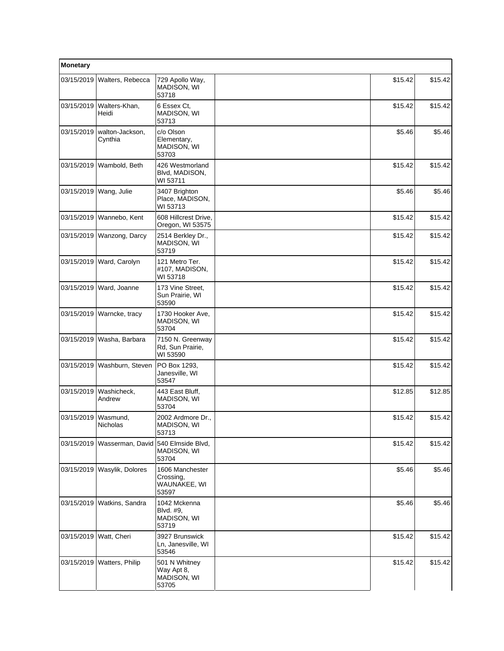| Monetary   |                                    |                                                       |  |         |         |
|------------|------------------------------------|-------------------------------------------------------|--|---------|---------|
| 03/15/2019 | Walters, Rebecca                   | 729 Apollo Way,<br>MADISON, WI<br>53718               |  | \$15.42 | \$15.42 |
| 03/15/2019 | Walters-Khan,<br>Heidi             | 6 Essex Ct,<br>MADISON, WI<br>53713                   |  | \$15.42 | \$15.42 |
| 03/15/2019 | walton-Jackson,<br>Cynthia         | c/o Olson<br>Elementary,<br>MADISON, WI<br>53703      |  | \$5.46  | \$5.46  |
| 03/15/2019 | Wambold, Beth                      | 426 Westmorland<br>Blvd, MADISON,<br>WI 53711         |  | \$15.42 | \$15.42 |
|            | 03/15/2019   Wang, Julie           | 3407 Brighton<br>Place, MADISON,<br>WI 53713          |  | \$5.46  | \$5.46  |
| 03/15/2019 | Wannebo, Kent                      | 608 Hillcrest Drive,<br>Oregon, WI 53575              |  | \$15.42 | \$15.42 |
| 03/15/2019 | Wanzong, Darcy                     | 2514 Berkley Dr.,<br>MADISON, WI<br>53719             |  | \$15.42 | \$15.42 |
| 03/15/2019 | Ward, Carolyn                      | 121 Metro Ter.<br>#107, MADISON,<br>WI 53718          |  | \$15.42 | \$15.42 |
| 03/15/2019 | Ward, Joanne                       | 173 Vine Street,<br>Sun Prairie, WI<br>53590          |  | \$15.42 | \$15.42 |
| 03/15/2019 | Warncke, tracy                     | 1730 Hooker Ave,<br>MADISON, WI<br>53704              |  | \$15.42 | \$15.42 |
| 03/15/2019 | Washa, Barbara                     | 7150 N. Greenway<br>Rd, Sun Prairie,<br>WI 53590      |  | \$15.42 | \$15.42 |
| 03/15/2019 | Washburn, Steven                   | PO Box 1293,<br>Janesville, WI<br>53547               |  | \$15.42 | \$15.42 |
| 03/15/2019 | Washicheck,<br>Andrew              | 443 East Bluff.<br>MADISON, WI<br>53704               |  | \$12.85 | \$12.85 |
| 03/15/2019 | Wasmund,<br>Nicholas               | 2002 Ardmore Dr.,<br><b>MADISON, WI</b><br>53713      |  | \$15.42 | \$15.42 |
| 03/15/2019 | Wasserman, David 540 Elmside Blvd, | MADISON, WI<br>53704                                  |  | \$15.42 | \$15.42 |
| 03/15/2019 | Wasylik, Dolores                   | 1606 Manchester<br>Crossing,<br>WAUNAKEE, WI<br>53597 |  | \$5.46  | \$5.46  |
| 03/15/2019 | Watkins, Sandra                    | 1042 Mckenna<br>Blvd. #9.<br>MADISON, WI<br>53719     |  | \$5.46  | \$5.46  |
| 03/15/2019 | Watt, Cheri                        | 3927 Brunswick<br>Ln, Janesville, WI<br>53546         |  | \$15.42 | \$15.42 |
| 03/15/2019 | Watters, Philip                    | 501 N Whitney<br>Way Apt 8,<br>MADISON, WI<br>53705   |  | \$15.42 | \$15.42 |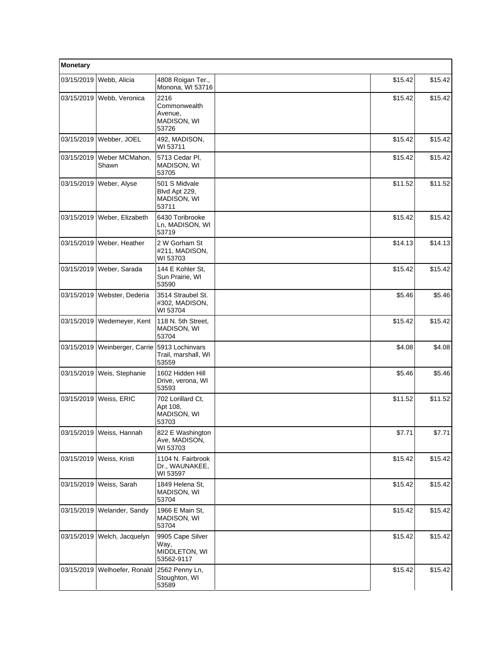| Monetary   |                                    |                                                         |         |         |  |
|------------|------------------------------------|---------------------------------------------------------|---------|---------|--|
| 03/15/2019 | Webb, Alicia                       | 4808 Roigan Ter.,<br>Monona, WI 53716                   | \$15.42 | \$15.42 |  |
| 03/15/2019 | Webb, Veronica                     | 2216<br>Commonwealth<br>Avenue,<br>MADISON, WI<br>53726 | \$15.42 | \$15.42 |  |
| 03/15/2019 | Webber, JOEL                       | 492, MADISON,<br>WI 53711                               | \$15.42 | \$15.42 |  |
| 03/15/2019 | Weber MCMahon,<br>Shawn            | 5713 Cedar Pl.<br>MADISON, WI<br>53705                  | \$15.42 | \$15.42 |  |
| 03/15/2019 | Weber, Alyse                       | 501 S Midvale<br>Blvd Apt 229,<br>MADISON, WI<br>53711  | \$11.52 | \$11.52 |  |
| 03/15/2019 | Weber, Elizabeth                   | 6430 Toribrooke<br>Ln, MADISON, WI<br>53719             | \$15.42 | \$15.42 |  |
| 03/15/2019 | Weber, Heather                     | 2 W Gorham St<br>#211, MADISON,<br>WI 53703             | \$14.13 | \$14.13 |  |
| 03/15/2019 | Weber, Sarada                      | 144 E Kohler St,<br>Sun Prairie, WI<br>53590            | \$15.42 | \$15.42 |  |
| 03/15/2019 | Webster, Dederia                   | 3514 Straubel St.<br>#302, MADISON,<br>WI 53704         | \$5.46  | \$5.46  |  |
| 03/15/2019 | Wedemeyer, Kent                    | 118 N. 5th Street,<br>MADISON, WI<br>53704              | \$15.42 | \$15.42 |  |
| 03/15/2019 | Weinberger, Carrie 5913 Lochinvars | Trail, marshall, WI<br>53559                            | \$4.08  | \$4.08  |  |
| 03/15/2019 | Weis, Stephanie                    | 1602 Hidden Hill<br>Drive, verona, WI<br>53593          | \$5.46  | \$5.46  |  |
|            | 03/15/2019   Weiss, ERIC           | 702 Lorillard Ct,<br>Apt 108,<br>MADISON, WI<br>53703   | \$11.52 | \$11.52 |  |
|            | 03/15/2019   Weiss, Hannah         | 822 E Washington<br>Ave, MADISON,<br>WI 53703           | \$7.71  | \$7.71  |  |
| 03/15/2019 | Weiss, Kristi                      | 1104 N. Fairbrook<br>Dr., WAUNAKEE,<br>WI 53597         | \$15.42 | \$15.42 |  |
| 03/15/2019 | Weiss, Sarah                       | 1849 Helena St,<br>MADISON, WI<br>53704                 | \$15.42 | \$15.42 |  |
| 03/15/2019 | Welander, Sandy                    | 1966 E Main St,<br>MADISON, WI<br>53704                 | \$15.42 | \$15.42 |  |
| 03/15/2019 | Welch, Jacquelyn                   | 9905 Cape Silver<br>Way,<br>MIDDLETON, WI<br>53562-9117 | \$15.42 | \$15.42 |  |
| 03/15/2019 | Welhoefer, Ronald                  | 2562 Penny Ln,<br>Stoughton, WI<br>53589                | \$15.42 | \$15.42 |  |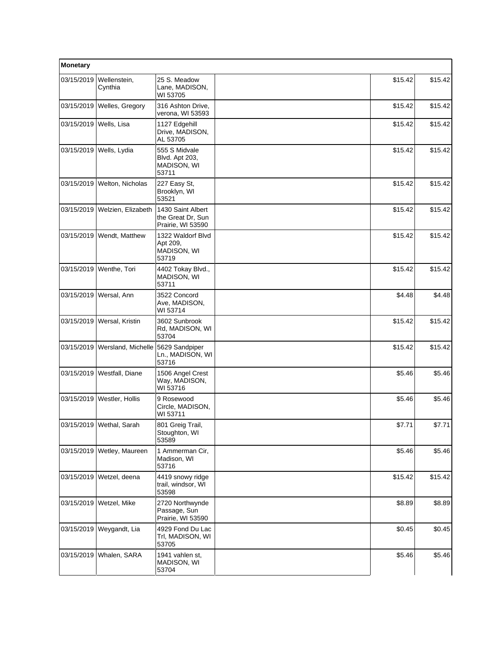| Monetary   |                           |                                                                |         |         |
|------------|---------------------------|----------------------------------------------------------------|---------|---------|
| 03/15/2019 | Wellenstein,<br>Cynthia   | 25 S. Meadow<br>Lane, MADISON,<br>WI 53705                     | \$15.42 | \$15.42 |
| 03/15/2019 | Welles, Gregory           | 316 Ashton Drive,<br>verona, WI 53593                          | \$15.42 | \$15.42 |
| 03/15/2019 | Wells, Lisa               | 1127 Edgehill<br>Drive, MADISON,<br>AL 53705                   | \$15.42 | \$15.42 |
| 03/15/2019 | Wells, Lydia              | 555 S Midvale<br>Blvd. Apt 203,<br><b>MADISON, WI</b><br>53711 | \$15.42 | \$15.42 |
| 03/15/2019 | Welton, Nicholas          | 227 Easy St,<br>Brooklyn, WI<br>53521                          | \$15.42 | \$15.42 |
| 03/15/2019 | Welzien, Elizabeth        | 1430 Saint Albert<br>the Great Dr, Sun<br>Prairie, WI 53590    | \$15.42 | \$15.42 |
| 03/15/2019 | Wendt, Matthew            | 1322 Waldorf Blvd<br>Apt 209,<br>MADISON, WI<br>53719          | \$15.42 | \$15.42 |
|            | 03/15/2019   Wenthe, Tori | 4402 Tokay Blvd.,<br>MADISON, WI<br>53711                      | \$15.42 | \$15.42 |
| 03/15/2019 | Wersal, Ann               | 3522 Concord<br>Ave, MADISON,<br>WI 53714                      | \$4.48  | \$4.48  |
| 03/15/2019 | Wersal, Kristin           | 3602 Sunbrook<br>Rd, MADISON, WI<br>53704                      | \$15.42 | \$15.42 |
| 03/15/2019 | Wersland, Michelle        | 5629 Sandpiper<br>Ln., MADISON, WI<br>53716                    | \$15.42 | \$15.42 |
| 03/15/2019 | Westfall, Diane           | 1506 Angel Crest<br>Way, MADISON,<br>WI 53716                  | \$5.46  | \$5.46  |
| 03/15/2019 | Westler, Hollis           | 9 Rosewood<br>Circle, MADISON,<br>WI 53711                     | \$5.46  | \$5.46  |
|            | 03/15/2019 Wethal, Sarah  | 801 Greig Trail,<br>Stoughton, WI<br>53589                     | \$7.71  | \$7.71  |
| 03/15/2019 | Wetley, Maureen           | 1 Ammerman Cir,<br>Madison, WI<br>53716                        | \$5.46  | \$5.46  |
| 03/15/2019 | Wetzel, deena             | 4419 snowy ridge<br>trail, windsor, WI<br>53598                | \$15.42 | \$15.42 |
| 03/15/2019 | Wetzel, Mike              | 2720 Northwynde<br>Passage, Sun<br>Prairie, WI 53590           | \$8.89  | \$8.89  |
| 03/15/2019 | Weygandt, Lia             | 4929 Fond Du Lac<br>Trl, MADISON, WI<br>53705                  | \$0.45  | \$0.45  |
| 03/15/2019 | Whalen, SARA              | 1941 vahlen st.<br>MADISON, WI<br>53704                        | \$5.46  | \$5.46  |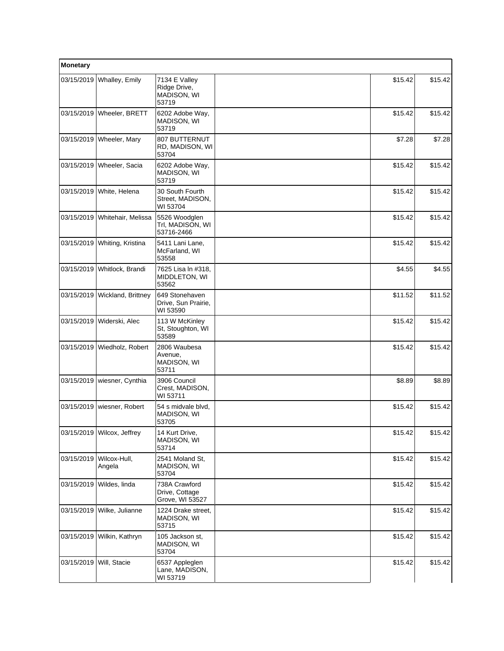| Monetary   |                             |                                                       |         |         |  |
|------------|-----------------------------|-------------------------------------------------------|---------|---------|--|
| 03/15/2019 | Whalley, Emily              | 7134 E Valley<br>Ridge Drive,<br>MADISON, WI<br>53719 | \$15.42 | \$15.42 |  |
| 03/15/2019 | Wheeler, BRETT              | 6202 Adobe Way,<br>MADISON, WI<br>53719               | \$15.42 | \$15.42 |  |
| 03/15/2019 | Wheeler, Mary               | 807 BUTTERNUT<br>RD, MADISON, WI<br>53704             | \$7.28  | \$7.28  |  |
| 03/15/2019 | Wheeler, Sacia              | 6202 Adobe Way,<br>MADISON, WI<br>53719               | \$15.42 | \$15.42 |  |
| 03/15/2019 | White, Helena               | 30 South Fourth<br>Street, MADISON,<br>WI 53704       | \$15.42 | \$15.42 |  |
| 03/15/2019 | Whitehair, Melissa          | 5526 Woodglen<br>Trl, MADISON, WI<br>53716-2466       | \$15.42 | \$15.42 |  |
| 03/15/2019 | Whiting, Kristina           | 5411 Lani Lane,<br>McFarland, WI<br>53558             | \$15.42 | \$15.42 |  |
|            | 03/15/2019 Whitlock, Brandi | 7625 Lisa In #318,<br>MIDDLETON, WI<br>53562          | \$4.55  | \$4.55  |  |
| 03/15/2019 | Wickland, Brittney          | 649 Stonehaven<br>Drive, Sun Prairie,<br>WI 53590     | \$11.52 | \$11.52 |  |
| 03/15/2019 | Widerski, Alec              | 113 W McKinley<br>St, Stoughton, WI<br>53589          | \$15.42 | \$15.42 |  |
| 03/15/2019 | Wiedholz, Robert            | 2806 Waubesa<br>Avenue,<br>MADISON, WI<br>53711       | \$15.42 | \$15.42 |  |
| 03/15/2019 | wiesner, Cynthia            | 3906 Council<br>Crest, MADISON,<br>WI 53711           | \$8.89  | \$8.89  |  |
| 03/15/2019 | wiesner, Robert             | 54 s midvale blvd,<br>MADISON, WI<br>53705            | \$15.42 | \$15.42 |  |
|            | 03/15/2019 Wilcox, Jeffrey  | 14 Kurt Drive,<br>MADISON, WI<br>53714                | \$15.42 | \$15.42 |  |
| 03/15/2019 | Wilcox-Hull,<br>Angela      | 2541 Moland St,<br>MADISON, WI<br>53704               | \$15.42 | \$15.42 |  |
| 03/15/2019 | Wildes, linda               | 738A Crawford<br>Drive, Cottage<br>Grove, WI 53527    | \$15.42 | \$15.42 |  |
| 03/15/2019 | Wilke, Julianne             | 1224 Drake street,<br>MADISON, WI<br>53715            | \$15.42 | \$15.42 |  |
| 03/15/2019 | Wilkin, Kathryn             | 105 Jackson st,<br>MADISON, WI<br>53704               | \$15.42 | \$15.42 |  |
| 03/15/2019 | Will, Stacie                | 6537 Appleglen<br>Lane, MADISON,<br>WI 53719          | \$15.42 | \$15.42 |  |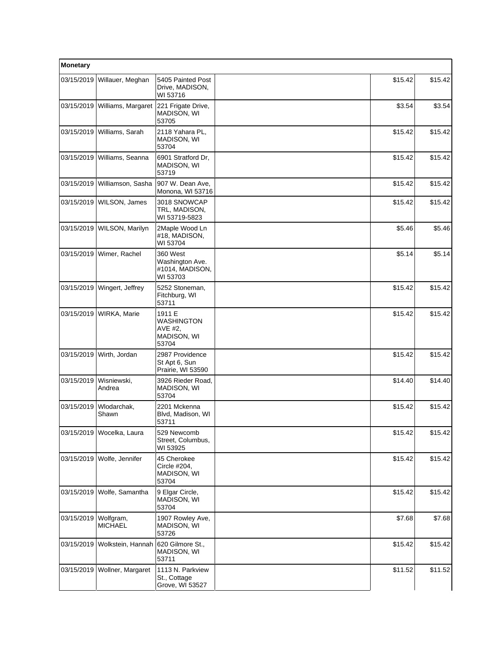| Monetary   |                              |                                                            |         |         |  |
|------------|------------------------------|------------------------------------------------------------|---------|---------|--|
| 03/15/2019 | Willauer, Meghan             | 5405 Painted Post<br>Drive, MADISON,<br>WI 53716           | \$15.42 | \$15.42 |  |
| 03/15/2019 | Williams, Margaret           | 221 Frigate Drive.<br>MADISON, WI<br>53705                 | \$3.54  | \$3.54  |  |
|            | 03/15/2019   Williams, Sarah | 2118 Yahara PL,<br>MADISON, WI<br>53704                    | \$15.42 | \$15.42 |  |
| 03/15/2019 | Williams, Seanna             | 6901 Stratford Dr.<br>MADISON, WI<br>53719                 | \$15.42 | \$15.42 |  |
| 03/15/2019 | Williamson, Sasha            | 907 W. Dean Ave,<br>Monona, WI 53716                       | \$15.42 | \$15.42 |  |
| 03/15/2019 | WILSON, James                | 3018 SNOWCAP<br>TRL, MADISON,<br>WI 53719-5823             | \$15.42 | \$15.42 |  |
| 03/15/2019 | WILSON, Marilyn              | 2Maple Wood Ln<br>#18, MADISON,<br>WI 53704                | \$5.46  | \$5.46  |  |
| 03/15/2019 | Wimer, Rachel                | 360 West<br>Washington Ave.<br>#1014, MADISON,<br>WI 53703 | \$5.14  | \$5.14  |  |
| 03/15/2019 | Wingert, Jeffrey             | 5252 Stoneman,<br>Fitchburg, WI<br>53711                   | \$15.42 | \$15.42 |  |
| 03/15/2019 | WIRKA, Marie                 | 1911 E<br>WASHINGTON<br>AVE #2,<br>MADISON, WI<br>53704    | \$15.42 | \$15.42 |  |
| 03/15/2019 | Wirth, Jordan                | 2987 Providence<br>St Apt 6, Sun<br>Prairie, WI 53590      | \$15.42 | \$15.42 |  |
| 03/15/2019 | Wisniewski,<br>Andrea        | 3926 Rieder Road,<br>MADISON, WI<br>53704                  | \$14.40 | \$14.40 |  |
| 03/15/2019 | Wlodarchak,<br>Shawn         | 2201 Mckenna<br>Blvd, Madison, WI<br>53711                 | \$15.42 | \$15.42 |  |
|            | 03/15/2019 Wocelka, Laura    | 529 Newcomb<br>Street, Columbus,<br>WI 53925               | \$15.42 | \$15.42 |  |
| 03/15/2019 | Wolfe, Jennifer              | 45 Cherokee<br>Circle #204,<br>MADISON, WI<br>53704        | \$15.42 | \$15.42 |  |
| 03/15/2019 | Wolfe, Samantha              | 9 Elgar Circle,<br>MADISON, WI<br>53704                    | \$15.42 | \$15.42 |  |
| 03/15/2019 | Wolfgram,<br><b>MICHAEL</b>  | 1907 Rowley Ave,<br>MADISON, WI<br>53726                   | \$7.68  | \$7.68  |  |
| 03/15/2019 | Wolkstein, Hannah            | 620 Gilmore St.,<br>MADISON, WI<br>53711                   | \$15.42 | \$15.42 |  |
| 03/15/2019 | Wollner, Margaret            | 1113 N. Parkview<br>St., Cottage<br>Grove, WI 53527        | \$11.52 | \$11.52 |  |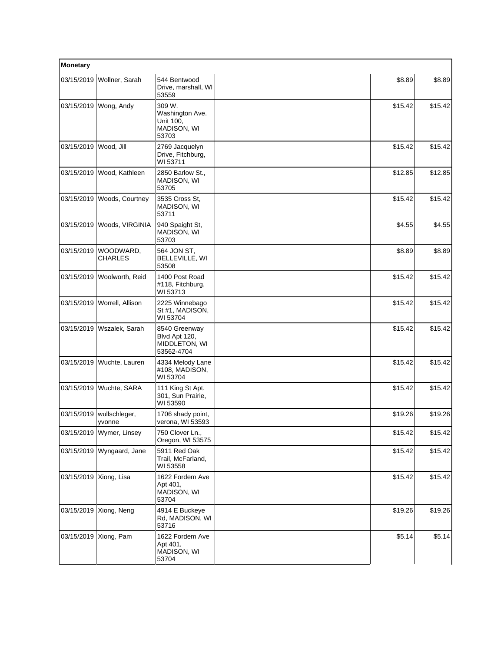| Monetary               |                              |                                                                |         |         |
|------------------------|------------------------------|----------------------------------------------------------------|---------|---------|
| 03/15/2019             | Wollner, Sarah               | 544 Bentwood<br>Drive, marshall, WI<br>53559                   | \$8.89  | \$8.89  |
|                        | 03/15/2019 Wong, Andy        | 309 W.<br>Washington Ave.<br>Unit 100,<br>MADISON, WI<br>53703 | \$15.42 | \$15.42 |
| 03/15/2019             | Wood, Jill                   | 2769 Jacquelyn<br>Drive, Fitchburg,<br>WI 53711                | \$15.42 | \$15.42 |
| 03/15/2019             | Wood, Kathleen               | 2850 Barlow St.,<br>MADISON, WI<br>53705                       | \$12.85 | \$12.85 |
|                        | 03/15/2019   Woods, Courtney | 3535 Cross St.<br>MADISON, WI<br>53711                         | \$15.42 | \$15.42 |
|                        | 03/15/2019   Woods, VIRGINIA | 940 Spaight St,<br>MADISON, WI<br>53703                        | \$4.55  | \$4.55  |
| 03/15/2019             | WOODWARD,<br><b>CHARLES</b>  | 564 JON ST,<br>BELLEVILLE, WI<br>53508                         | \$8.89  | \$8.89  |
| 03/15/2019             | Woolworth, Reid              | 1400 Post Road<br>#118, Fitchburg,<br>WI 53713                 | \$15.42 | \$15.42 |
|                        | 03/15/2019 Worrell, Allison  | 2225 Winnebago<br>St #1, MADISON,<br>WI 53704                  | \$15.42 | \$15.42 |
|                        | 03/15/2019   Wszalek, Sarah  | 8540 Greenway<br>Blvd Apt 120,<br>MIDDLETON, WI<br>53562-4704  | \$15.42 | \$15.42 |
| 03/15/2019             | Wuchte, Lauren               | 4334 Melody Lane<br>#108, MADISON,<br>WI 53704                 | \$15.42 | \$15.42 |
|                        | 03/15/2019   Wuchte, SARA    | 111 King St Apt.<br>301, Sun Prairie,<br>WI 53590              | \$15.42 | \$15.42 |
| 03/15/2019             | wullschleger,<br>yvonne      | 1706 shady point,<br>verona, WI 53593                          | \$19.26 | \$19.26 |
|                        | 03/15/2019 Wymer, Linsey     | 750 Clover Ln.,<br>Oregon, WI 53575                            | \$15.42 | \$15.42 |
|                        | 03/15/2019 Wyngaard, Jane    | 5911 Red Oak<br>Trail, McFarland,<br>WI 53558                  | \$15.42 | \$15.42 |
| 03/15/2019 Xiong, Lisa |                              | 1622 Fordem Ave<br>Apt 401,<br>MADISON, WI<br>53704            | \$15.42 | \$15.42 |
|                        | 03/15/2019   Xiong, Neng     | 4914 E Buckeye<br>Rd, MADISON, WI<br>53716                     | \$19.26 | \$19.26 |
|                        | 03/15/2019 Xiong, Pam        | 1622 Fordem Ave<br>Apt 401,<br>MADISON, WI<br>53704            | \$5.14  | \$5.14  |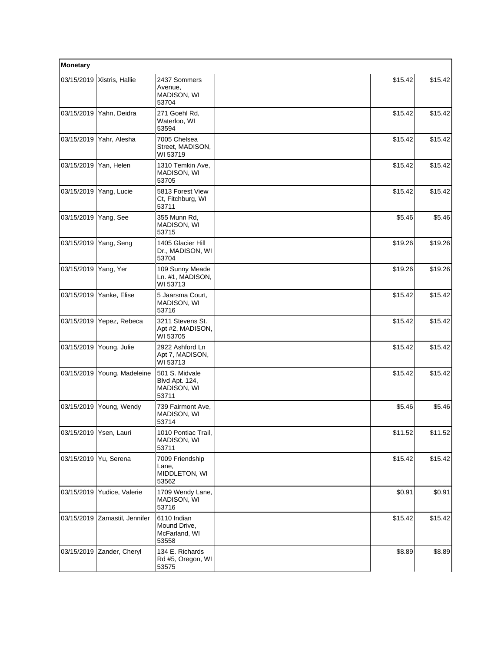| Monetary               |                        |                                                          |         |         |
|------------------------|------------------------|----------------------------------------------------------|---------|---------|
| 03/15/2019             | Xistris, Hallie        | 2437 Sommers<br>Avenue,<br>MADISON, WI<br>53704          | \$15.42 | \$15.42 |
| 03/15/2019             | Yahn, Deidra           | 271 Goehl Rd,<br>Waterloo, WI<br>53594                   | \$15.42 | \$15.42 |
| 03/15/2019             | Yahr, Alesha           | 7005 Chelsea<br>Street, MADISON,<br>WI 53719             | \$15.42 | \$15.42 |
| 03/15/2019             | Yan, Helen             | 1310 Temkin Ave,<br>MADISON, WI<br>53705                 | \$15.42 | \$15.42 |
| 03/15/2019             | Yang, Lucie            | 5813 Forest View<br>Ct, Fitchburg, WI<br>53711           | \$15.42 | \$15.42 |
| 03/15/2019             | Yang, See              | 355 Munn Rd,<br>MADISON, WI<br>53715                     | \$5.46  | \$5.46  |
| 03/15/2019             | Yang, Seng             | 1405 Glacier Hill<br>Dr., MADISON, WI<br>53704           | \$19.26 | \$19.26 |
| 03/15/2019   Yang, Yer |                        | 109 Sunny Meade<br>Ln. #1, MADISON,<br>WI 53713          | \$19.26 | \$19.26 |
| 03/15/2019             | Yanke, Elise           | 5 Jaarsma Court,<br>MADISON, WI<br>53716                 | \$15.42 | \$15.42 |
| 03/15/2019             | Yepez, Rebeca          | 3211 Stevens St.<br>Apt #2, MADISON,<br>WI 53705         | \$15.42 | \$15.42 |
| 03/15/2019             | Young, Julie           | 2922 Ashford Ln<br>Apt 7, MADISON,<br>WI 53713           | \$15.42 | \$15.42 |
| 03/15/2019             | Young, Madeleine       | 501 S. Midvale<br>Blvd Apt. 124,<br>MADISON, WI<br>53711 | \$15.42 | \$15.42 |
| 03/15/2019             | Young, Wendy           | 739 Fairmont Ave,<br>MADISON, WI<br>53714                | \$5.46  | \$5.46  |
|                        | 03/15/2019 Ysen, Lauri | 1010 Pontiac Trail,<br>MADISON, WI<br>53711              | \$11.52 | \$11.52 |
| 03/15/2019             | Yu, Serena             | 7009 Friendship<br>Lane.<br>MIDDLETON, WI<br>53562       | \$15.42 | \$15.42 |
| 03/15/2019             | Yudice, Valerie        | 1709 Wendy Lane,<br>MADISON, WI<br>53716                 | \$0.91  | \$0.91  |
| 03/15/2019             | Zamastil, Jennifer     | 6110 Indian<br>Mound Drive,<br>McFarland, WI<br>53558    | \$15.42 | \$15.42 |
| 03/15/2019             | Zander, Cheryl         | 134 E. Richards<br>Rd #5, Oregon, WI<br>53575            | \$8.89  | \$8.89  |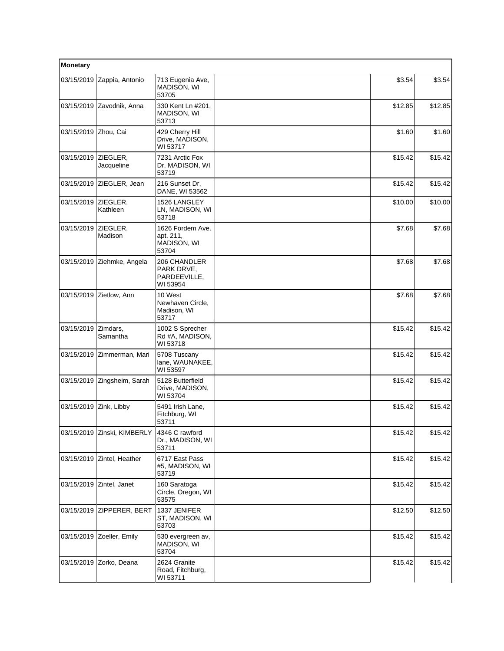| Monetary               |                             |                                                        |         |         |
|------------------------|-----------------------------|--------------------------------------------------------|---------|---------|
| 03/15/2019             | Zappia, Antonio             | 713 Eugenia Ave,<br>MADISON, WI<br>53705               | \$3.54  | \$3.54  |
|                        | 03/15/2019 Zavodnik, Anna   | 330 Kent Ln #201,<br>MADISON, WI<br>53713              | \$12.85 | \$12.85 |
| 03/15/2019 Zhou, Cai   |                             | 429 Cherry Hill<br>Drive, MADISON,<br>WI 53717         | \$1.60  | \$1.60  |
| 03/15/2019             | ZIEGLER,<br>Jacqueline      | 7231 Arctic Fox<br>Dr, MADISON, WI<br>53719            | \$15.42 | \$15.42 |
| 03/15/2019             | ZIEGLER, Jean               | 216 Sunset Dr.<br>DANE, WI 53562                       | \$15.42 | \$15.42 |
| 03/15/2019             | ZIEGLER,<br>Kathleen        | 1526 LANGLEY<br>LN, MADISON, WI<br>53718               | \$10.00 | \$10.00 |
| 03/15/2019             | ZIEGLER,<br>Madison         | 1626 Fordem Ave.<br>apt. 211,<br>MADISON, WI<br>53704  | \$7.68  | \$7.68  |
| 03/15/2019             | Ziehmke, Angela             | 206 CHANDLER<br>PARK DRVE,<br>PARDEEVILLE,<br>WI 53954 | \$7.68  | \$7.68  |
| 03/15/2019             | Zietlow, Ann                | 10 West<br>Newhaven Circle,<br>Madison, WI<br>53717    | \$7.68  | \$7.68  |
| 03/15/2019             | Zimdars,<br>Samantha        | 1002 S Sprecher<br>Rd #A, MADISON,<br>WI 53718         | \$15.42 | \$15.42 |
| 03/15/2019             | Zimmerman, Mari             | 5708 Tuscany<br>lane, WAUNAKEE,<br>WI 53597            | \$15.42 | \$15.42 |
| 03/15/2019             | Zingsheim, Sarah            | 5128 Butterfield<br>Drive, MADISON,<br>WI 53704        | \$15.42 | \$15.42 |
| 03/15/2019 Zink, Libby |                             | 5491 Irish Lane,<br>Fitchburg, WI<br>53711             | \$15.42 | \$15.42 |
|                        | 03/15/2019 Zinski, KIMBERLY | 4346 C rawford<br>Dr., MADISON, WI<br>53711            | \$15.42 | \$15.42 |
| 03/15/2019             | Zintel, Heather             | 6717 East Pass<br>#5, MADISON, WI<br>53719             | \$15.42 | \$15.42 |
| 03/15/2019             | Zintel, Janet               | 160 Saratoga<br>Circle, Oregon, WI<br>53575            | \$15.42 | \$15.42 |
|                        | 03/15/2019 ZIPPERER, BERT   | 1337 JENIFER<br>ST, MADISON, WI<br>53703               | \$12.50 | \$12.50 |
| 03/15/2019             | Zoeller, Emily              | 530 evergreen av,<br>MADISON, WI<br>53704              | \$15.42 | \$15.42 |
| 03/15/2019             | Zorko, Deana                | 2624 Granite<br>Road, Fitchburg,<br>WI 53711           | \$15.42 | \$15.42 |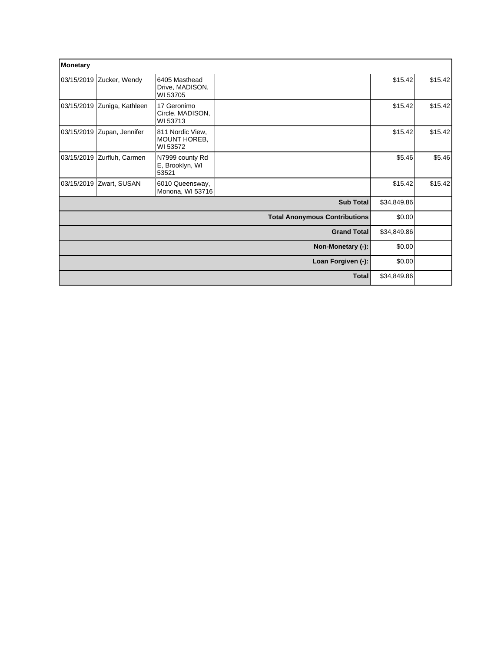| Monetary   |                            |                                              |                                      |             |         |
|------------|----------------------------|----------------------------------------------|--------------------------------------|-------------|---------|
|            | 03/15/2019 Zucker, Wendy   | 6405 Masthead<br>Drive, MADISON,<br>WI 53705 |                                      | \$15.42     | \$15.42 |
| 03/15/2019 | Zuniga, Kathleen           | 17 Geronimo<br>Circle, MADISON,<br>WI 53713  |                                      | \$15.42     | \$15.42 |
|            | 03/15/2019 Zupan, Jennifer | 811 Nordic View,<br>MOUNT HOREB,<br>WI 53572 |                                      | \$15.42     | \$15.42 |
| 03/15/2019 | Zurfluh, Carmen            | N7999 county Rd<br>E, Brooklyn, WI<br>53521  |                                      | \$5.46      | \$5.46  |
|            | 03/15/2019 Zwart, SUSAN    | 6010 Queensway,<br>Monona, WI 53716          |                                      | \$15.42     | \$15.42 |
|            |                            |                                              | Sub Total                            | \$34,849.86 |         |
|            |                            |                                              | <b>Total Anonymous Contributions</b> | \$0.00      |         |
|            |                            |                                              | <b>Grand Total</b>                   | \$34,849.86 |         |
|            |                            |                                              | Non-Monetary (-):                    | \$0.00      |         |
|            |                            |                                              | Loan Forgiven (-):                   | \$0.00      |         |
|            |                            |                                              | <b>Total</b>                         | \$34,849.86 |         |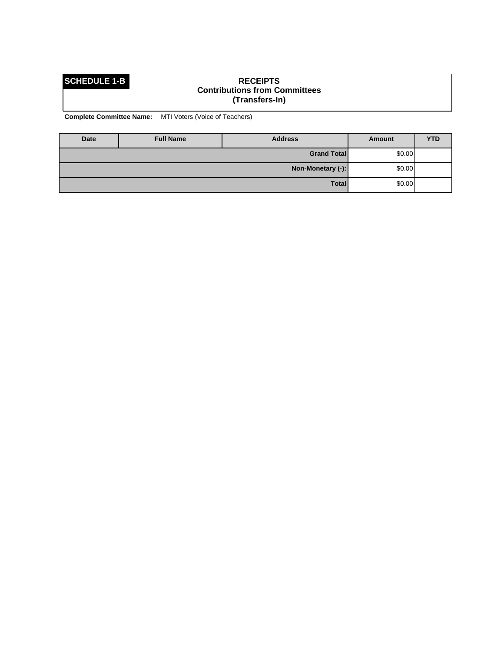### **SCHEDULE 1-B RECEIPTS Contributions from Committees (Transfers-In)**

**Complete Committee Name:** MTI Voters (Voice of Teachers)

| Date | <b>Full Name</b>  | <b>Address</b>     | Amount  | <b>YTD</b> |
|------|-------------------|--------------------|---------|------------|
|      |                   | <b>Grand Total</b> | \$0.00] |            |
|      | Non-Monetary (-): |                    |         | \$0.00     |
|      |                   | <b>Total</b>       | \$0.00] |            |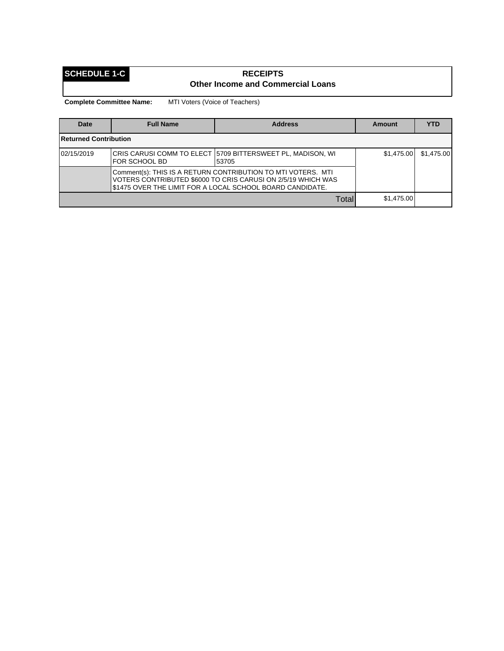## **SCHEDULE 1-C RECEIPTS Other Income and Commercial Loans**

**Complete Committee Name:** MTI Voters (Voice of Teachers)

| <b>Date</b>                                                                                                                                                                               | <b>Full Name</b> | <b>Address</b>                                                        | <b>Amount</b> | <b>YTD</b> |
|-------------------------------------------------------------------------------------------------------------------------------------------------------------------------------------------|------------------|-----------------------------------------------------------------------|---------------|------------|
| <b>Returned Contribution</b>                                                                                                                                                              |                  |                                                                       |               |            |
| 02/15/2019                                                                                                                                                                                | FOR SCHOOL BD    | ∣CRIS CARUSI COMM TO ELECT ∣5709 BITTERSWEET PL, MADISON, WI<br>53705 | \$1,475,00    | \$1,475,00 |
| Comment(s): THIS IS A RETURN CONTRIBUTION TO MTI VOTERS. MTI<br>VOTERS CONTRIBUTED \$6000 TO CRIS CARUSI ON 2/5/19 WHICH WAS<br>\$1475 OVER THE LIMIT FOR A LOCAL SCHOOL BOARD CANDIDATE. |                  |                                                                       |               |            |
|                                                                                                                                                                                           |                  | Total                                                                 | \$1,475.00    |            |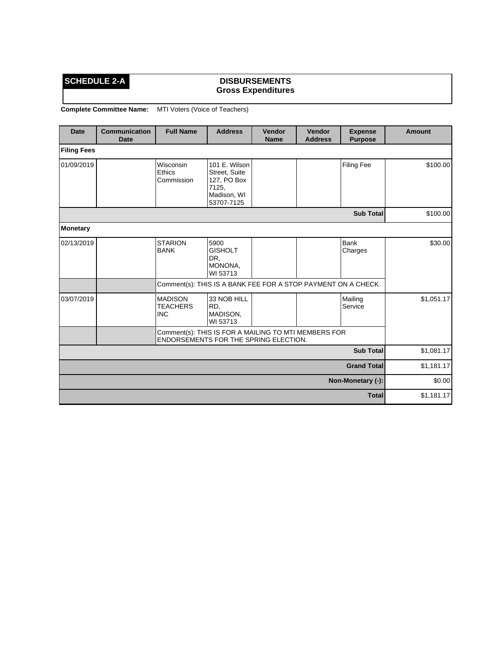## **SCHEDULE 2-A DISBURSEMENTS Gross Expenditures**

**Complete Committee Name:** MTI Voters (Voice of Teachers)

| <b>Date</b>        | <b>Communication</b><br><b>Date</b> | <b>Full Name</b>                                                                              | <b>Address</b>                                                                      | Vendor<br><b>Name</b> | Vendor<br><b>Address</b> | <b>Expense</b><br><b>Purpose</b> | <b>Amount</b> |
|--------------------|-------------------------------------|-----------------------------------------------------------------------------------------------|-------------------------------------------------------------------------------------|-----------------------|--------------------------|----------------------------------|---------------|
| <b>Filing Fees</b> |                                     |                                                                                               |                                                                                     |                       |                          |                                  |               |
| 01/09/2019         |                                     | Wisconsin<br>Ethics<br>Commission                                                             | 101 E. Wilson<br>Street, Suite<br>127, PO Box<br>7125,<br>Madison, WI<br>53707-7125 |                       |                          | <b>Filing Fee</b>                | \$100.00      |
|                    |                                     |                                                                                               |                                                                                     |                       |                          | <b>Sub Total</b>                 | \$100.00      |
| <b>Monetary</b>    |                                     |                                                                                               |                                                                                     |                       |                          |                                  |               |
| 02/13/2019         |                                     | <b>STARION</b><br><b>BANK</b>                                                                 | 5900<br><b>GISHOLT</b><br>DR,<br>MONONA,<br>WI 53713                                |                       |                          | Bank<br>Charges                  | \$30.00       |
|                    |                                     | Comment(s): THIS IS A BANK FEE FOR A STOP PAYMENT ON A CHECK.                                 |                                                                                     |                       |                          |                                  |               |
| 03/07/2019         |                                     | <b>MADISON</b><br><b>TEACHERS</b><br><b>INC</b>                                               | 33 NOB HILL<br>RD,<br>MADISON,<br>WI 53713                                          |                       |                          | Mailing<br>Service               | \$1,051.17    |
|                    |                                     | Comment(s): THIS IS FOR A MAILING TO MTI MEMBERS FOR<br>ENDORSEMENTS FOR THE SPRING ELECTION. |                                                                                     |                       |                          |                                  |               |
|                    |                                     |                                                                                               |                                                                                     |                       |                          | <b>Sub Total</b>                 | \$1,081.17    |
| <b>Grand Total</b> |                                     |                                                                                               |                                                                                     |                       |                          | \$1,181.17                       |               |
| Non-Monetary (-):  |                                     |                                                                                               |                                                                                     |                       |                          |                                  | \$0.00        |
|                    |                                     |                                                                                               |                                                                                     |                       |                          | <b>Total</b>                     | \$1,181.17    |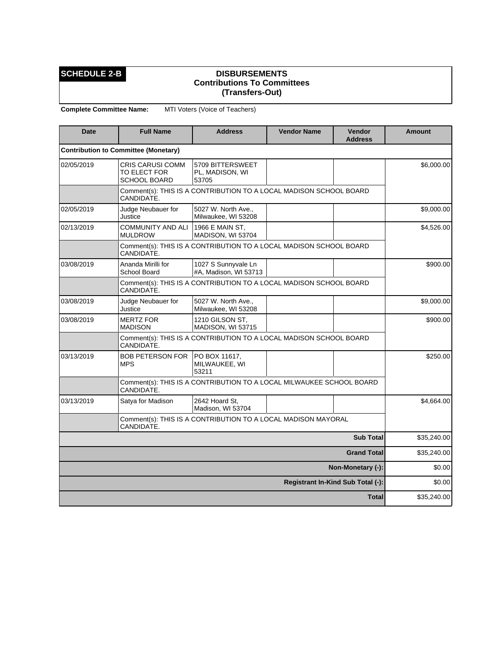## **SCHEDULE 2-B DISBURSEMENTS Contributions To Committees (Transfers-Out)**

**Complete Committee Name:** MTI Voters (Voice of Teachers)

| <b>Date</b> | <b>Full Name</b>                                               | <b>Address</b>                                                       | <b>Vendor Name</b> | <b>Vendor</b><br><b>Address</b> | <b>Amount</b> |
|-------------|----------------------------------------------------------------|----------------------------------------------------------------------|--------------------|---------------------------------|---------------|
|             | <b>Contribution to Committee (Monetary)</b>                    |                                                                      |                    |                                 |               |
| 02/05/2019  | <b>CRIS CARUSI COMM</b><br>TO ELECT FOR<br><b>SCHOOL BOARD</b> | 5709 BITTERSWEET<br>PL, MADISON, WI<br>53705                         |                    |                                 | \$6,000.00    |
|             | CANDIDATE.                                                     | Comment(s): THIS IS A CONTRIBUTION TO A LOCAL MADISON SCHOOL BOARD   |                    |                                 |               |
| 02/05/2019  | Judge Neubauer for<br>Justice                                  | 5027 W. North Ave.,<br>Milwaukee, WI 53208                           |                    |                                 | \$9,000.00    |
| 02/13/2019  | <b>COMMUNITY AND ALI</b><br><b>MULDROW</b>                     | 1966 E MAIN ST,<br>MADISON, WI 53704                                 |                    |                                 | \$4,526.00    |
|             | CANDIDATE.                                                     | Comment(s): THIS IS A CONTRIBUTION TO A LOCAL MADISON SCHOOL BOARD   |                    |                                 |               |
| 03/08/2019  | Ananda Mirilli for<br>School Board                             | 1027 S Sunnyvale Ln<br>#A, Madison, WI 53713                         |                    |                                 | \$900.00      |
|             | CANDIDATE.                                                     | Comment(s): THIS IS A CONTRIBUTION TO A LOCAL MADISON SCHOOL BOARD   |                    |                                 |               |
| 03/08/2019  | Judge Neubauer for<br>Justice                                  | 5027 W. North Ave.,<br>Milwaukee, WI 53208                           |                    |                                 | \$9,000.00    |
| 03/08/2019  | <b>MERTZ FOR</b><br><b>MADISON</b>                             | 1210 GILSON ST,<br>MADISON, WI 53715                                 |                    |                                 | \$900.00      |
|             | CANDIDATE.                                                     | Comment(s): THIS IS A CONTRIBUTION TO A LOCAL MADISON SCHOOL BOARD   |                    |                                 |               |
| 03/13/2019  | <b>BOB PETERSON FOR</b><br><b>MPS</b>                          | PO BOX 11617,<br>MILWAUKEE, WI<br>53211                              |                    |                                 | \$250.00      |
|             | CANDIDATE.                                                     | Comment(s): THIS IS A CONTRIBUTION TO A LOCAL MILWAUKEE SCHOOL BOARD |                    |                                 |               |
| 03/13/2019  | Satya for Madison                                              | 2642 Hoard St.<br>Madison, WI 53704                                  |                    |                                 | \$4,664.00    |
|             |                                                                |                                                                      |                    |                                 |               |
|             | \$35,240.00                                                    |                                                                      |                    |                                 |               |
|             | \$35,240.00                                                    |                                                                      |                    |                                 |               |
|             | \$0.00                                                         |                                                                      |                    |                                 |               |
|             | \$0.00                                                         |                                                                      |                    |                                 |               |
|             |                                                                |                                                                      |                    | <b>Total</b>                    | \$35,240.00   |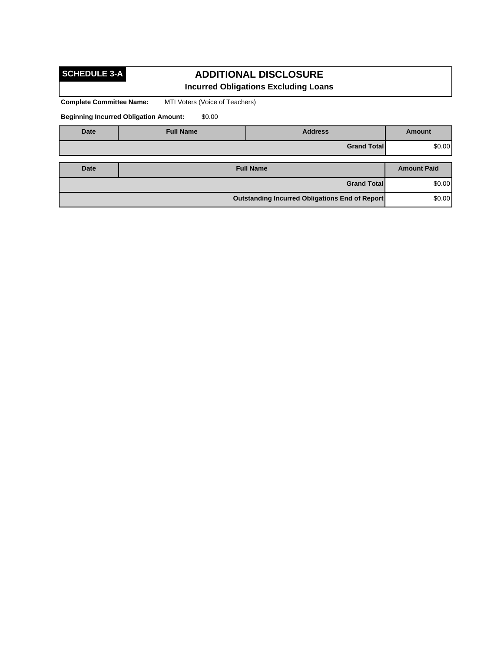# **SCHEDULE 3-A**

## **ADDITIONAL DISCLOSURE Incurred Obligations Excluding Loans**

**Complete Committee Name:** MTI Voters (Voice of Teachers)

**Beginning Incurred Obligation Amount:** \$0.00

| <b>Date</b> | <b>Full Name</b> | <b>Address</b>                                 | <b>Amount</b>      |
|-------------|------------------|------------------------------------------------|--------------------|
|             |                  | <b>Grand Total</b>                             | \$0.00             |
|             |                  |                                                |                    |
| Date        |                  | <b>Full Name</b>                               | <b>Amount Paid</b> |
|             |                  | <b>Grand Total</b>                             | \$0.00             |
|             |                  | Outstanding Incurred Obligations End of Report | \$0.00             |